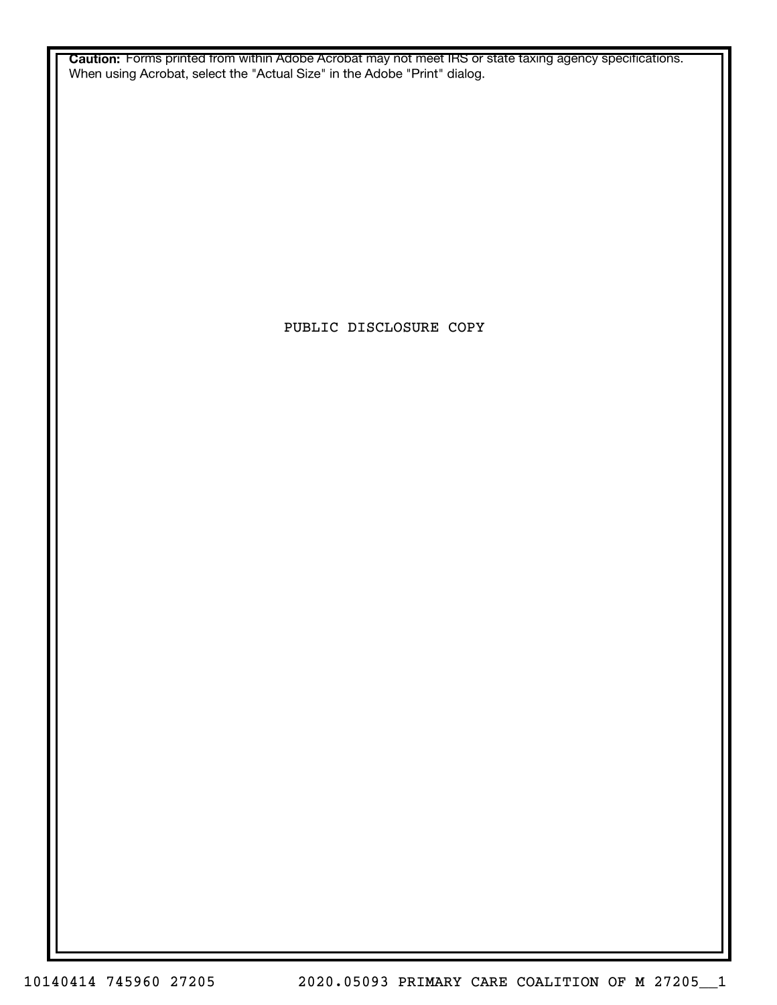**Caution:** Forms printed from within Adobe Acrobat may not meet IRS or state taxing agency specifications. When using Acrobat, select the "Actual Size" in the Adobe "Print" dialog.

PUBLIC DISCLOSURE COPY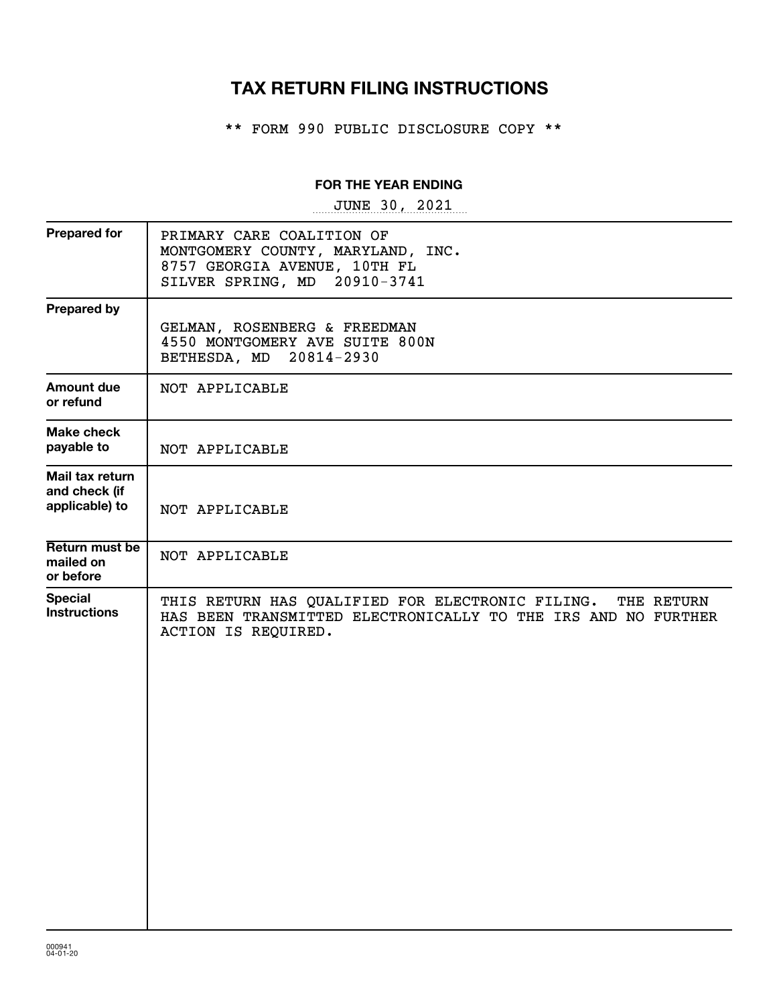# **TAX RETURN FILING INSTRUCTIONS**

\*\* FORM 990 PUBLIC DISCLOSURE COPY \*\*

## **FOR THE YEAR ENDING**

~~~~~~~~~~~~~~~~~ JUNE 30, 2021

| <b>Prepared for</b>                                | PRIMARY CARE COALITION OF<br>MONTGOMERY COUNTY, MARYLAND, INC.<br>8757 GEORGIA AVENUE, 10TH FL<br>SILVER SPRING, MD 20910-3741                         |
|----------------------------------------------------|--------------------------------------------------------------------------------------------------------------------------------------------------------|
| <b>Prepared by</b>                                 | GELMAN, ROSENBERG & FREEDMAN<br>4550 MONTGOMERY AVE SUITE 800N<br>20814-2930<br>BETHESDA, MD                                                           |
| <b>Amount due</b><br>or refund                     | NOT APPLICABLE                                                                                                                                         |
| <b>Make check</b><br>payable to                    | NOT APPLICABLE                                                                                                                                         |
| Mail tax return<br>and check (if<br>applicable) to | NOT APPLICABLE                                                                                                                                         |
| Return must be<br>mailed on<br>or before           | NOT APPLICABLE                                                                                                                                         |
| <b>Special</b><br><b>Instructions</b>              | THIS RETURN HAS QUALIFIED FOR ELECTRONIC FILING.<br>THE RETURN<br>HAS BEEN TRANSMITTED ELECTRONICALLY TO THE IRS AND NO FURTHER<br>ACTION IS REQUIRED. |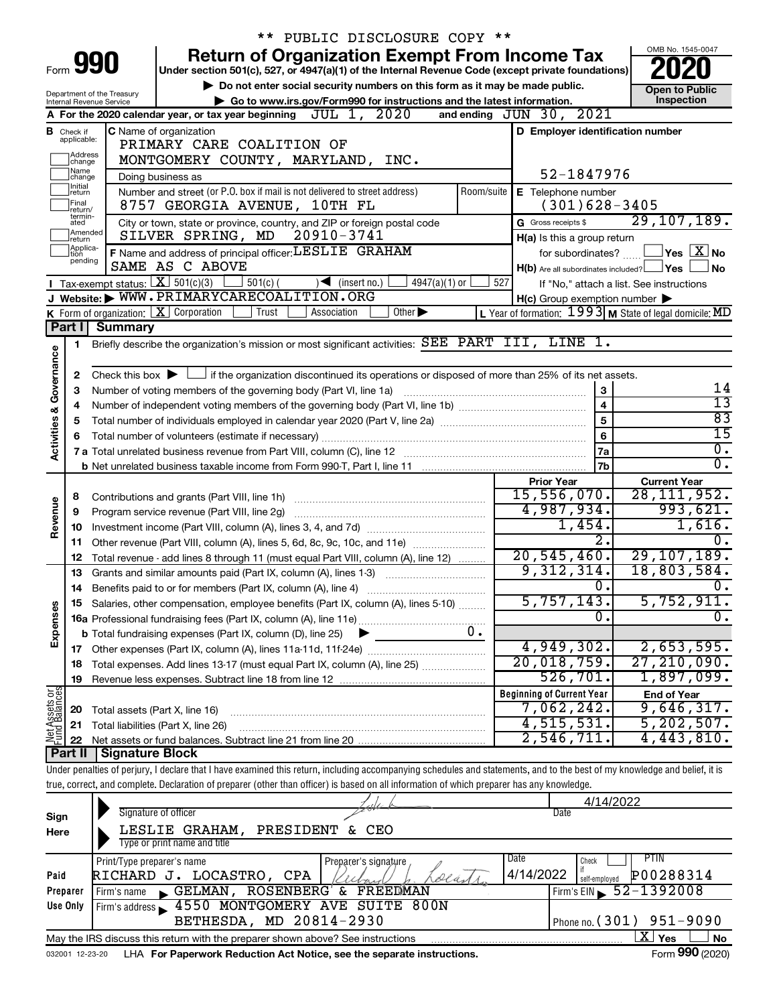|                                |                    |                                                                                                                                                                                | ** PUBLIC DISCLOSURE COPY **                                                                                                                                               |                                                           |                                          |  |  |  |  |  |  |  |
|--------------------------------|--------------------|--------------------------------------------------------------------------------------------------------------------------------------------------------------------------------|----------------------------------------------------------------------------------------------------------------------------------------------------------------------------|-----------------------------------------------------------|------------------------------------------|--|--|--|--|--|--|--|
|                                |                    |                                                                                                                                                                                | <b>Return of Organization Exempt From Income Tax</b>                                                                                                                       |                                                           | OMB No. 1545-0047                        |  |  |  |  |  |  |  |
|                                | Form 990           |                                                                                                                                                                                | Under section 501(c), 527, or 4947(a)(1) of the Internal Revenue Code (except private foundations)                                                                         |                                                           |                                          |  |  |  |  |  |  |  |
|                                |                    |                                                                                                                                                                                | Do not enter social security numbers on this form as it may be made public.                                                                                                |                                                           | <b>Open to Public</b>                    |  |  |  |  |  |  |  |
|                                |                    | Department of the Treasury<br>Internal Revenue Service                                                                                                                         | Go to www.irs.gov/Form990 for instructions and the latest information.                                                                                                     |                                                           | Inspection                               |  |  |  |  |  |  |  |
|                                |                    |                                                                                                                                                                                | A For the 2020 calendar year, or tax year beginning $JUL$ 1, $2020$                                                                                                        | and ending JUN 30, 2021                                   |                                          |  |  |  |  |  |  |  |
|                                | <b>B</b> Check if  |                                                                                                                                                                                | <b>C</b> Name of organization                                                                                                                                              | D Employer identification number                          |                                          |  |  |  |  |  |  |  |
|                                | applicable:        |                                                                                                                                                                                | PRIMARY CARE COALITION OF                                                                                                                                                  |                                                           |                                          |  |  |  |  |  |  |  |
|                                | Address<br>change  |                                                                                                                                                                                | MONTGOMERY COUNTY, MARYLAND, INC.                                                                                                                                          |                                                           |                                          |  |  |  |  |  |  |  |
|                                | ]Name<br>]change   |                                                                                                                                                                                | Doing business as                                                                                                                                                          | 52-1847976                                                |                                          |  |  |  |  |  |  |  |
|                                | Initial<br>return  |                                                                                                                                                                                |                                                                                                                                                                            |                                                           |                                          |  |  |  |  |  |  |  |
|                                | Final              | Number and street (or P.O. box if mail is not delivered to street address)<br>Room/suite<br>E Telephone number<br>$(301)628 - 3405$<br>8757 GEORGIA AVENUE, 10TH FL<br>return/ |                                                                                                                                                                            |                                                           |                                          |  |  |  |  |  |  |  |
|                                | termin-<br>ated    | 29, 107, 189.                                                                                                                                                                  |                                                                                                                                                                            |                                                           |                                          |  |  |  |  |  |  |  |
|                                | Amended<br>Ireturn |                                                                                                                                                                                | City or town, state or province, country, and ZIP or foreign postal code<br>SILVER SPRING, MD<br>20910-3741                                                                | G Gross receipts \$<br>H(a) Is this a group return        |                                          |  |  |  |  |  |  |  |
|                                | Applica-<br>tion   |                                                                                                                                                                                | F Name and address of principal officer: LESLIE GRAHAM                                                                                                                     | for subordinates?                                         | $\sqrt{}$ Yes $\sqrt{X}$ No              |  |  |  |  |  |  |  |
|                                | pending            |                                                                                                                                                                                | SAME AS C ABOVE                                                                                                                                                            | H(b) Are all subordinates included? Ves                   | No.                                      |  |  |  |  |  |  |  |
|                                |                    |                                                                                                                                                                                | Tax-exempt status: $X \overline{X}$ 501(c)(3) $361(c)$<br>$\sqrt{\frac{1}{1}}$ (insert no.)<br>$4947(a)(1)$ or                                                             | 527                                                       | If "No," attach a list. See instructions |  |  |  |  |  |  |  |
|                                |                    |                                                                                                                                                                                | J Website: WWW.PRIMARYCARECOALITION.ORG                                                                                                                                    | $H(c)$ Group exemption number $\blacktriangleright$       |                                          |  |  |  |  |  |  |  |
|                                |                    |                                                                                                                                                                                | K Form of organization: $X$ Corporation<br>Other $\blacktriangleright$<br>Trust<br>Association                                                                             | L Year of formation: $1993$ M State of legal domicile: MD |                                          |  |  |  |  |  |  |  |
|                                | Part I             | <b>Summary</b>                                                                                                                                                                 |                                                                                                                                                                            |                                                           |                                          |  |  |  |  |  |  |  |
|                                | 1                  |                                                                                                                                                                                | Briefly describe the organization's mission or most significant activities: SEE PART III, LINE 1.                                                                          |                                                           |                                          |  |  |  |  |  |  |  |
|                                |                    |                                                                                                                                                                                |                                                                                                                                                                            |                                                           |                                          |  |  |  |  |  |  |  |
| Governance                     | 2                  |                                                                                                                                                                                | Check this box $\blacktriangleright$ $\Box$ if the organization discontinued its operations or disposed of more than 25% of its net assets.                                |                                                           |                                          |  |  |  |  |  |  |  |
|                                | з                  |                                                                                                                                                                                | Number of voting members of the governing body (Part VI, line 1a)                                                                                                          | 3                                                         | 14                                       |  |  |  |  |  |  |  |
|                                | 4                  |                                                                                                                                                                                |                                                                                                                                                                            | $\overline{4}$                                            | $\overline{13}$                          |  |  |  |  |  |  |  |
| <b>Activities &amp;</b>        | 5                  |                                                                                                                                                                                |                                                                                                                                                                            | $\overline{5}$                                            | $\overline{83}$                          |  |  |  |  |  |  |  |
|                                | 6                  |                                                                                                                                                                                |                                                                                                                                                                            | 6                                                         | $\overline{15}$                          |  |  |  |  |  |  |  |
|                                |                    |                                                                                                                                                                                |                                                                                                                                                                            | 7a                                                        | $\overline{0}$ .                         |  |  |  |  |  |  |  |
|                                |                    |                                                                                                                                                                                |                                                                                                                                                                            | 7b                                                        | $\overline{0}$ .                         |  |  |  |  |  |  |  |
|                                |                    |                                                                                                                                                                                |                                                                                                                                                                            | <b>Prior Year</b>                                         | <b>Current Year</b>                      |  |  |  |  |  |  |  |
|                                | 8                  |                                                                                                                                                                                | Contributions and grants (Part VIII, line 1h)                                                                                                                              | 15,556,070.                                               | 28, 111, 952.                            |  |  |  |  |  |  |  |
| Revenue                        | 9                  |                                                                                                                                                                                | Program service revenue (Part VIII, line 2g)                                                                                                                               | 4,987,934.                                                | 993,621.                                 |  |  |  |  |  |  |  |
|                                | 10                 |                                                                                                                                                                                |                                                                                                                                                                            | 1,454.                                                    | 1,616.                                   |  |  |  |  |  |  |  |
|                                | 11                 |                                                                                                                                                                                | Other revenue (Part VIII, column (A), lines 5, 6d, 8c, 9c, 10c, and 11e)                                                                                                   | $\overline{2}$ .                                          | 0.                                       |  |  |  |  |  |  |  |
|                                | 12                 |                                                                                                                                                                                | Total revenue - add lines 8 through 11 (must equal Part VIII, column (A), line 12)                                                                                         | 20, 545, 460.                                             | 29, 107, 189.                            |  |  |  |  |  |  |  |
|                                | 13                 |                                                                                                                                                                                | Grants and similar amounts paid (Part IX, column (A), lines 1-3)                                                                                                           | 9,312,314.                                                | 18,803,584.                              |  |  |  |  |  |  |  |
|                                |                    |                                                                                                                                                                                |                                                                                                                                                                            | $\overline{0}$ .                                          | 0.                                       |  |  |  |  |  |  |  |
|                                |                    |                                                                                                                                                                                | Salaries, other compensation, employee benefits (Part IX, column (A), lines 5-10)                                                                                          | 5,757,143.                                                | 5,752,911.                               |  |  |  |  |  |  |  |
|                                |                    |                                                                                                                                                                                |                                                                                                                                                                            | $\overline{0}$ .                                          | $\overline{0}$ .                         |  |  |  |  |  |  |  |
| Expenses                       |                    |                                                                                                                                                                                | 0.<br><b>b</b> Total fundraising expenses (Part IX, column (D), line 25)                                                                                                   |                                                           |                                          |  |  |  |  |  |  |  |
|                                |                    |                                                                                                                                                                                |                                                                                                                                                                            | 4,949,302.                                                | 2,653,595.                               |  |  |  |  |  |  |  |
|                                |                    |                                                                                                                                                                                | 18 Total expenses. Add lines 13-17 (must equal Part IX, column (A), line 25)                                                                                               | 20,018,759.                                               | 27, 210, 090.                            |  |  |  |  |  |  |  |
|                                | 19                 |                                                                                                                                                                                |                                                                                                                                                                            | 526, 701.                                                 | 1,897,099.                               |  |  |  |  |  |  |  |
|                                |                    |                                                                                                                                                                                |                                                                                                                                                                            | <b>Beginning of Current Year</b>                          | <b>End of Year</b>                       |  |  |  |  |  |  |  |
| Net Assets or<br>Fund Balances | 20                 |                                                                                                                                                                                | Total assets (Part X, line 16)                                                                                                                                             | 7,062,242.                                                | 9,646,317.                               |  |  |  |  |  |  |  |
|                                | 21                 |                                                                                                                                                                                | Total liabilities (Part X, line 26)                                                                                                                                        | 4,515,531.                                                | 5, 202, 507.                             |  |  |  |  |  |  |  |
|                                | 22                 |                                                                                                                                                                                | Net assets or fund balances. Subtract line 21 from line 20                                                                                                                 | 2,546,711.                                                | 4,443,810.                               |  |  |  |  |  |  |  |
|                                | Part II            | <b>Signature Block</b>                                                                                                                                                         |                                                                                                                                                                            |                                                           |                                          |  |  |  |  |  |  |  |
|                                |                    |                                                                                                                                                                                | Under penalties of perjury, I declare that I have examined this return, including accompanying schedules and statements, and to the best of my knowledge and belief, it is |                                                           |                                          |  |  |  |  |  |  |  |
|                                |                    |                                                                                                                                                                                | true, correct, and complete. Declaration of preparer (other than officer) is based on all information of which preparer has any knowledge.                                 |                                                           |                                          |  |  |  |  |  |  |  |
|                                |                    |                                                                                                                                                                                |                                                                                                                                                                            | 4/14/2022                                                 |                                          |  |  |  |  |  |  |  |
| Sign                           |                    |                                                                                                                                                                                | Signature of officer                                                                                                                                                       | Date                                                      |                                          |  |  |  |  |  |  |  |
| Here                           |                    |                                                                                                                                                                                | LESLIE GRAHAM,<br>& CEO<br>PRESIDENT                                                                                                                                       |                                                           |                                          |  |  |  |  |  |  |  |
|                                |                    |                                                                                                                                                                                | Type or print name and title                                                                                                                                               |                                                           |                                          |  |  |  |  |  |  |  |
|                                |                    | Print/Type preparer's name                                                                                                                                                     | Preparer's signature                                                                                                                                                       | Date<br>Check                                             | PTIN                                     |  |  |  |  |  |  |  |
| Paid                           |                    |                                                                                                                                                                                | RICHARD J. LOCASTRO, CPA<br>ola                                                                                                                                            | 4/14/2022<br>self-employed                                | P00288314                                |  |  |  |  |  |  |  |
|                                | Preparer           |                                                                                                                                                                                | Firm's name GELMAN, ROSENBERG' & FREEDMAN                                                                                                                                  | Firm's $EIN$                                              | 52-1392008                               |  |  |  |  |  |  |  |
|                                | Use Only           |                                                                                                                                                                                | Firm's address 1550 MONTGOMERY AVE SUITE 800N                                                                                                                              |                                                           |                                          |  |  |  |  |  |  |  |
|                                |                    |                                                                                                                                                                                | BETHESDA, MD 20814-2930                                                                                                                                                    | Phone no. (301)                                           | $951 - 9090$                             |  |  |  |  |  |  |  |
|                                |                    |                                                                                                                                                                                | May the IRS discuss this return with the preparer shown above? See instructions                                                                                            |                                                           | $\overline{\text{X}}$ Yes<br>No          |  |  |  |  |  |  |  |
|                                |                    |                                                                                                                                                                                |                                                                                                                                                                            |                                                           |                                          |  |  |  |  |  |  |  |

032001 12-23-20 LHA **For Paperwork Reduction Act Notice, see the separate instructions.** Form 990 (2020)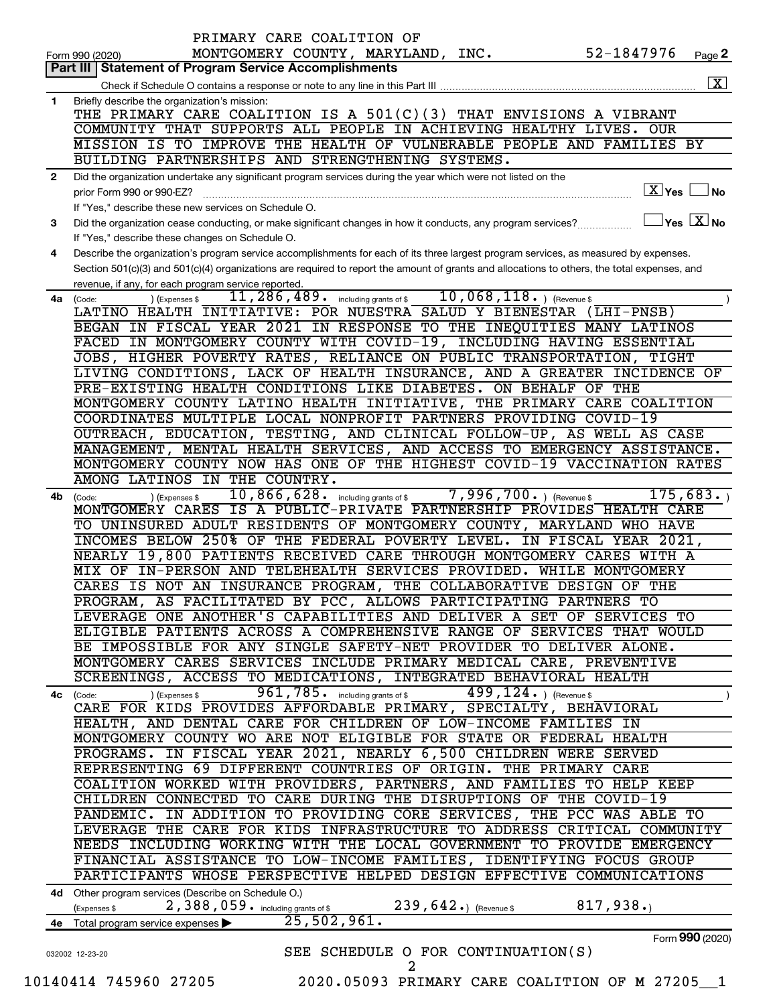|                                                                                                                                                                                                                                                                                                                                                                                                                                                                                                                                                                                                                                                                                                                                                                                                                                                                                                                                                                                                                                                                                                                                                                                                                                                                                                                                                                                                                                                                                                                                                                                                                                                                                                                                                                                                                                                                                                                                                                                                                                                                                                                                                                                                                                                                                                                                                                                                                                                                                                                                                                                                                                                                                                                                                                                                                                                                                                                                                                                                                                                                                                                                                                                                                                                                                                                                                                                                                                                                                                                                                                                                                                                                                                                                                                                                                                                                                                                                                                                                                                                                                   | 52-1847976<br>MONTGOMERY COUNTY, MARYLAND, INC.<br>Page 2                                    |  |  |  |
|-----------------------------------------------------------------------------------------------------------------------------------------------------------------------------------------------------------------------------------------------------------------------------------------------------------------------------------------------------------------------------------------------------------------------------------------------------------------------------------------------------------------------------------------------------------------------------------------------------------------------------------------------------------------------------------------------------------------------------------------------------------------------------------------------------------------------------------------------------------------------------------------------------------------------------------------------------------------------------------------------------------------------------------------------------------------------------------------------------------------------------------------------------------------------------------------------------------------------------------------------------------------------------------------------------------------------------------------------------------------------------------------------------------------------------------------------------------------------------------------------------------------------------------------------------------------------------------------------------------------------------------------------------------------------------------------------------------------------------------------------------------------------------------------------------------------------------------------------------------------------------------------------------------------------------------------------------------------------------------------------------------------------------------------------------------------------------------------------------------------------------------------------------------------------------------------------------------------------------------------------------------------------------------------------------------------------------------------------------------------------------------------------------------------------------------------------------------------------------------------------------------------------------------------------------------------------------------------------------------------------------------------------------------------------------------------------------------------------------------------------------------------------------------------------------------------------------------------------------------------------------------------------------------------------------------------------------------------------------------------------------------------------------------------------------------------------------------------------------------------------------------------------------------------------------------------------------------------------------------------------------------------------------------------------------------------------------------------------------------------------------------------------------------------------------------------------------------------------------------------------------------------------------------------------------------------------------------------------------------------------------------------------------------------------------------------------------------------------------------------------------------------------------------------------------------------------------------------------------------------------------------------------------------------------------------------------------------------------------------------------------------------------------------------------------------------------------------|----------------------------------------------------------------------------------------------|--|--|--|
|                                                                                                                                                                                                                                                                                                                                                                                                                                                                                                                                                                                                                                                                                                                                                                                                                                                                                                                                                                                                                                                                                                                                                                                                                                                                                                                                                                                                                                                                                                                                                                                                                                                                                                                                                                                                                                                                                                                                                                                                                                                                                                                                                                                                                                                                                                                                                                                                                                                                                                                                                                                                                                                                                                                                                                                                                                                                                                                                                                                                                                                                                                                                                                                                                                                                                                                                                                                                                                                                                                                                                                                                                                                                                                                                                                                                                                                                                                                                                                                                                                                                                   |                                                                                              |  |  |  |
|                                                                                                                                                                                                                                                                                                                                                                                                                                                                                                                                                                                                                                                                                                                                                                                                                                                                                                                                                                                                                                                                                                                                                                                                                                                                                                                                                                                                                                                                                                                                                                                                                                                                                                                                                                                                                                                                                                                                                                                                                                                                                                                                                                                                                                                                                                                                                                                                                                                                                                                                                                                                                                                                                                                                                                                                                                                                                                                                                                                                                                                                                                                                                                                                                                                                                                                                                                                                                                                                                                                                                                                                                                                                                                                                                                                                                                                                                                                                                                                                                                                                                   | $\mathbf{X}$<br>Check if Schedule O contains a response or note to any line in this Part III |  |  |  |
|                                                                                                                                                                                                                                                                                                                                                                                                                                                                                                                                                                                                                                                                                                                                                                                                                                                                                                                                                                                                                                                                                                                                                                                                                                                                                                                                                                                                                                                                                                                                                                                                                                                                                                                                                                                                                                                                                                                                                                                                                                                                                                                                                                                                                                                                                                                                                                                                                                                                                                                                                                                                                                                                                                                                                                                                                                                                                                                                                                                                                                                                                                                                                                                                                                                                                                                                                                                                                                                                                                                                                                                                                                                                                                                                                                                                                                                                                                                                                                                                                                                                                   | Briefly describe the organization's mission:                                                 |  |  |  |
|                                                                                                                                                                                                                                                                                                                                                                                                                                                                                                                                                                                                                                                                                                                                                                                                                                                                                                                                                                                                                                                                                                                                                                                                                                                                                                                                                                                                                                                                                                                                                                                                                                                                                                                                                                                                                                                                                                                                                                                                                                                                                                                                                                                                                                                                                                                                                                                                                                                                                                                                                                                                                                                                                                                                                                                                                                                                                                                                                                                                                                                                                                                                                                                                                                                                                                                                                                                                                                                                                                                                                                                                                                                                                                                                                                                                                                                                                                                                                                                                                                                                                   |                                                                                              |  |  |  |
|                                                                                                                                                                                                                                                                                                                                                                                                                                                                                                                                                                                                                                                                                                                                                                                                                                                                                                                                                                                                                                                                                                                                                                                                                                                                                                                                                                                                                                                                                                                                                                                                                                                                                                                                                                                                                                                                                                                                                                                                                                                                                                                                                                                                                                                                                                                                                                                                                                                                                                                                                                                                                                                                                                                                                                                                                                                                                                                                                                                                                                                                                                                                                                                                                                                                                                                                                                                                                                                                                                                                                                                                                                                                                                                                                                                                                                                                                                                                                                                                                                                                                   |                                                                                              |  |  |  |
| PRIMARY CARE COALITION OF<br>Form 990 (2020)<br>Part III   Statement of Program Service Accomplishments<br>1<br>THE PRIMARY CARE COALITION IS A 501(C)(3) THAT ENVISIONS A VIBRANT<br>COMMUNITY THAT SUPPORTS ALL PEOPLE IN ACHIEVING HEALTHY LIVES. OUR<br>MISSION IS TO IMPROVE THE HEALTH OF VULNERABLE PEOPLE AND FAMILIES BY<br>BUILDING PARTNERSHIPS AND STRENGTHENING SYSTEMS.<br>Did the organization undertake any significant program services during the year which were not listed on the<br>$\mathbf{2}$<br>$\overline{\text{X}}$ Yes<br>prior Form 990 or 990-EZ?<br>If "Yes," describe these new services on Schedule O.<br>$\exists$ Yes $\boxed{\text{X}}$ No<br>Did the organization cease conducting, or make significant changes in how it conducts, any program services?<br>3<br>If "Yes," describe these changes on Schedule O.<br>Describe the organization's program service accomplishments for each of its three largest program services, as measured by expenses.<br>4<br>Section 501(c)(3) and 501(c)(4) organizations are required to report the amount of grants and allocations to others, the total expenses, and<br>revenue, if any, for each program service reported.<br>$10,068,118.$ (Revenue \$)<br>11, 286, 489. including grants of \$<br>4a<br>(Expenses \$<br>(Code:<br>LATINO HEALTH INITIATIVE: POR NUESTRA SALUD Y BIENESTAR (LHI-PNSB)<br>BEGAN IN FISCAL YEAR 2021 IN RESPONSE TO THE INEQUITIES MANY LATINOS<br>FACED IN MONTGOMERY COUNTY WITH COVID-19, INCLUDING HAVING ESSENTIAL<br>JOBS, HIGHER POVERTY RATES, RELIANCE ON PUBLIC TRANSPORTATION, TIGHT<br>LIVING CONDITIONS, LACK OF HEALTH INSURANCE, AND A GREATER INCIDENCE OF<br>PRE-EXISTING HEALTH CONDITIONS LIKE DIABETES. ON BEHALF OF THE<br>MONTGOMERY COUNTY LATINO HEALTH INITIATIVE, THE PRIMARY CARE COALITION<br>COORDINATES MULTIPLE LOCAL NONPROFIT PARTNERS PROVIDING COVID-19<br>OUTREACH, EDUCATION, TESTING, AND CLINICAL FOLLOW-UP, AS WELL AS CASE<br>MANAGEMENT, MENTAL HEALTH SERVICES, AND ACCESS TO EMERGENCY ASSISTANCE.<br>MONTGOMERY COUNTY NOW HAS ONE OF THE HIGHEST COVID-19 VACCINATION RATES<br>AMONG LATINOS IN THE COUNTRY.<br>$\overline{10}$ , 866, 628. including grants of \$<br>$7,996,700.$ ) (Revenue \$<br>175,683.<br>) (Expenses \$<br>4b<br>(Code:<br>MONTGOMERY CARES IS A PUBLIC-PRIVATE PARTNERSHIP PROVIDES HEALTH CARE<br>TO UNINSURED ADULT RESIDENTS OF MONTGOMERY COUNTY, MARYLAND WHO HAVE<br>INCOMES BELOW 250% OF THE FEDERAL POVERTY LEVEL. IN FISCAL YEAR 2021,<br>NEARLY 19,800 PATIENTS RECEIVED CARE THROUGH MONTGOMERY CARES WITH A<br>MIX OF IN-PERSON AND TELEHEALTH SERVICES PROVIDED. WHILE MONTGOMERY<br>CARES IS NOT AN INSURANCE PROGRAM, THE COLLABORATIVE DESIGN OF THE<br>PROGRAM, AS FACILITATED BY PCC, ALLOWS PARTICIPATING PARTNERS TO<br>LEVERAGE ONE ANOTHER'S CAPABILITIES AND DELIVER A SET OF SERVICES TO<br>ELIGIBLE PATIENTS ACROSS A COMPREHENSIVE RANGE OF SERVICES THAT WOULD<br>BE IMPOSSIBLE FOR ANY SINGLE SAFETY-NET PROVIDER TO DELIVER ALONE.<br>MONTGOMERY CARES SERVICES INCLUDE PRIMARY MEDICAL CARE, PREVENTIVE<br>SCREENINGS, ACCESS TO MEDICATIONS, INTEGRATED BEHAVIORAL HEALTH<br>961, 785. including grants of \$<br>499, $124.$ (Revenue \$)<br>) (Expenses \$<br>$4c$ (Code:<br>CARE FOR KIDS PROVIDES AFFORDABLE PRIMARY, SPECIALTY, BEHAVIORAL<br>HEALTH, AND DENTAL CARE FOR CHILDREN OF LOW-INCOME FAMILIES IN<br>MONTGOMERY COUNTY WO ARE NOT ELIGIBLE FOR STATE OR FEDERAL HEALTH<br>PROGRAMS. IN FISCAL YEAR 2021, NEARLY 6,500 CHILDREN WERE SERVED<br>REPRESENTING 69 DIFFERENT COUNTRIES OF ORIGIN. THE PRIMARY CARE<br>COALITION WORKED WITH PROVIDERS, PARTNERS, AND FAMILIES TO HELP KEEP<br>CHILDREN CONNECTED TO CARE DURING THE DISRUPTIONS OF THE COVID-19<br>PANDEMIC. IN ADDITION TO PROVIDING CORE SERVICES, THE PCC WAS ABLE TO<br>LEVERAGE THE CARE FOR KIDS INFRASTRUCTURE TO ADDRESS CRITICAL COMMUNITY<br>FINANCIAL ASSISTANCE TO LOW-INCOME FAMILIES, IDENTIFYING FOCUS GROUP<br>4d Other program services (Describe on Schedule O.) |                                                                                              |  |  |  |
|                                                                                                                                                                                                                                                                                                                                                                                                                                                                                                                                                                                                                                                                                                                                                                                                                                                                                                                                                                                                                                                                                                                                                                                                                                                                                                                                                                                                                                                                                                                                                                                                                                                                                                                                                                                                                                                                                                                                                                                                                                                                                                                                                                                                                                                                                                                                                                                                                                                                                                                                                                                                                                                                                                                                                                                                                                                                                                                                                                                                                                                                                                                                                                                                                                                                                                                                                                                                                                                                                                                                                                                                                                                                                                                                                                                                                                                                                                                                                                                                                                                                                   |                                                                                              |  |  |  |
|                                                                                                                                                                                                                                                                                                                                                                                                                                                                                                                                                                                                                                                                                                                                                                                                                                                                                                                                                                                                                                                                                                                                                                                                                                                                                                                                                                                                                                                                                                                                                                                                                                                                                                                                                                                                                                                                                                                                                                                                                                                                                                                                                                                                                                                                                                                                                                                                                                                                                                                                                                                                                                                                                                                                                                                                                                                                                                                                                                                                                                                                                                                                                                                                                                                                                                                                                                                                                                                                                                                                                                                                                                                                                                                                                                                                                                                                                                                                                                                                                                                                                   |                                                                                              |  |  |  |
|                                                                                                                                                                                                                                                                                                                                                                                                                                                                                                                                                                                                                                                                                                                                                                                                                                                                                                                                                                                                                                                                                                                                                                                                                                                                                                                                                                                                                                                                                                                                                                                                                                                                                                                                                                                                                                                                                                                                                                                                                                                                                                                                                                                                                                                                                                                                                                                                                                                                                                                                                                                                                                                                                                                                                                                                                                                                                                                                                                                                                                                                                                                                                                                                                                                                                                                                                                                                                                                                                                                                                                                                                                                                                                                                                                                                                                                                                                                                                                                                                                                                                   | ∣No                                                                                          |  |  |  |
|                                                                                                                                                                                                                                                                                                                                                                                                                                                                                                                                                                                                                                                                                                                                                                                                                                                                                                                                                                                                                                                                                                                                                                                                                                                                                                                                                                                                                                                                                                                                                                                                                                                                                                                                                                                                                                                                                                                                                                                                                                                                                                                                                                                                                                                                                                                                                                                                                                                                                                                                                                                                                                                                                                                                                                                                                                                                                                                                                                                                                                                                                                                                                                                                                                                                                                                                                                                                                                                                                                                                                                                                                                                                                                                                                                                                                                                                                                                                                                                                                                                                                   |                                                                                              |  |  |  |
|                                                                                                                                                                                                                                                                                                                                                                                                                                                                                                                                                                                                                                                                                                                                                                                                                                                                                                                                                                                                                                                                                                                                                                                                                                                                                                                                                                                                                                                                                                                                                                                                                                                                                                                                                                                                                                                                                                                                                                                                                                                                                                                                                                                                                                                                                                                                                                                                                                                                                                                                                                                                                                                                                                                                                                                                                                                                                                                                                                                                                                                                                                                                                                                                                                                                                                                                                                                                                                                                                                                                                                                                                                                                                                                                                                                                                                                                                                                                                                                                                                                                                   |                                                                                              |  |  |  |
|                                                                                                                                                                                                                                                                                                                                                                                                                                                                                                                                                                                                                                                                                                                                                                                                                                                                                                                                                                                                                                                                                                                                                                                                                                                                                                                                                                                                                                                                                                                                                                                                                                                                                                                                                                                                                                                                                                                                                                                                                                                                                                                                                                                                                                                                                                                                                                                                                                                                                                                                                                                                                                                                                                                                                                                                                                                                                                                                                                                                                                                                                                                                                                                                                                                                                                                                                                                                                                                                                                                                                                                                                                                                                                                                                                                                                                                                                                                                                                                                                                                                                   |                                                                                              |  |  |  |
|                                                                                                                                                                                                                                                                                                                                                                                                                                                                                                                                                                                                                                                                                                                                                                                                                                                                                                                                                                                                                                                                                                                                                                                                                                                                                                                                                                                                                                                                                                                                                                                                                                                                                                                                                                                                                                                                                                                                                                                                                                                                                                                                                                                                                                                                                                                                                                                                                                                                                                                                                                                                                                                                                                                                                                                                                                                                                                                                                                                                                                                                                                                                                                                                                                                                                                                                                                                                                                                                                                                                                                                                                                                                                                                                                                                                                                                                                                                                                                                                                                                                                   |                                                                                              |  |  |  |
|                                                                                                                                                                                                                                                                                                                                                                                                                                                                                                                                                                                                                                                                                                                                                                                                                                                                                                                                                                                                                                                                                                                                                                                                                                                                                                                                                                                                                                                                                                                                                                                                                                                                                                                                                                                                                                                                                                                                                                                                                                                                                                                                                                                                                                                                                                                                                                                                                                                                                                                                                                                                                                                                                                                                                                                                                                                                                                                                                                                                                                                                                                                                                                                                                                                                                                                                                                                                                                                                                                                                                                                                                                                                                                                                                                                                                                                                                                                                                                                                                                                                                   |                                                                                              |  |  |  |
|                                                                                                                                                                                                                                                                                                                                                                                                                                                                                                                                                                                                                                                                                                                                                                                                                                                                                                                                                                                                                                                                                                                                                                                                                                                                                                                                                                                                                                                                                                                                                                                                                                                                                                                                                                                                                                                                                                                                                                                                                                                                                                                                                                                                                                                                                                                                                                                                                                                                                                                                                                                                                                                                                                                                                                                                                                                                                                                                                                                                                                                                                                                                                                                                                                                                                                                                                                                                                                                                                                                                                                                                                                                                                                                                                                                                                                                                                                                                                                                                                                                                                   |                                                                                              |  |  |  |
|                                                                                                                                                                                                                                                                                                                                                                                                                                                                                                                                                                                                                                                                                                                                                                                                                                                                                                                                                                                                                                                                                                                                                                                                                                                                                                                                                                                                                                                                                                                                                                                                                                                                                                                                                                                                                                                                                                                                                                                                                                                                                                                                                                                                                                                                                                                                                                                                                                                                                                                                                                                                                                                                                                                                                                                                                                                                                                                                                                                                                                                                                                                                                                                                                                                                                                                                                                                                                                                                                                                                                                                                                                                                                                                                                                                                                                                                                                                                                                                                                                                                                   |                                                                                              |  |  |  |
|                                                                                                                                                                                                                                                                                                                                                                                                                                                                                                                                                                                                                                                                                                                                                                                                                                                                                                                                                                                                                                                                                                                                                                                                                                                                                                                                                                                                                                                                                                                                                                                                                                                                                                                                                                                                                                                                                                                                                                                                                                                                                                                                                                                                                                                                                                                                                                                                                                                                                                                                                                                                                                                                                                                                                                                                                                                                                                                                                                                                                                                                                                                                                                                                                                                                                                                                                                                                                                                                                                                                                                                                                                                                                                                                                                                                                                                                                                                                                                                                                                                                                   |                                                                                              |  |  |  |
|                                                                                                                                                                                                                                                                                                                                                                                                                                                                                                                                                                                                                                                                                                                                                                                                                                                                                                                                                                                                                                                                                                                                                                                                                                                                                                                                                                                                                                                                                                                                                                                                                                                                                                                                                                                                                                                                                                                                                                                                                                                                                                                                                                                                                                                                                                                                                                                                                                                                                                                                                                                                                                                                                                                                                                                                                                                                                                                                                                                                                                                                                                                                                                                                                                                                                                                                                                                                                                                                                                                                                                                                                                                                                                                                                                                                                                                                                                                                                                                                                                                                                   |                                                                                              |  |  |  |
|                                                                                                                                                                                                                                                                                                                                                                                                                                                                                                                                                                                                                                                                                                                                                                                                                                                                                                                                                                                                                                                                                                                                                                                                                                                                                                                                                                                                                                                                                                                                                                                                                                                                                                                                                                                                                                                                                                                                                                                                                                                                                                                                                                                                                                                                                                                                                                                                                                                                                                                                                                                                                                                                                                                                                                                                                                                                                                                                                                                                                                                                                                                                                                                                                                                                                                                                                                                                                                                                                                                                                                                                                                                                                                                                                                                                                                                                                                                                                                                                                                                                                   |                                                                                              |  |  |  |
|                                                                                                                                                                                                                                                                                                                                                                                                                                                                                                                                                                                                                                                                                                                                                                                                                                                                                                                                                                                                                                                                                                                                                                                                                                                                                                                                                                                                                                                                                                                                                                                                                                                                                                                                                                                                                                                                                                                                                                                                                                                                                                                                                                                                                                                                                                                                                                                                                                                                                                                                                                                                                                                                                                                                                                                                                                                                                                                                                                                                                                                                                                                                                                                                                                                                                                                                                                                                                                                                                                                                                                                                                                                                                                                                                                                                                                                                                                                                                                                                                                                                                   |                                                                                              |  |  |  |
|                                                                                                                                                                                                                                                                                                                                                                                                                                                                                                                                                                                                                                                                                                                                                                                                                                                                                                                                                                                                                                                                                                                                                                                                                                                                                                                                                                                                                                                                                                                                                                                                                                                                                                                                                                                                                                                                                                                                                                                                                                                                                                                                                                                                                                                                                                                                                                                                                                                                                                                                                                                                                                                                                                                                                                                                                                                                                                                                                                                                                                                                                                                                                                                                                                                                                                                                                                                                                                                                                                                                                                                                                                                                                                                                                                                                                                                                                                                                                                                                                                                                                   |                                                                                              |  |  |  |
|                                                                                                                                                                                                                                                                                                                                                                                                                                                                                                                                                                                                                                                                                                                                                                                                                                                                                                                                                                                                                                                                                                                                                                                                                                                                                                                                                                                                                                                                                                                                                                                                                                                                                                                                                                                                                                                                                                                                                                                                                                                                                                                                                                                                                                                                                                                                                                                                                                                                                                                                                                                                                                                                                                                                                                                                                                                                                                                                                                                                                                                                                                                                                                                                                                                                                                                                                                                                                                                                                                                                                                                                                                                                                                                                                                                                                                                                                                                                                                                                                                                                                   |                                                                                              |  |  |  |
|                                                                                                                                                                                                                                                                                                                                                                                                                                                                                                                                                                                                                                                                                                                                                                                                                                                                                                                                                                                                                                                                                                                                                                                                                                                                                                                                                                                                                                                                                                                                                                                                                                                                                                                                                                                                                                                                                                                                                                                                                                                                                                                                                                                                                                                                                                                                                                                                                                                                                                                                                                                                                                                                                                                                                                                                                                                                                                                                                                                                                                                                                                                                                                                                                                                                                                                                                                                                                                                                                                                                                                                                                                                                                                                                                                                                                                                                                                                                                                                                                                                                                   |                                                                                              |  |  |  |
|                                                                                                                                                                                                                                                                                                                                                                                                                                                                                                                                                                                                                                                                                                                                                                                                                                                                                                                                                                                                                                                                                                                                                                                                                                                                                                                                                                                                                                                                                                                                                                                                                                                                                                                                                                                                                                                                                                                                                                                                                                                                                                                                                                                                                                                                                                                                                                                                                                                                                                                                                                                                                                                                                                                                                                                                                                                                                                                                                                                                                                                                                                                                                                                                                                                                                                                                                                                                                                                                                                                                                                                                                                                                                                                                                                                                                                                                                                                                                                                                                                                                                   |                                                                                              |  |  |  |
|                                                                                                                                                                                                                                                                                                                                                                                                                                                                                                                                                                                                                                                                                                                                                                                                                                                                                                                                                                                                                                                                                                                                                                                                                                                                                                                                                                                                                                                                                                                                                                                                                                                                                                                                                                                                                                                                                                                                                                                                                                                                                                                                                                                                                                                                                                                                                                                                                                                                                                                                                                                                                                                                                                                                                                                                                                                                                                                                                                                                                                                                                                                                                                                                                                                                                                                                                                                                                                                                                                                                                                                                                                                                                                                                                                                                                                                                                                                                                                                                                                                                                   |                                                                                              |  |  |  |
|                                                                                                                                                                                                                                                                                                                                                                                                                                                                                                                                                                                                                                                                                                                                                                                                                                                                                                                                                                                                                                                                                                                                                                                                                                                                                                                                                                                                                                                                                                                                                                                                                                                                                                                                                                                                                                                                                                                                                                                                                                                                                                                                                                                                                                                                                                                                                                                                                                                                                                                                                                                                                                                                                                                                                                                                                                                                                                                                                                                                                                                                                                                                                                                                                                                                                                                                                                                                                                                                                                                                                                                                                                                                                                                                                                                                                                                                                                                                                                                                                                                                                   |                                                                                              |  |  |  |
|                                                                                                                                                                                                                                                                                                                                                                                                                                                                                                                                                                                                                                                                                                                                                                                                                                                                                                                                                                                                                                                                                                                                                                                                                                                                                                                                                                                                                                                                                                                                                                                                                                                                                                                                                                                                                                                                                                                                                                                                                                                                                                                                                                                                                                                                                                                                                                                                                                                                                                                                                                                                                                                                                                                                                                                                                                                                                                                                                                                                                                                                                                                                                                                                                                                                                                                                                                                                                                                                                                                                                                                                                                                                                                                                                                                                                                                                                                                                                                                                                                                                                   |                                                                                              |  |  |  |
|                                                                                                                                                                                                                                                                                                                                                                                                                                                                                                                                                                                                                                                                                                                                                                                                                                                                                                                                                                                                                                                                                                                                                                                                                                                                                                                                                                                                                                                                                                                                                                                                                                                                                                                                                                                                                                                                                                                                                                                                                                                                                                                                                                                                                                                                                                                                                                                                                                                                                                                                                                                                                                                                                                                                                                                                                                                                                                                                                                                                                                                                                                                                                                                                                                                                                                                                                                                                                                                                                                                                                                                                                                                                                                                                                                                                                                                                                                                                                                                                                                                                                   |                                                                                              |  |  |  |
|                                                                                                                                                                                                                                                                                                                                                                                                                                                                                                                                                                                                                                                                                                                                                                                                                                                                                                                                                                                                                                                                                                                                                                                                                                                                                                                                                                                                                                                                                                                                                                                                                                                                                                                                                                                                                                                                                                                                                                                                                                                                                                                                                                                                                                                                                                                                                                                                                                                                                                                                                                                                                                                                                                                                                                                                                                                                                                                                                                                                                                                                                                                                                                                                                                                                                                                                                                                                                                                                                                                                                                                                                                                                                                                                                                                                                                                                                                                                                                                                                                                                                   |                                                                                              |  |  |  |
|                                                                                                                                                                                                                                                                                                                                                                                                                                                                                                                                                                                                                                                                                                                                                                                                                                                                                                                                                                                                                                                                                                                                                                                                                                                                                                                                                                                                                                                                                                                                                                                                                                                                                                                                                                                                                                                                                                                                                                                                                                                                                                                                                                                                                                                                                                                                                                                                                                                                                                                                                                                                                                                                                                                                                                                                                                                                                                                                                                                                                                                                                                                                                                                                                                                                                                                                                                                                                                                                                                                                                                                                                                                                                                                                                                                                                                                                                                                                                                                                                                                                                   |                                                                                              |  |  |  |
|                                                                                                                                                                                                                                                                                                                                                                                                                                                                                                                                                                                                                                                                                                                                                                                                                                                                                                                                                                                                                                                                                                                                                                                                                                                                                                                                                                                                                                                                                                                                                                                                                                                                                                                                                                                                                                                                                                                                                                                                                                                                                                                                                                                                                                                                                                                                                                                                                                                                                                                                                                                                                                                                                                                                                                                                                                                                                                                                                                                                                                                                                                                                                                                                                                                                                                                                                                                                                                                                                                                                                                                                                                                                                                                                                                                                                                                                                                                                                                                                                                                                                   |                                                                                              |  |  |  |
|                                                                                                                                                                                                                                                                                                                                                                                                                                                                                                                                                                                                                                                                                                                                                                                                                                                                                                                                                                                                                                                                                                                                                                                                                                                                                                                                                                                                                                                                                                                                                                                                                                                                                                                                                                                                                                                                                                                                                                                                                                                                                                                                                                                                                                                                                                                                                                                                                                                                                                                                                                                                                                                                                                                                                                                                                                                                                                                                                                                                                                                                                                                                                                                                                                                                                                                                                                                                                                                                                                                                                                                                                                                                                                                                                                                                                                                                                                                                                                                                                                                                                   |                                                                                              |  |  |  |
|                                                                                                                                                                                                                                                                                                                                                                                                                                                                                                                                                                                                                                                                                                                                                                                                                                                                                                                                                                                                                                                                                                                                                                                                                                                                                                                                                                                                                                                                                                                                                                                                                                                                                                                                                                                                                                                                                                                                                                                                                                                                                                                                                                                                                                                                                                                                                                                                                                                                                                                                                                                                                                                                                                                                                                                                                                                                                                                                                                                                                                                                                                                                                                                                                                                                                                                                                                                                                                                                                                                                                                                                                                                                                                                                                                                                                                                                                                                                                                                                                                                                                   |                                                                                              |  |  |  |
|                                                                                                                                                                                                                                                                                                                                                                                                                                                                                                                                                                                                                                                                                                                                                                                                                                                                                                                                                                                                                                                                                                                                                                                                                                                                                                                                                                                                                                                                                                                                                                                                                                                                                                                                                                                                                                                                                                                                                                                                                                                                                                                                                                                                                                                                                                                                                                                                                                                                                                                                                                                                                                                                                                                                                                                                                                                                                                                                                                                                                                                                                                                                                                                                                                                                                                                                                                                                                                                                                                                                                                                                                                                                                                                                                                                                                                                                                                                                                                                                                                                                                   |                                                                                              |  |  |  |
|                                                                                                                                                                                                                                                                                                                                                                                                                                                                                                                                                                                                                                                                                                                                                                                                                                                                                                                                                                                                                                                                                                                                                                                                                                                                                                                                                                                                                                                                                                                                                                                                                                                                                                                                                                                                                                                                                                                                                                                                                                                                                                                                                                                                                                                                                                                                                                                                                                                                                                                                                                                                                                                                                                                                                                                                                                                                                                                                                                                                                                                                                                                                                                                                                                                                                                                                                                                                                                                                                                                                                                                                                                                                                                                                                                                                                                                                                                                                                                                                                                                                                   |                                                                                              |  |  |  |
|                                                                                                                                                                                                                                                                                                                                                                                                                                                                                                                                                                                                                                                                                                                                                                                                                                                                                                                                                                                                                                                                                                                                                                                                                                                                                                                                                                                                                                                                                                                                                                                                                                                                                                                                                                                                                                                                                                                                                                                                                                                                                                                                                                                                                                                                                                                                                                                                                                                                                                                                                                                                                                                                                                                                                                                                                                                                                                                                                                                                                                                                                                                                                                                                                                                                                                                                                                                                                                                                                                                                                                                                                                                                                                                                                                                                                                                                                                                                                                                                                                                                                   |                                                                                              |  |  |  |
|                                                                                                                                                                                                                                                                                                                                                                                                                                                                                                                                                                                                                                                                                                                                                                                                                                                                                                                                                                                                                                                                                                                                                                                                                                                                                                                                                                                                                                                                                                                                                                                                                                                                                                                                                                                                                                                                                                                                                                                                                                                                                                                                                                                                                                                                                                                                                                                                                                                                                                                                                                                                                                                                                                                                                                                                                                                                                                                                                                                                                                                                                                                                                                                                                                                                                                                                                                                                                                                                                                                                                                                                                                                                                                                                                                                                                                                                                                                                                                                                                                                                                   |                                                                                              |  |  |  |
|                                                                                                                                                                                                                                                                                                                                                                                                                                                                                                                                                                                                                                                                                                                                                                                                                                                                                                                                                                                                                                                                                                                                                                                                                                                                                                                                                                                                                                                                                                                                                                                                                                                                                                                                                                                                                                                                                                                                                                                                                                                                                                                                                                                                                                                                                                                                                                                                                                                                                                                                                                                                                                                                                                                                                                                                                                                                                                                                                                                                                                                                                                                                                                                                                                                                                                                                                                                                                                                                                                                                                                                                                                                                                                                                                                                                                                                                                                                                                                                                                                                                                   |                                                                                              |  |  |  |
|                                                                                                                                                                                                                                                                                                                                                                                                                                                                                                                                                                                                                                                                                                                                                                                                                                                                                                                                                                                                                                                                                                                                                                                                                                                                                                                                                                                                                                                                                                                                                                                                                                                                                                                                                                                                                                                                                                                                                                                                                                                                                                                                                                                                                                                                                                                                                                                                                                                                                                                                                                                                                                                                                                                                                                                                                                                                                                                                                                                                                                                                                                                                                                                                                                                                                                                                                                                                                                                                                                                                                                                                                                                                                                                                                                                                                                                                                                                                                                                                                                                                                   |                                                                                              |  |  |  |
|                                                                                                                                                                                                                                                                                                                                                                                                                                                                                                                                                                                                                                                                                                                                                                                                                                                                                                                                                                                                                                                                                                                                                                                                                                                                                                                                                                                                                                                                                                                                                                                                                                                                                                                                                                                                                                                                                                                                                                                                                                                                                                                                                                                                                                                                                                                                                                                                                                                                                                                                                                                                                                                                                                                                                                                                                                                                                                                                                                                                                                                                                                                                                                                                                                                                                                                                                                                                                                                                                                                                                                                                                                                                                                                                                                                                                                                                                                                                                                                                                                                                                   |                                                                                              |  |  |  |
|                                                                                                                                                                                                                                                                                                                                                                                                                                                                                                                                                                                                                                                                                                                                                                                                                                                                                                                                                                                                                                                                                                                                                                                                                                                                                                                                                                                                                                                                                                                                                                                                                                                                                                                                                                                                                                                                                                                                                                                                                                                                                                                                                                                                                                                                                                                                                                                                                                                                                                                                                                                                                                                                                                                                                                                                                                                                                                                                                                                                                                                                                                                                                                                                                                                                                                                                                                                                                                                                                                                                                                                                                                                                                                                                                                                                                                                                                                                                                                                                                                                                                   |                                                                                              |  |  |  |
|                                                                                                                                                                                                                                                                                                                                                                                                                                                                                                                                                                                                                                                                                                                                                                                                                                                                                                                                                                                                                                                                                                                                                                                                                                                                                                                                                                                                                                                                                                                                                                                                                                                                                                                                                                                                                                                                                                                                                                                                                                                                                                                                                                                                                                                                                                                                                                                                                                                                                                                                                                                                                                                                                                                                                                                                                                                                                                                                                                                                                                                                                                                                                                                                                                                                                                                                                                                                                                                                                                                                                                                                                                                                                                                                                                                                                                                                                                                                                                                                                                                                                   |                                                                                              |  |  |  |
|                                                                                                                                                                                                                                                                                                                                                                                                                                                                                                                                                                                                                                                                                                                                                                                                                                                                                                                                                                                                                                                                                                                                                                                                                                                                                                                                                                                                                                                                                                                                                                                                                                                                                                                                                                                                                                                                                                                                                                                                                                                                                                                                                                                                                                                                                                                                                                                                                                                                                                                                                                                                                                                                                                                                                                                                                                                                                                                                                                                                                                                                                                                                                                                                                                                                                                                                                                                                                                                                                                                                                                                                                                                                                                                                                                                                                                                                                                                                                                                                                                                                                   |                                                                                              |  |  |  |
|                                                                                                                                                                                                                                                                                                                                                                                                                                                                                                                                                                                                                                                                                                                                                                                                                                                                                                                                                                                                                                                                                                                                                                                                                                                                                                                                                                                                                                                                                                                                                                                                                                                                                                                                                                                                                                                                                                                                                                                                                                                                                                                                                                                                                                                                                                                                                                                                                                                                                                                                                                                                                                                                                                                                                                                                                                                                                                                                                                                                                                                                                                                                                                                                                                                                                                                                                                                                                                                                                                                                                                                                                                                                                                                                                                                                                                                                                                                                                                                                                                                                                   |                                                                                              |  |  |  |
|                                                                                                                                                                                                                                                                                                                                                                                                                                                                                                                                                                                                                                                                                                                                                                                                                                                                                                                                                                                                                                                                                                                                                                                                                                                                                                                                                                                                                                                                                                                                                                                                                                                                                                                                                                                                                                                                                                                                                                                                                                                                                                                                                                                                                                                                                                                                                                                                                                                                                                                                                                                                                                                                                                                                                                                                                                                                                                                                                                                                                                                                                                                                                                                                                                                                                                                                                                                                                                                                                                                                                                                                                                                                                                                                                                                                                                                                                                                                                                                                                                                                                   |                                                                                              |  |  |  |
|                                                                                                                                                                                                                                                                                                                                                                                                                                                                                                                                                                                                                                                                                                                                                                                                                                                                                                                                                                                                                                                                                                                                                                                                                                                                                                                                                                                                                                                                                                                                                                                                                                                                                                                                                                                                                                                                                                                                                                                                                                                                                                                                                                                                                                                                                                                                                                                                                                                                                                                                                                                                                                                                                                                                                                                                                                                                                                                                                                                                                                                                                                                                                                                                                                                                                                                                                                                                                                                                                                                                                                                                                                                                                                                                                                                                                                                                                                                                                                                                                                                                                   |                                                                                              |  |  |  |
|                                                                                                                                                                                                                                                                                                                                                                                                                                                                                                                                                                                                                                                                                                                                                                                                                                                                                                                                                                                                                                                                                                                                                                                                                                                                                                                                                                                                                                                                                                                                                                                                                                                                                                                                                                                                                                                                                                                                                                                                                                                                                                                                                                                                                                                                                                                                                                                                                                                                                                                                                                                                                                                                                                                                                                                                                                                                                                                                                                                                                                                                                                                                                                                                                                                                                                                                                                                                                                                                                                                                                                                                                                                                                                                                                                                                                                                                                                                                                                                                                                                                                   |                                                                                              |  |  |  |
|                                                                                                                                                                                                                                                                                                                                                                                                                                                                                                                                                                                                                                                                                                                                                                                                                                                                                                                                                                                                                                                                                                                                                                                                                                                                                                                                                                                                                                                                                                                                                                                                                                                                                                                                                                                                                                                                                                                                                                                                                                                                                                                                                                                                                                                                                                                                                                                                                                                                                                                                                                                                                                                                                                                                                                                                                                                                                                                                                                                                                                                                                                                                                                                                                                                                                                                                                                                                                                                                                                                                                                                                                                                                                                                                                                                                                                                                                                                                                                                                                                                                                   |                                                                                              |  |  |  |
|                                                                                                                                                                                                                                                                                                                                                                                                                                                                                                                                                                                                                                                                                                                                                                                                                                                                                                                                                                                                                                                                                                                                                                                                                                                                                                                                                                                                                                                                                                                                                                                                                                                                                                                                                                                                                                                                                                                                                                                                                                                                                                                                                                                                                                                                                                                                                                                                                                                                                                                                                                                                                                                                                                                                                                                                                                                                                                                                                                                                                                                                                                                                                                                                                                                                                                                                                                                                                                                                                                                                                                                                                                                                                                                                                                                                                                                                                                                                                                                                                                                                                   |                                                                                              |  |  |  |
|                                                                                                                                                                                                                                                                                                                                                                                                                                                                                                                                                                                                                                                                                                                                                                                                                                                                                                                                                                                                                                                                                                                                                                                                                                                                                                                                                                                                                                                                                                                                                                                                                                                                                                                                                                                                                                                                                                                                                                                                                                                                                                                                                                                                                                                                                                                                                                                                                                                                                                                                                                                                                                                                                                                                                                                                                                                                                                                                                                                                                                                                                                                                                                                                                                                                                                                                                                                                                                                                                                                                                                                                                                                                                                                                                                                                                                                                                                                                                                                                                                                                                   |                                                                                              |  |  |  |
|                                                                                                                                                                                                                                                                                                                                                                                                                                                                                                                                                                                                                                                                                                                                                                                                                                                                                                                                                                                                                                                                                                                                                                                                                                                                                                                                                                                                                                                                                                                                                                                                                                                                                                                                                                                                                                                                                                                                                                                                                                                                                                                                                                                                                                                                                                                                                                                                                                                                                                                                                                                                                                                                                                                                                                                                                                                                                                                                                                                                                                                                                                                                                                                                                                                                                                                                                                                                                                                                                                                                                                                                                                                                                                                                                                                                                                                                                                                                                                                                                                                                                   |                                                                                              |  |  |  |
|                                                                                                                                                                                                                                                                                                                                                                                                                                                                                                                                                                                                                                                                                                                                                                                                                                                                                                                                                                                                                                                                                                                                                                                                                                                                                                                                                                                                                                                                                                                                                                                                                                                                                                                                                                                                                                                                                                                                                                                                                                                                                                                                                                                                                                                                                                                                                                                                                                                                                                                                                                                                                                                                                                                                                                                                                                                                                                                                                                                                                                                                                                                                                                                                                                                                                                                                                                                                                                                                                                                                                                                                                                                                                                                                                                                                                                                                                                                                                                                                                                                                                   | NEEDS INCLUDING WORKING WITH THE LOCAL GOVERNMENT TO PROVIDE EMERGENCY                       |  |  |  |
|                                                                                                                                                                                                                                                                                                                                                                                                                                                                                                                                                                                                                                                                                                                                                                                                                                                                                                                                                                                                                                                                                                                                                                                                                                                                                                                                                                                                                                                                                                                                                                                                                                                                                                                                                                                                                                                                                                                                                                                                                                                                                                                                                                                                                                                                                                                                                                                                                                                                                                                                                                                                                                                                                                                                                                                                                                                                                                                                                                                                                                                                                                                                                                                                                                                                                                                                                                                                                                                                                                                                                                                                                                                                                                                                                                                                                                                                                                                                                                                                                                                                                   |                                                                                              |  |  |  |
|                                                                                                                                                                                                                                                                                                                                                                                                                                                                                                                                                                                                                                                                                                                                                                                                                                                                                                                                                                                                                                                                                                                                                                                                                                                                                                                                                                                                                                                                                                                                                                                                                                                                                                                                                                                                                                                                                                                                                                                                                                                                                                                                                                                                                                                                                                                                                                                                                                                                                                                                                                                                                                                                                                                                                                                                                                                                                                                                                                                                                                                                                                                                                                                                                                                                                                                                                                                                                                                                                                                                                                                                                                                                                                                                                                                                                                                                                                                                                                                                                                                                                   | PARTICIPANTS WHOSE PERSPECTIVE HELPED DESIGN EFFECTIVE COMMUNICATIONS                        |  |  |  |
|                                                                                                                                                                                                                                                                                                                                                                                                                                                                                                                                                                                                                                                                                                                                                                                                                                                                                                                                                                                                                                                                                                                                                                                                                                                                                                                                                                                                                                                                                                                                                                                                                                                                                                                                                                                                                                                                                                                                                                                                                                                                                                                                                                                                                                                                                                                                                                                                                                                                                                                                                                                                                                                                                                                                                                                                                                                                                                                                                                                                                                                                                                                                                                                                                                                                                                                                                                                                                                                                                                                                                                                                                                                                                                                                                                                                                                                                                                                                                                                                                                                                                   |                                                                                              |  |  |  |
|                                                                                                                                                                                                                                                                                                                                                                                                                                                                                                                                                                                                                                                                                                                                                                                                                                                                                                                                                                                                                                                                                                                                                                                                                                                                                                                                                                                                                                                                                                                                                                                                                                                                                                                                                                                                                                                                                                                                                                                                                                                                                                                                                                                                                                                                                                                                                                                                                                                                                                                                                                                                                                                                                                                                                                                                                                                                                                                                                                                                                                                                                                                                                                                                                                                                                                                                                                                                                                                                                                                                                                                                                                                                                                                                                                                                                                                                                                                                                                                                                                                                                   | 2,388,059. including grants of \$<br>$239, 642.$ (Revenue \$<br>817,938.<br>(Expenses \$     |  |  |  |
|                                                                                                                                                                                                                                                                                                                                                                                                                                                                                                                                                                                                                                                                                                                                                                                                                                                                                                                                                                                                                                                                                                                                                                                                                                                                                                                                                                                                                                                                                                                                                                                                                                                                                                                                                                                                                                                                                                                                                                                                                                                                                                                                                                                                                                                                                                                                                                                                                                                                                                                                                                                                                                                                                                                                                                                                                                                                                                                                                                                                                                                                                                                                                                                                                                                                                                                                                                                                                                                                                                                                                                                                                                                                                                                                                                                                                                                                                                                                                                                                                                                                                   | $\overline{25,502,961}$ .<br>4e Total program service expenses >                             |  |  |  |
|                                                                                                                                                                                                                                                                                                                                                                                                                                                                                                                                                                                                                                                                                                                                                                                                                                                                                                                                                                                                                                                                                                                                                                                                                                                                                                                                                                                                                                                                                                                                                                                                                                                                                                                                                                                                                                                                                                                                                                                                                                                                                                                                                                                                                                                                                                                                                                                                                                                                                                                                                                                                                                                                                                                                                                                                                                                                                                                                                                                                                                                                                                                                                                                                                                                                                                                                                                                                                                                                                                                                                                                                                                                                                                                                                                                                                                                                                                                                                                                                                                                                                   | Form 990 (2020)                                                                              |  |  |  |
|                                                                                                                                                                                                                                                                                                                                                                                                                                                                                                                                                                                                                                                                                                                                                                                                                                                                                                                                                                                                                                                                                                                                                                                                                                                                                                                                                                                                                                                                                                                                                                                                                                                                                                                                                                                                                                                                                                                                                                                                                                                                                                                                                                                                                                                                                                                                                                                                                                                                                                                                                                                                                                                                                                                                                                                                                                                                                                                                                                                                                                                                                                                                                                                                                                                                                                                                                                                                                                                                                                                                                                                                                                                                                                                                                                                                                                                                                                                                                                                                                                                                                   | SEE SCHEDULE O FOR CONTINUATION(S)<br>032002 12-23-20                                        |  |  |  |
|                                                                                                                                                                                                                                                                                                                                                                                                                                                                                                                                                                                                                                                                                                                                                                                                                                                                                                                                                                                                                                                                                                                                                                                                                                                                                                                                                                                                                                                                                                                                                                                                                                                                                                                                                                                                                                                                                                                                                                                                                                                                                                                                                                                                                                                                                                                                                                                                                                                                                                                                                                                                                                                                                                                                                                                                                                                                                                                                                                                                                                                                                                                                                                                                                                                                                                                                                                                                                                                                                                                                                                                                                                                                                                                                                                                                                                                                                                                                                                                                                                                                                   | $\overline{2}$                                                                               |  |  |  |
|                                                                                                                                                                                                                                                                                                                                                                                                                                                                                                                                                                                                                                                                                                                                                                                                                                                                                                                                                                                                                                                                                                                                                                                                                                                                                                                                                                                                                                                                                                                                                                                                                                                                                                                                                                                                                                                                                                                                                                                                                                                                                                                                                                                                                                                                                                                                                                                                                                                                                                                                                                                                                                                                                                                                                                                                                                                                                                                                                                                                                                                                                                                                                                                                                                                                                                                                                                                                                                                                                                                                                                                                                                                                                                                                                                                                                                                                                                                                                                                                                                                                                   | 10140414 745960 27205<br>2020.05093 PRIMARY CARE COALITION OF M 27205 1                      |  |  |  |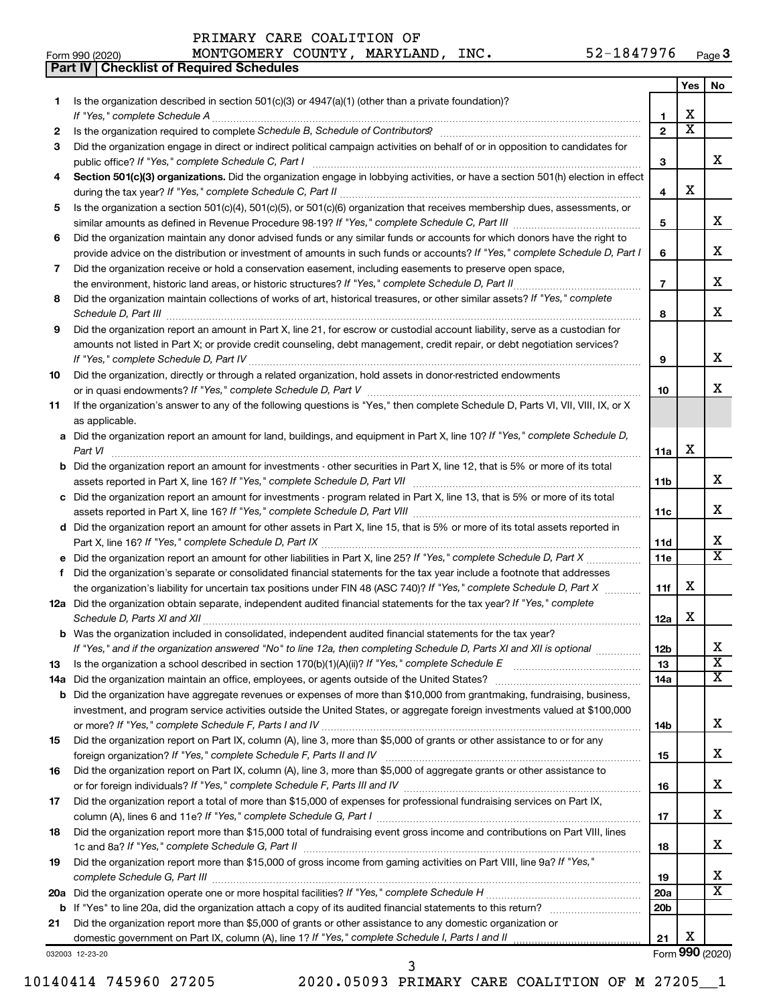**Part IV Checklist of Required Schedules**

| Is the organization described in section 501(c)(3) or 4947(a)(1) (other than a private foundation)?<br>1<br>х<br>$\mathbf{1}$<br>$\overline{\textbf{x}}$<br>$\overline{2}$<br>2<br>Did the organization engage in direct or indirect political campaign activities on behalf of or in opposition to candidates for<br>З<br>x<br>3<br>Section 501(c)(3) organizations. Did the organization engage in lobbying activities, or have a section 501(h) election in effect<br>4<br>x<br>4<br>Is the organization a section 501(c)(4), 501(c)(5), or 501(c)(6) organization that receives membership dues, assessments, or<br>5<br>x<br>5<br>Did the organization maintain any donor advised funds or any similar funds or accounts for which donors have the right to<br>6<br>x<br>provide advice on the distribution or investment of amounts in such funds or accounts? If "Yes," complete Schedule D, Part I<br>6<br>Did the organization receive or hold a conservation easement, including easements to preserve open space,<br>7<br>x<br>$\overline{7}$<br>Did the organization maintain collections of works of art, historical treasures, or other similar assets? If "Yes," complete<br>8<br>x<br>8<br>Did the organization report an amount in Part X, line 21, for escrow or custodial account liability, serve as a custodian for<br>9<br>amounts not listed in Part X; or provide credit counseling, debt management, credit repair, or debt negotiation services?<br>x<br>9<br>Did the organization, directly or through a related organization, hold assets in donor-restricted endowments<br>10<br>x<br>10<br>If the organization's answer to any of the following questions is "Yes," then complete Schedule D, Parts VI, VII, VIII, IX, or X<br>11<br>as applicable.<br>a Did the organization report an amount for land, buildings, and equipment in Part X, line 10? If "Yes," complete Schedule D,<br>X<br>11a<br><b>b</b> Did the organization report an amount for investments - other securities in Part X, line 12, that is 5% or more of its total<br>x<br>11b<br>c Did the organization report an amount for investments - program related in Part X, line 13, that is 5% or more of its total<br>x<br>11c<br>d Did the organization report an amount for other assets in Part X, line 15, that is 5% or more of its total assets reported in<br>x<br>11d<br>$\overline{\mathtt{x}}$<br>11e<br>Did the organization's separate or consolidated financial statements for the tax year include a footnote that addresses<br>f<br>х<br>the organization's liability for uncertain tax positions under FIN 48 (ASC 740)? If "Yes," complete Schedule D, Part X<br>11f<br>12a Did the organization obtain separate, independent audited financial statements for the tax year? If "Yes," complete<br>х<br>12a<br><b>b</b> Was the organization included in consolidated, independent audited financial statements for the tax year?<br>х<br>If "Yes." and if the organization answered "No" to line 12a, then completing Schedule D. Parts XI and XII is optional<br>12 <sub>b</sub><br>$\overline{\texttt{x}}$<br>13<br>13<br>$\overline{\mathbf{X}}$<br>14a<br>14a<br><b>b</b> Did the organization have aggregate revenues or expenses of more than \$10,000 from grantmaking, fundraising, business,<br>investment, and program service activities outside the United States, or aggregate foreign investments valued at \$100,000<br>x<br>14b<br>Did the organization report on Part IX, column (A), line 3, more than \$5,000 of grants or other assistance to or for any<br>15<br>x<br>15<br>Did the organization report on Part IX, column (A), line 3, more than \$5,000 of aggregate grants or other assistance to<br>16<br>x<br>16<br>Did the organization report a total of more than \$15,000 of expenses for professional fundraising services on Part IX,<br>17<br>x<br>17<br>Did the organization report more than \$15,000 total of fundraising event gross income and contributions on Part VIII, lines<br>18<br>x<br>18<br>Did the organization report more than \$15,000 of gross income from gaming activities on Part VIII, line 9a? If "Yes,"<br>19<br>x<br>19<br>$\overline{\mathbf{X}}$<br>20a<br>20 <sub>b</sub><br>Did the organization report more than \$5,000 of grants or other assistance to any domestic organization or<br>21<br>X<br>21<br>032003 12-23-20 |  | Yes | No |
|----------------------------------------------------------------------------------------------------------------------------------------------------------------------------------------------------------------------------------------------------------------------------------------------------------------------------------------------------------------------------------------------------------------------------------------------------------------------------------------------------------------------------------------------------------------------------------------------------------------------------------------------------------------------------------------------------------------------------------------------------------------------------------------------------------------------------------------------------------------------------------------------------------------------------------------------------------------------------------------------------------------------------------------------------------------------------------------------------------------------------------------------------------------------------------------------------------------------------------------------------------------------------------------------------------------------------------------------------------------------------------------------------------------------------------------------------------------------------------------------------------------------------------------------------------------------------------------------------------------------------------------------------------------------------------------------------------------------------------------------------------------------------------------------------------------------------------------------------------------------------------------------------------------------------------------------------------------------------------------------------------------------------------------------------------------------------------------------------------------------------------------------------------------------------------------------------------------------------------------------------------------------------------------------------------------------------------------------------------------------------------------------------------------------------------------------------------------------------------------------------------------------------------------------------------------------------------------------------------------------------------------------------------------------------------------------------------------------------------------------------------------------------------------------------------------------------------------------------------------------------------------------------------------------------------------------------------------------------------------------------------------------------------------------------------------------------------------------------------------------------------------------------------------------------------------------------------------------------------------------------------------------------------------------------------------------------------------------------------------------------------------------------------------------------------------------------------------------------------------------------------------------------------------------------------------------------------------------------------------------------------------------------------------------------------------------------------------------------------------------------------------------------------------------------------------------------------------------------------------------------------------------------------------------------------------------------------------------------------------------------------------------------------------------------------------------------------------------------------------------------------------------------------------------------------------------------------------------------------------------------------------------------------------------------------------------------------------------------------------------------------------------------------------|--|-----|----|
|                                                                                                                                                                                                                                                                                                                                                                                                                                                                                                                                                                                                                                                                                                                                                                                                                                                                                                                                                                                                                                                                                                                                                                                                                                                                                                                                                                                                                                                                                                                                                                                                                                                                                                                                                                                                                                                                                                                                                                                                                                                                                                                                                                                                                                                                                                                                                                                                                                                                                                                                                                                                                                                                                                                                                                                                                                                                                                                                                                                                                                                                                                                                                                                                                                                                                                                                                                                                                                                                                                                                                                                                                                                                                                                                                                                                                                                                                                                                                                                                                                                                                                                                                                                                                                                                                                                                                                                                                |  |     |    |
|                                                                                                                                                                                                                                                                                                                                                                                                                                                                                                                                                                                                                                                                                                                                                                                                                                                                                                                                                                                                                                                                                                                                                                                                                                                                                                                                                                                                                                                                                                                                                                                                                                                                                                                                                                                                                                                                                                                                                                                                                                                                                                                                                                                                                                                                                                                                                                                                                                                                                                                                                                                                                                                                                                                                                                                                                                                                                                                                                                                                                                                                                                                                                                                                                                                                                                                                                                                                                                                                                                                                                                                                                                                                                                                                                                                                                                                                                                                                                                                                                                                                                                                                                                                                                                                                                                                                                                                                                |  |     |    |
|                                                                                                                                                                                                                                                                                                                                                                                                                                                                                                                                                                                                                                                                                                                                                                                                                                                                                                                                                                                                                                                                                                                                                                                                                                                                                                                                                                                                                                                                                                                                                                                                                                                                                                                                                                                                                                                                                                                                                                                                                                                                                                                                                                                                                                                                                                                                                                                                                                                                                                                                                                                                                                                                                                                                                                                                                                                                                                                                                                                                                                                                                                                                                                                                                                                                                                                                                                                                                                                                                                                                                                                                                                                                                                                                                                                                                                                                                                                                                                                                                                                                                                                                                                                                                                                                                                                                                                                                                |  |     |    |
|                                                                                                                                                                                                                                                                                                                                                                                                                                                                                                                                                                                                                                                                                                                                                                                                                                                                                                                                                                                                                                                                                                                                                                                                                                                                                                                                                                                                                                                                                                                                                                                                                                                                                                                                                                                                                                                                                                                                                                                                                                                                                                                                                                                                                                                                                                                                                                                                                                                                                                                                                                                                                                                                                                                                                                                                                                                                                                                                                                                                                                                                                                                                                                                                                                                                                                                                                                                                                                                                                                                                                                                                                                                                                                                                                                                                                                                                                                                                                                                                                                                                                                                                                                                                                                                                                                                                                                                                                |  |     |    |
|                                                                                                                                                                                                                                                                                                                                                                                                                                                                                                                                                                                                                                                                                                                                                                                                                                                                                                                                                                                                                                                                                                                                                                                                                                                                                                                                                                                                                                                                                                                                                                                                                                                                                                                                                                                                                                                                                                                                                                                                                                                                                                                                                                                                                                                                                                                                                                                                                                                                                                                                                                                                                                                                                                                                                                                                                                                                                                                                                                                                                                                                                                                                                                                                                                                                                                                                                                                                                                                                                                                                                                                                                                                                                                                                                                                                                                                                                                                                                                                                                                                                                                                                                                                                                                                                                                                                                                                                                |  |     |    |
| Form 990 (2020)                                                                                                                                                                                                                                                                                                                                                                                                                                                                                                                                                                                                                                                                                                                                                                                                                                                                                                                                                                                                                                                                                                                                                                                                                                                                                                                                                                                                                                                                                                                                                                                                                                                                                                                                                                                                                                                                                                                                                                                                                                                                                                                                                                                                                                                                                                                                                                                                                                                                                                                                                                                                                                                                                                                                                                                                                                                                                                                                                                                                                                                                                                                                                                                                                                                                                                                                                                                                                                                                                                                                                                                                                                                                                                                                                                                                                                                                                                                                                                                                                                                                                                                                                                                                                                                                                                                                                                                                |  |     |    |
|                                                                                                                                                                                                                                                                                                                                                                                                                                                                                                                                                                                                                                                                                                                                                                                                                                                                                                                                                                                                                                                                                                                                                                                                                                                                                                                                                                                                                                                                                                                                                                                                                                                                                                                                                                                                                                                                                                                                                                                                                                                                                                                                                                                                                                                                                                                                                                                                                                                                                                                                                                                                                                                                                                                                                                                                                                                                                                                                                                                                                                                                                                                                                                                                                                                                                                                                                                                                                                                                                                                                                                                                                                                                                                                                                                                                                                                                                                                                                                                                                                                                                                                                                                                                                                                                                                                                                                                                                |  |     |    |
|                                                                                                                                                                                                                                                                                                                                                                                                                                                                                                                                                                                                                                                                                                                                                                                                                                                                                                                                                                                                                                                                                                                                                                                                                                                                                                                                                                                                                                                                                                                                                                                                                                                                                                                                                                                                                                                                                                                                                                                                                                                                                                                                                                                                                                                                                                                                                                                                                                                                                                                                                                                                                                                                                                                                                                                                                                                                                                                                                                                                                                                                                                                                                                                                                                                                                                                                                                                                                                                                                                                                                                                                                                                                                                                                                                                                                                                                                                                                                                                                                                                                                                                                                                                                                                                                                                                                                                                                                |  |     |    |
|                                                                                                                                                                                                                                                                                                                                                                                                                                                                                                                                                                                                                                                                                                                                                                                                                                                                                                                                                                                                                                                                                                                                                                                                                                                                                                                                                                                                                                                                                                                                                                                                                                                                                                                                                                                                                                                                                                                                                                                                                                                                                                                                                                                                                                                                                                                                                                                                                                                                                                                                                                                                                                                                                                                                                                                                                                                                                                                                                                                                                                                                                                                                                                                                                                                                                                                                                                                                                                                                                                                                                                                                                                                                                                                                                                                                                                                                                                                                                                                                                                                                                                                                                                                                                                                                                                                                                                                                                |  |     |    |
|                                                                                                                                                                                                                                                                                                                                                                                                                                                                                                                                                                                                                                                                                                                                                                                                                                                                                                                                                                                                                                                                                                                                                                                                                                                                                                                                                                                                                                                                                                                                                                                                                                                                                                                                                                                                                                                                                                                                                                                                                                                                                                                                                                                                                                                                                                                                                                                                                                                                                                                                                                                                                                                                                                                                                                                                                                                                                                                                                                                                                                                                                                                                                                                                                                                                                                                                                                                                                                                                                                                                                                                                                                                                                                                                                                                                                                                                                                                                                                                                                                                                                                                                                                                                                                                                                                                                                                                                                |  |     |    |
|                                                                                                                                                                                                                                                                                                                                                                                                                                                                                                                                                                                                                                                                                                                                                                                                                                                                                                                                                                                                                                                                                                                                                                                                                                                                                                                                                                                                                                                                                                                                                                                                                                                                                                                                                                                                                                                                                                                                                                                                                                                                                                                                                                                                                                                                                                                                                                                                                                                                                                                                                                                                                                                                                                                                                                                                                                                                                                                                                                                                                                                                                                                                                                                                                                                                                                                                                                                                                                                                                                                                                                                                                                                                                                                                                                                                                                                                                                                                                                                                                                                                                                                                                                                                                                                                                                                                                                                                                |  |     |    |
|                                                                                                                                                                                                                                                                                                                                                                                                                                                                                                                                                                                                                                                                                                                                                                                                                                                                                                                                                                                                                                                                                                                                                                                                                                                                                                                                                                                                                                                                                                                                                                                                                                                                                                                                                                                                                                                                                                                                                                                                                                                                                                                                                                                                                                                                                                                                                                                                                                                                                                                                                                                                                                                                                                                                                                                                                                                                                                                                                                                                                                                                                                                                                                                                                                                                                                                                                                                                                                                                                                                                                                                                                                                                                                                                                                                                                                                                                                                                                                                                                                                                                                                                                                                                                                                                                                                                                                                                                |  |     |    |
|                                                                                                                                                                                                                                                                                                                                                                                                                                                                                                                                                                                                                                                                                                                                                                                                                                                                                                                                                                                                                                                                                                                                                                                                                                                                                                                                                                                                                                                                                                                                                                                                                                                                                                                                                                                                                                                                                                                                                                                                                                                                                                                                                                                                                                                                                                                                                                                                                                                                                                                                                                                                                                                                                                                                                                                                                                                                                                                                                                                                                                                                                                                                                                                                                                                                                                                                                                                                                                                                                                                                                                                                                                                                                                                                                                                                                                                                                                                                                                                                                                                                                                                                                                                                                                                                                                                                                                                                                |  |     |    |
|                                                                                                                                                                                                                                                                                                                                                                                                                                                                                                                                                                                                                                                                                                                                                                                                                                                                                                                                                                                                                                                                                                                                                                                                                                                                                                                                                                                                                                                                                                                                                                                                                                                                                                                                                                                                                                                                                                                                                                                                                                                                                                                                                                                                                                                                                                                                                                                                                                                                                                                                                                                                                                                                                                                                                                                                                                                                                                                                                                                                                                                                                                                                                                                                                                                                                                                                                                                                                                                                                                                                                                                                                                                                                                                                                                                                                                                                                                                                                                                                                                                                                                                                                                                                                                                                                                                                                                                                                |  |     |    |
|                                                                                                                                                                                                                                                                                                                                                                                                                                                                                                                                                                                                                                                                                                                                                                                                                                                                                                                                                                                                                                                                                                                                                                                                                                                                                                                                                                                                                                                                                                                                                                                                                                                                                                                                                                                                                                                                                                                                                                                                                                                                                                                                                                                                                                                                                                                                                                                                                                                                                                                                                                                                                                                                                                                                                                                                                                                                                                                                                                                                                                                                                                                                                                                                                                                                                                                                                                                                                                                                                                                                                                                                                                                                                                                                                                                                                                                                                                                                                                                                                                                                                                                                                                                                                                                                                                                                                                                                                |  |     |    |
|                                                                                                                                                                                                                                                                                                                                                                                                                                                                                                                                                                                                                                                                                                                                                                                                                                                                                                                                                                                                                                                                                                                                                                                                                                                                                                                                                                                                                                                                                                                                                                                                                                                                                                                                                                                                                                                                                                                                                                                                                                                                                                                                                                                                                                                                                                                                                                                                                                                                                                                                                                                                                                                                                                                                                                                                                                                                                                                                                                                                                                                                                                                                                                                                                                                                                                                                                                                                                                                                                                                                                                                                                                                                                                                                                                                                                                                                                                                                                                                                                                                                                                                                                                                                                                                                                                                                                                                                                |  |     |    |
|                                                                                                                                                                                                                                                                                                                                                                                                                                                                                                                                                                                                                                                                                                                                                                                                                                                                                                                                                                                                                                                                                                                                                                                                                                                                                                                                                                                                                                                                                                                                                                                                                                                                                                                                                                                                                                                                                                                                                                                                                                                                                                                                                                                                                                                                                                                                                                                                                                                                                                                                                                                                                                                                                                                                                                                                                                                                                                                                                                                                                                                                                                                                                                                                                                                                                                                                                                                                                                                                                                                                                                                                                                                                                                                                                                                                                                                                                                                                                                                                                                                                                                                                                                                                                                                                                                                                                                                                                |  |     |    |
|                                                                                                                                                                                                                                                                                                                                                                                                                                                                                                                                                                                                                                                                                                                                                                                                                                                                                                                                                                                                                                                                                                                                                                                                                                                                                                                                                                                                                                                                                                                                                                                                                                                                                                                                                                                                                                                                                                                                                                                                                                                                                                                                                                                                                                                                                                                                                                                                                                                                                                                                                                                                                                                                                                                                                                                                                                                                                                                                                                                                                                                                                                                                                                                                                                                                                                                                                                                                                                                                                                                                                                                                                                                                                                                                                                                                                                                                                                                                                                                                                                                                                                                                                                                                                                                                                                                                                                                                                |  |     |    |
|                                                                                                                                                                                                                                                                                                                                                                                                                                                                                                                                                                                                                                                                                                                                                                                                                                                                                                                                                                                                                                                                                                                                                                                                                                                                                                                                                                                                                                                                                                                                                                                                                                                                                                                                                                                                                                                                                                                                                                                                                                                                                                                                                                                                                                                                                                                                                                                                                                                                                                                                                                                                                                                                                                                                                                                                                                                                                                                                                                                                                                                                                                                                                                                                                                                                                                                                                                                                                                                                                                                                                                                                                                                                                                                                                                                                                                                                                                                                                                                                                                                                                                                                                                                                                                                                                                                                                                                                                |  |     |    |
|                                                                                                                                                                                                                                                                                                                                                                                                                                                                                                                                                                                                                                                                                                                                                                                                                                                                                                                                                                                                                                                                                                                                                                                                                                                                                                                                                                                                                                                                                                                                                                                                                                                                                                                                                                                                                                                                                                                                                                                                                                                                                                                                                                                                                                                                                                                                                                                                                                                                                                                                                                                                                                                                                                                                                                                                                                                                                                                                                                                                                                                                                                                                                                                                                                                                                                                                                                                                                                                                                                                                                                                                                                                                                                                                                                                                                                                                                                                                                                                                                                                                                                                                                                                                                                                                                                                                                                                                                |  |     |    |
|                                                                                                                                                                                                                                                                                                                                                                                                                                                                                                                                                                                                                                                                                                                                                                                                                                                                                                                                                                                                                                                                                                                                                                                                                                                                                                                                                                                                                                                                                                                                                                                                                                                                                                                                                                                                                                                                                                                                                                                                                                                                                                                                                                                                                                                                                                                                                                                                                                                                                                                                                                                                                                                                                                                                                                                                                                                                                                                                                                                                                                                                                                                                                                                                                                                                                                                                                                                                                                                                                                                                                                                                                                                                                                                                                                                                                                                                                                                                                                                                                                                                                                                                                                                                                                                                                                                                                                                                                |  |     |    |
|                                                                                                                                                                                                                                                                                                                                                                                                                                                                                                                                                                                                                                                                                                                                                                                                                                                                                                                                                                                                                                                                                                                                                                                                                                                                                                                                                                                                                                                                                                                                                                                                                                                                                                                                                                                                                                                                                                                                                                                                                                                                                                                                                                                                                                                                                                                                                                                                                                                                                                                                                                                                                                                                                                                                                                                                                                                                                                                                                                                                                                                                                                                                                                                                                                                                                                                                                                                                                                                                                                                                                                                                                                                                                                                                                                                                                                                                                                                                                                                                                                                                                                                                                                                                                                                                                                                                                                                                                |  |     |    |
|                                                                                                                                                                                                                                                                                                                                                                                                                                                                                                                                                                                                                                                                                                                                                                                                                                                                                                                                                                                                                                                                                                                                                                                                                                                                                                                                                                                                                                                                                                                                                                                                                                                                                                                                                                                                                                                                                                                                                                                                                                                                                                                                                                                                                                                                                                                                                                                                                                                                                                                                                                                                                                                                                                                                                                                                                                                                                                                                                                                                                                                                                                                                                                                                                                                                                                                                                                                                                                                                                                                                                                                                                                                                                                                                                                                                                                                                                                                                                                                                                                                                                                                                                                                                                                                                                                                                                                                                                |  |     |    |
|                                                                                                                                                                                                                                                                                                                                                                                                                                                                                                                                                                                                                                                                                                                                                                                                                                                                                                                                                                                                                                                                                                                                                                                                                                                                                                                                                                                                                                                                                                                                                                                                                                                                                                                                                                                                                                                                                                                                                                                                                                                                                                                                                                                                                                                                                                                                                                                                                                                                                                                                                                                                                                                                                                                                                                                                                                                                                                                                                                                                                                                                                                                                                                                                                                                                                                                                                                                                                                                                                                                                                                                                                                                                                                                                                                                                                                                                                                                                                                                                                                                                                                                                                                                                                                                                                                                                                                                                                |  |     |    |
|                                                                                                                                                                                                                                                                                                                                                                                                                                                                                                                                                                                                                                                                                                                                                                                                                                                                                                                                                                                                                                                                                                                                                                                                                                                                                                                                                                                                                                                                                                                                                                                                                                                                                                                                                                                                                                                                                                                                                                                                                                                                                                                                                                                                                                                                                                                                                                                                                                                                                                                                                                                                                                                                                                                                                                                                                                                                                                                                                                                                                                                                                                                                                                                                                                                                                                                                                                                                                                                                                                                                                                                                                                                                                                                                                                                                                                                                                                                                                                                                                                                                                                                                                                                                                                                                                                                                                                                                                |  |     |    |
|                                                                                                                                                                                                                                                                                                                                                                                                                                                                                                                                                                                                                                                                                                                                                                                                                                                                                                                                                                                                                                                                                                                                                                                                                                                                                                                                                                                                                                                                                                                                                                                                                                                                                                                                                                                                                                                                                                                                                                                                                                                                                                                                                                                                                                                                                                                                                                                                                                                                                                                                                                                                                                                                                                                                                                                                                                                                                                                                                                                                                                                                                                                                                                                                                                                                                                                                                                                                                                                                                                                                                                                                                                                                                                                                                                                                                                                                                                                                                                                                                                                                                                                                                                                                                                                                                                                                                                                                                |  |     |    |
|                                                                                                                                                                                                                                                                                                                                                                                                                                                                                                                                                                                                                                                                                                                                                                                                                                                                                                                                                                                                                                                                                                                                                                                                                                                                                                                                                                                                                                                                                                                                                                                                                                                                                                                                                                                                                                                                                                                                                                                                                                                                                                                                                                                                                                                                                                                                                                                                                                                                                                                                                                                                                                                                                                                                                                                                                                                                                                                                                                                                                                                                                                                                                                                                                                                                                                                                                                                                                                                                                                                                                                                                                                                                                                                                                                                                                                                                                                                                                                                                                                                                                                                                                                                                                                                                                                                                                                                                                |  |     |    |
|                                                                                                                                                                                                                                                                                                                                                                                                                                                                                                                                                                                                                                                                                                                                                                                                                                                                                                                                                                                                                                                                                                                                                                                                                                                                                                                                                                                                                                                                                                                                                                                                                                                                                                                                                                                                                                                                                                                                                                                                                                                                                                                                                                                                                                                                                                                                                                                                                                                                                                                                                                                                                                                                                                                                                                                                                                                                                                                                                                                                                                                                                                                                                                                                                                                                                                                                                                                                                                                                                                                                                                                                                                                                                                                                                                                                                                                                                                                                                                                                                                                                                                                                                                                                                                                                                                                                                                                                                |  |     |    |
|                                                                                                                                                                                                                                                                                                                                                                                                                                                                                                                                                                                                                                                                                                                                                                                                                                                                                                                                                                                                                                                                                                                                                                                                                                                                                                                                                                                                                                                                                                                                                                                                                                                                                                                                                                                                                                                                                                                                                                                                                                                                                                                                                                                                                                                                                                                                                                                                                                                                                                                                                                                                                                                                                                                                                                                                                                                                                                                                                                                                                                                                                                                                                                                                                                                                                                                                                                                                                                                                                                                                                                                                                                                                                                                                                                                                                                                                                                                                                                                                                                                                                                                                                                                                                                                                                                                                                                                                                |  |     |    |
|                                                                                                                                                                                                                                                                                                                                                                                                                                                                                                                                                                                                                                                                                                                                                                                                                                                                                                                                                                                                                                                                                                                                                                                                                                                                                                                                                                                                                                                                                                                                                                                                                                                                                                                                                                                                                                                                                                                                                                                                                                                                                                                                                                                                                                                                                                                                                                                                                                                                                                                                                                                                                                                                                                                                                                                                                                                                                                                                                                                                                                                                                                                                                                                                                                                                                                                                                                                                                                                                                                                                                                                                                                                                                                                                                                                                                                                                                                                                                                                                                                                                                                                                                                                                                                                                                                                                                                                                                |  |     |    |
|                                                                                                                                                                                                                                                                                                                                                                                                                                                                                                                                                                                                                                                                                                                                                                                                                                                                                                                                                                                                                                                                                                                                                                                                                                                                                                                                                                                                                                                                                                                                                                                                                                                                                                                                                                                                                                                                                                                                                                                                                                                                                                                                                                                                                                                                                                                                                                                                                                                                                                                                                                                                                                                                                                                                                                                                                                                                                                                                                                                                                                                                                                                                                                                                                                                                                                                                                                                                                                                                                                                                                                                                                                                                                                                                                                                                                                                                                                                                                                                                                                                                                                                                                                                                                                                                                                                                                                                                                |  |     |    |
|                                                                                                                                                                                                                                                                                                                                                                                                                                                                                                                                                                                                                                                                                                                                                                                                                                                                                                                                                                                                                                                                                                                                                                                                                                                                                                                                                                                                                                                                                                                                                                                                                                                                                                                                                                                                                                                                                                                                                                                                                                                                                                                                                                                                                                                                                                                                                                                                                                                                                                                                                                                                                                                                                                                                                                                                                                                                                                                                                                                                                                                                                                                                                                                                                                                                                                                                                                                                                                                                                                                                                                                                                                                                                                                                                                                                                                                                                                                                                                                                                                                                                                                                                                                                                                                                                                                                                                                                                |  |     |    |
|                                                                                                                                                                                                                                                                                                                                                                                                                                                                                                                                                                                                                                                                                                                                                                                                                                                                                                                                                                                                                                                                                                                                                                                                                                                                                                                                                                                                                                                                                                                                                                                                                                                                                                                                                                                                                                                                                                                                                                                                                                                                                                                                                                                                                                                                                                                                                                                                                                                                                                                                                                                                                                                                                                                                                                                                                                                                                                                                                                                                                                                                                                                                                                                                                                                                                                                                                                                                                                                                                                                                                                                                                                                                                                                                                                                                                                                                                                                                                                                                                                                                                                                                                                                                                                                                                                                                                                                                                |  |     |    |
|                                                                                                                                                                                                                                                                                                                                                                                                                                                                                                                                                                                                                                                                                                                                                                                                                                                                                                                                                                                                                                                                                                                                                                                                                                                                                                                                                                                                                                                                                                                                                                                                                                                                                                                                                                                                                                                                                                                                                                                                                                                                                                                                                                                                                                                                                                                                                                                                                                                                                                                                                                                                                                                                                                                                                                                                                                                                                                                                                                                                                                                                                                                                                                                                                                                                                                                                                                                                                                                                                                                                                                                                                                                                                                                                                                                                                                                                                                                                                                                                                                                                                                                                                                                                                                                                                                                                                                                                                |  |     |    |
|                                                                                                                                                                                                                                                                                                                                                                                                                                                                                                                                                                                                                                                                                                                                                                                                                                                                                                                                                                                                                                                                                                                                                                                                                                                                                                                                                                                                                                                                                                                                                                                                                                                                                                                                                                                                                                                                                                                                                                                                                                                                                                                                                                                                                                                                                                                                                                                                                                                                                                                                                                                                                                                                                                                                                                                                                                                                                                                                                                                                                                                                                                                                                                                                                                                                                                                                                                                                                                                                                                                                                                                                                                                                                                                                                                                                                                                                                                                                                                                                                                                                                                                                                                                                                                                                                                                                                                                                                |  |     |    |
|                                                                                                                                                                                                                                                                                                                                                                                                                                                                                                                                                                                                                                                                                                                                                                                                                                                                                                                                                                                                                                                                                                                                                                                                                                                                                                                                                                                                                                                                                                                                                                                                                                                                                                                                                                                                                                                                                                                                                                                                                                                                                                                                                                                                                                                                                                                                                                                                                                                                                                                                                                                                                                                                                                                                                                                                                                                                                                                                                                                                                                                                                                                                                                                                                                                                                                                                                                                                                                                                                                                                                                                                                                                                                                                                                                                                                                                                                                                                                                                                                                                                                                                                                                                                                                                                                                                                                                                                                |  |     |    |
|                                                                                                                                                                                                                                                                                                                                                                                                                                                                                                                                                                                                                                                                                                                                                                                                                                                                                                                                                                                                                                                                                                                                                                                                                                                                                                                                                                                                                                                                                                                                                                                                                                                                                                                                                                                                                                                                                                                                                                                                                                                                                                                                                                                                                                                                                                                                                                                                                                                                                                                                                                                                                                                                                                                                                                                                                                                                                                                                                                                                                                                                                                                                                                                                                                                                                                                                                                                                                                                                                                                                                                                                                                                                                                                                                                                                                                                                                                                                                                                                                                                                                                                                                                                                                                                                                                                                                                                                                |  |     |    |
|                                                                                                                                                                                                                                                                                                                                                                                                                                                                                                                                                                                                                                                                                                                                                                                                                                                                                                                                                                                                                                                                                                                                                                                                                                                                                                                                                                                                                                                                                                                                                                                                                                                                                                                                                                                                                                                                                                                                                                                                                                                                                                                                                                                                                                                                                                                                                                                                                                                                                                                                                                                                                                                                                                                                                                                                                                                                                                                                                                                                                                                                                                                                                                                                                                                                                                                                                                                                                                                                                                                                                                                                                                                                                                                                                                                                                                                                                                                                                                                                                                                                                                                                                                                                                                                                                                                                                                                                                |  |     |    |
|                                                                                                                                                                                                                                                                                                                                                                                                                                                                                                                                                                                                                                                                                                                                                                                                                                                                                                                                                                                                                                                                                                                                                                                                                                                                                                                                                                                                                                                                                                                                                                                                                                                                                                                                                                                                                                                                                                                                                                                                                                                                                                                                                                                                                                                                                                                                                                                                                                                                                                                                                                                                                                                                                                                                                                                                                                                                                                                                                                                                                                                                                                                                                                                                                                                                                                                                                                                                                                                                                                                                                                                                                                                                                                                                                                                                                                                                                                                                                                                                                                                                                                                                                                                                                                                                                                                                                                                                                |  |     |    |
|                                                                                                                                                                                                                                                                                                                                                                                                                                                                                                                                                                                                                                                                                                                                                                                                                                                                                                                                                                                                                                                                                                                                                                                                                                                                                                                                                                                                                                                                                                                                                                                                                                                                                                                                                                                                                                                                                                                                                                                                                                                                                                                                                                                                                                                                                                                                                                                                                                                                                                                                                                                                                                                                                                                                                                                                                                                                                                                                                                                                                                                                                                                                                                                                                                                                                                                                                                                                                                                                                                                                                                                                                                                                                                                                                                                                                                                                                                                                                                                                                                                                                                                                                                                                                                                                                                                                                                                                                |  |     |    |
|                                                                                                                                                                                                                                                                                                                                                                                                                                                                                                                                                                                                                                                                                                                                                                                                                                                                                                                                                                                                                                                                                                                                                                                                                                                                                                                                                                                                                                                                                                                                                                                                                                                                                                                                                                                                                                                                                                                                                                                                                                                                                                                                                                                                                                                                                                                                                                                                                                                                                                                                                                                                                                                                                                                                                                                                                                                                                                                                                                                                                                                                                                                                                                                                                                                                                                                                                                                                                                                                                                                                                                                                                                                                                                                                                                                                                                                                                                                                                                                                                                                                                                                                                                                                                                                                                                                                                                                                                |  |     |    |
|                                                                                                                                                                                                                                                                                                                                                                                                                                                                                                                                                                                                                                                                                                                                                                                                                                                                                                                                                                                                                                                                                                                                                                                                                                                                                                                                                                                                                                                                                                                                                                                                                                                                                                                                                                                                                                                                                                                                                                                                                                                                                                                                                                                                                                                                                                                                                                                                                                                                                                                                                                                                                                                                                                                                                                                                                                                                                                                                                                                                                                                                                                                                                                                                                                                                                                                                                                                                                                                                                                                                                                                                                                                                                                                                                                                                                                                                                                                                                                                                                                                                                                                                                                                                                                                                                                                                                                                                                |  |     |    |
|                                                                                                                                                                                                                                                                                                                                                                                                                                                                                                                                                                                                                                                                                                                                                                                                                                                                                                                                                                                                                                                                                                                                                                                                                                                                                                                                                                                                                                                                                                                                                                                                                                                                                                                                                                                                                                                                                                                                                                                                                                                                                                                                                                                                                                                                                                                                                                                                                                                                                                                                                                                                                                                                                                                                                                                                                                                                                                                                                                                                                                                                                                                                                                                                                                                                                                                                                                                                                                                                                                                                                                                                                                                                                                                                                                                                                                                                                                                                                                                                                                                                                                                                                                                                                                                                                                                                                                                                                |  |     |    |
|                                                                                                                                                                                                                                                                                                                                                                                                                                                                                                                                                                                                                                                                                                                                                                                                                                                                                                                                                                                                                                                                                                                                                                                                                                                                                                                                                                                                                                                                                                                                                                                                                                                                                                                                                                                                                                                                                                                                                                                                                                                                                                                                                                                                                                                                                                                                                                                                                                                                                                                                                                                                                                                                                                                                                                                                                                                                                                                                                                                                                                                                                                                                                                                                                                                                                                                                                                                                                                                                                                                                                                                                                                                                                                                                                                                                                                                                                                                                                                                                                                                                                                                                                                                                                                                                                                                                                                                                                |  |     |    |
|                                                                                                                                                                                                                                                                                                                                                                                                                                                                                                                                                                                                                                                                                                                                                                                                                                                                                                                                                                                                                                                                                                                                                                                                                                                                                                                                                                                                                                                                                                                                                                                                                                                                                                                                                                                                                                                                                                                                                                                                                                                                                                                                                                                                                                                                                                                                                                                                                                                                                                                                                                                                                                                                                                                                                                                                                                                                                                                                                                                                                                                                                                                                                                                                                                                                                                                                                                                                                                                                                                                                                                                                                                                                                                                                                                                                                                                                                                                                                                                                                                                                                                                                                                                                                                                                                                                                                                                                                |  |     |    |
|                                                                                                                                                                                                                                                                                                                                                                                                                                                                                                                                                                                                                                                                                                                                                                                                                                                                                                                                                                                                                                                                                                                                                                                                                                                                                                                                                                                                                                                                                                                                                                                                                                                                                                                                                                                                                                                                                                                                                                                                                                                                                                                                                                                                                                                                                                                                                                                                                                                                                                                                                                                                                                                                                                                                                                                                                                                                                                                                                                                                                                                                                                                                                                                                                                                                                                                                                                                                                                                                                                                                                                                                                                                                                                                                                                                                                                                                                                                                                                                                                                                                                                                                                                                                                                                                                                                                                                                                                |  |     |    |
|                                                                                                                                                                                                                                                                                                                                                                                                                                                                                                                                                                                                                                                                                                                                                                                                                                                                                                                                                                                                                                                                                                                                                                                                                                                                                                                                                                                                                                                                                                                                                                                                                                                                                                                                                                                                                                                                                                                                                                                                                                                                                                                                                                                                                                                                                                                                                                                                                                                                                                                                                                                                                                                                                                                                                                                                                                                                                                                                                                                                                                                                                                                                                                                                                                                                                                                                                                                                                                                                                                                                                                                                                                                                                                                                                                                                                                                                                                                                                                                                                                                                                                                                                                                                                                                                                                                                                                                                                |  |     |    |
|                                                                                                                                                                                                                                                                                                                                                                                                                                                                                                                                                                                                                                                                                                                                                                                                                                                                                                                                                                                                                                                                                                                                                                                                                                                                                                                                                                                                                                                                                                                                                                                                                                                                                                                                                                                                                                                                                                                                                                                                                                                                                                                                                                                                                                                                                                                                                                                                                                                                                                                                                                                                                                                                                                                                                                                                                                                                                                                                                                                                                                                                                                                                                                                                                                                                                                                                                                                                                                                                                                                                                                                                                                                                                                                                                                                                                                                                                                                                                                                                                                                                                                                                                                                                                                                                                                                                                                                                                |  |     |    |
|                                                                                                                                                                                                                                                                                                                                                                                                                                                                                                                                                                                                                                                                                                                                                                                                                                                                                                                                                                                                                                                                                                                                                                                                                                                                                                                                                                                                                                                                                                                                                                                                                                                                                                                                                                                                                                                                                                                                                                                                                                                                                                                                                                                                                                                                                                                                                                                                                                                                                                                                                                                                                                                                                                                                                                                                                                                                                                                                                                                                                                                                                                                                                                                                                                                                                                                                                                                                                                                                                                                                                                                                                                                                                                                                                                                                                                                                                                                                                                                                                                                                                                                                                                                                                                                                                                                                                                                                                |  |     |    |
|                                                                                                                                                                                                                                                                                                                                                                                                                                                                                                                                                                                                                                                                                                                                                                                                                                                                                                                                                                                                                                                                                                                                                                                                                                                                                                                                                                                                                                                                                                                                                                                                                                                                                                                                                                                                                                                                                                                                                                                                                                                                                                                                                                                                                                                                                                                                                                                                                                                                                                                                                                                                                                                                                                                                                                                                                                                                                                                                                                                                                                                                                                                                                                                                                                                                                                                                                                                                                                                                                                                                                                                                                                                                                                                                                                                                                                                                                                                                                                                                                                                                                                                                                                                                                                                                                                                                                                                                                |  |     |    |
|                                                                                                                                                                                                                                                                                                                                                                                                                                                                                                                                                                                                                                                                                                                                                                                                                                                                                                                                                                                                                                                                                                                                                                                                                                                                                                                                                                                                                                                                                                                                                                                                                                                                                                                                                                                                                                                                                                                                                                                                                                                                                                                                                                                                                                                                                                                                                                                                                                                                                                                                                                                                                                                                                                                                                                                                                                                                                                                                                                                                                                                                                                                                                                                                                                                                                                                                                                                                                                                                                                                                                                                                                                                                                                                                                                                                                                                                                                                                                                                                                                                                                                                                                                                                                                                                                                                                                                                                                |  |     |    |
|                                                                                                                                                                                                                                                                                                                                                                                                                                                                                                                                                                                                                                                                                                                                                                                                                                                                                                                                                                                                                                                                                                                                                                                                                                                                                                                                                                                                                                                                                                                                                                                                                                                                                                                                                                                                                                                                                                                                                                                                                                                                                                                                                                                                                                                                                                                                                                                                                                                                                                                                                                                                                                                                                                                                                                                                                                                                                                                                                                                                                                                                                                                                                                                                                                                                                                                                                                                                                                                                                                                                                                                                                                                                                                                                                                                                                                                                                                                                                                                                                                                                                                                                                                                                                                                                                                                                                                                                                |  |     |    |
|                                                                                                                                                                                                                                                                                                                                                                                                                                                                                                                                                                                                                                                                                                                                                                                                                                                                                                                                                                                                                                                                                                                                                                                                                                                                                                                                                                                                                                                                                                                                                                                                                                                                                                                                                                                                                                                                                                                                                                                                                                                                                                                                                                                                                                                                                                                                                                                                                                                                                                                                                                                                                                                                                                                                                                                                                                                                                                                                                                                                                                                                                                                                                                                                                                                                                                                                                                                                                                                                                                                                                                                                                                                                                                                                                                                                                                                                                                                                                                                                                                                                                                                                                                                                                                                                                                                                                                                                                |  |     |    |

10140414 745960 27205 2020.05093 PRIMARY CARE COALITION OF M 27205\_\_1 3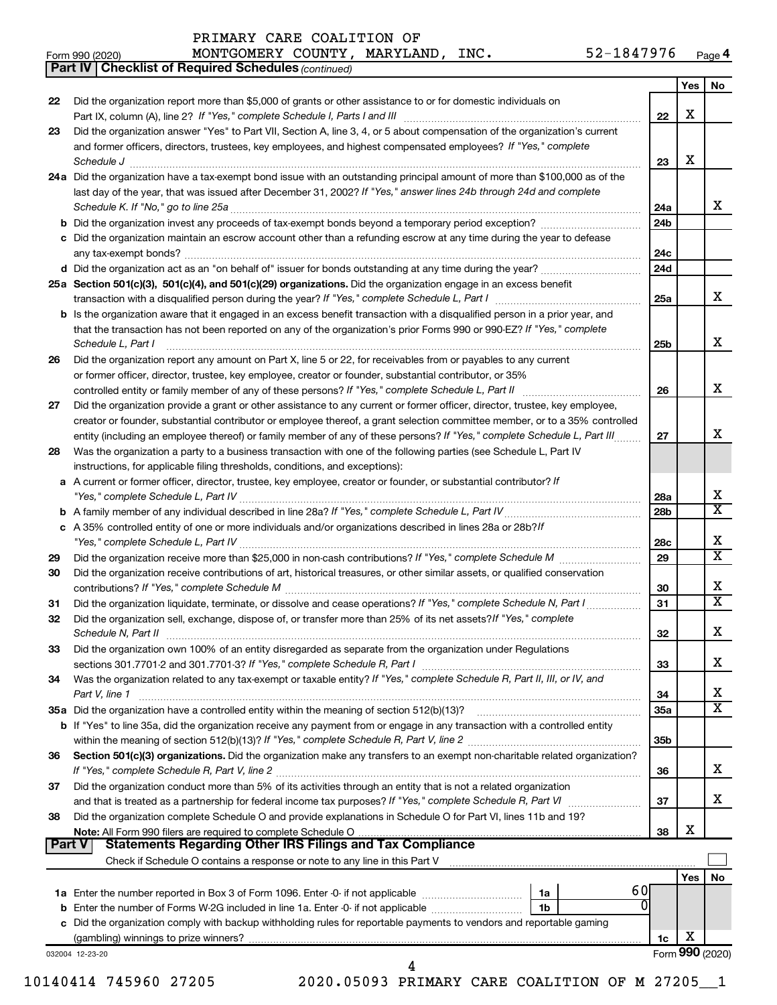Form 990 (2020) Page MONTGOMERY COUNTY, MARYLAND, INC. 52-1847976 PRIMARY CARE COALITION OF

52-1847976 Page 4

|        | <b>Part IV   Checklist of Required Schedules (continued)</b>                                                                                                                                     |                 |     |                         |
|--------|--------------------------------------------------------------------------------------------------------------------------------------------------------------------------------------------------|-----------------|-----|-------------------------|
|        |                                                                                                                                                                                                  |                 | Yes | No                      |
| 22     | Did the organization report more than \$5,000 of grants or other assistance to or for domestic individuals on                                                                                    |                 |     |                         |
|        |                                                                                                                                                                                                  | 22              | X   |                         |
| 23     | Did the organization answer "Yes" to Part VII, Section A, line 3, 4, or 5 about compensation of the organization's current                                                                       |                 |     |                         |
|        | and former officers, directors, trustees, key employees, and highest compensated employees? If "Yes," complete                                                                                   |                 |     |                         |
|        | Schedule J <b>Execute J Execute 2 CONSUMER EXECUTE 2 CONSUMER EXECUTE 2 CONSUMER EXECUTE 2 CONSUMER EXECUTE 2 CONSUMER EXECUTE 2 CONSUMER EXECUTE 2 CONSUMER EXECUTE 2 CONSUMER EXECUTE 2 CO</b> | 23              | X   |                         |
|        | 24a Did the organization have a tax-exempt bond issue with an outstanding principal amount of more than \$100,000 as of the                                                                      |                 |     |                         |
|        | last day of the year, that was issued after December 31, 2002? If "Yes," answer lines 24b through 24d and complete                                                                               |                 |     |                         |
|        |                                                                                                                                                                                                  | 24a             |     | X.                      |
|        |                                                                                                                                                                                                  | 24 <sub>b</sub> |     |                         |
|        | c Did the organization maintain an escrow account other than a refunding escrow at any time during the year to defease                                                                           |                 |     |                         |
|        |                                                                                                                                                                                                  | 24c             |     |                         |
|        |                                                                                                                                                                                                  | 24 <sub>d</sub> |     |                         |
|        | 25a Section 501(c)(3), 501(c)(4), and 501(c)(29) organizations. Did the organization engage in an excess benefit                                                                                 |                 |     |                         |
|        |                                                                                                                                                                                                  | 25a             |     | x                       |
|        | b Is the organization aware that it engaged in an excess benefit transaction with a disqualified person in a prior year, and                                                                     |                 |     |                         |
|        | that the transaction has not been reported on any of the organization's prior Forms 990 or 990-EZ? If "Yes," complete                                                                            |                 |     |                         |
|        | Schedule L, Part I                                                                                                                                                                               | 25b             |     | x                       |
| 26     | Did the organization report any amount on Part X, line 5 or 22, for receivables from or payables to any current                                                                                  |                 |     |                         |
|        | or former officer, director, trustee, key employee, creator or founder, substantial contributor, or 35%                                                                                          |                 |     |                         |
|        |                                                                                                                                                                                                  | 26              |     | x                       |
| 27     | Did the organization provide a grant or other assistance to any current or former officer, director, trustee, key employee,                                                                      |                 |     |                         |
|        | creator or founder, substantial contributor or employee thereof, a grant selection committee member, or to a 35% controlled                                                                      |                 |     |                         |
|        | entity (including an employee thereof) or family member of any of these persons? If "Yes," complete Schedule L, Part III                                                                         | 27              |     | x                       |
| 28     | Was the organization a party to a business transaction with one of the following parties (see Schedule L, Part IV                                                                                |                 |     |                         |
|        | instructions, for applicable filing thresholds, conditions, and exceptions):                                                                                                                     |                 |     |                         |
|        | a A current or former officer, director, trustee, key employee, creator or founder, or substantial contributor? If                                                                               |                 |     |                         |
|        |                                                                                                                                                                                                  | 28a             |     | х                       |
|        |                                                                                                                                                                                                  | 28 <sub>b</sub> |     | $\overline{\mathbf{X}}$ |
|        | c A 35% controlled entity of one or more individuals and/or organizations described in lines 28a or 28b?/f                                                                                       |                 |     |                         |
|        |                                                                                                                                                                                                  | 28c             |     | х                       |
| 29     |                                                                                                                                                                                                  | 29              |     | $\overline{\text{X}}$   |
| 30     | Did the organization receive contributions of art, historical treasures, or other similar assets, or qualified conservation                                                                      |                 |     |                         |
|        |                                                                                                                                                                                                  | 30              |     | x                       |
| 31     | Did the organization liquidate, terminate, or dissolve and cease operations? If "Yes," complete Schedule N, Part I                                                                               | 31              |     | X                       |
| 32     | Did the organization sell, exchange, dispose of, or transfer more than 25% of its net assets? If "Yes," complete                                                                                 |                 |     |                         |
|        | Schedule N, Part II                                                                                                                                                                              | 32              |     | ▵                       |
| 33     | Did the organization own 100% of an entity disregarded as separate from the organization under Regulations                                                                                       |                 |     |                         |
|        |                                                                                                                                                                                                  | 33              |     | х                       |
| 34     | Was the organization related to any tax-exempt or taxable entity? If "Yes," complete Schedule R, Part II, III, or IV, and                                                                        |                 |     |                         |
|        | Part V, line 1                                                                                                                                                                                   | 34              |     | x                       |
|        | 35a Did the organization have a controlled entity within the meaning of section 512(b)(13)?                                                                                                      | 35a             |     | $\overline{\text{X}}$   |
|        | b If "Yes" to line 35a, did the organization receive any payment from or engage in any transaction with a controlled entity                                                                      |                 |     |                         |
|        |                                                                                                                                                                                                  | 35 <sub>b</sub> |     |                         |
| 36     | Section 501(c)(3) organizations. Did the organization make any transfers to an exempt non-charitable related organization?                                                                       |                 |     |                         |
|        |                                                                                                                                                                                                  | 36              |     | х                       |
| 37     | Did the organization conduct more than 5% of its activities through an entity that is not a related organization                                                                                 |                 |     |                         |
|        |                                                                                                                                                                                                  | 37              |     | x                       |
| 38     | Did the organization complete Schedule O and provide explanations in Schedule O for Part VI, lines 11b and 19?                                                                                   |                 |     |                         |
|        |                                                                                                                                                                                                  | 38              | х   |                         |
| Part V | <b>Statements Regarding Other IRS Filings and Tax Compliance</b>                                                                                                                                 |                 |     |                         |
|        |                                                                                                                                                                                                  |                 |     |                         |
|        |                                                                                                                                                                                                  |                 | Yes | No                      |
|        | 60                                                                                                                                                                                               |                 |     |                         |
|        | 1a<br>01                                                                                                                                                                                         |                 |     |                         |
|        | Enter the number of Forms W-2G included in line 1a. Enter -0- if not applicable<br>1b                                                                                                            |                 |     |                         |
|        | c Did the organization comply with backup withholding rules for reportable payments to vendors and reportable gaming                                                                             |                 | х   |                         |
|        |                                                                                                                                                                                                  | 1c              |     | Form 990 (2020)         |
|        | 032004 12-23-20<br>4                                                                                                                                                                             |                 |     |                         |
|        |                                                                                                                                                                                                  |                 |     |                         |

10140414 745960 27205 2020.05093 PRIMARY CARE COALITION OF M 27205\_\_1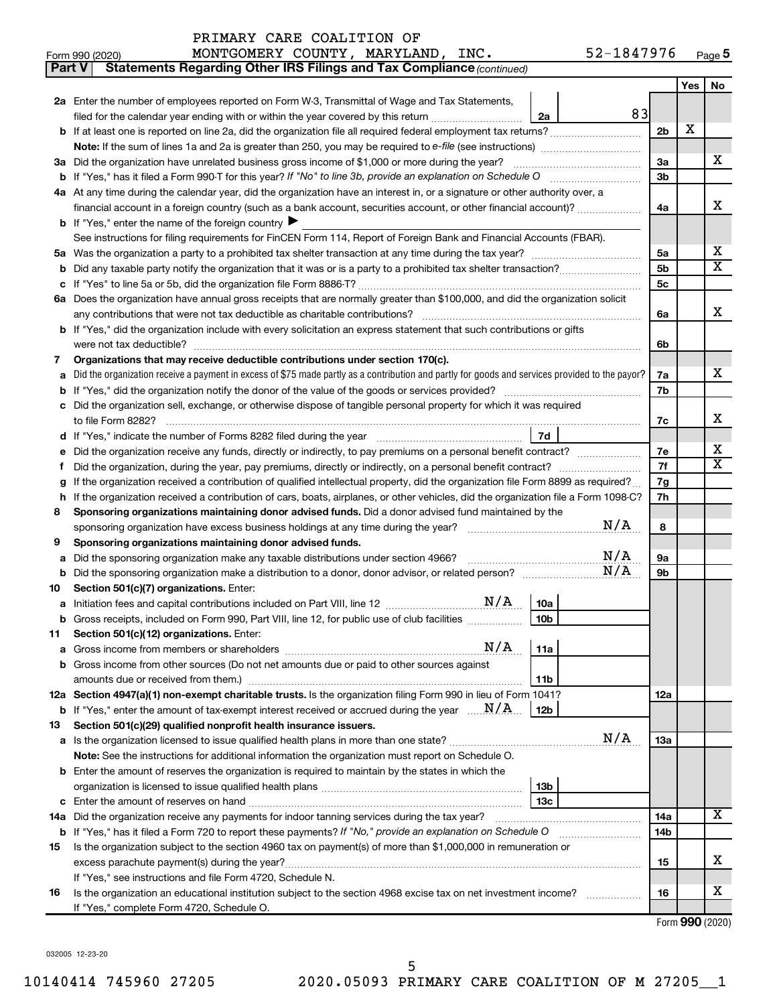|  | PRIMARY CARE COALITION OF |  |
|--|---------------------------|--|
|  |                           |  |

|    | <b>Statements Regarding Other IRS Filings and Tax Compliance (continued)</b><br>Part V                                                          |                |     |                         |  |  |  |  |  |  |  |  |
|----|-------------------------------------------------------------------------------------------------------------------------------------------------|----------------|-----|-------------------------|--|--|--|--|--|--|--|--|
|    |                                                                                                                                                 |                | Yes | No                      |  |  |  |  |  |  |  |  |
|    | 2a Enter the number of employees reported on Form W-3, Transmittal of Wage and Tax Statements,                                                  |                |     |                         |  |  |  |  |  |  |  |  |
|    | 83<br>filed for the calendar year ending with or within the year covered by this return<br>2a                                                   |                |     |                         |  |  |  |  |  |  |  |  |
|    |                                                                                                                                                 | 2 <sub>b</sub> | Х   |                         |  |  |  |  |  |  |  |  |
|    |                                                                                                                                                 |                |     |                         |  |  |  |  |  |  |  |  |
|    | 3a Did the organization have unrelated business gross income of \$1,000 or more during the year?                                                |                |     |                         |  |  |  |  |  |  |  |  |
|    |                                                                                                                                                 |                |     |                         |  |  |  |  |  |  |  |  |
|    | 4a At any time during the calendar year, did the organization have an interest in, or a signature or other authority over, a                    |                |     |                         |  |  |  |  |  |  |  |  |
|    | financial account in a foreign country (such as a bank account, securities account, or other financial account)?                                |                |     |                         |  |  |  |  |  |  |  |  |
|    | <b>b</b> If "Yes," enter the name of the foreign country $\blacktriangleright$                                                                  |                |     |                         |  |  |  |  |  |  |  |  |
|    | See instructions for filing requirements for FinCEN Form 114, Report of Foreign Bank and Financial Accounts (FBAR).                             |                |     |                         |  |  |  |  |  |  |  |  |
|    |                                                                                                                                                 | 5a             |     | х                       |  |  |  |  |  |  |  |  |
| b  |                                                                                                                                                 | 5b             |     | $\overline{\mathbf{X}}$ |  |  |  |  |  |  |  |  |
| с  |                                                                                                                                                 | 5с             |     |                         |  |  |  |  |  |  |  |  |
|    | 6a Does the organization have annual gross receipts that are normally greater than \$100,000, and did the organization solicit                  |                |     |                         |  |  |  |  |  |  |  |  |
|    |                                                                                                                                                 | 6a             |     | х                       |  |  |  |  |  |  |  |  |
|    | <b>b</b> If "Yes," did the organization include with every solicitation an express statement that such contributions or gifts                   |                |     |                         |  |  |  |  |  |  |  |  |
|    |                                                                                                                                                 | 6b             |     |                         |  |  |  |  |  |  |  |  |
| 7  | Organizations that may receive deductible contributions under section 170(c).                                                                   |                |     |                         |  |  |  |  |  |  |  |  |
| a  | Did the organization receive a payment in excess of \$75 made partly as a contribution and partly for goods and services provided to the payor? | 7a             |     | x                       |  |  |  |  |  |  |  |  |
|    |                                                                                                                                                 | 7b             |     |                         |  |  |  |  |  |  |  |  |
|    | c Did the organization sell, exchange, or otherwise dispose of tangible personal property for which it was required                             |                |     |                         |  |  |  |  |  |  |  |  |
|    |                                                                                                                                                 | 7с             |     | x                       |  |  |  |  |  |  |  |  |
|    | 7d                                                                                                                                              |                |     |                         |  |  |  |  |  |  |  |  |
|    | Did the organization receive any funds, directly or indirectly, to pay premiums on a personal benefit contract?                                 | 7e             |     | х                       |  |  |  |  |  |  |  |  |
| f. |                                                                                                                                                 |                |     |                         |  |  |  |  |  |  |  |  |
|    | If the organization received a contribution of qualified intellectual property, did the organization file Form 8899 as required?                |                |     |                         |  |  |  |  |  |  |  |  |
|    | h If the organization received a contribution of cars, boats, airplanes, or other vehicles, did the organization file a Form 1098-C?            |                |     |                         |  |  |  |  |  |  |  |  |
| 8  | Sponsoring organizations maintaining donor advised funds. Did a donor advised fund maintained by the                                            |                |     |                         |  |  |  |  |  |  |  |  |
|    | N/A                                                                                                                                             | 8              |     |                         |  |  |  |  |  |  |  |  |
| 9  | Sponsoring organizations maintaining donor advised funds.                                                                                       |                |     |                         |  |  |  |  |  |  |  |  |
| а  | N/A<br>Did the sponsoring organization make any taxable distributions under section 4966?                                                       | 9а             |     |                         |  |  |  |  |  |  |  |  |
|    | N/A                                                                                                                                             | 9b             |     |                         |  |  |  |  |  |  |  |  |
| 10 | Section 501(c)(7) organizations. Enter:                                                                                                         |                |     |                         |  |  |  |  |  |  |  |  |
|    | 10a                                                                                                                                             |                |     |                         |  |  |  |  |  |  |  |  |
|    | 10 <sub>b</sub><br>b Gross receipts, included on Form 990, Part VIII, line 12, for public use of club facilities                                |                |     |                         |  |  |  |  |  |  |  |  |
| 11 | Section 501(c)(12) organizations. Enter:                                                                                                        |                |     |                         |  |  |  |  |  |  |  |  |
| а  | N/A<br>11a                                                                                                                                      |                |     |                         |  |  |  |  |  |  |  |  |
|    | b Gross income from other sources (Do not net amounts due or paid to other sources against                                                      |                |     |                         |  |  |  |  |  |  |  |  |
|    | amounts due or received from them.)<br>11b                                                                                                      |                |     |                         |  |  |  |  |  |  |  |  |
|    | 12a Section 4947(a)(1) non-exempt charitable trusts. Is the organization filing Form 990 in lieu of Form 1041?                                  | 12a            |     |                         |  |  |  |  |  |  |  |  |
|    | <b>b</b> If "Yes," enter the amount of tax-exempt interest received or accrued during the year $\ldots$ $\mathbf{N}/\mathbf{A}$ .<br>12b        |                |     |                         |  |  |  |  |  |  |  |  |
| 13 | Section 501(c)(29) qualified nonprofit health insurance issuers.                                                                                |                |     |                         |  |  |  |  |  |  |  |  |
|    | N/A<br>a Is the organization licensed to issue qualified health plans in more than one state?                                                   | 1За            |     |                         |  |  |  |  |  |  |  |  |
|    | Note: See the instructions for additional information the organization must report on Schedule O.                                               |                |     |                         |  |  |  |  |  |  |  |  |
|    | <b>b</b> Enter the amount of reserves the organization is required to maintain by the states in which the                                       |                |     |                         |  |  |  |  |  |  |  |  |
|    | 13 <sub>b</sub>                                                                                                                                 |                |     |                         |  |  |  |  |  |  |  |  |
| с  | 13c                                                                                                                                             |                |     |                         |  |  |  |  |  |  |  |  |
|    | 14a Did the organization receive any payments for indoor tanning services during the tax year?                                                  | 14a            |     | x                       |  |  |  |  |  |  |  |  |
|    | <b>b</b> If "Yes," has it filed a Form 720 to report these payments? If "No," provide an explanation on Schedule O                              | 14b            |     |                         |  |  |  |  |  |  |  |  |
| 15 | Is the organization subject to the section 4960 tax on payment(s) of more than \$1,000,000 in remuneration or                                   |                |     |                         |  |  |  |  |  |  |  |  |
|    |                                                                                                                                                 | 15             |     | x                       |  |  |  |  |  |  |  |  |
|    | If "Yes," see instructions and file Form 4720, Schedule N.                                                                                      |                |     |                         |  |  |  |  |  |  |  |  |
| 16 | Is the organization an educational institution subject to the section 4968 excise tax on net investment income?                                 | 16             |     | х                       |  |  |  |  |  |  |  |  |
|    | If "Yes," complete Form 4720, Schedule O.                                                                                                       |                |     |                         |  |  |  |  |  |  |  |  |

Form (2020) **990**

032005 12-23-20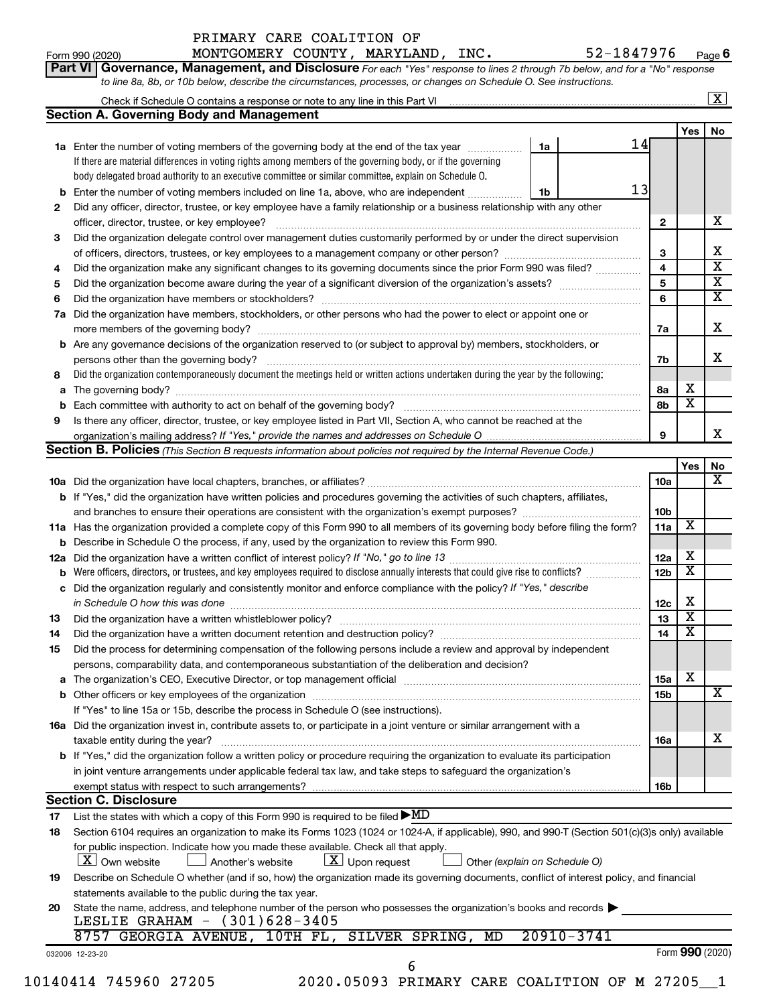|    |                                                                                                                                                  |    |            |    |                 |                         | $\overline{\mathbf{X}}$ |
|----|--------------------------------------------------------------------------------------------------------------------------------------------------|----|------------|----|-----------------|-------------------------|-------------------------|
|    | <b>Section A. Governing Body and Management</b>                                                                                                  |    |            |    |                 |                         |                         |
|    |                                                                                                                                                  |    |            |    |                 | Yes                     | No                      |
|    | 1a Enter the number of voting members of the governing body at the end of the tax year                                                           | 1a |            | 14 |                 |                         |                         |
|    | If there are material differences in voting rights among members of the governing body, or if the governing                                      |    |            |    |                 |                         |                         |
|    | body delegated broad authority to an executive committee or similar committee, explain on Schedule O.                                            |    |            |    |                 |                         |                         |
|    | <b>b</b> Enter the number of voting members included on line 1a, above, who are independent                                                      | 1b |            | 13 |                 |                         |                         |
| 2  | Did any officer, director, trustee, or key employee have a family relationship or a business relationship with any other                         |    |            |    |                 |                         |                         |
|    |                                                                                                                                                  |    |            |    | $\mathbf{2}$    |                         | х                       |
| З  | Did the organization delegate control over management duties customarily performed by or under the direct supervision                            |    |            |    |                 |                         |                         |
|    | of officers, directors, trustees, or key employees to a management company or other person?                                                      |    |            |    | 3               |                         | Х                       |
| 4  | Did the organization make any significant changes to its governing documents since the prior Form 990 was filed?                                 |    |            |    | 4               |                         | $\overline{\mathbf{x}}$ |
| 5  |                                                                                                                                                  |    |            |    | 5               |                         | $\overline{\mathbf{x}}$ |
| 6  |                                                                                                                                                  |    |            |    | 6               |                         | $\overline{\mathbf{X}}$ |
|    | 7a Did the organization have members, stockholders, or other persons who had the power to elect or appoint one or                                |    |            |    |                 |                         |                         |
|    |                                                                                                                                                  |    |            |    | 7a              |                         | X                       |
|    | <b>b</b> Are any governance decisions of the organization reserved to (or subject to approval by) members, stockholders, or                      |    |            |    |                 |                         |                         |
|    | persons other than the governing body?                                                                                                           |    |            |    | 7b              |                         | X                       |
| 8  | Did the organization contemporaneously document the meetings held or written actions undertaken during the year by the following:                |    |            |    |                 |                         |                         |
|    |                                                                                                                                                  |    |            |    | 8a              | х                       |                         |
|    |                                                                                                                                                  |    |            |    | 8b              | $\overline{\textbf{x}}$ |                         |
| 9  | Is there any officer, director, trustee, or key employee listed in Part VII, Section A, who cannot be reached at the                             |    |            |    |                 |                         |                         |
|    |                                                                                                                                                  |    |            |    | 9               |                         | x                       |
|    | Section B. Policies (This Section B requests information about policies not required by the Internal Revenue Code.)                              |    |            |    |                 |                         |                         |
|    |                                                                                                                                                  |    |            |    |                 | Yes                     | No                      |
|    |                                                                                                                                                  |    |            |    | 10a             |                         | х                       |
|    | b If "Yes," did the organization have written policies and procedures governing the activities of such chapters, affiliates,                     |    |            |    |                 |                         |                         |
|    |                                                                                                                                                  |    |            |    | 10 <sub>b</sub> |                         |                         |
|    |                                                                                                                                                  |    |            |    | 11a             | X                       |                         |
|    | 11a Has the organization provided a complete copy of this Form 990 to all members of its governing body before filing the form?                  |    |            |    |                 |                         |                         |
|    | <b>b</b> Describe in Schedule O the process, if any, used by the organization to review this Form 990.                                           |    |            |    |                 | х                       |                         |
|    |                                                                                                                                                  |    |            |    | 12a             | $\overline{\text{x}}$   |                         |
|    | <b>b</b> Were officers, directors, or trustees, and key employees required to disclose annually interests that could give rise to conflicts?     |    |            |    | 12 <sub>b</sub> |                         |                         |
|    | c Did the organization regularly and consistently monitor and enforce compliance with the policy? If "Yes," describe                             |    |            |    |                 | х                       |                         |
|    | in Schedule O how this was done manufactured and continuum control of the state of the state of the state of t                                   |    |            |    | 12c             | $\overline{\mathtt{x}}$ |                         |
| 13 |                                                                                                                                                  |    |            |    | 13              | $\overline{\textbf{x}}$ |                         |
| 14 | Did the organization have a written document retention and destruction policy? [11] manufaction manufaction in                                   |    |            |    | 14              |                         |                         |
| 15 | Did the process for determining compensation of the following persons include a review and approval by independent                               |    |            |    |                 |                         |                         |
|    | persons, comparability data, and contemporaneous substantiation of the deliberation and decision?                                                |    |            |    |                 |                         |                         |
|    |                                                                                                                                                  |    |            |    | 15a             | X                       |                         |
|    |                                                                                                                                                  |    |            |    | 15b             |                         | X                       |
|    | If "Yes" to line 15a or 15b, describe the process in Schedule O (see instructions).                                                              |    |            |    |                 |                         |                         |
|    | 16a Did the organization invest in, contribute assets to, or participate in a joint venture or similar arrangement with a                        |    |            |    |                 |                         |                         |
|    | taxable entity during the year?                                                                                                                  |    |            |    | <b>16a</b>      |                         | х                       |
|    | b If "Yes," did the organization follow a written policy or procedure requiring the organization to evaluate its participation                   |    |            |    |                 |                         |                         |
|    | in joint venture arrangements under applicable federal tax law, and take steps to safeguard the organization's                                   |    |            |    |                 |                         |                         |
|    |                                                                                                                                                  |    |            |    | 16b             |                         |                         |
|    | <b>Section C. Disclosure</b>                                                                                                                     |    |            |    |                 |                         |                         |
| 17 | List the states with which a copy of this Form 990 is required to be filed $\blacktriangleright$ MD                                              |    |            |    |                 |                         |                         |
| 18 | Section 6104 requires an organization to make its Forms 1023 (1024 or 1024-A, if applicable), 990, and 990-T (Section 501(c)(3)s only) available |    |            |    |                 |                         |                         |
|    | for public inspection. Indicate how you made these available. Check all that apply.                                                              |    |            |    |                 |                         |                         |
|    | $X$ Own website<br>$\lfloor x \rfloor$ Upon request<br>Another's website<br>Other (explain on Schedule O)                                        |    |            |    |                 |                         |                         |
| 19 | Describe on Schedule O whether (and if so, how) the organization made its governing documents, conflict of interest policy, and financial        |    |            |    |                 |                         |                         |
|    | statements available to the public during the tax year.                                                                                          |    |            |    |                 |                         |                         |
|    | State the name, address, and telephone number of the person who possesses the organization's books and records                                   |    |            |    |                 |                         |                         |
| 20 | LESLIE GRAHAM - (301)628-3405                                                                                                                    |    |            |    |                 |                         |                         |
|    |                                                                                                                                                  |    |            |    |                 |                         |                         |
|    | 8757<br>GEORGIA AVENUE, 10TH FL, SILVER SPRING, MD                                                                                               |    | 20910-3741 |    |                 |                         |                         |
|    | 032006 12-23-20                                                                                                                                  |    |            |    |                 | Form 990 (2020)         |                         |
|    | 6                                                                                                                                                |    |            |    |                 |                         |                         |

**Part VI** Governance, Management, and Disclosure For each "Yes" response to lines 2 through 7b below, and for a "No" response

Form 990 (2020) Page MONTGOMERY COUNTY, MARYLAND, INC. 52-1847976

PRIMARY CARE COALITION OF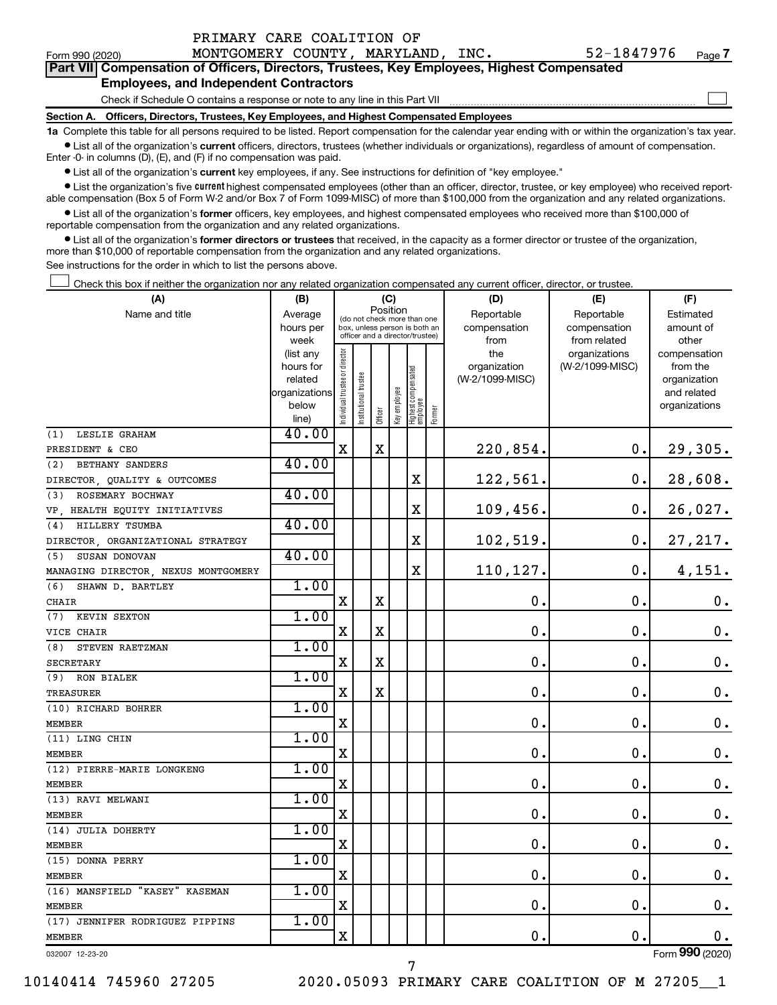| Form 990 (2020)                                                                            | MONTGOMERY COUNTY, MARYLAND,                                                               |  |  | INC. | 52-1847976 | Page 7 |  |  |  |  |  |  |
|--------------------------------------------------------------------------------------------|--------------------------------------------------------------------------------------------|--|--|------|------------|--------|--|--|--|--|--|--|
| Part VII Compensation of Officers, Directors, Trustees, Key Employees, Highest Compensated |                                                                                            |  |  |      |            |        |  |  |  |  |  |  |
| <b>Employees, and Independent Contractors</b>                                              |                                                                                            |  |  |      |            |        |  |  |  |  |  |  |
|                                                                                            | Check if Schedule O contains a response or note to any line in this Part VII               |  |  |      |            |        |  |  |  |  |  |  |
|                                                                                            | Section A. Officers, Directors, Trustees, Key Employees, and Highest Compensated Employees |  |  |      |            |        |  |  |  |  |  |  |

**1a**  Complete this table for all persons required to be listed. Report compensation for the calendar year ending with or within the organization's tax year.  $\bullet$  List all of the organization's current officers, directors, trustees (whether individuals or organizations), regardless of amount of compensation.

Enter -0- in columns (D), (E), and (F) if no compensation was paid.

**•** List all of the organization's current key employees, if any. See instructions for definition of "key employee."

PRIMARY CARE COALITION OF

• List the organization's five *current* highest compensated employees (other than an officer, director, trustee, or key employee) who received reportable compensation (Box 5 of Form W-2 and/or Box 7 of Form 1099-MISC) of more than \$100,000 from the organization and any related organizations.

 $\bullet$  List all of the organization's former officers, key employees, and highest compensated employees who received more than \$100,000 of reportable compensation from the organization and any related organizations.

**•** List all of the organization's former directors or trustees that received, in the capacity as a former director or trustee of the organization, more than \$10,000 of reportable compensation from the organization and any related organizations.

See instructions for the order in which to list the persons above.

Check this box if neither the organization nor any related organization compensated any current officer, director, or trustee.  $\Box$ 

| (A)                                 | (B)                  |                                         |                      | (C)         |                                                                  |                                   |        | (D)             | (E)             | (F)                         |
|-------------------------------------|----------------------|-----------------------------------------|----------------------|-------------|------------------------------------------------------------------|-----------------------------------|--------|-----------------|-----------------|-----------------------------|
| Name and title                      | Average              | Position<br>(do not check more than one |                      |             |                                                                  |                                   |        | Reportable      | Reportable      | Estimated                   |
|                                     | hours per            |                                         |                      |             | box, unless person is both an<br>officer and a director/trustee) |                                   |        | compensation    | compensation    | amount of                   |
|                                     | week                 |                                         |                      |             |                                                                  |                                   |        | from            | from related    | other                       |
|                                     | (list any            |                                         |                      |             |                                                                  |                                   |        | the             | organizations   | compensation                |
|                                     | hours for<br>related |                                         |                      |             |                                                                  |                                   |        | organization    | (W-2/1099-MISC) | from the                    |
|                                     | organizations        |                                         |                      |             |                                                                  |                                   |        | (W-2/1099-MISC) |                 | organization<br>and related |
|                                     | below                |                                         |                      |             |                                                                  |                                   |        |                 |                 | organizations               |
|                                     | line)                | Individual trustee or director          | nstitutional trustee | Officer     | Key employee                                                     | Highest compensated<br>  employee | Former |                 |                 |                             |
| LESLIE GRAHAM<br>(1)                | 40.00                |                                         |                      |             |                                                                  |                                   |        |                 |                 |                             |
| PRESIDENT & CEO                     |                      | X                                       |                      | $\mathbf X$ |                                                                  |                                   |        | 220,854.        | 0.              | 29,305.                     |
| BETHANY SANDERS<br>(2)              | 40.00                |                                         |                      |             |                                                                  |                                   |        |                 |                 |                             |
| DIRECTOR, QUALITY & OUTCOMES        |                      |                                         |                      |             |                                                                  | $\mathbf X$                       |        | 122,561.        | $\mathbf 0$ .   | 28,608.                     |
| ROSEMARY BOCHWAY<br>(3)             | 40.00                |                                         |                      |             |                                                                  |                                   |        |                 |                 |                             |
| VP, HEALTH EQUITY INITIATIVES       |                      |                                         |                      |             |                                                                  | X                                 |        | 109,456.        | $\mathbf 0$ .   | 26,027.                     |
| HILLERY TSUMBA<br>(4)               | 40.00                |                                         |                      |             |                                                                  |                                   |        |                 |                 |                             |
| DIRECTOR, ORGANIZATIONAL STRATEGY   |                      |                                         |                      |             |                                                                  | $\mathbf X$                       |        | 102,519.        | $\mathbf 0$ .   | 27,217.                     |
| (5)<br>SUSAN DONOVAN                | 40.00                |                                         |                      |             |                                                                  |                                   |        |                 |                 |                             |
| MANAGING DIRECTOR, NEXUS MONTGOMERY |                      |                                         |                      |             |                                                                  | $\mathbf X$                       |        | 110,127.        | $\mathbf 0$ .   | 4,151.                      |
| SHAWN D. BARTLEY<br>(6)             | 1.00                 |                                         |                      |             |                                                                  |                                   |        |                 |                 |                             |
| <b>CHAIR</b>                        |                      | $\mathbf X$                             |                      | $\mathbf X$ |                                                                  |                                   |        | $\mathbf 0$ .   | $\mathbf 0$ .   | 0.                          |
| (7)<br>KEVIN SEXTON                 | 1.00                 |                                         |                      |             |                                                                  |                                   |        |                 |                 |                             |
| VICE CHAIR                          |                      | $\mathbf X$                             |                      | $\mathbf X$ |                                                                  |                                   |        | $\mathbf 0$ .   | $\mathbf 0$ .   | 0.                          |
| (8)<br>STEVEN RAETZMAN              | 1.00                 |                                         |                      |             |                                                                  |                                   |        |                 |                 |                             |
| <b>SECRETARY</b>                    |                      | $\mathbf X$                             |                      | $\mathbf X$ |                                                                  |                                   |        | $\mathbf 0$ .   | $\mathbf 0$ .   | $\mathbf 0$ .               |
| <b>RON BIALEK</b><br>(9)            | 1.00                 |                                         |                      |             |                                                                  |                                   |        |                 |                 |                             |
| TREASURER                           |                      | X                                       |                      | $\mathbf X$ |                                                                  |                                   |        | $\mathbf 0$ .   | О.              | $\mathbf 0$ .               |
| (10) RICHARD BOHRER                 | 1.00                 |                                         |                      |             |                                                                  |                                   |        |                 |                 |                             |
| <b>MEMBER</b>                       |                      | X                                       |                      |             |                                                                  |                                   |        | $\mathbf 0$ .   | $\mathbf 0$ .   | $\mathbf 0$ .               |
| (11) LING CHIN                      | 1.00                 |                                         |                      |             |                                                                  |                                   |        |                 |                 |                             |
| <b>MEMBER</b>                       |                      | X                                       |                      |             |                                                                  |                                   |        | 0.              | 0.              | $\mathbf 0$ .               |
| (12) PIERRE-MARIE LONGKENG          | 1.00                 |                                         |                      |             |                                                                  |                                   |        |                 |                 |                             |
| <b>MEMBER</b>                       |                      | $\mathbf X$                             |                      |             |                                                                  |                                   |        | $\mathbf 0$ .   | $\mathbf 0$ .   | $\mathbf 0$ .               |
| (13) RAVI MELWANI                   | 1.00                 |                                         |                      |             |                                                                  |                                   |        |                 |                 |                             |
| <b>MEMBER</b>                       |                      | X                                       |                      |             |                                                                  |                                   |        | $\mathbf 0$ .   | $\mathbf 0$ .   | $\mathbf 0$ .               |
| (14) JULIA DOHERTY                  | 1.00                 |                                         |                      |             |                                                                  |                                   |        |                 |                 |                             |
| <b>MEMBER</b>                       |                      | $\mathbf X$                             |                      |             |                                                                  |                                   |        | $\mathbf 0$ .   | О.              | 0.                          |
| (15) DONNA PERRY                    | 1.00                 |                                         |                      |             |                                                                  |                                   |        |                 |                 |                             |
| <b>MEMBER</b>                       |                      | $\mathbf X$                             |                      |             |                                                                  |                                   |        | $\mathbf 0$ .   | $\mathbf 0$ .   | 0.                          |
| (16) MANSFIELD "KASEY" KASEMAN      | 1.00                 |                                         |                      |             |                                                                  |                                   |        |                 |                 |                             |
| <b>MEMBER</b>                       |                      | $\mathbf X$                             |                      |             |                                                                  |                                   |        | 0.              | $\mathbf 0$ .   | $\mathbf 0$ .               |
| (17) JENNIFER RODRIGUEZ PIPPINS     | 1.00                 |                                         |                      |             |                                                                  |                                   |        |                 |                 |                             |
| <b>MEMBER</b>                       |                      | X                                       |                      |             |                                                                  |                                   |        | 0.              | $\mathbf 0$ .   | $0$ .                       |
| 032007 12-23-20                     |                      |                                         |                      |             |                                                                  |                                   |        |                 |                 | Form 990 (2020)             |

10140414 745960 27205 2020.05093 PRIMARY CARE COALITION OF M 27205\_\_1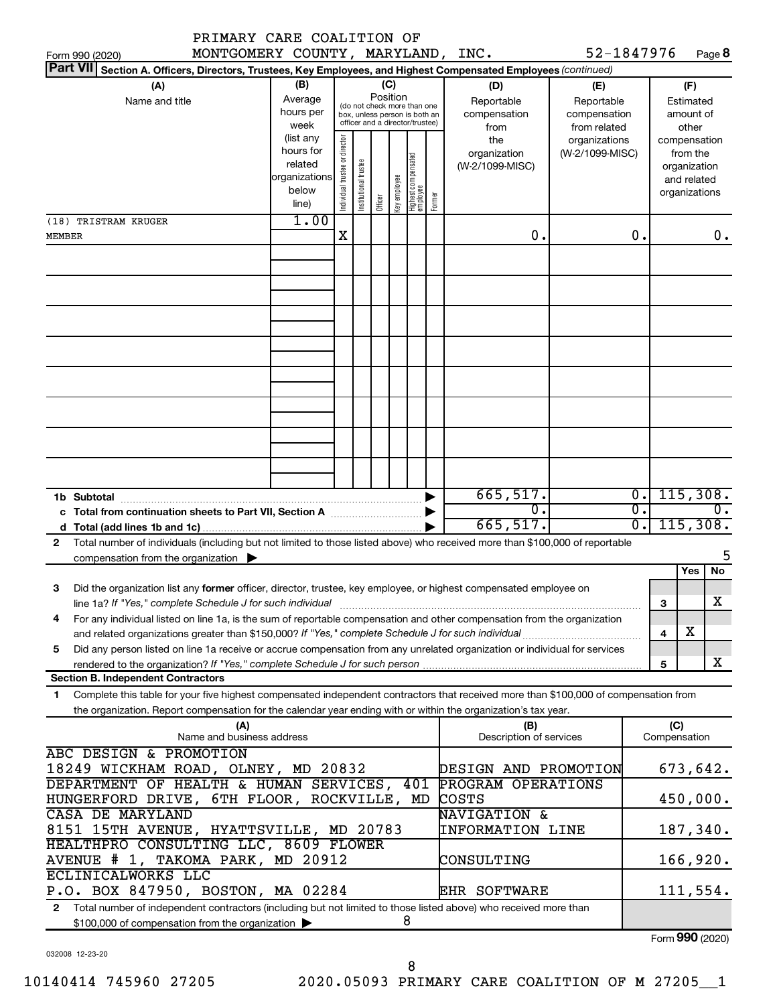| PRIMARY CARE COALITION OF                                                                                                                 |                          |                                |                       |          |              |                                                              |        |                         |                   |                                                 |                    |                             |                              |
|-------------------------------------------------------------------------------------------------------------------------------------------|--------------------------|--------------------------------|-----------------------|----------|--------------|--------------------------------------------------------------|--------|-------------------------|-------------------|-------------------------------------------------|--------------------|-----------------------------|------------------------------|
| MONTGOMERY COUNTY, MARYLAND, INC.<br>Form 990 (2020)<br><b>Part VII</b>                                                                   |                          |                                |                       |          |              |                                                              |        |                         | 52-1847976        |                                                 |                    |                             | Page 8                       |
| Section A. Officers, Directors, Trustees, Key Employees, and Highest Compensated Employees (continued)                                    | (B)                      |                                |                       |          | (C)          |                                                              |        |                         |                   |                                                 |                    |                             |                              |
| (A)<br>Name and title                                                                                                                     | Average                  |                                |                       | Position |              |                                                              |        | (D)<br>Reportable       | (E)<br>Reportable |                                                 |                    | (F)<br>Estimated            |                              |
|                                                                                                                                           | hours per                |                                |                       |          |              | (do not check more than one<br>box, unless person is both an |        | compensation            | compensation      |                                                 |                    | amount of                   |                              |
|                                                                                                                                           | week                     |                                |                       |          |              | officer and a director/trustee)                              |        | from                    | from related      |                                                 |                    | other                       |                              |
|                                                                                                                                           | (list any                |                                |                       |          |              |                                                              |        | the                     | organizations     |                                                 |                    | compensation                |                              |
|                                                                                                                                           | hours for                |                                |                       |          |              |                                                              |        | organization            | (W-2/1099-MISC)   |                                                 |                    | from the                    |                              |
|                                                                                                                                           | related<br>organizations |                                |                       |          |              |                                                              |        | (W-2/1099-MISC)         |                   |                                                 |                    | organization<br>and related |                              |
|                                                                                                                                           | below                    |                                |                       |          |              |                                                              |        |                         |                   |                                                 |                    | organizations               |                              |
|                                                                                                                                           | line)                    | Individual trustee or director | Institutional trustee | Officer  | Key employee | Highest compensated<br>employee                              | Former |                         |                   |                                                 |                    |                             |                              |
| (18) TRISTRAM KRUGER                                                                                                                      | 1.00                     |                                |                       |          |              |                                                              |        |                         |                   |                                                 |                    |                             |                              |
| <b>MEMBER</b>                                                                                                                             |                          | X                              |                       |          |              |                                                              |        | 0.                      |                   | 0.                                              |                    |                             | $0$ .                        |
|                                                                                                                                           |                          |                                |                       |          |              |                                                              |        |                         |                   |                                                 |                    |                             |                              |
|                                                                                                                                           |                          |                                |                       |          |              |                                                              |        |                         |                   |                                                 |                    |                             |                              |
|                                                                                                                                           |                          |                                |                       |          |              |                                                              |        |                         |                   |                                                 |                    |                             |                              |
|                                                                                                                                           |                          |                                |                       |          |              |                                                              |        |                         |                   |                                                 |                    |                             |                              |
|                                                                                                                                           |                          |                                |                       |          |              |                                                              |        |                         |                   |                                                 |                    |                             |                              |
|                                                                                                                                           |                          |                                |                       |          |              |                                                              |        |                         |                   |                                                 |                    |                             |                              |
|                                                                                                                                           |                          |                                |                       |          |              |                                                              |        |                         |                   |                                                 |                    |                             |                              |
|                                                                                                                                           |                          |                                |                       |          |              |                                                              |        |                         |                   |                                                 |                    |                             |                              |
|                                                                                                                                           |                          |                                |                       |          |              |                                                              |        |                         |                   |                                                 |                    |                             |                              |
|                                                                                                                                           |                          |                                |                       |          |              |                                                              |        |                         |                   |                                                 |                    |                             |                              |
|                                                                                                                                           |                          |                                |                       |          |              |                                                              |        |                         |                   |                                                 |                    |                             |                              |
|                                                                                                                                           |                          |                                |                       |          |              |                                                              |        |                         |                   |                                                 |                    |                             |                              |
|                                                                                                                                           |                          |                                |                       |          |              |                                                              |        |                         |                   |                                                 |                    |                             |                              |
|                                                                                                                                           |                          |                                |                       |          |              |                                                              |        |                         |                   |                                                 |                    |                             |                              |
|                                                                                                                                           |                          |                                |                       |          |              |                                                              |        |                         |                   |                                                 |                    |                             |                              |
|                                                                                                                                           |                          |                                |                       |          |              |                                                              |        |                         |                   |                                                 |                    |                             |                              |
| 1b Subtotal                                                                                                                               |                          |                                |                       |          |              |                                                              |        | 665,517.<br>$\Omega$ .  |                   | $\overline{0}$ .<br>$\overline{\mathfrak{o}}$ . |                    |                             | 115,308.<br>$\overline{0}$ . |
|                                                                                                                                           |                          |                                |                       |          |              |                                                              |        | 665,517.                |                   | σ.                                              |                    | 115,308.                    |                              |
| Total number of individuals (including but not limited to those listed above) who received more than \$100,000 of reportable<br>2         |                          |                                |                       |          |              |                                                              |        |                         |                   |                                                 |                    |                             |                              |
| compensation from the organization $\blacktriangleright$                                                                                  |                          |                                |                       |          |              |                                                              |        |                         |                   |                                                 |                    |                             | 5                            |
|                                                                                                                                           |                          |                                |                       |          |              |                                                              |        |                         |                   |                                                 |                    | Yes                         | No                           |
| Did the organization list any former officer, director, trustee, key employee, or highest compensated employee on<br>З                    |                          |                                |                       |          |              |                                                              |        |                         |                   |                                                 |                    |                             |                              |
| line 1a? If "Yes," complete Schedule J for such individual manufactured content content from the content of the                           |                          |                                |                       |          |              |                                                              |        |                         |                   |                                                 | 3                  |                             | $\overline{\text{X}}$        |
| For any individual listed on line 1a, is the sum of reportable compensation and other compensation from the organization<br>4             |                          |                                |                       |          |              |                                                              |        |                         |                   |                                                 |                    |                             |                              |
|                                                                                                                                           |                          |                                |                       |          |              |                                                              |        |                         |                   |                                                 | $\overline{\bf 4}$ | х                           |                              |
| Did any person listed on line 1a receive or accrue compensation from any unrelated organization or individual for services<br>5           |                          |                                |                       |          |              |                                                              |        |                         |                   |                                                 |                    |                             |                              |
|                                                                                                                                           |                          |                                |                       |          |              |                                                              |        |                         |                   |                                                 | 5                  |                             | x                            |
| <b>Section B. Independent Contractors</b>                                                                                                 |                          |                                |                       |          |              |                                                              |        |                         |                   |                                                 |                    |                             |                              |
| Complete this table for your five highest compensated independent contractors that received more than \$100,000 of compensation from<br>1 |                          |                                |                       |          |              |                                                              |        |                         |                   |                                                 |                    |                             |                              |
| the organization. Report compensation for the calendar year ending with or within the organization's tax year.                            |                          |                                |                       |          |              |                                                              |        |                         |                   |                                                 |                    |                             |                              |
| (A)                                                                                                                                       |                          |                                |                       |          |              |                                                              |        | (B)                     |                   |                                                 | (C)                |                             |                              |
| Name and business address                                                                                                                 |                          |                                |                       |          |              |                                                              |        | Description of services |                   |                                                 | Compensation       |                             |                              |
| ABC DESIGN & PROMOTION                                                                                                                    |                          |                                |                       |          |              |                                                              |        |                         |                   |                                                 |                    |                             |                              |
| 18249 WICKHAM ROAD, OLNEY, MD 20832                                                                                                       |                          |                                |                       |          |              |                                                              |        | DESIGN AND PROMOTION    |                   |                                                 |                    |                             | 673,642.                     |
| DEPARTMENT OF HEALTH & HUMAN SERVICES, 401                                                                                                |                          |                                |                       |          |              |                                                              |        | PROGRAM OPERATIONS      |                   |                                                 |                    |                             |                              |
| HUNGERFORD DRIVE, 6TH FLOOR, ROCKVILLE, MD<br><b>COSTS</b>                                                                                |                          |                                |                       |          |              |                                                              |        |                         |                   |                                                 | 450,000.           |                             |                              |
| <b>CASA DE MARYLAND</b>                                                                                                                   |                          |                                |                       |          |              |                                                              |        | NAVIGATION &            |                   |                                                 |                    |                             |                              |
| 8151 15TH AVENUE, HYATTSVILLE, MD 20783                                                                                                   |                          |                                |                       |          |              |                                                              |        | <b>INFORMATION LINE</b> |                   |                                                 |                    |                             | 187,340.                     |
| HEALTHPRO CONSULTING LLC, 8609 FLOWER                                                                                                     |                          |                                |                       |          |              |                                                              |        |                         |                   |                                                 |                    |                             |                              |
| AVENUE # 1, TAKOMA PARK, MD 20912                                                                                                         |                          |                                |                       |          |              |                                                              |        | CONSULTING              |                   |                                                 |                    |                             | 166,920.                     |
| ECLINICALWORKS LLC                                                                                                                        |                          |                                |                       |          |              |                                                              |        | <b>EHR SOFTWARE</b>     |                   |                                                 |                    | $111,554$ .                 |                              |
| P.O. BOX 847950, BOSTON, MA 02284                                                                                                         |                          |                                |                       |          |              |                                                              |        |                         |                   |                                                 |                    |                             |                              |
| Total number of independent contractors (including but not limited to those listed above) who received more than<br>$\mathbf{2}$          |                          |                                |                       |          |              | 8                                                            |        |                         |                   |                                                 |                    |                             |                              |
| \$100,000 of compensation from the organization                                                                                           |                          |                                |                       |          |              |                                                              |        |                         |                   |                                                 |                    |                             | $E_{\text{max}}$ 000 (0000)  |

032008 12-23-20

Form (2020) **990**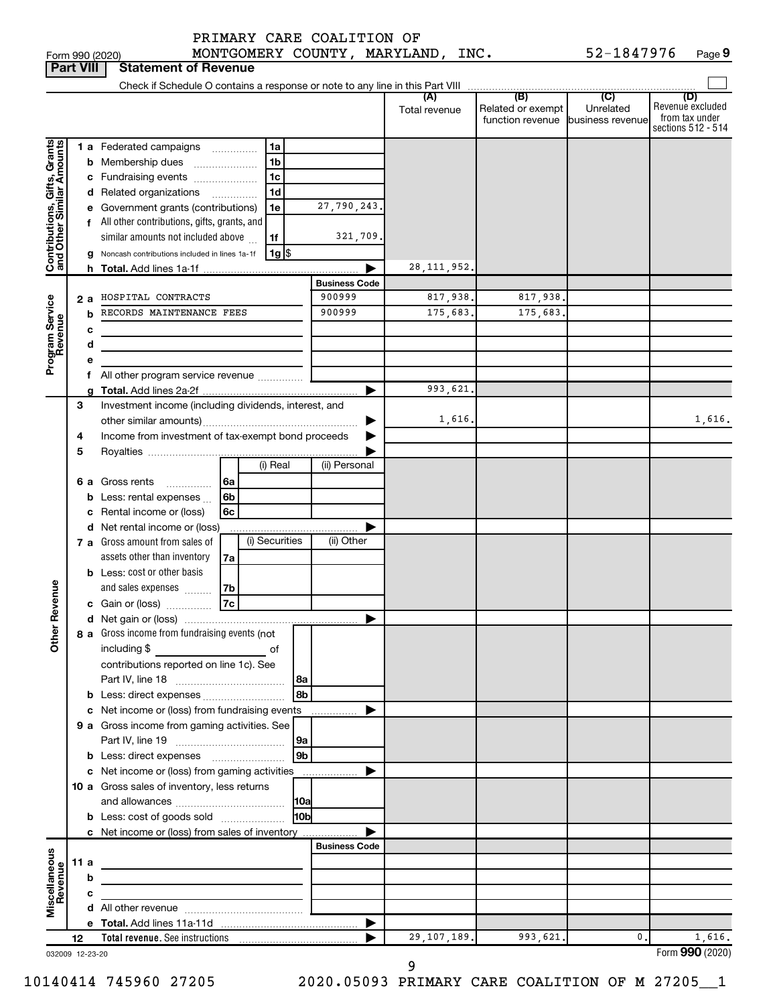Form 990 (2020) MONTGOMERY COUNTY, MARYLAND, INC.  $52-1847976$  Page 52-1847976 Page 9

|                                                           |      |    | Form 990 (2020)                                                                                                       |                          |                |                      |                            | MONTGOMERY COUNTY, MARYLAND, INC. |        |                                                        | 52-1847976 | Page 9                                                          |
|-----------------------------------------------------------|------|----|-----------------------------------------------------------------------------------------------------------------------|--------------------------|----------------|----------------------|----------------------------|-----------------------------------|--------|--------------------------------------------------------|------------|-----------------------------------------------------------------|
| <b>Part VIII</b>                                          |      |    | <b>Statement of Revenue</b>                                                                                           |                          |                |                      |                            |                                   |        |                                                        |            |                                                                 |
|                                                           |      |    |                                                                                                                       |                          |                |                      |                            |                                   |        |                                                        |            |                                                                 |
|                                                           |      |    |                                                                                                                       |                          |                |                      |                            | Total revenue                     |        | Related or exempt<br>function revenue business revenue | Unrelated  | (D)<br>Revenue excluded<br>from tax under<br>sections 512 - 514 |
|                                                           |      |    | 1 a Federated campaigns                                                                                               |                          | 1a             |                      |                            |                                   |        |                                                        |            |                                                                 |
| Contributions, Gifts, Grants<br>and Other Similar Amounts |      |    | <b>b</b> Membership dues                                                                                              |                          | 1 <sub>b</sub> |                      |                            |                                   |        |                                                        |            |                                                                 |
|                                                           |      |    | c Fundraising events                                                                                                  |                          | 1c             |                      |                            |                                   |        |                                                        |            |                                                                 |
|                                                           |      |    | d Related organizations                                                                                               | $\overline{\phantom{a}}$ | 1d             |                      |                            |                                   |        |                                                        |            |                                                                 |
|                                                           |      |    | e Government grants (contributions)                                                                                   |                          | 1e             | 27,790,243.          |                            |                                   |        |                                                        |            |                                                                 |
|                                                           |      |    | f All other contributions, gifts, grants, and                                                                         |                          |                |                      |                            |                                   |        |                                                        |            |                                                                 |
|                                                           |      |    | similar amounts not included above                                                                                    |                          | 1f             | 321,709.             |                            |                                   |        |                                                        |            |                                                                 |
|                                                           |      |    | g Noncash contributions included in lines 1a-1f                                                                       |                          | 1g $ $ \$      |                      |                            |                                   |        |                                                        |            |                                                                 |
|                                                           |      |    |                                                                                                                       |                          |                |                      | ▶                          | 28, 111, 952.                     |        |                                                        |            |                                                                 |
|                                                           |      |    |                                                                                                                       |                          |                | <b>Business Code</b> |                            |                                   |        |                                                        |            |                                                                 |
| Program Service<br>Revenue                                |      | 2a | HOSPITAL CONTRACTS                                                                                                    |                          |                | 900999<br>900999     |                            | 817,938.<br>175,683.              |        | 817,938.                                               |            |                                                                 |
|                                                           |      | b  | RECORDS MAINTENANCE FEES                                                                                              |                          |                |                      |                            |                                   |        | 175,683.                                               |            |                                                                 |
|                                                           |      | с  | the control of the control of the control of the control of                                                           |                          |                |                      |                            |                                   |        |                                                        |            |                                                                 |
|                                                           |      | d  | <u> 1989 - Johann Barbara, martin a bhann an t-Alban an t-Alban an t-Alban an t-Alban an t-Alban an t-Alban an t-</u> |                          |                |                      |                            |                                   |        |                                                        |            |                                                                 |
|                                                           |      | е  | f All other program service revenue                                                                                   |                          |                |                      |                            |                                   |        |                                                        |            |                                                                 |
|                                                           |      |    |                                                                                                                       |                          |                |                      | ▶                          | 993,621.                          |        |                                                        |            |                                                                 |
|                                                           | 3    |    | Investment income (including dividends, interest, and                                                                 |                          |                |                      |                            |                                   |        |                                                        |            |                                                                 |
|                                                           |      |    |                                                                                                                       |                          |                |                      | ▶                          |                                   | 1,616. |                                                        |            | 1,616.                                                          |
|                                                           | 4    |    | Income from investment of tax-exempt bond proceeds                                                                    |                          |                |                      |                            |                                   |        |                                                        |            |                                                                 |
|                                                           | 5    |    |                                                                                                                       |                          |                |                      |                            |                                   |        |                                                        |            |                                                                 |
|                                                           |      |    |                                                                                                                       |                          | (i) Real       | (ii) Personal        |                            |                                   |        |                                                        |            |                                                                 |
|                                                           |      |    | 6 a Gross rents                                                                                                       | l 6a                     |                |                      |                            |                                   |        |                                                        |            |                                                                 |
|                                                           |      |    | <b>b</b> Less: rental expenses $\ldots$                                                                               | 6b                       |                |                      |                            |                                   |        |                                                        |            |                                                                 |
|                                                           |      |    | c Rental income or (loss)                                                                                             | 6с                       |                |                      |                            |                                   |        |                                                        |            |                                                                 |
|                                                           |      |    | d Net rental income or (loss)                                                                                         |                          |                |                      | Þ                          |                                   |        |                                                        |            |                                                                 |
|                                                           |      |    | 7 a Gross amount from sales of                                                                                        |                          | (i) Securities | (ii) Other           |                            |                                   |        |                                                        |            |                                                                 |
|                                                           |      |    | assets other than inventory                                                                                           | 7а                       |                |                      |                            |                                   |        |                                                        |            |                                                                 |
|                                                           |      |    | <b>b</b> Less: cost or other basis                                                                                    |                          |                |                      |                            |                                   |        |                                                        |            |                                                                 |
| evenue                                                    |      |    | and sales expenses                                                                                                    | 7b                       |                |                      |                            |                                   |        |                                                        |            |                                                                 |
|                                                           |      |    | c Gain or (loss)                                                                                                      | <b>7c</b>                |                |                      |                            |                                   |        |                                                        |            |                                                                 |
| Œ                                                         |      |    |                                                                                                                       |                          |                |                      |                            |                                   |        |                                                        |            |                                                                 |
| Other                                                     |      |    | 8 a Gross income from fundraising events (not                                                                         |                          |                |                      |                            |                                   |        |                                                        |            |                                                                 |
|                                                           |      |    | including \$                                                                                                          |                          | оf             |                      |                            |                                   |        |                                                        |            |                                                                 |
|                                                           |      |    | contributions reported on line 1c). See                                                                               |                          |                |                      |                            |                                   |        |                                                        |            |                                                                 |
|                                                           |      |    |                                                                                                                       |                          | 8b             |                      |                            |                                   |        |                                                        |            |                                                                 |
|                                                           |      |    | c Net income or (loss) from fundraising events                                                                        |                          |                |                      | ▶                          |                                   |        |                                                        |            |                                                                 |
|                                                           |      |    | 9 a Gross income from gaming activities. See                                                                          |                          |                |                      |                            |                                   |        |                                                        |            |                                                                 |
|                                                           |      |    |                                                                                                                       |                          |                |                      |                            |                                   |        |                                                        |            |                                                                 |
|                                                           |      |    |                                                                                                                       |                          | 9b             |                      |                            |                                   |        |                                                        |            |                                                                 |
|                                                           |      |    | c Net income or (loss) from gaming activities                                                                         |                          |                |                      | ▶                          |                                   |        |                                                        |            |                                                                 |
|                                                           |      |    | 10 a Gross sales of inventory, less returns                                                                           |                          |                |                      |                            |                                   |        |                                                        |            |                                                                 |
|                                                           |      |    |                                                                                                                       |                          |                |                      |                            |                                   |        |                                                        |            |                                                                 |
|                                                           |      |    | <b>b</b> Less: cost of goods sold                                                                                     |                          | l10bl          |                      |                            |                                   |        |                                                        |            |                                                                 |
|                                                           |      |    | c Net income or (loss) from sales of inventory                                                                        |                          |                |                      | ▶                          |                                   |        |                                                        |            |                                                                 |
|                                                           |      |    |                                                                                                                       |                          |                | <b>Business Code</b> |                            |                                   |        |                                                        |            |                                                                 |
| Miscellaneous<br>Revenue                                  | 11 a |    | the control of the control of the control of the control of the control of                                            |                          |                |                      |                            |                                   |        |                                                        |            |                                                                 |
|                                                           |      | b  | <u> 1989 - Johann John Stein, markin fan it ferstjer fan de ferstjer fan it ferstjer fan it ferstjer fan it fers</u>  |                          |                |                      |                            |                                   |        |                                                        |            |                                                                 |
|                                                           |      | с  | the control of the control of the control of the                                                                      |                          |                |                      |                            |                                   |        |                                                        |            |                                                                 |
|                                                           |      |    |                                                                                                                       |                          |                |                      |                            |                                   |        |                                                        |            |                                                                 |
|                                                           |      |    |                                                                                                                       |                          |                |                      | $\blacktriangleright$<br>▶ | 29, 107, 189.                     |        | 993,621.                                               | 0.         | 1,616.                                                          |
|                                                           | 12   |    |                                                                                                                       |                          |                |                      |                            |                                   |        |                                                        |            | Form 990 (2020)                                                 |
| 032009 12-23-20                                           |      |    |                                                                                                                       |                          |                |                      |                            | 9                                 |        |                                                        |            |                                                                 |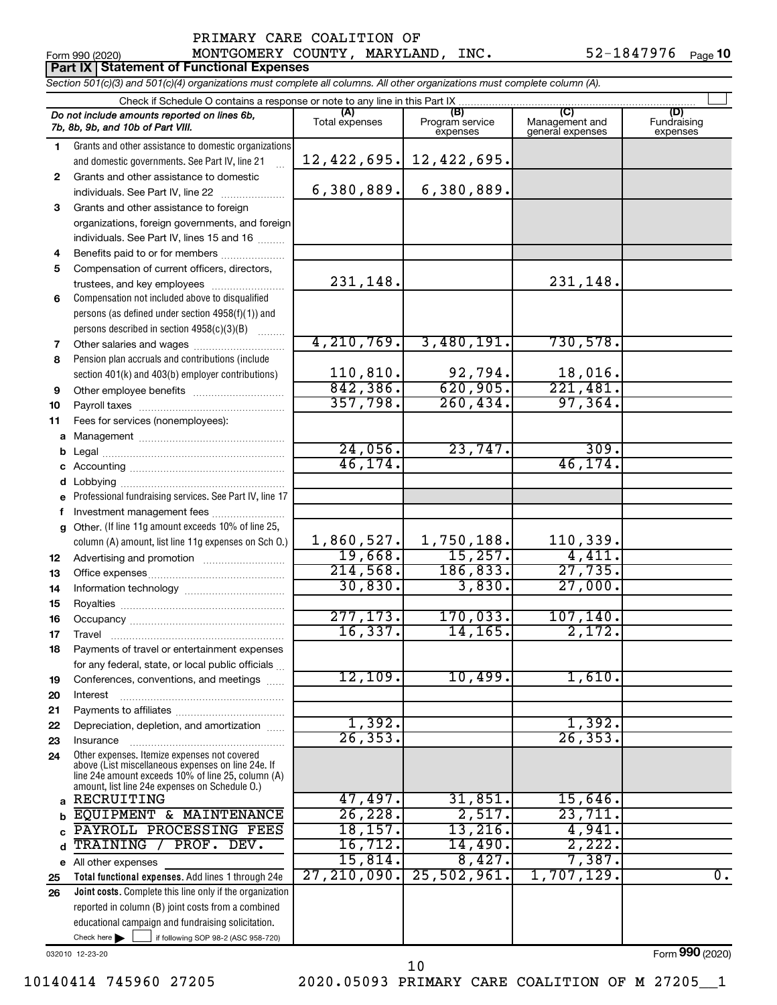## Form 990 (2020) Page MONTGOMERY COUNTY, MARYLAND, INC. 52-1847976 PRIMARY CARE COALITION OF

|              | <b>Part IX   Statement of Functional Expenses</b>                                                                          |                        |                                    |                                           |                                |
|--------------|----------------------------------------------------------------------------------------------------------------------------|------------------------|------------------------------------|-------------------------------------------|--------------------------------|
|              | Section 501(c)(3) and 501(c)(4) organizations must complete all columns. All other organizations must complete column (A). |                        |                                    |                                           |                                |
|              | Check if Schedule O contains a response or note to any line in this Part IX.                                               |                        |                                    |                                           |                                |
|              | Do not include amounts reported on lines 6b,<br>7b, 8b, 9b, and 10b of Part VIII.                                          | (A)<br>Total expenses  | (B)<br>Program service<br>expenses | (C)<br>Management and<br>general expenses | (D)<br>Fundraising<br>expenses |
| 1.           | Grants and other assistance to domestic organizations                                                                      |                        |                                    |                                           |                                |
|              | and domestic governments. See Part IV, line 21                                                                             | 12,422,695.            | 12,422,695.                        |                                           |                                |
| $\mathbf{2}$ | Grants and other assistance to domestic                                                                                    |                        |                                    |                                           |                                |
|              | individuals. See Part IV, line 22                                                                                          | 6,380,889.             | 6,380,889.                         |                                           |                                |
| 3            | Grants and other assistance to foreign                                                                                     |                        |                                    |                                           |                                |
|              | organizations, foreign governments, and foreign                                                                            |                        |                                    |                                           |                                |
|              | individuals. See Part IV, lines 15 and 16                                                                                  |                        |                                    |                                           |                                |
| 4            | Benefits paid to or for members                                                                                            |                        |                                    |                                           |                                |
| 5            | Compensation of current officers, directors,                                                                               |                        |                                    |                                           |                                |
|              | trustees, and key employees                                                                                                | 231,148.               |                                    | 231,148.                                  |                                |
| 6            | Compensation not included above to disqualified                                                                            |                        |                                    |                                           |                                |
|              | persons (as defined under section 4958(f)(1)) and                                                                          |                        |                                    |                                           |                                |
|              | persons described in section 4958(c)(3)(B)                                                                                 |                        |                                    |                                           |                                |
| 7            |                                                                                                                            | 4, 210, 769.           | 3,480,191.                         | 730,578.                                  |                                |
| 8            | Pension plan accruals and contributions (include                                                                           |                        |                                    |                                           |                                |
|              | section 401(k) and 403(b) employer contributions)                                                                          | 110, 810.<br>842, 386. | 92,794.<br>620,905.                | 18,016.<br>221,481.                       |                                |
| 9            |                                                                                                                            | 357,798.               | 260, 434.                          | 97, 364.                                  |                                |
| 10           |                                                                                                                            |                        |                                    |                                           |                                |
| 11           | Fees for services (nonemployees):                                                                                          |                        |                                    |                                           |                                |
| a            |                                                                                                                            | 24,056.                | 23,747.                            | 309.                                      |                                |
| b<br>с       |                                                                                                                            | 46, 174.               |                                    | 46, 174.                                  |                                |
| d            |                                                                                                                            |                        |                                    |                                           |                                |
| е            | Professional fundraising services. See Part IV, line 17                                                                    |                        |                                    |                                           |                                |
| f            | Investment management fees                                                                                                 |                        |                                    |                                           |                                |
| g            | Other. (If line 11g amount exceeds 10% of line 25,                                                                         |                        |                                    |                                           |                                |
|              | column (A) amount, list line 11g expenses on Sch O.)                                                                       | 1,860,527.             | 1,750,188.                         | 110,339.                                  |                                |
| 12           |                                                                                                                            | 19,668.                | 15,257.                            | 4,411.                                    |                                |
| 13           |                                                                                                                            | 214,568.               | 186, 833.                          | 27,735.                                   |                                |
| 14           |                                                                                                                            | 30,830.                | 3,830.                             | 27,000.                                   |                                |
| 15           |                                                                                                                            |                        |                                    |                                           |                                |
| 16           |                                                                                                                            | 277, 173.              | 170,033.                           | 107, 140.                                 |                                |
| 17           | Travel                                                                                                                     | 16,337.                | 14, 165.                           | 2,172.                                    |                                |
| 18           | Payments of travel or entertainment expenses                                                                               |                        |                                    |                                           |                                |
|              | for any federal, state, or local public officials                                                                          | 12, 109.               |                                    |                                           |                                |
| 19           | Conferences, conventions, and meetings                                                                                     |                        | 10,499.                            | 1,610.                                    |                                |
| 20           | Interest                                                                                                                   |                        |                                    |                                           |                                |
| 21           | Depreciation, depletion, and amortization                                                                                  | 1,392.                 |                                    | 1,392.                                    |                                |
| 22<br>23     | Insurance                                                                                                                  | 26, 353.               |                                    | 26, 353.                                  |                                |
| 24           | Other expenses. Itemize expenses not covered                                                                               |                        |                                    |                                           |                                |
|              | above (List miscellaneous expenses on line 24e. If<br>line 24e amount exceeds 10% of line 25, column (A)                   |                        |                                    |                                           |                                |
|              | amount, list line 24e expenses on Schedule O.)                                                                             |                        |                                    |                                           |                                |
| a            | RECRUITING                                                                                                                 | 47,497.                | 31,851.                            | 15,646.                                   |                                |
| b            | EQUIPMENT & MAINTENANCE                                                                                                    | 26, 228.               | 2,517.                             | 23,711.                                   |                                |
| C            | PAYROLL PROCESSING FEES                                                                                                    | 18, 157.               | 13,216.                            | 4,941.                                    |                                |
| d            | TRAINING /<br>PROF. DEV.                                                                                                   | 16, 712.               | 14,490.                            | 2,222.                                    |                                |
| е            | All other expenses                                                                                                         | 15,814.                | 8,427.                             | 7,387.                                    |                                |
| 25           | Total functional expenses. Add lines 1 through 24e                                                                         | 27, 210, 090.          | 25,502,961.                        | 1,707,129.                                | $\overline{0}$ .               |
| 26           | Joint costs. Complete this line only if the organization                                                                   |                        |                                    |                                           |                                |
|              | reported in column (B) joint costs from a combined<br>educational campaign and fundraising solicitation.                   |                        |                                    |                                           |                                |
|              | Check here $\blacktriangleright$<br>if following SOP 98-2 (ASC 958-720)                                                    |                        |                                    |                                           |                                |
|              |                                                                                                                            |                        |                                    |                                           |                                |

032010 12-23-20

Form (2020) **990**

10140414 745960 27205 2020.05093 PRIMARY CARE COALITION OF M 27205\_\_1 10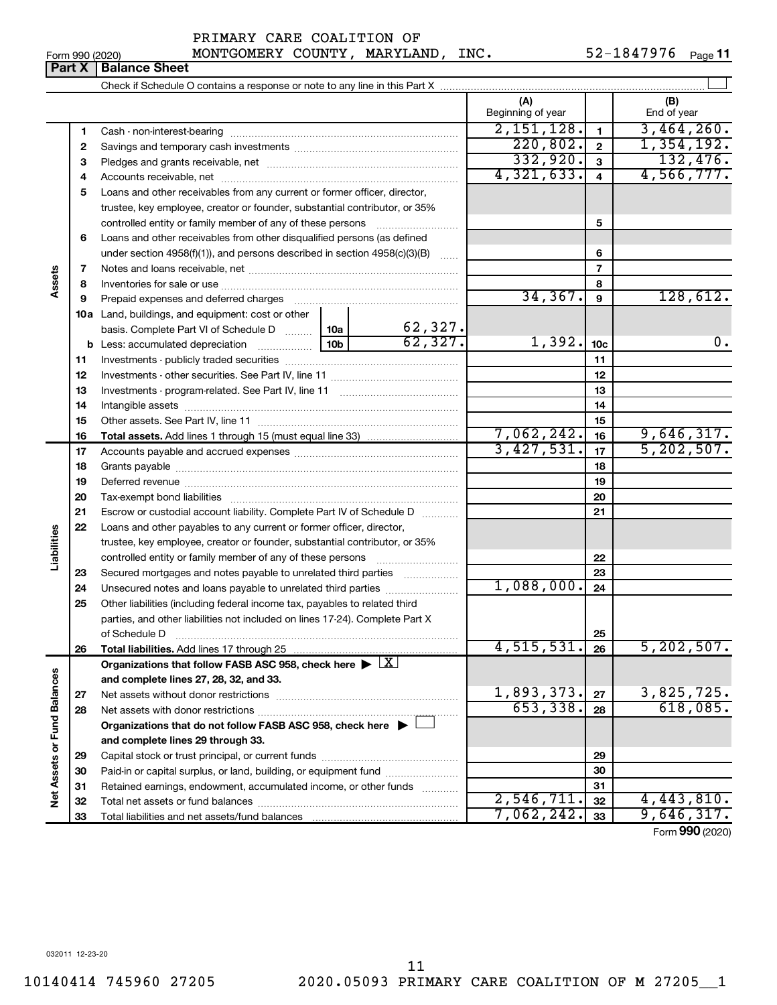| Form 990 (2020)               |  |  |
|-------------------------------|--|--|
| <b>Part X   Balance Sheet</b> |  |  |

## Form 990 (2020) MONTGOMERY COUNTY, MARYLAND, INC.  $52-1847976$  Page PRIMARY CARE COALITION OF

 $\perp$ Check if Schedule O contains a response or note to any line in this Part X **(A) (B)** Beginning of year  $\parallel$  | End of year 2,151,128. 3,464,260. **1 1** Cash - non-interest-bearing ~~~~~~~~~~~~~~~~~~~~~~~~~  $220,802.$  | 2 | 1,354,192. **2 2** Savings and temporary cash investments ~~~~~~~~~~~~~~~~~~ 332,920. 132,476. **3 3** Pledges and grants receivable, net ~~~~~~~~~~~~~~~~~~~~~  $4,321,633$ .  $4$  |  $4,566,777$ . **4 4** Accounts receivable, net ~~~~~~~~~~~~~~~~~~~~~~~~~~ **5** Loans and other receivables from any current or former officer, director, trustee, key employee, creator or founder, substantial contributor, or 35% controlled entity or family member of any of these persons ~~~~~~~~~ **5 6** Loans and other receivables from other disqualified persons (as defined under section 4958(f)(1)), and persons described in section  $4958(c)(3)(B)$  ...... **6 7 7** Notes and loans receivable, net ~~~~~~~~~~~~~~~~~~~~~~~ **Assets 8 8** Inventories for sale or use ~~~~~~~~~~~~~~~~~~~~~~~~~~ 34,367. 128,612. **9 9** Prepaid expenses and deferred charges ~~~~~~~~~~~~~~~~~~ **10 a** Land, buildings, and equipment: cost or other 62,327. basis. Complete Part VI of Schedule D  $\frac{1}{10}$  10a  $62,327.$  1,392.  $10c$  0. **10c b** Less: accumulated depreciation  $\ldots$  [10b **11 11** Investments - publicly traded securities ~~~~~~~~~~~~~~~~~~~ **12 12** Investments - other securities. See Part IV, line 11 ~~~~~~~~~~~~~~ **13 13** Investments - program-related. See Part IV, line 11 ~~~~~~~~~~~~~ **14 14** Intangible assets ~~~~~~~~~~~~~~~~~~~~~~~~~~~~~~ Other assets. See Part IV, line 11 ~~~~~~~~~~~~~~~~~~~~~~ **15 15**  $7,062,242.$  16 9,646,317. **16 16 Total assets.**  Add lines 1 through 15 (must equal line 33) 3,427,531. 5,202,507. **17 17** Accounts payable and accrued expenses ~~~~~~~~~~~~~~~~~~ **18 18** Grants payable ~~~~~~~~~~~~~~~~~~~~~~~~~~~~~~~ **19 19** Deferred revenue ~~~~~~~~~~~~~~~~~~~~~~~~~~~~~~ **20 20** Tax-exempt bond liabilities ~~~~~~~~~~~~~~~~~~~~~~~~~ **21 21** Escrow or custodial account liability. Complete Part IV of Schedule D ........... **22** Loans and other payables to any current or former officer, director, **Liabilities** trustee, key employee, creator or founder, substantial contributor, or 35% **22** controlled entity or family member of any of these persons ~~~~~~~~~ **23** Secured mortgages and notes payable to unrelated third parties  $\ldots$ ................. **23** 1,088,000. **24** Unsecured notes and loans payable to unrelated third parties ~~~~~~~~ **24 25** Other liabilities (including federal income tax, payables to related third parties, and other liabilities not included on lines 17-24). Complete Part X of Schedule D ~~~~~~~~~~~~~~~~~~~~~~~~~~~~~~~ **25 26**  $4,515,531. |26 | 5,202,507.$ **26 Total liabilities.**  Add lines 17 through 25 Organizations that follow FASB ASC 958, check here  $\blacktriangleright \boxed{\text{X}}$ Net Assets or Fund Balances **Net Assets or Fund Balances and complete lines 27, 28, 32, and 33.**  $1,893,373.$   $27$  3,825,725. **27 27** Net assets without donor restrictions ~~~~~~~~~~~~~~~~~~~~ 653,338. 28 618,085. **28 28** Net assets with donor restrictions ~~~~~~~~~~~~~~~~~~~~~~ **Organizations that do not follow FASB ASC 958, check here** | † **and complete lines 29 through 33. 29 29** Capital stock or trust principal, or current funds ~~~~~~~~~~~~~~~ **30 30** Paid-in or capital surplus, or land, building, or equipment fund ....................... **31 31** Retained earnings, endowment, accumulated income, or other funds ............  $2,546,711.$   $32$   $4,443,810.$ Total net assets or fund balances ~~~~~~~~~~~~~~~~~~~~~~ **32 32**  $062,242.$  33 9,646,317. **33** Total liabilities and net assets/fund balances **33**

Form (2020) **990**

032011 12-23-20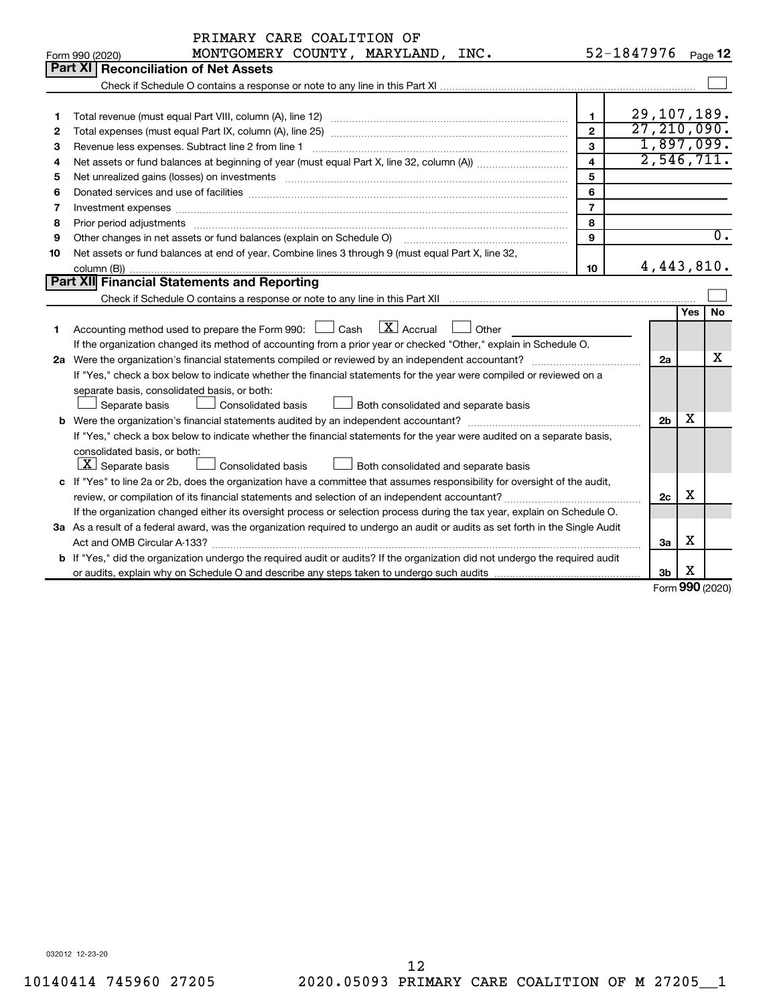|    | PRIMARY CARE COALITION OF                                                                                                                                                                                                      |                |                    |            |                  |
|----|--------------------------------------------------------------------------------------------------------------------------------------------------------------------------------------------------------------------------------|----------------|--------------------|------------|------------------|
|    | MONTGOMERY COUNTY, MARYLAND, INC.<br>Form 990 (2020)                                                                                                                                                                           |                | 52-1847976 Page 12 |            |                  |
|    | Part XI<br><b>Reconciliation of Net Assets</b>                                                                                                                                                                                 |                |                    |            |                  |
|    |                                                                                                                                                                                                                                |                |                    |            |                  |
|    |                                                                                                                                                                                                                                |                |                    |            |                  |
| 1  |                                                                                                                                                                                                                                | 1              | 29, 107, 189.      |            |                  |
| 2  |                                                                                                                                                                                                                                | $\overline{2}$ | 27, 210, 090.      |            |                  |
| 3  | Revenue less expenses. Subtract line 2 from line 1                                                                                                                                                                             | 3              | 1,897,099.         |            |                  |
| 4  |                                                                                                                                                                                                                                | 4              | 2,546,711.         |            |                  |
| 5  | Net unrealized gains (losses) on investments [11] matter contracts and the state of the state of the state of the state of the state of the state of the state of the state of the state of the state of the state of the stat | 5              |                    |            |                  |
| 6  |                                                                                                                                                                                                                                | 6              |                    |            |                  |
| 7  | Investment expenses www.communication.com/www.communication.com/www.communication.com/www.com                                                                                                                                  | $\overline{7}$ |                    |            |                  |
| 8  | Prior period adjustments www.communication.communication.communication.com/                                                                                                                                                    | 8              |                    |            |                  |
| 9  | Other changes in net assets or fund balances (explain on Schedule O)                                                                                                                                                           | 9              |                    |            | $\overline{0}$ . |
| 10 | Net assets or fund balances at end of year. Combine lines 3 through 9 (must equal Part X, line 32,                                                                                                                             |                |                    |            |                  |
|    |                                                                                                                                                                                                                                | 10             | 4,443,810.         |            |                  |
|    | <b>Part XII Financial Statements and Reporting</b>                                                                                                                                                                             |                |                    |            |                  |
|    |                                                                                                                                                                                                                                |                |                    |            |                  |
|    |                                                                                                                                                                                                                                |                |                    | <b>Yes</b> | No               |
| 1  | $\lfloor \mathbf{X} \rfloor$ Accrual<br>Accounting method used to prepare the Form 990: $\Box$ Cash<br>Other                                                                                                                   |                |                    |            |                  |
|    | If the organization changed its method of accounting from a prior year or checked "Other," explain in Schedule O.                                                                                                              |                |                    |            |                  |
|    |                                                                                                                                                                                                                                |                | 2a                 |            | х                |
|    | If "Yes," check a box below to indicate whether the financial statements for the year were compiled or reviewed on a                                                                                                           |                |                    |            |                  |
|    | separate basis, consolidated basis, or both:                                                                                                                                                                                   |                |                    |            |                  |
|    | Separate basis<br><b>Consolidated basis</b><br>Both consolidated and separate basis                                                                                                                                            |                |                    |            |                  |
|    | <b>b</b> Were the organization's financial statements audited by an independent accountant?                                                                                                                                    |                | 2 <sub>b</sub>     | x          |                  |
|    | If "Yes," check a box below to indicate whether the financial statements for the year were audited on a separate basis,                                                                                                        |                |                    |            |                  |
|    | consolidated basis, or both:                                                                                                                                                                                                   |                |                    |            |                  |
|    | $\lfloor x \rfloor$ Separate basis<br>Consolidated basis<br>Both consolidated and separate basis                                                                                                                               |                |                    |            |                  |
|    | c If "Yes" to line 2a or 2b, does the organization have a committee that assumes responsibility for oversight of the audit,                                                                                                    |                |                    |            |                  |
|    |                                                                                                                                                                                                                                |                | 2c                 | х          |                  |
|    | If the organization changed either its oversight process or selection process during the tax year, explain on Schedule O.                                                                                                      |                |                    |            |                  |
|    | 3a As a result of a federal award, was the organization required to undergo an audit or audits as set forth in the Single Audit                                                                                                |                |                    |            |                  |
|    |                                                                                                                                                                                                                                |                | 3a                 | x          |                  |
|    | b If "Yes," did the organization undergo the required audit or audits? If the organization did not undergo the required audit                                                                                                  |                |                    |            |                  |
|    |                                                                                                                                                                                                                                |                | 3 <sub>b</sub>     | х          |                  |

Form (2020) **990**

032012 12-23-20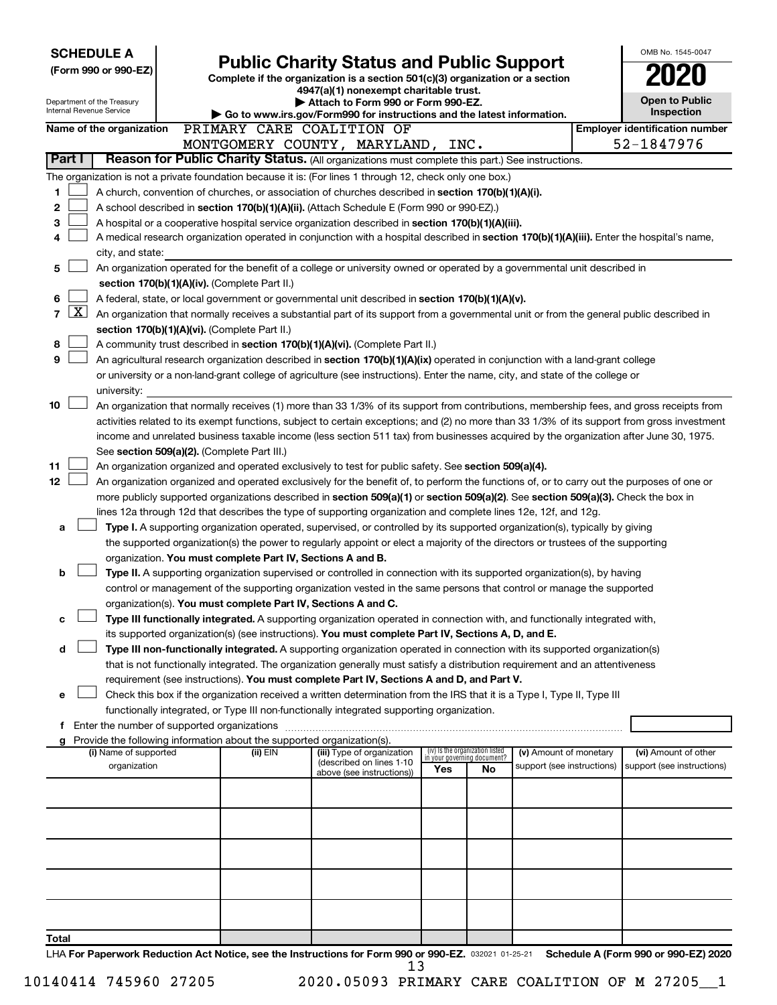| <b>SCHEDULE A</b><br>(Form 990 or 990-EZ)                                                                                                 |                                                                                                                                                                                                                                                                                  | <b>Public Charity Status and Public Support</b>                                                                         |                                    |    |                                                      | OMB No. 1545-0047                                   |
|-------------------------------------------------------------------------------------------------------------------------------------------|----------------------------------------------------------------------------------------------------------------------------------------------------------------------------------------------------------------------------------------------------------------------------------|-------------------------------------------------------------------------------------------------------------------------|------------------------------------|----|------------------------------------------------------|-----------------------------------------------------|
|                                                                                                                                           |                                                                                                                                                                                                                                                                                  | Complete if the organization is a section 501(c)(3) organization or a section<br>4947(a)(1) nonexempt charitable trust. |                                    |    |                                                      |                                                     |
| Department of the Treasury                                                                                                                |                                                                                                                                                                                                                                                                                  | Attach to Form 990 or Form 990-EZ.                                                                                      |                                    |    |                                                      | <b>Open to Public</b>                               |
| Internal Revenue Service                                                                                                                  |                                                                                                                                                                                                                                                                                  | Go to www.irs.gov/Form990 for instructions and the latest information.                                                  |                                    |    |                                                      | Inspection                                          |
| Name of the organization                                                                                                                  | PRIMARY CARE COALITION OF<br>MONTGOMERY COUNTY, MARYLAND, INC.                                                                                                                                                                                                                   |                                                                                                                         |                                    |    |                                                      | <b>Employer identification number</b><br>52-1847976 |
| Part I                                                                                                                                    | Reason for Public Charity Status. (All organizations must complete this part.) See instructions.                                                                                                                                                                                 |                                                                                                                         |                                    |    |                                                      |                                                     |
| The organization is not a private foundation because it is: (For lines 1 through 12, check only one box.)                                 |                                                                                                                                                                                                                                                                                  |                                                                                                                         |                                    |    |                                                      |                                                     |
| 1                                                                                                                                         | A church, convention of churches, or association of churches described in section 170(b)(1)(A)(i).                                                                                                                                                                               |                                                                                                                         |                                    |    |                                                      |                                                     |
| 2                                                                                                                                         | A school described in section 170(b)(1)(A)(ii). (Attach Schedule E (Form 990 or 990-EZ).)                                                                                                                                                                                        |                                                                                                                         |                                    |    |                                                      |                                                     |
| 3                                                                                                                                         | A hospital or a cooperative hospital service organization described in section 170(b)(1)(A)(iii).                                                                                                                                                                                |                                                                                                                         |                                    |    |                                                      |                                                     |
| 4                                                                                                                                         | A medical research organization operated in conjunction with a hospital described in section 170(b)(1)(A)(iii). Enter the hospital's name,                                                                                                                                       |                                                                                                                         |                                    |    |                                                      |                                                     |
| city, and state:                                                                                                                          |                                                                                                                                                                                                                                                                                  |                                                                                                                         |                                    |    |                                                      |                                                     |
| 5                                                                                                                                         | An organization operated for the benefit of a college or university owned or operated by a governmental unit described in                                                                                                                                                        |                                                                                                                         |                                    |    |                                                      |                                                     |
|                                                                                                                                           | section 170(b)(1)(A)(iv). (Complete Part II.)                                                                                                                                                                                                                                    |                                                                                                                         |                                    |    |                                                      |                                                     |
| 6<br>$\lfloor x \rfloor$                                                                                                                  | A federal, state, or local government or governmental unit described in section 170(b)(1)(A)(v).                                                                                                                                                                                 |                                                                                                                         |                                    |    |                                                      |                                                     |
| $\overline{7}$                                                                                                                            | An organization that normally receives a substantial part of its support from a governmental unit or from the general public described in<br>section 170(b)(1)(A)(vi). (Complete Part II.)                                                                                       |                                                                                                                         |                                    |    |                                                      |                                                     |
| 8                                                                                                                                         | A community trust described in section 170(b)(1)(A)(vi). (Complete Part II.)                                                                                                                                                                                                     |                                                                                                                         |                                    |    |                                                      |                                                     |
| 9                                                                                                                                         | An agricultural research organization described in section 170(b)(1)(A)(ix) operated in conjunction with a land-grant college                                                                                                                                                    |                                                                                                                         |                                    |    |                                                      |                                                     |
|                                                                                                                                           | or university or a non-land-grant college of agriculture (see instructions). Enter the name, city, and state of the college or                                                                                                                                                   |                                                                                                                         |                                    |    |                                                      |                                                     |
| university:                                                                                                                               |                                                                                                                                                                                                                                                                                  |                                                                                                                         |                                    |    |                                                      |                                                     |
| 10                                                                                                                                        | An organization that normally receives (1) more than 33 1/3% of its support from contributions, membership fees, and gross receipts from                                                                                                                                         |                                                                                                                         |                                    |    |                                                      |                                                     |
|                                                                                                                                           | activities related to its exempt functions, subject to certain exceptions; and (2) no more than 33 1/3% of its support from gross investment                                                                                                                                     |                                                                                                                         |                                    |    |                                                      |                                                     |
|                                                                                                                                           | income and unrelated business taxable income (less section 511 tax) from businesses acquired by the organization after June 30, 1975.                                                                                                                                            |                                                                                                                         |                                    |    |                                                      |                                                     |
|                                                                                                                                           | See section 509(a)(2). (Complete Part III.)                                                                                                                                                                                                                                      |                                                                                                                         |                                    |    |                                                      |                                                     |
| 11                                                                                                                                        | An organization organized and operated exclusively to test for public safety. See section 509(a)(4).                                                                                                                                                                             |                                                                                                                         |                                    |    |                                                      |                                                     |
| 12                                                                                                                                        | An organization organized and operated exclusively for the benefit of, to perform the functions of, or to carry out the purposes of one or<br>more publicly supported organizations described in section 509(a)(1) or section 509(a)(2). See section 509(a)(3). Check the box in |                                                                                                                         |                                    |    |                                                      |                                                     |
|                                                                                                                                           | lines 12a through 12d that describes the type of supporting organization and complete lines 12e, 12f, and 12g.                                                                                                                                                                   |                                                                                                                         |                                    |    |                                                      |                                                     |
| a                                                                                                                                         | Type I. A supporting organization operated, supervised, or controlled by its supported organization(s), typically by giving                                                                                                                                                      |                                                                                                                         |                                    |    |                                                      |                                                     |
|                                                                                                                                           | the supported organization(s) the power to regularly appoint or elect a majority of the directors or trustees of the supporting                                                                                                                                                  |                                                                                                                         |                                    |    |                                                      |                                                     |
|                                                                                                                                           | organization. You must complete Part IV, Sections A and B.                                                                                                                                                                                                                       |                                                                                                                         |                                    |    |                                                      |                                                     |
| b                                                                                                                                         | Type II. A supporting organization supervised or controlled in connection with its supported organization(s), by having                                                                                                                                                          |                                                                                                                         |                                    |    |                                                      |                                                     |
|                                                                                                                                           | control or management of the supporting organization vested in the same persons that control or manage the supported                                                                                                                                                             |                                                                                                                         |                                    |    |                                                      |                                                     |
|                                                                                                                                           | organization(s). You must complete Part IV, Sections A and C.                                                                                                                                                                                                                    |                                                                                                                         |                                    |    |                                                      |                                                     |
| с                                                                                                                                         | Type III functionally integrated. A supporting organization operated in connection with, and functionally integrated with,                                                                                                                                                       |                                                                                                                         |                                    |    |                                                      |                                                     |
| d                                                                                                                                         | its supported organization(s) (see instructions). You must complete Part IV, Sections A, D, and E.<br>Type III non-functionally integrated. A supporting organization operated in connection with its supported organization(s)                                                  |                                                                                                                         |                                    |    |                                                      |                                                     |
|                                                                                                                                           | that is not functionally integrated. The organization generally must satisfy a distribution requirement and an attentiveness                                                                                                                                                     |                                                                                                                         |                                    |    |                                                      |                                                     |
|                                                                                                                                           | requirement (see instructions). You must complete Part IV, Sections A and D, and Part V.                                                                                                                                                                                         |                                                                                                                         |                                    |    |                                                      |                                                     |
| е                                                                                                                                         | Check this box if the organization received a written determination from the IRS that it is a Type I, Type II, Type III                                                                                                                                                          |                                                                                                                         |                                    |    |                                                      |                                                     |
|                                                                                                                                           | functionally integrated, or Type III non-functionally integrated supporting organization.                                                                                                                                                                                        |                                                                                                                         |                                    |    |                                                      |                                                     |
| f Enter the number of supported organizations                                                                                             |                                                                                                                                                                                                                                                                                  |                                                                                                                         |                                    |    |                                                      |                                                     |
| g                                                                                                                                         | Provide the following information about the supported organization(s).                                                                                                                                                                                                           |                                                                                                                         | (iv) Is the organization listed    |    |                                                      |                                                     |
| (i) Name of supported<br>organization                                                                                                     | (ii) EIN                                                                                                                                                                                                                                                                         | (iii) Type of organization<br>(described on lines 1-10                                                                  | in your governing document?<br>Yes | No | (v) Amount of monetary<br>support (see instructions) | (vi) Amount of other<br>support (see instructions)  |
|                                                                                                                                           |                                                                                                                                                                                                                                                                                  | above (see instructions))                                                                                               |                                    |    |                                                      |                                                     |
|                                                                                                                                           |                                                                                                                                                                                                                                                                                  |                                                                                                                         |                                    |    |                                                      |                                                     |
|                                                                                                                                           |                                                                                                                                                                                                                                                                                  |                                                                                                                         |                                    |    |                                                      |                                                     |
|                                                                                                                                           |                                                                                                                                                                                                                                                                                  |                                                                                                                         |                                    |    |                                                      |                                                     |
|                                                                                                                                           |                                                                                                                                                                                                                                                                                  |                                                                                                                         |                                    |    |                                                      |                                                     |
|                                                                                                                                           |                                                                                                                                                                                                                                                                                  |                                                                                                                         |                                    |    |                                                      |                                                     |
|                                                                                                                                           |                                                                                                                                                                                                                                                                                  |                                                                                                                         |                                    |    |                                                      |                                                     |
|                                                                                                                                           |                                                                                                                                                                                                                                                                                  |                                                                                                                         |                                    |    |                                                      |                                                     |
|                                                                                                                                           |                                                                                                                                                                                                                                                                                  |                                                                                                                         |                                    |    |                                                      |                                                     |
| Total                                                                                                                                     |                                                                                                                                                                                                                                                                                  |                                                                                                                         |                                    |    |                                                      |                                                     |
| LHA For Paperwork Reduction Act Notice, see the Instructions for Form 990 or 990-EZ. 032021 01-25-21 Schedule A (Form 990 or 990-EZ) 2020 |                                                                                                                                                                                                                                                                                  |                                                                                                                         |                                    |    |                                                      |                                                     |

10140414 745960 27205 2020.05093 PRIMARY CARE COALITION OF M 27205\_\_1 13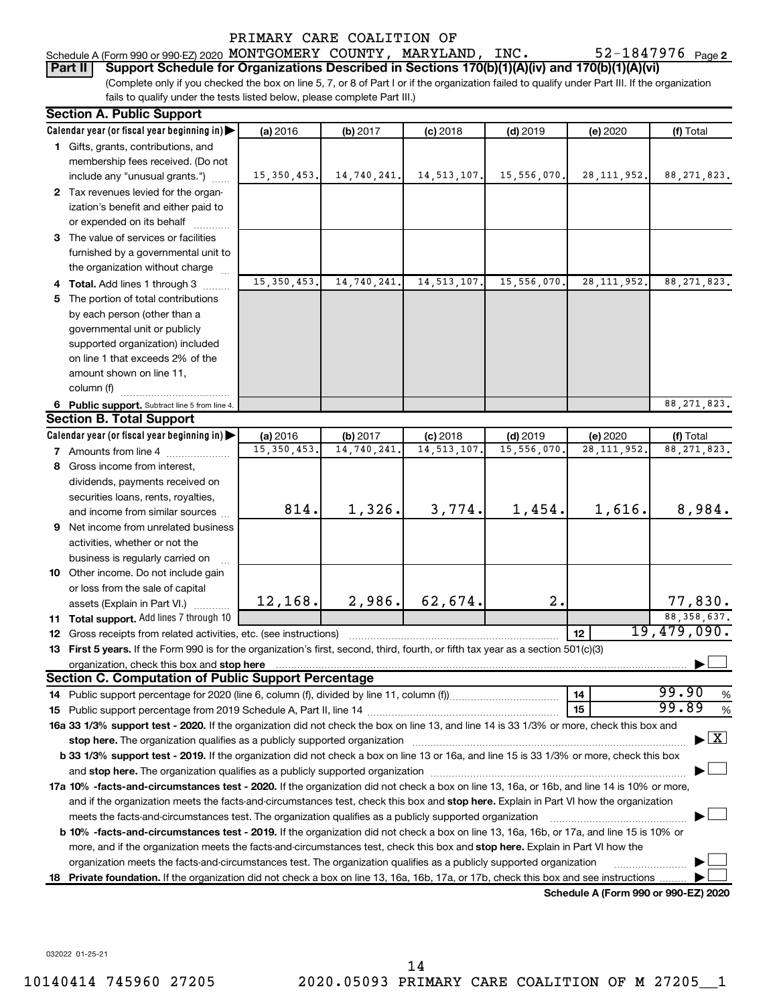### Schedule A (Form 990 or 990-EZ) 2020 MONTGOMERY COUNTY, MARYLAND, INC.  $52\text{--}1847976$   $_\text{Page}$ **Part II Support Schedule for Organizations Described in Sections 170(b)(1)(A)(iv) and 170(b)(1)(A)(vi)**

52-1847976 Page 2

(Complete only if you checked the box on line 5, 7, or 8 of Part I or if the organization failed to qualify under Part III. If the organization fails to qualify under the tests listed below, please complete Part III.)

| <b>Section A. Public Support</b>                                                                                                           |               |                        |                            |                          |                                      |                                          |
|--------------------------------------------------------------------------------------------------------------------------------------------|---------------|------------------------|----------------------------|--------------------------|--------------------------------------|------------------------------------------|
| Calendar year (or fiscal year beginning in)                                                                                                | (a) 2016      | (b) 2017               | $(c)$ 2018                 | $(d)$ 2019               | (e) 2020                             | (f) Total                                |
| 1 Gifts, grants, contributions, and                                                                                                        |               |                        |                            |                          |                                      |                                          |
| membership fees received. (Do not                                                                                                          |               |                        |                            |                          |                                      |                                          |
| include any "unusual grants.")                                                                                                             | 15, 350, 453. | 14,740,241.            | 14, 513, 107.              | 15,556,070.              | 28, 111, 952.                        | 88, 271, 823.                            |
| 2 Tax revenues levied for the organ-                                                                                                       |               |                        |                            |                          |                                      |                                          |
| ization's benefit and either paid to                                                                                                       |               |                        |                            |                          |                                      |                                          |
| or expended on its behalf                                                                                                                  |               |                        |                            |                          |                                      |                                          |
| 3 The value of services or facilities                                                                                                      |               |                        |                            |                          |                                      |                                          |
| furnished by a governmental unit to                                                                                                        |               |                        |                            |                          |                                      |                                          |
| the organization without charge                                                                                                            |               |                        |                            |                          |                                      |                                          |
| 4 Total. Add lines 1 through 3                                                                                                             | 15, 350, 453. | 14,740,241             | 14, 513, 107               | 15,556,070.              | 28, 111, 952.                        | 88, 271, 823.                            |
| 5 The portion of total contributions                                                                                                       |               |                        |                            |                          |                                      |                                          |
| by each person (other than a                                                                                                               |               |                        |                            |                          |                                      |                                          |
| governmental unit or publicly                                                                                                              |               |                        |                            |                          |                                      |                                          |
| supported organization) included                                                                                                           |               |                        |                            |                          |                                      |                                          |
| on line 1 that exceeds 2% of the                                                                                                           |               |                        |                            |                          |                                      |                                          |
| amount shown on line 11,                                                                                                                   |               |                        |                            |                          |                                      |                                          |
| column (f)                                                                                                                                 |               |                        |                            |                          |                                      |                                          |
| 6 Public support. Subtract line 5 from line 4.                                                                                             |               |                        |                            |                          |                                      | 88, 271, 823.                            |
| <b>Section B. Total Support</b>                                                                                                            |               |                        |                            |                          |                                      |                                          |
| Calendar year (or fiscal year beginning in)                                                                                                | (a) 2016      |                        |                            |                          |                                      | (f) Total                                |
|                                                                                                                                            | 15, 350, 453  | (b) 2017<br>14,740,241 | $(c)$ 2018<br>14, 513, 107 | $(d)$ 2019<br>15,556,070 | (e) 2020<br>28, 111, 952             | 88, 271, 823.                            |
| <b>7</b> Amounts from line 4                                                                                                               |               |                        |                            |                          |                                      |                                          |
| 8 Gross income from interest,                                                                                                              |               |                        |                            |                          |                                      |                                          |
| dividends, payments received on                                                                                                            |               |                        |                            |                          |                                      |                                          |
| securities loans, rents, royalties,                                                                                                        | 814.          | 1,326.                 | 3,774.                     |                          |                                      | 8,984.                                   |
| and income from similar sources                                                                                                            |               |                        |                            | 1,454.                   | 1,616.                               |                                          |
| 9 Net income from unrelated business                                                                                                       |               |                        |                            |                          |                                      |                                          |
| activities, whether or not the                                                                                                             |               |                        |                            |                          |                                      |                                          |
| business is regularly carried on                                                                                                           |               |                        |                            |                          |                                      |                                          |
| 10 Other income. Do not include gain                                                                                                       |               |                        |                            |                          |                                      |                                          |
| or loss from the sale of capital                                                                                                           |               |                        |                            |                          |                                      |                                          |
| assets (Explain in Part VI.)                                                                                                               | 12,168.       | 2,986.                 | 62,674.                    | 2.                       |                                      | 77,830.                                  |
| 11 Total support. Add lines 7 through 10                                                                                                   |               |                        |                            |                          |                                      | 88, 358, 637.                            |
| <b>12</b> Gross receipts from related activities, etc. (see instructions)                                                                  |               |                        |                            |                          | 12                                   | 19,479,090.                              |
| 13 First 5 years. If the Form 990 is for the organization's first, second, third, fourth, or fifth tax year as a section 501(c)(3)         |               |                        |                            |                          |                                      |                                          |
|                                                                                                                                            |               |                        |                            |                          |                                      |                                          |
| Section C. Computation of Public Support Percentage                                                                                        |               |                        |                            |                          |                                      |                                          |
|                                                                                                                                            |               |                        |                            |                          | 14                                   | 99.90<br>%                               |
|                                                                                                                                            |               |                        |                            |                          | 15                                   | 99.89<br>$\%$                            |
| 16a 33 1/3% support test - 2020. If the organization did not check the box on line 13, and line 14 is 33 1/3% or more, check this box and  |               |                        |                            |                          |                                      |                                          |
|                                                                                                                                            |               |                        |                            |                          |                                      | $\blacktriangleright$ $\boxed{\text{X}}$ |
| b 33 1/3% support test - 2019. If the organization did not check a box on line 13 or 16a, and line 15 is 33 1/3% or more, check this box   |               |                        |                            |                          |                                      |                                          |
|                                                                                                                                            |               |                        |                            |                          |                                      |                                          |
| 17a 10% -facts-and-circumstances test - 2020. If the organization did not check a box on line 13, 16a, or 16b, and line 14 is 10% or more, |               |                        |                            |                          |                                      |                                          |
| and if the organization meets the facts-and-circumstances test, check this box and stop here. Explain in Part VI how the organization      |               |                        |                            |                          |                                      |                                          |
| meets the facts-and-circumstances test. The organization qualifies as a publicly supported organization                                    |               |                        |                            |                          |                                      |                                          |
| b 10% -facts-and-circumstances test - 2019. If the organization did not check a box on line 13, 16a, 16b, or 17a, and line 15 is 10% or    |               |                        |                            |                          |                                      |                                          |
| more, and if the organization meets the facts-and-circumstances test, check this box and stop here. Explain in Part VI how the             |               |                        |                            |                          |                                      |                                          |
| organization meets the facts-and-circumstances test. The organization qualifies as a publicly supported organization                       |               |                        |                            |                          |                                      |                                          |
| 18 Private foundation. If the organization did not check a box on line 13, 16a, 16b, 17a, or 17b, check this box and see instructions      |               |                        |                            |                          |                                      |                                          |
|                                                                                                                                            |               |                        |                            |                          | Schedule A (Form 990 or 990-F7) 2020 |                                          |

**Schedule A (Form 990 or 990-EZ) 2020**

032022 01-25-21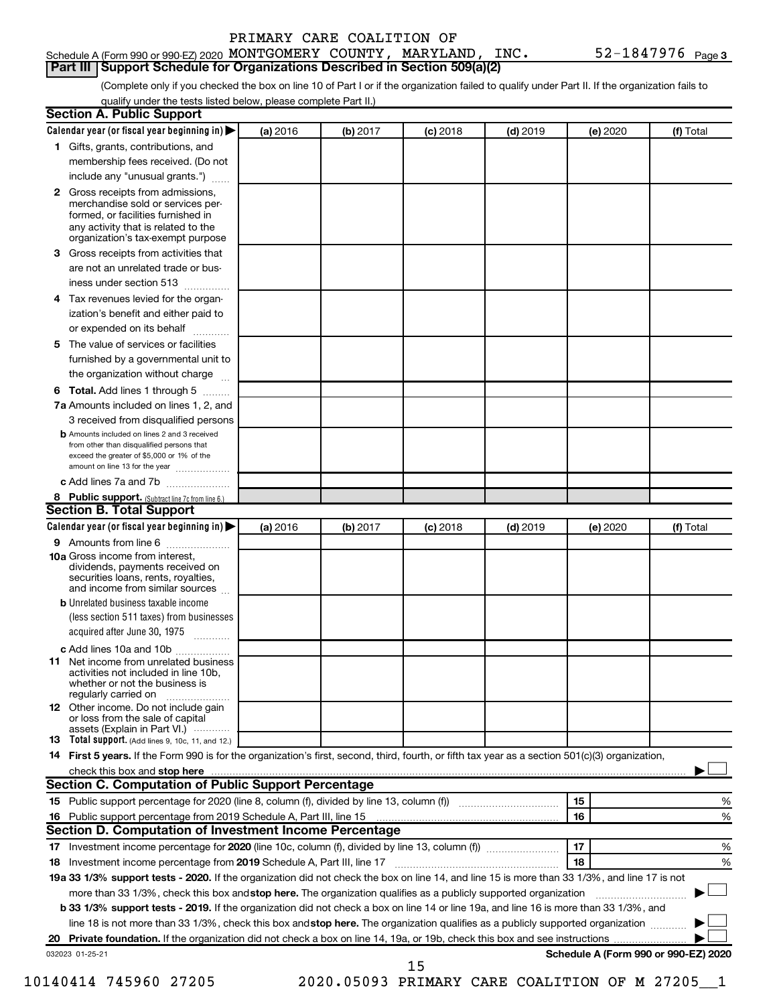| PRIMARY CARE COALITION OF |  |
|---------------------------|--|
|---------------------------|--|

### Schedule A (Form 990 or 990-EZ) 2020 MONTGOMERY COUNTY, MARYLAND, INC.  $52\text{--}1847976$   $_\text{Page}$ **Part III Support Schedule for Organizations Described in Section 509(a)(2)**

(Complete only if you checked the box on line 10 of Part I or if the organization failed to qualify under Part II. If the organization fails to qualify under the tests listed below, please complete Part II.)

|    | Calendar year (or fiscal year beginning in)                                                                                                                                      | (a) 2016 | (b) 2017 | $(c)$ 2018 | $(d)$ 2019 |          | (e) 2020 | (f) Total |
|----|----------------------------------------------------------------------------------------------------------------------------------------------------------------------------------|----------|----------|------------|------------|----------|----------|-----------|
|    | 1 Gifts, grants, contributions, and                                                                                                                                              |          |          |            |            |          |          |           |
|    | membership fees received. (Do not                                                                                                                                                |          |          |            |            |          |          |           |
|    | include any "unusual grants.")                                                                                                                                                   |          |          |            |            |          |          |           |
|    | 2 Gross receipts from admissions,<br>merchandise sold or services per-<br>formed, or facilities furnished in<br>any activity that is related to the                              |          |          |            |            |          |          |           |
|    | organization's tax-exempt purpose                                                                                                                                                |          |          |            |            |          |          |           |
| 3  | Gross receipts from activities that                                                                                                                                              |          |          |            |            |          |          |           |
|    | are not an unrelated trade or bus-<br>iness under section 513                                                                                                                    |          |          |            |            |          |          |           |
| 4  | Tax revenues levied for the organ-                                                                                                                                               |          |          |            |            |          |          |           |
|    | ization's benefit and either paid to<br>or expended on its behalf<br>.                                                                                                           |          |          |            |            |          |          |           |
| 5. | The value of services or facilities                                                                                                                                              |          |          |            |            |          |          |           |
|    | furnished by a governmental unit to                                                                                                                                              |          |          |            |            |          |          |           |
|    | the organization without charge                                                                                                                                                  |          |          |            |            |          |          |           |
| 6  | Total. Add lines 1 through 5                                                                                                                                                     |          |          |            |            |          |          |           |
|    | 7a Amounts included on lines 1, 2, and                                                                                                                                           |          |          |            |            |          |          |           |
|    | 3 received from disqualified persons                                                                                                                                             |          |          |            |            |          |          |           |
|    | <b>b</b> Amounts included on lines 2 and 3 received<br>from other than disqualified persons that<br>exceed the greater of \$5,000 or 1% of the<br>amount on line 13 for the year |          |          |            |            |          |          |           |
|    | c Add lines 7a and 7b                                                                                                                                                            |          |          |            |            |          |          |           |
|    | 8 Public support. (Subtract line 7c from line 6.)                                                                                                                                |          |          |            |            |          |          |           |
|    | <b>Section B. Total Support</b>                                                                                                                                                  |          |          |            |            |          |          |           |
|    | Calendar year (or fiscal year beginning in)                                                                                                                                      | (a) 2016 | (b) 2017 | $(c)$ 2018 | $(d)$ 2019 |          | (e) 2020 | (f) Total |
|    | <b>9</b> Amounts from line 6                                                                                                                                                     |          |          |            |            |          |          |           |
|    | <b>10a</b> Gross income from interest,<br>dividends, payments received on<br>securities loans, rents, royalties,<br>and income from similar sources                              |          |          |            |            |          |          |           |
|    | <b>b</b> Unrelated business taxable income                                                                                                                                       |          |          |            |            |          |          |           |
|    | (less section 511 taxes) from businesses<br>acquired after June 30, 1975 [[11, 11, 11, 11]                                                                                       |          |          |            |            |          |          |           |
|    | c Add lines 10a and 10b                                                                                                                                                          |          |          |            |            |          |          |           |
| 11 | Net income from unrelated business<br>activities not included in line 10b.<br>whether or not the business is<br>regularly carried on                                             |          |          |            |            |          |          |           |
|    | <b>12</b> Other income. Do not include gain<br>or loss from the sale of capital<br>assets (Explain in Part VI.)                                                                  |          |          |            |            |          |          |           |
|    | <b>13</b> Total support. (Add lines 9, 10c, 11, and 12.)                                                                                                                         |          |          |            |            |          |          |           |
|    | 14 First 5 years. If the Form 990 is for the organization's first, second, third, fourth, or fifth tax year as a section 501(c)(3) organization,                                 |          |          |            |            |          |          |           |
|    |                                                                                                                                                                                  |          |          |            |            |          |          |           |
|    |                                                                                                                                                                                  |          |          |            |            |          |          |           |
|    |                                                                                                                                                                                  |          |          |            |            |          |          |           |
|    | Section C. Computation of Public Support Percentage                                                                                                                              |          |          |            |            | 15       |          | %         |
|    |                                                                                                                                                                                  |          |          |            |            | 16       |          | %         |
|    |                                                                                                                                                                                  |          |          |            |            |          |          |           |
|    | Section D. Computation of Investment Income Percentage                                                                                                                           |          |          |            |            |          |          |           |
|    |                                                                                                                                                                                  |          |          |            |            | 17<br>18 |          | %         |
|    | 18 Investment income percentage from 2019 Schedule A, Part III, line 17                                                                                                          |          |          |            |            |          |          | %         |
|    | 19a 33 1/3% support tests - 2020. If the organization did not check the box on line 14, and line 15 is more than 33 1/3%, and line 17 is not                                     |          |          |            |            |          |          |           |
|    | more than 33 1/3%, check this box and stop here. The organization qualifies as a publicly supported organization                                                                 |          |          |            |            |          |          |           |
|    | b 33 1/3% support tests - 2019. If the organization did not check a box on line 14 or line 19a, and line 16 is more than 33 1/3%, and                                            |          |          |            |            |          |          |           |
|    | line 18 is not more than 33 1/3%, check this box and stop here. The organization qualifies as a publicly supported organization                                                  |          |          |            |            |          |          |           |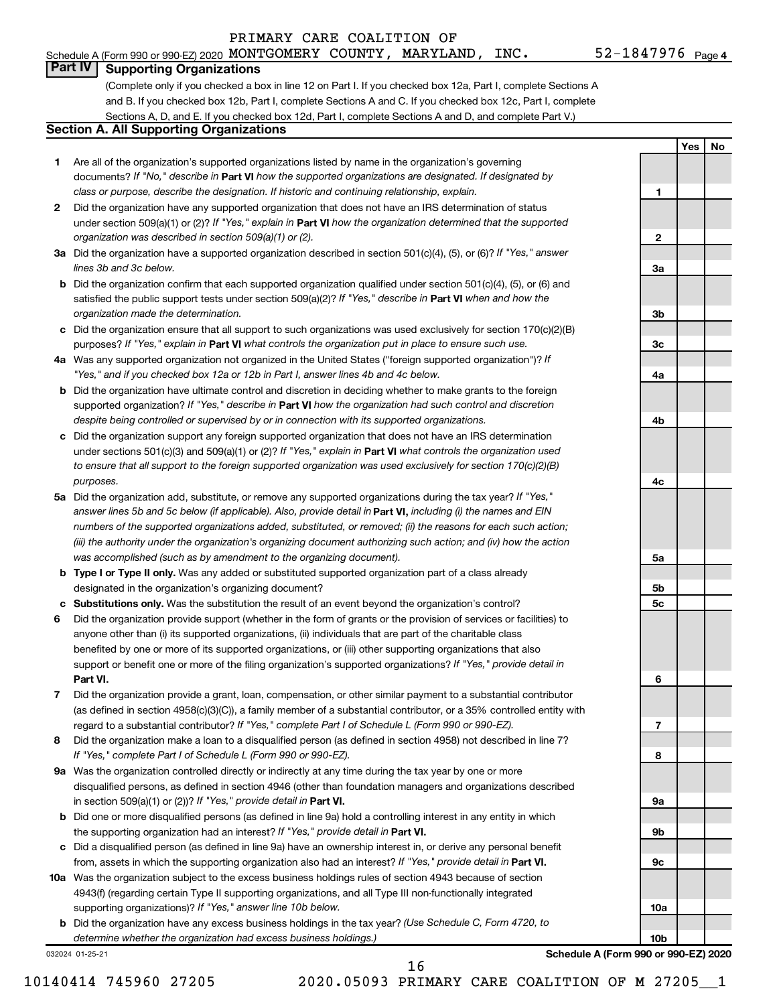### Schedule A (Form 990 or 990-EZ) 2020 MONTGOMERY COUNTY, MARYLAND, INC.  $52\text{--}1847976$   $_\text{Page}$

**1**

**2**

**3a**

**3b**

**3c**

**4a**

**4b**

**4c**

**5a**

**5b 5c**

**6**

**7**

**8**

**9a**

**9b**

**9c**

**10a**

**10b**

**Yes No**

## **Part IV Supporting Organizations**

(Complete only if you checked a box in line 12 on Part I. If you checked box 12a, Part I, complete Sections A and B. If you checked box 12b, Part I, complete Sections A and C. If you checked box 12c, Part I, complete Sections A, D, and E. If you checked box 12d, Part I, complete Sections A and D, and complete Part V.)

## **Section A. All Supporting Organizations**

- **1** Are all of the organization's supported organizations listed by name in the organization's governing documents? If "No," describe in Part VI how the supported organizations are designated. If designated by *class or purpose, describe the designation. If historic and continuing relationship, explain.*
- **2** Did the organization have any supported organization that does not have an IRS determination of status under section 509(a)(1) or (2)? If "Yes," explain in Part **VI** how the organization determined that the supported *organization was described in section 509(a)(1) or (2).*
- **3a** Did the organization have a supported organization described in section 501(c)(4), (5), or (6)? If "Yes," answer *lines 3b and 3c below.*
- **b** Did the organization confirm that each supported organization qualified under section 501(c)(4), (5), or (6) and satisfied the public support tests under section 509(a)(2)? If "Yes," describe in Part VI when and how the *organization made the determination.*
- **c** Did the organization ensure that all support to such organizations was used exclusively for section 170(c)(2)(B) purposes? If "Yes," explain in Part VI what controls the organization put in place to ensure such use.
- **4 a** *If* Was any supported organization not organized in the United States ("foreign supported organization")? *"Yes," and if you checked box 12a or 12b in Part I, answer lines 4b and 4c below.*
- **b** Did the organization have ultimate control and discretion in deciding whether to make grants to the foreign supported organization? If "Yes," describe in Part VI how the organization had such control and discretion *despite being controlled or supervised by or in connection with its supported organizations.*
- **c** Did the organization support any foreign supported organization that does not have an IRS determination under sections 501(c)(3) and 509(a)(1) or (2)? If "Yes," explain in Part VI what controls the organization used *to ensure that all support to the foreign supported organization was used exclusively for section 170(c)(2)(B) purposes.*
- **5a** Did the organization add, substitute, or remove any supported organizations during the tax year? If "Yes," answer lines 5b and 5c below (if applicable). Also, provide detail in **Part VI,** including (i) the names and EIN *numbers of the supported organizations added, substituted, or removed; (ii) the reasons for each such action; (iii) the authority under the organization's organizing document authorizing such action; and (iv) how the action was accomplished (such as by amendment to the organizing document).*
- **b** Type I or Type II only. Was any added or substituted supported organization part of a class already designated in the organization's organizing document?
- **c Substitutions only.**  Was the substitution the result of an event beyond the organization's control?
- **6** Did the organization provide support (whether in the form of grants or the provision of services or facilities) to **Part VI.** support or benefit one or more of the filing organization's supported organizations? If "Yes," provide detail in anyone other than (i) its supported organizations, (ii) individuals that are part of the charitable class benefited by one or more of its supported organizations, or (iii) other supporting organizations that also
- **7** Did the organization provide a grant, loan, compensation, or other similar payment to a substantial contributor regard to a substantial contributor? If "Yes," complete Part I of Schedule L (Form 990 or 990-EZ). (as defined in section 4958(c)(3)(C)), a family member of a substantial contributor, or a 35% controlled entity with
- **8** Did the organization make a loan to a disqualified person (as defined in section 4958) not described in line 7? *If "Yes," complete Part I of Schedule L (Form 990 or 990-EZ).*
- **9 a** Was the organization controlled directly or indirectly at any time during the tax year by one or more in section 509(a)(1) or (2))? If "Yes," provide detail in **Part VI.** disqualified persons, as defined in section 4946 (other than foundation managers and organizations described
- **b** Did one or more disqualified persons (as defined in line 9a) hold a controlling interest in any entity in which the supporting organization had an interest? If "Yes," provide detail in Part VI.
- **c** Did a disqualified person (as defined in line 9a) have an ownership interest in, or derive any personal benefit from, assets in which the supporting organization also had an interest? If "Yes," provide detail in Part VI.
- **10 a** Was the organization subject to the excess business holdings rules of section 4943 because of section supporting organizations)? If "Yes," answer line 10b below. 4943(f) (regarding certain Type II supporting organizations, and all Type III non-functionally integrated
	- **b** Did the organization have any excess business holdings in the tax year? (Use Schedule C, Form 4720, to *determine whether the organization had excess business holdings.)*

032024 01-25-21

**Schedule A (Form 990 or 990-EZ) 2020**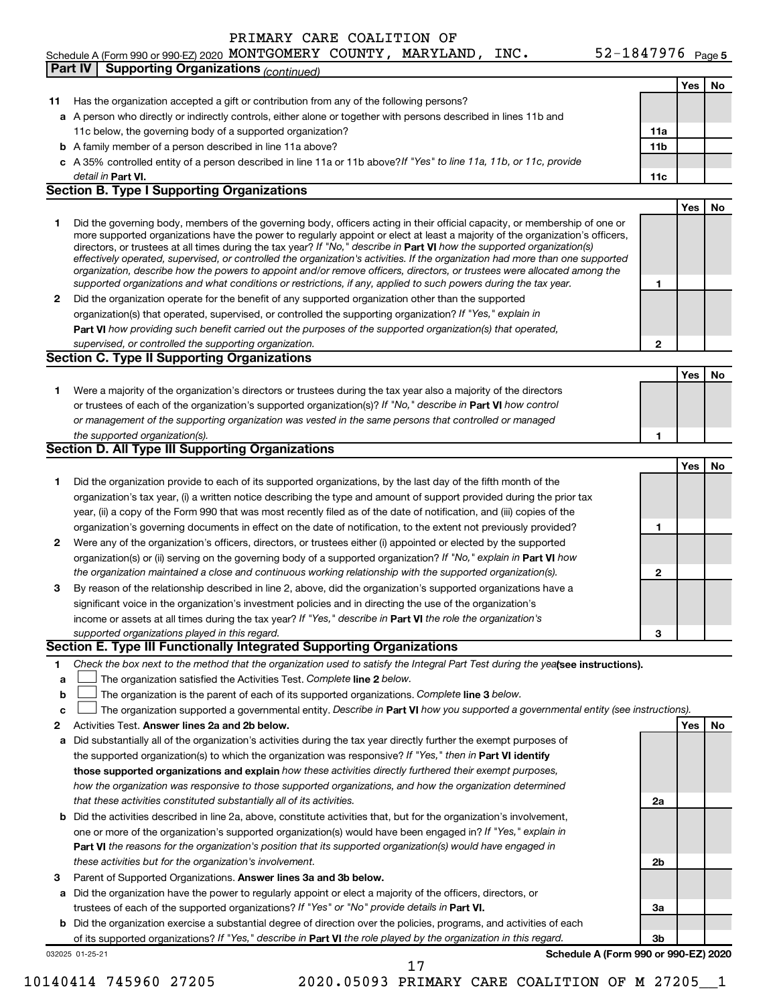### Schedule A (Form 990 or 990-EZ) 2020 MONTGOMERY COUNTY, MARYLAND, INC.  $52\text{--}1847976$   $_\text{Page}$ **Part IV Supporting Organizations** *(continued)*

|              |                                                                                                                                                                                                                                              |              | Yes        | No  |
|--------------|----------------------------------------------------------------------------------------------------------------------------------------------------------------------------------------------------------------------------------------------|--------------|------------|-----|
| 11           | Has the organization accepted a gift or contribution from any of the following persons?                                                                                                                                                      |              |            |     |
|              | a A person who directly or indirectly controls, either alone or together with persons described in lines 11b and                                                                                                                             |              |            |     |
|              | 11c below, the governing body of a supported organization?                                                                                                                                                                                   | 11a          |            |     |
|              | <b>b</b> A family member of a person described in line 11a above?                                                                                                                                                                            | 11b          |            |     |
|              | c A 35% controlled entity of a person described in line 11a or 11b above?If "Yes" to line 11a, 11b, or 11c, provide                                                                                                                          |              |            |     |
|              | detail in Part VI.                                                                                                                                                                                                                           | 11c          |            |     |
|              | <b>Section B. Type I Supporting Organizations</b>                                                                                                                                                                                            |              |            |     |
|              |                                                                                                                                                                                                                                              |              | <b>Yes</b> | No. |
| 1            | Did the governing body, members of the governing body, officers acting in their official capacity, or membership of one or                                                                                                                   |              |            |     |
|              | more supported organizations have the power to regularly appoint or elect at least a majority of the organization's officers,                                                                                                                |              |            |     |
|              | directors, or trustees at all times during the tax year? If "No," describe in Part VI how the supported organization(s)                                                                                                                      |              |            |     |
|              | effectively operated, supervised, or controlled the organization's activities. If the organization had more than one supported                                                                                                               |              |            |     |
|              | organization, describe how the powers to appoint and/or remove officers, directors, or trustees were allocated among the<br>supported organizations and what conditions or restrictions, if any, applied to such powers during the tax year. | 1            |            |     |
| $\mathbf{2}$ | Did the organization operate for the benefit of any supported organization other than the supported                                                                                                                                          |              |            |     |
|              | organization(s) that operated, supervised, or controlled the supporting organization? If "Yes," explain in                                                                                                                                   |              |            |     |
|              | Part VI how providing such benefit carried out the purposes of the supported organization(s) that operated,                                                                                                                                  |              |            |     |
|              |                                                                                                                                                                                                                                              | $\mathbf{2}$ |            |     |
|              | supervised, or controlled the supporting organization.<br>Section C. Type II Supporting Organizations                                                                                                                                        |              |            |     |
|              |                                                                                                                                                                                                                                              |              |            |     |
|              |                                                                                                                                                                                                                                              |              | <b>Yes</b> | No. |
| 1.           | Were a majority of the organization's directors or trustees during the tax year also a majority of the directors                                                                                                                             |              |            |     |
|              | or trustees of each of the organization's supported organization(s)? If "No," describe in Part VI how control                                                                                                                                |              |            |     |
|              | or management of the supporting organization was vested in the same persons that controlled or managed                                                                                                                                       |              |            |     |
|              | the supported organization(s).<br><b>Section D. All Type III Supporting Organizations</b>                                                                                                                                                    | 1            |            |     |
|              |                                                                                                                                                                                                                                              |              |            |     |
|              |                                                                                                                                                                                                                                              |              | <b>Yes</b> | No  |
| 1.           | Did the organization provide to each of its supported organizations, by the last day of the fifth month of the                                                                                                                               |              |            |     |
|              | organization's tax year, (i) a written notice describing the type and amount of support provided during the prior tax                                                                                                                        |              |            |     |
|              | year, (ii) a copy of the Form 990 that was most recently filed as of the date of notification, and (iii) copies of the                                                                                                                       |              |            |     |
|              | organization's governing documents in effect on the date of notification, to the extent not previously provided?                                                                                                                             | 1            |            |     |
| $\mathbf{2}$ | Were any of the organization's officers, directors, or trustees either (i) appointed or elected by the supported                                                                                                                             |              |            |     |
|              | organization(s) or (ii) serving on the governing body of a supported organization? If "No," explain in Part VI how                                                                                                                           |              |            |     |
|              | the organization maintained a close and continuous working relationship with the supported organization(s).                                                                                                                                  | 2            |            |     |
| 3            | By reason of the relationship described in line 2, above, did the organization's supported organizations have a                                                                                                                              |              |            |     |
|              | significant voice in the organization's investment policies and in directing the use of the organization's                                                                                                                                   |              |            |     |
|              | income or assets at all times during the tax year? If "Yes," describe in Part VI the role the organization's                                                                                                                                 |              |            |     |
|              | supported organizations played in this regard.<br>Section E. Type III Functionally Integrated Supporting Organizations                                                                                                                       | 3            |            |     |
|              |                                                                                                                                                                                                                                              |              |            |     |
| 1            | Check the box next to the method that the organization used to satisfy the Integral Part Test during the yealsee instructions).                                                                                                              |              |            |     |
| a            | The organization satisfied the Activities Test. Complete line 2 below.                                                                                                                                                                       |              |            |     |
| b            | The organization is the parent of each of its supported organizations. Complete line 3 below.                                                                                                                                                |              |            |     |
| c            | The organization supported a governmental entity. Describe in Part VI how you supported a governmental entity (see instructions).                                                                                                            |              |            |     |
| 2            | Activities Test. Answer lines 2a and 2b below.                                                                                                                                                                                               |              | Yes        | No  |
| а            | Did substantially all of the organization's activities during the tax year directly further the exempt purposes of                                                                                                                           |              |            |     |
|              | the supported organization(s) to which the organization was responsive? If "Yes," then in Part VI identify                                                                                                                                   |              |            |     |
|              | those supported organizations and explain how these activities directly furthered their exempt purposes,                                                                                                                                     |              |            |     |
|              | how the organization was responsive to those supported organizations, and how the organization determined                                                                                                                                    |              |            |     |
|              | that these activities constituted substantially all of its activities.                                                                                                                                                                       | 2a           |            |     |
|              | <b>b</b> Did the activities described in line 2a, above, constitute activities that, but for the organization's involvement,                                                                                                                 |              |            |     |
|              | one or more of the organization's supported organization(s) would have been engaged in? If "Yes," explain in                                                                                                                                 |              |            |     |
|              | <b>Part VI</b> the reasons for the organization's position that its supported organization(s) would have engaged in                                                                                                                          |              |            |     |
|              | these activities but for the organization's involvement.                                                                                                                                                                                     | 2b           |            |     |
| 3            | Parent of Supported Organizations. Answer lines 3a and 3b below.                                                                                                                                                                             |              |            |     |
|              | a Did the organization have the power to regularly appoint or elect a majority of the officers, directors, or                                                                                                                                |              |            |     |
|              | trustees of each of the supported organizations? If "Yes" or "No" provide details in Part VI.                                                                                                                                                | За           |            |     |
|              | <b>b</b> Did the organization exercise a substantial degree of direction over the policies, programs, and activities of each                                                                                                                 |              |            |     |
|              | of its supported organizations? If "Yes," describe in Part VI the role played by the organization in this regard.                                                                                                                            | Зb           |            |     |
|              | Schedule A (Form 990 or 990-EZ) 2020<br>032025 01-25-21                                                                                                                                                                                      |              |            |     |

<sup>10140414 745960 27205 2020.05093</sup> PRIMARY CARE COALITION OF M 27205\_\_1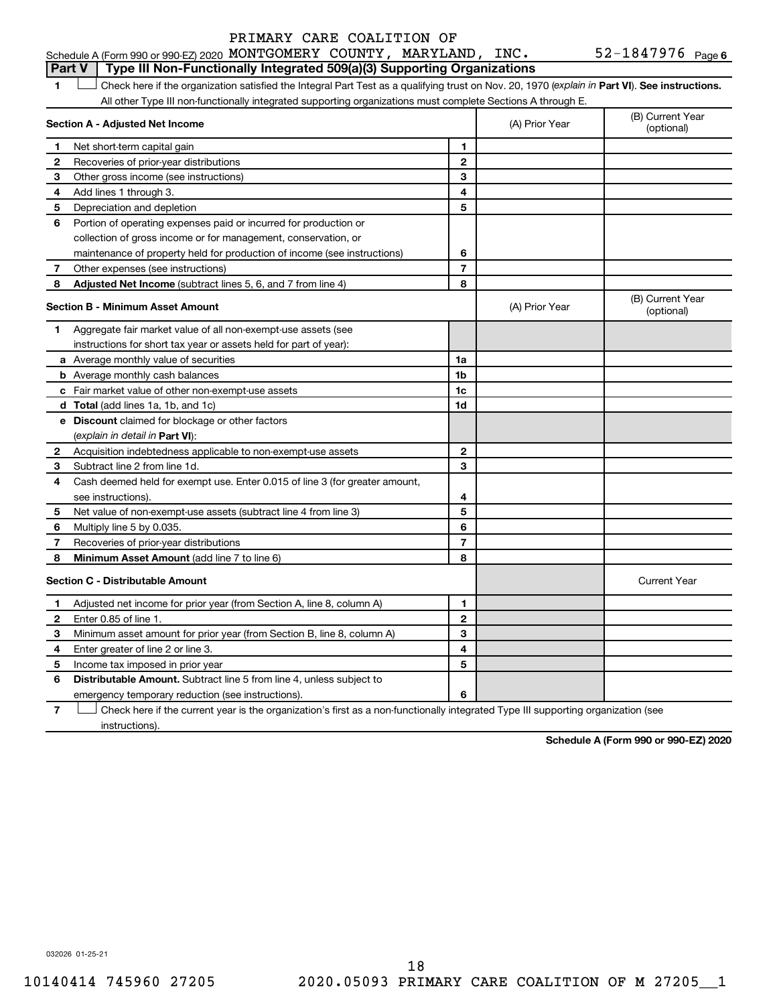## 1 **Letter See instructions.** Check here if the organization satisfied the Integral Part Test as a qualifying trust on Nov. 20, 1970 (*explain in* Part **VI**). See instructions. **Part V Type III Non-Functionally Integrated 509(a)(3) Supporting Organizations**

All other Type III non-functionally integrated supporting organizations must complete Sections A through E.

|    | Section A - Adjusted Net Income                                                                                                   |                | (A) Prior Year | (B) Current Year<br>(optional) |
|----|-----------------------------------------------------------------------------------------------------------------------------------|----------------|----------------|--------------------------------|
| 1  | Net short-term capital gain                                                                                                       | 1              |                |                                |
| 2  | Recoveries of prior-year distributions                                                                                            | $\mathbf{2}$   |                |                                |
| 3  | Other gross income (see instructions)                                                                                             | 3              |                |                                |
| 4  | Add lines 1 through 3.                                                                                                            | 4              |                |                                |
| 5  | Depreciation and depletion                                                                                                        | 5              |                |                                |
| 6  | Portion of operating expenses paid or incurred for production or                                                                  |                |                |                                |
|    | collection of gross income or for management, conservation, or                                                                    |                |                |                                |
|    | maintenance of property held for production of income (see instructions)                                                          | 6              |                |                                |
| 7  | Other expenses (see instructions)                                                                                                 | $\overline{7}$ |                |                                |
| 8  | Adjusted Net Income (subtract lines 5, 6, and 7 from line 4)                                                                      | 8              |                |                                |
|    | <b>Section B - Minimum Asset Amount</b>                                                                                           |                | (A) Prior Year | (B) Current Year<br>(optional) |
| 1. | Aggregate fair market value of all non-exempt-use assets (see                                                                     |                |                |                                |
|    | instructions for short tax year or assets held for part of year):                                                                 |                |                |                                |
|    | a Average monthly value of securities                                                                                             | 1a             |                |                                |
|    | <b>b</b> Average monthly cash balances                                                                                            | 1 <sub>b</sub> |                |                                |
|    | c Fair market value of other non-exempt-use assets                                                                                | 1c             |                |                                |
|    | <b>d</b> Total (add lines 1a, 1b, and 1c)                                                                                         | 1d             |                |                                |
|    | e Discount claimed for blockage or other factors                                                                                  |                |                |                                |
|    | (explain in detail in Part VI):                                                                                                   |                |                |                                |
| 2  | Acquisition indebtedness applicable to non-exempt-use assets                                                                      | $\mathbf{2}$   |                |                                |
| 3  | Subtract line 2 from line 1d.                                                                                                     | 3              |                |                                |
| 4  | Cash deemed held for exempt use. Enter 0.015 of line 3 (for greater amount,                                                       |                |                |                                |
|    | see instructions)                                                                                                                 | 4              |                |                                |
| 5  | Net value of non-exempt-use assets (subtract line 4 from line 3)                                                                  | 5              |                |                                |
| 6  | Multiply line 5 by 0.035.                                                                                                         | 6              |                |                                |
| 7  | Recoveries of prior-year distributions                                                                                            | $\overline{7}$ |                |                                |
| 8  | Minimum Asset Amount (add line 7 to line 6)                                                                                       | 8              |                |                                |
|    | <b>Section C - Distributable Amount</b>                                                                                           |                |                | <b>Current Year</b>            |
| 1  | Adjusted net income for prior year (from Section A, line 8, column A)                                                             | 1              |                |                                |
| 2  | Enter 0.85 of line 1.                                                                                                             | $\mathbf{2}$   |                |                                |
| 3  | Minimum asset amount for prior year (from Section B, line 8, column A)                                                            | 3              |                |                                |
| 4  | Enter greater of line 2 or line 3.                                                                                                | 4              |                |                                |
| 5  | Income tax imposed in prior year                                                                                                  | 5              |                |                                |
| 6  | <b>Distributable Amount.</b> Subtract line 5 from line 4, unless subject to                                                       |                |                |                                |
|    | emergency temporary reduction (see instructions).                                                                                 | 6              |                |                                |
| 7  | Check here if the current year is the organization's first as a non-functionally integrated Type III supporting organization (see |                |                |                                |

**7** instructions).

**Schedule A (Form 990 or 990-EZ) 2020**

032026 01-25-21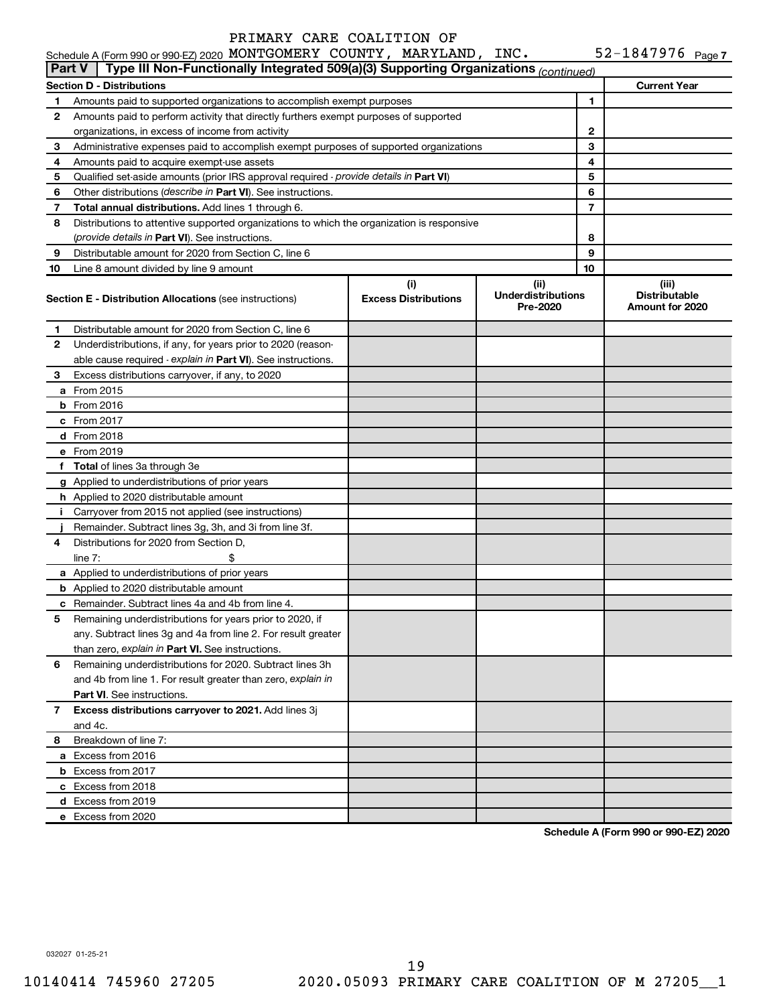|               | Schedule A (Form 990 or 990-EZ) 2020 MONTGOMERY COUNTY, MARYLAND, INC.                     |                                    |                                               |    | 52-1847976 $_{Page 7}$                           |
|---------------|--------------------------------------------------------------------------------------------|------------------------------------|-----------------------------------------------|----|--------------------------------------------------|
| <b>Part V</b> | Type III Non-Functionally Integrated 509(a)(3) Supporting Organizations (continued)        |                                    |                                               |    |                                                  |
|               | <b>Section D - Distributions</b>                                                           |                                    |                                               |    | <b>Current Year</b>                              |
| 1             | Amounts paid to supported organizations to accomplish exempt purposes                      |                                    |                                               | 1  |                                                  |
| 2             | Amounts paid to perform activity that directly furthers exempt purposes of supported       |                                    |                                               |    |                                                  |
|               | organizations, in excess of income from activity                                           |                                    |                                               | 2  |                                                  |
| 3             | Administrative expenses paid to accomplish exempt purposes of supported organizations      |                                    |                                               | 3  |                                                  |
| 4             | Amounts paid to acquire exempt-use assets                                                  |                                    |                                               | 4  |                                                  |
| 5             | Qualified set-aside amounts (prior IRS approval required - provide details in Part VI)     |                                    |                                               | 5  |                                                  |
| 6             | Other distributions (describe in Part VI). See instructions.                               |                                    |                                               | 6  |                                                  |
| 7             | Total annual distributions. Add lines 1 through 6.                                         |                                    |                                               | 7  |                                                  |
| 8             | Distributions to attentive supported organizations to which the organization is responsive |                                    |                                               |    |                                                  |
|               | (provide details in Part VI). See instructions.                                            |                                    |                                               | 8  |                                                  |
| 9             | Distributable amount for 2020 from Section C, line 6                                       |                                    |                                               | 9  |                                                  |
| 10            | Line 8 amount divided by line 9 amount                                                     |                                    |                                               | 10 |                                                  |
|               | <b>Section E - Distribution Allocations (see instructions)</b>                             | (i)<br><b>Excess Distributions</b> | (ii)<br><b>Underdistributions</b><br>Pre-2020 |    | (iii)<br><b>Distributable</b><br>Amount for 2020 |
| 1             | Distributable amount for 2020 from Section C, line 6                                       |                                    |                                               |    |                                                  |
| 2             | Underdistributions, if any, for years prior to 2020 (reason-                               |                                    |                                               |    |                                                  |
|               | able cause required - explain in Part VI). See instructions.                               |                                    |                                               |    |                                                  |
| 3             | Excess distributions carryover, if any, to 2020                                            |                                    |                                               |    |                                                  |
|               | a From 2015                                                                                |                                    |                                               |    |                                                  |
|               | $b$ From 2016                                                                              |                                    |                                               |    |                                                  |
|               | c From 2017                                                                                |                                    |                                               |    |                                                  |
|               | <b>d</b> From 2018                                                                         |                                    |                                               |    |                                                  |
|               | e From 2019                                                                                |                                    |                                               |    |                                                  |
|               | f Total of lines 3a through 3e                                                             |                                    |                                               |    |                                                  |
|               | g Applied to underdistributions of prior years                                             |                                    |                                               |    |                                                  |
|               | <b>h</b> Applied to 2020 distributable amount                                              |                                    |                                               |    |                                                  |
| Ť.            | Carryover from 2015 not applied (see instructions)                                         |                                    |                                               |    |                                                  |
|               | Remainder. Subtract lines 3g, 3h, and 3i from line 3f.                                     |                                    |                                               |    |                                                  |
| 4             | Distributions for 2020 from Section D,                                                     |                                    |                                               |    |                                                  |
|               | line $7:$                                                                                  |                                    |                                               |    |                                                  |
|               | a Applied to underdistributions of prior years                                             |                                    |                                               |    |                                                  |
|               | <b>b</b> Applied to 2020 distributable amount                                              |                                    |                                               |    |                                                  |
|               | c Remainder. Subtract lines 4a and 4b from line 4.                                         |                                    |                                               |    |                                                  |
|               | 5 Remaining underdistributions for years prior to 2020, if                                 |                                    |                                               |    |                                                  |
|               | any. Subtract lines 3q and 4a from line 2. For result greater                              |                                    |                                               |    |                                                  |
|               | than zero, explain in Part VI. See instructions.                                           |                                    |                                               |    |                                                  |
| 6             | Remaining underdistributions for 2020. Subtract lines 3h                                   |                                    |                                               |    |                                                  |
|               | and 4b from line 1. For result greater than zero, explain in                               |                                    |                                               |    |                                                  |
|               | <b>Part VI.</b> See instructions.                                                          |                                    |                                               |    |                                                  |
| 7             | Excess distributions carryover to 2021. Add lines 3j                                       |                                    |                                               |    |                                                  |
|               | and 4c.                                                                                    |                                    |                                               |    |                                                  |
| 8             | Breakdown of line 7:                                                                       |                                    |                                               |    |                                                  |
|               | a Excess from 2016                                                                         |                                    |                                               |    |                                                  |
|               | <b>b</b> Excess from 2017                                                                  |                                    |                                               |    |                                                  |
|               | c Excess from 2018                                                                         |                                    |                                               |    |                                                  |
|               | d Excess from 2019                                                                         |                                    |                                               |    |                                                  |
|               | e Excess from 2020                                                                         |                                    |                                               |    |                                                  |

**Schedule A (Form 990 or 990-EZ) 2020**

032027 01-25-21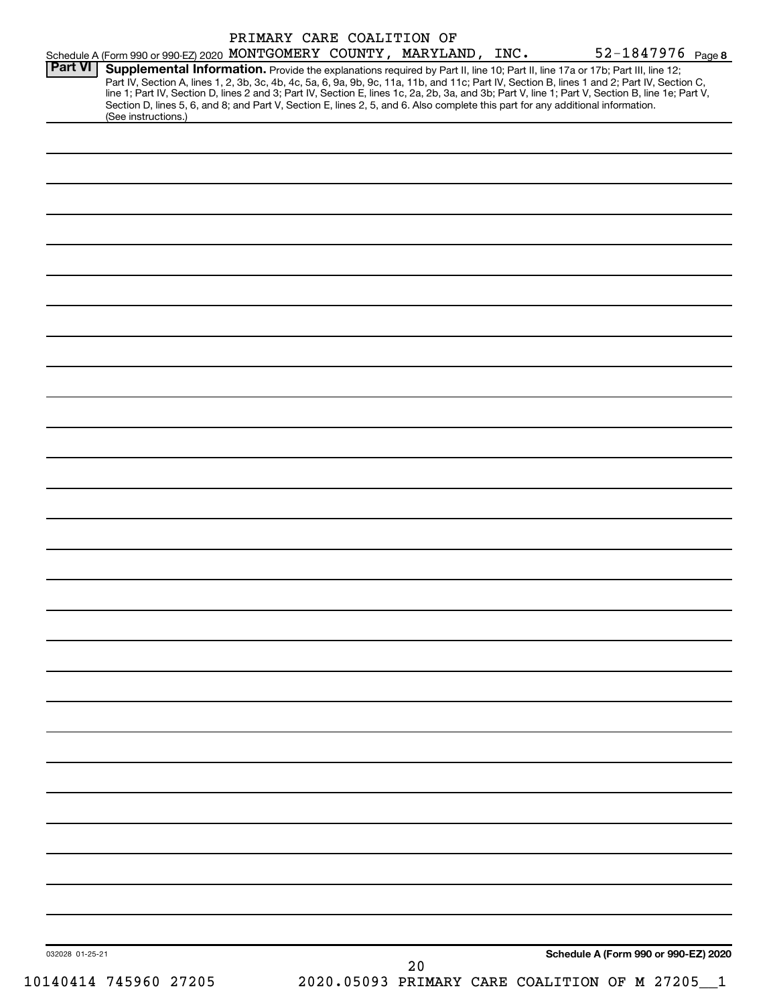|                 | Schedule A (Form 990 or 990-EZ) 2020 MONTGOMERY COUNTY, MARYLAND, INC.                                                                                                                                                                                                                  | PRIMARY CARE COALITION OF |  |  | 52-1847976 Page 8                                                                                                                                                                                                                                                                                |
|-----------------|-----------------------------------------------------------------------------------------------------------------------------------------------------------------------------------------------------------------------------------------------------------------------------------------|---------------------------|--|--|--------------------------------------------------------------------------------------------------------------------------------------------------------------------------------------------------------------------------------------------------------------------------------------------------|
| <b>Part VI</b>  | Supplemental Information. Provide the explanations required by Part II, line 10; Part II, line 17a or 17b; Part III, line 12;<br>Section D, lines 5, 6, and 8; and Part V, Section E, lines 2, 5, and 6. Also complete this part for any additional information.<br>(See instructions.) |                           |  |  | Part IV, Section A, lines 1, 2, 3b, 3c, 4b, 4c, 5a, 6, 9a, 9b, 9c, 11a, 11b, and 11c; Part IV, Section B, lines 1 and 2; Part IV, Section C,<br>line 1; Part IV, Section D, lines 2 and 3; Part IV, Section E, lines 1c, 2a, 2b, 3a, and 3b; Part V, line 1; Part V, Section B, line 1e; Part V, |
|                 |                                                                                                                                                                                                                                                                                         |                           |  |  |                                                                                                                                                                                                                                                                                                  |
|                 |                                                                                                                                                                                                                                                                                         |                           |  |  |                                                                                                                                                                                                                                                                                                  |
|                 |                                                                                                                                                                                                                                                                                         |                           |  |  |                                                                                                                                                                                                                                                                                                  |
|                 |                                                                                                                                                                                                                                                                                         |                           |  |  |                                                                                                                                                                                                                                                                                                  |
|                 |                                                                                                                                                                                                                                                                                         |                           |  |  |                                                                                                                                                                                                                                                                                                  |
|                 |                                                                                                                                                                                                                                                                                         |                           |  |  |                                                                                                                                                                                                                                                                                                  |
|                 |                                                                                                                                                                                                                                                                                         |                           |  |  |                                                                                                                                                                                                                                                                                                  |
|                 |                                                                                                                                                                                                                                                                                         |                           |  |  |                                                                                                                                                                                                                                                                                                  |
|                 |                                                                                                                                                                                                                                                                                         |                           |  |  |                                                                                                                                                                                                                                                                                                  |
|                 |                                                                                                                                                                                                                                                                                         |                           |  |  |                                                                                                                                                                                                                                                                                                  |
|                 |                                                                                                                                                                                                                                                                                         |                           |  |  |                                                                                                                                                                                                                                                                                                  |
|                 |                                                                                                                                                                                                                                                                                         |                           |  |  |                                                                                                                                                                                                                                                                                                  |
|                 |                                                                                                                                                                                                                                                                                         |                           |  |  |                                                                                                                                                                                                                                                                                                  |
|                 |                                                                                                                                                                                                                                                                                         |                           |  |  |                                                                                                                                                                                                                                                                                                  |
|                 |                                                                                                                                                                                                                                                                                         |                           |  |  |                                                                                                                                                                                                                                                                                                  |
|                 |                                                                                                                                                                                                                                                                                         |                           |  |  |                                                                                                                                                                                                                                                                                                  |
|                 |                                                                                                                                                                                                                                                                                         |                           |  |  |                                                                                                                                                                                                                                                                                                  |
|                 |                                                                                                                                                                                                                                                                                         |                           |  |  |                                                                                                                                                                                                                                                                                                  |
|                 |                                                                                                                                                                                                                                                                                         |                           |  |  |                                                                                                                                                                                                                                                                                                  |
|                 |                                                                                                                                                                                                                                                                                         |                           |  |  |                                                                                                                                                                                                                                                                                                  |
|                 |                                                                                                                                                                                                                                                                                         |                           |  |  |                                                                                                                                                                                                                                                                                                  |
|                 |                                                                                                                                                                                                                                                                                         |                           |  |  |                                                                                                                                                                                                                                                                                                  |
|                 |                                                                                                                                                                                                                                                                                         |                           |  |  |                                                                                                                                                                                                                                                                                                  |
|                 |                                                                                                                                                                                                                                                                                         |                           |  |  |                                                                                                                                                                                                                                                                                                  |
|                 |                                                                                                                                                                                                                                                                                         |                           |  |  |                                                                                                                                                                                                                                                                                                  |
|                 |                                                                                                                                                                                                                                                                                         |                           |  |  |                                                                                                                                                                                                                                                                                                  |
|                 |                                                                                                                                                                                                                                                                                         |                           |  |  |                                                                                                                                                                                                                                                                                                  |
|                 |                                                                                                                                                                                                                                                                                         |                           |  |  |                                                                                                                                                                                                                                                                                                  |
| 032028 01-25-21 |                                                                                                                                                                                                                                                                                         |                           |  |  | Schedule A (Form 990 or 990-EZ) 2020                                                                                                                                                                                                                                                             |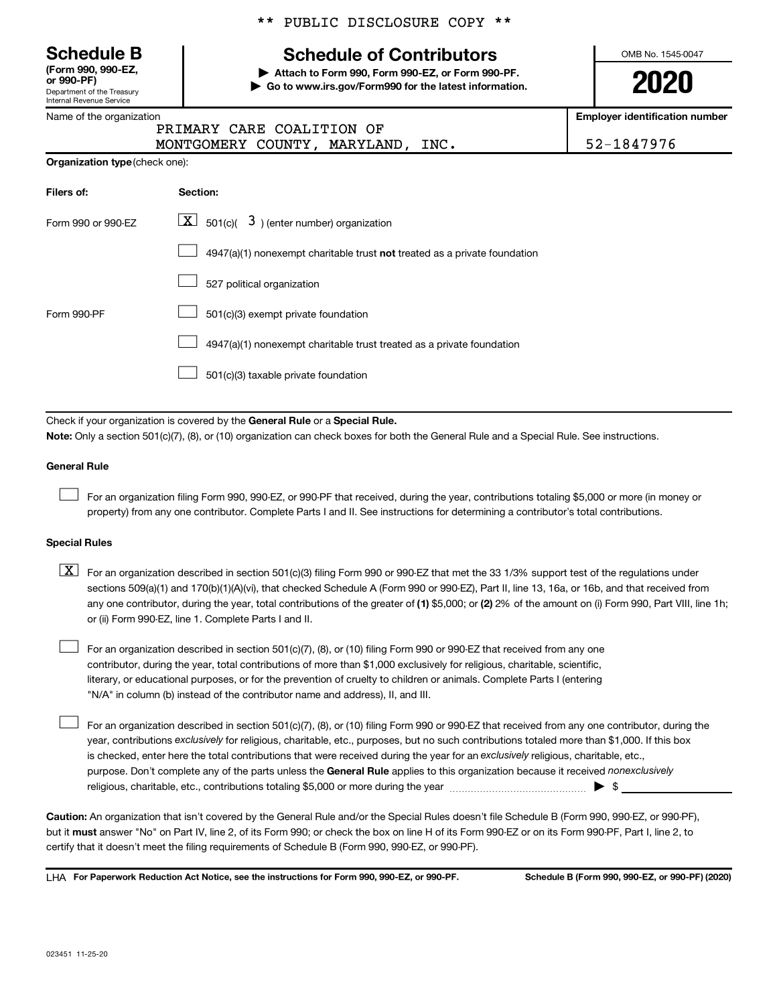Department of the Treasury Internal Revenue Service **(Form 990, 990-EZ,**

|  | Name of the organization |
|--|--------------------------|
|  |                          |

## \*\* PUBLIC DISCLOSURE COPY \*\*

## **Schedule B Schedule of Contributors**

**or 990-PF) | Attach to Form 990, Form 990-EZ, or Form 990-PF. | Go to www.irs.gov/Form990 for the latest information.** OMB No. 1545-0047

**2020**

**Employer identification number**

|                                       | PRIMARY CARE COALITION OF                                                                                                                 |            |
|---------------------------------------|-------------------------------------------------------------------------------------------------------------------------------------------|------------|
|                                       | MONTGOMERY COUNTY, MARYLAND, INC.                                                                                                         | 52-1847976 |
| <b>Organization type</b> (check one): |                                                                                                                                           |            |
| Filers of:                            | Section:                                                                                                                                  |            |
| Form 990 or 990-EZ                    | $ \mathbf{X} $ 501(c)( 3) (enter number) organization                                                                                     |            |
|                                       | $4947(a)(1)$ nonexempt charitable trust not treated as a private foundation                                                               |            |
|                                       | 527 political organization                                                                                                                |            |
| Form 990-PF                           | 501(c)(3) exempt private foundation                                                                                                       |            |
|                                       | 4947(a)(1) nonexempt charitable trust treated as a private foundation                                                                     |            |
|                                       | 501(c)(3) taxable private foundation                                                                                                      |            |
|                                       |                                                                                                                                           |            |
|                                       | Check if your organization is covered by the General Rule or a Special Rule.                                                              |            |
|                                       | Note: Only a section 501(c)(7), (8), or (10) organization can check boxes for both the General Rule and a Special Rule. See instructions. |            |
|                                       |                                                                                                                                           |            |

#### **General Rule**

 $\Box$ 

 $\Box$ 

For an organization filing Form 990, 990-EZ, or 990-PF that received, during the year, contributions totaling \$5,000 or more (in money or property) from any one contributor. Complete Parts I and II. See instructions for determining a contributor's total contributions.

#### **Special Rules**

| $X$ For an organization described in section 501(c)(3) filing Form 990 or 990-EZ that met the 33 1/3% support test of the regulations under           |
|-------------------------------------------------------------------------------------------------------------------------------------------------------|
| sections 509(a)(1) and 170(b)(1)(A)(vi), that checked Schedule A (Form 990 or 990-EZ), Part II, line 13, 16a, or 16b, and that received from          |
| any one contributor, during the year, total contributions of the greater of (1) \$5,000; or (2) 2% of the amount on (i) Form 990, Part VIII, line 1h; |
| or (ii) Form 990-EZ, line 1. Complete Parts I and II.                                                                                                 |

For an organization described in section 501(c)(7), (8), or (10) filing Form 990 or 990-EZ that received from any one contributor, during the year, total contributions of more than \$1,000 exclusively for religious, charitable, scientific, literary, or educational purposes, or for the prevention of cruelty to children or animals. Complete Parts I (entering "N/A" in column (b) instead of the contributor name and address), II, and III.  $\Box$ 

purpose. Don't complete any of the parts unless the General Rule applies to this organization because it received nonexclusively year, contributions exclusively for religious, charitable, etc., purposes, but no such contributions totaled more than \$1,000. If this box is checked, enter here the total contributions that were received during the year for an exclusively religious, charitable, etc., For an organization described in section 501(c)(7), (8), or (10) filing Form 990 or 990-EZ that received from any one contributor, during the religious, charitable, etc., contributions totaling \$5,000 or more during the year  $\ldots$  $\ldots$  $\ldots$  $\ldots$  $\ldots$  $\ldots$ 

**Caution:**  An organization that isn't covered by the General Rule and/or the Special Rules doesn't file Schedule B (Form 990, 990-EZ, or 990-PF),  **must** but it answer "No" on Part IV, line 2, of its Form 990; or check the box on line H of its Form 990-EZ or on its Form 990-PF, Part I, line 2, to certify that it doesn't meet the filing requirements of Schedule B (Form 990, 990-EZ, or 990-PF).

**For Paperwork Reduction Act Notice, see the instructions for Form 990, 990-EZ, or 990-PF. Schedule B (Form 990, 990-EZ, or 990-PF) (2020)** LHA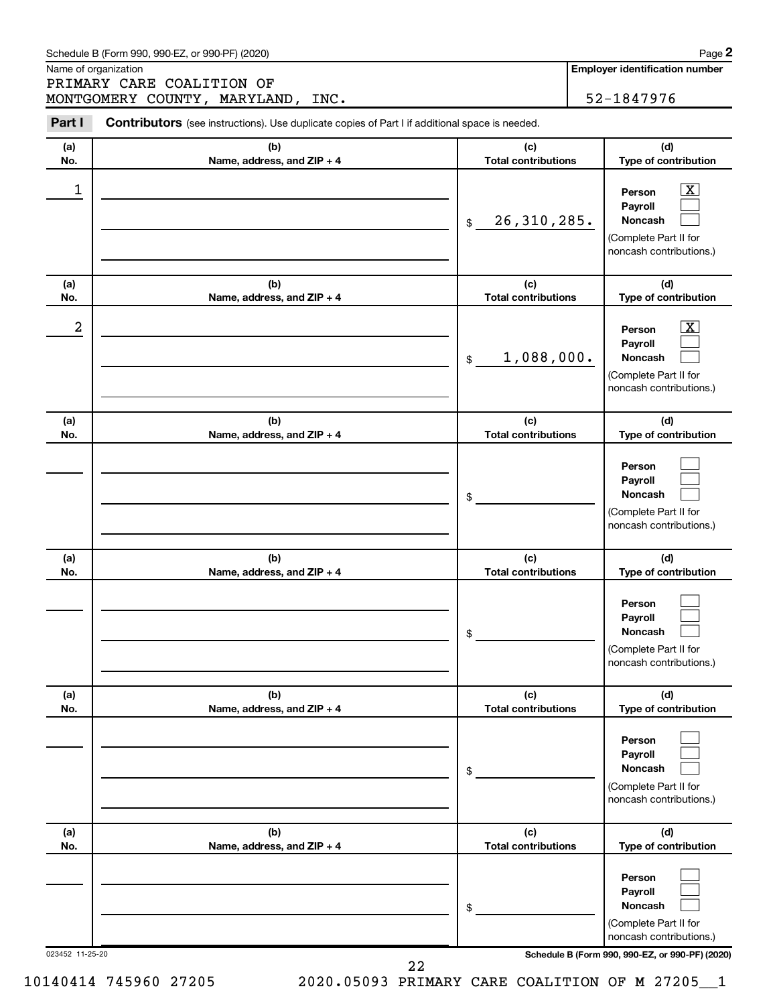| Part I     | Contributors (see instructions). Use duplicate copies of Part I if additional space is needed. |                                   |                                                                                                         |
|------------|------------------------------------------------------------------------------------------------|-----------------------------------|---------------------------------------------------------------------------------------------------------|
|            |                                                                                                |                                   |                                                                                                         |
| (a)<br>No. | (b)<br>Name, address, and ZIP + 4                                                              | (c)<br><b>Total contributions</b> | (d)<br>Type of contribution                                                                             |
| 1          |                                                                                                | 26, 310, 285.<br>$$\mathbb{S}$$   | $\lfloor x \rfloor$<br>Person<br>Payroll<br>Noncash<br>(Complete Part II for<br>noncash contributions.) |
| (a)<br>No. | (b)<br>Name, address, and ZIP + 4                                                              | (c)<br><b>Total contributions</b> | (d)<br>Type of contribution                                                                             |
| 2          |                                                                                                | 1,088,000.<br>$$\mathbb{S}$$      | $\vert$ X $\vert$<br>Person<br>Payroll<br>Noncash<br>(Complete Part II for<br>noncash contributions.)   |
| (a)<br>No. | (b)<br>Name, address, and ZIP + 4                                                              | (c)<br><b>Total contributions</b> | (d)<br>Type of contribution                                                                             |
|            |                                                                                                | \$                                | Person<br>Payroll<br>Noncash<br>(Complete Part II for<br>noncash contributions.)                        |
| (a)<br>No. | (b)<br>Name, address, and ZIP + 4                                                              | (c)<br><b>Total contributions</b> | (d)<br>Type of contribution                                                                             |
|            |                                                                                                | ጵ                                 | Person<br>Payroll<br>Noncash<br>(Complete Part II for<br>noncash contributions.)                        |
| (a)<br>No. | (b)<br>Name, address, and ZIP + 4                                                              | (c)<br><b>Total contributions</b> | (d)<br>Type of contribution                                                                             |
|            |                                                                                                | \$                                | Person<br>Payroll<br>Noncash<br>(Complete Part II for<br>noncash contributions.)                        |
| (a)<br>No. | (b)<br>Name, address, and ZIP + 4                                                              | (c)<br><b>Total contributions</b> | (d)<br>Type of contribution                                                                             |
|            |                                                                                                | \$                                | Person<br>Payroll<br>Noncash<br>(Complete Part II for<br>noncash contributions.)                        |

10140414 745960 27205 2020.05093 PRIMARY CARE COALITION OF M 27205\_\_1

| EZ, or 990-PF) (2020) |
|-----------------------|
|                       |

Schedule B (Form 990, 990-E Name of organization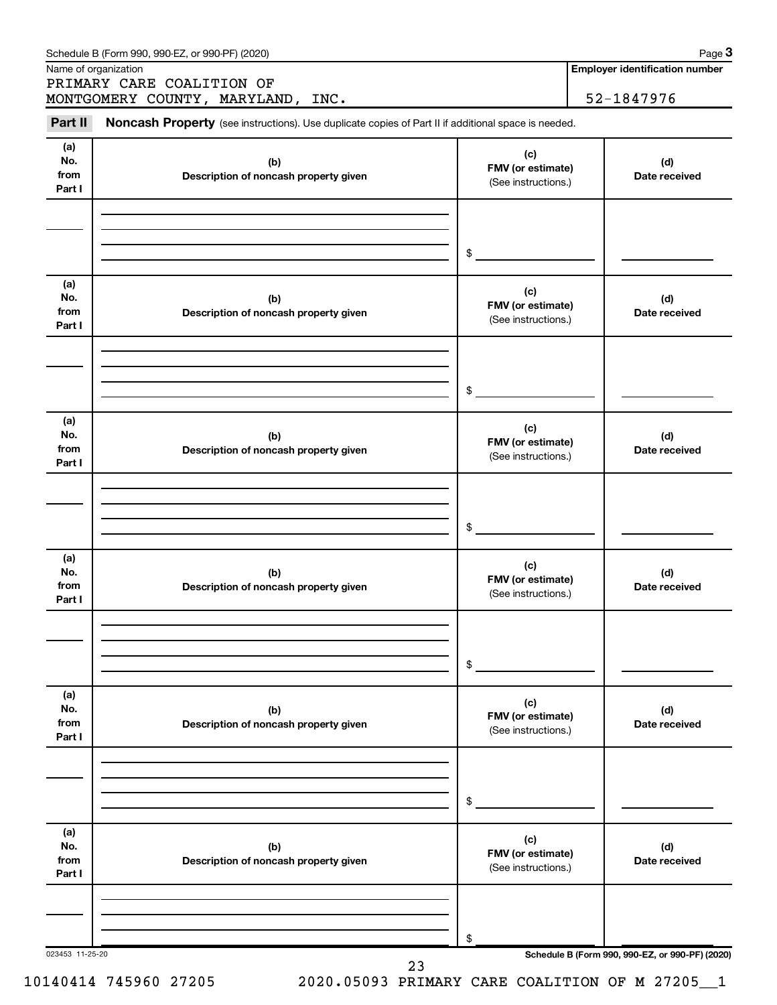|                              | MONTGOMERY COUNTY, MARYLAND, INC.                                                                   |                                                 | 52-1847976           |
|------------------------------|-----------------------------------------------------------------------------------------------------|-------------------------------------------------|----------------------|
| Part II                      | Noncash Property (see instructions). Use duplicate copies of Part II if additional space is needed. |                                                 |                      |
| (a)<br>No.<br>from           | (b)<br>Description of noncash property given                                                        | (c)<br>FMV (or estimate)<br>(See instructions.) | (d)<br>Date received |
| Part I                       |                                                                                                     |                                                 |                      |
|                              |                                                                                                     | \$                                              |                      |
| (a)<br>No.<br>from<br>Part I | (b)<br>Description of noncash property given                                                        | (c)<br>FMV (or estimate)<br>(See instructions.) | (d)<br>Date received |
|                              |                                                                                                     |                                                 |                      |
|                              |                                                                                                     | \$                                              |                      |
| (a)<br>No.<br>from<br>Part I | (b)<br>Description of noncash property given                                                        | (c)<br>FMV (or estimate)<br>(See instructions.) | (d)<br>Date received |
|                              |                                                                                                     |                                                 |                      |
|                              |                                                                                                     | \$                                              |                      |
| (a)<br>No.<br>from<br>Part I | (b)<br>Description of noncash property given                                                        | (c)<br>FMV (or estimate)<br>(See instructions.) | (d)<br>Date received |
|                              |                                                                                                     | \$                                              |                      |
| (a)<br>No.<br>from<br>Part I | (b)<br>Description of noncash property given                                                        | (c)<br>FMV (or estimate)<br>(See instructions.) | (d)<br>Date received |
|                              |                                                                                                     |                                                 |                      |
| (a)                          |                                                                                                     | \$                                              |                      |
| No.<br>from<br>Part I        | (b)<br>Description of noncash property given                                                        | (c)<br>FMV (or estimate)<br>(See instructions.) | (d)<br>Date received |
|                              |                                                                                                     | \$                                              |                      |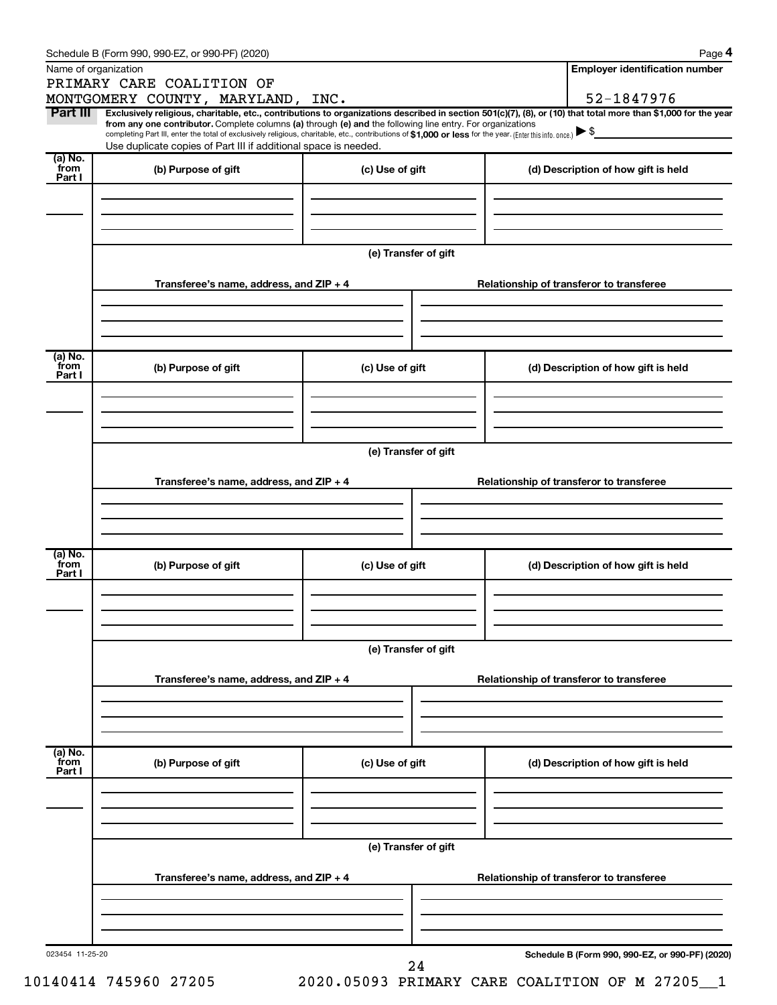| Name of organization      | PRIMARY CARE COALITION OF                                                                                                                                                                                                                                                                                                                                                                                                                                                                                   |                      |                                          | <b>Employer identification number</b>           |  |  |  |  |
|---------------------------|-------------------------------------------------------------------------------------------------------------------------------------------------------------------------------------------------------------------------------------------------------------------------------------------------------------------------------------------------------------------------------------------------------------------------------------------------------------------------------------------------------------|----------------------|------------------------------------------|-------------------------------------------------|--|--|--|--|
|                           | MONTGOMERY COUNTY, MARYLAND, INC.                                                                                                                                                                                                                                                                                                                                                                                                                                                                           |                      |                                          | 52-1847976                                      |  |  |  |  |
| Part III                  | Exclusively religious, charitable, etc., contributions to organizations described in section 501(c)(7), (8), or (10) that total more than \$1,000 for the year<br>from any one contributor. Complete columns (a) through (e) and the following line entry. For organizations<br>completing Part III, enter the total of exclusively religious, charitable, etc., contributions of \$1,000 or less for the year. (Enter this info. once.)<br>Use duplicate copies of Part III if additional space is needed. |                      |                                          |                                                 |  |  |  |  |
| (a) No.<br>from           | (b) Purpose of gift                                                                                                                                                                                                                                                                                                                                                                                                                                                                                         | (c) Use of gift      |                                          | (d) Description of how gift is held             |  |  |  |  |
| Part I                    |                                                                                                                                                                                                                                                                                                                                                                                                                                                                                                             |                      |                                          |                                                 |  |  |  |  |
|                           |                                                                                                                                                                                                                                                                                                                                                                                                                                                                                                             | (e) Transfer of gift |                                          |                                                 |  |  |  |  |
|                           | Transferee's name, address, and ZIP + 4                                                                                                                                                                                                                                                                                                                                                                                                                                                                     |                      |                                          | Relationship of transferor to transferee        |  |  |  |  |
| (a) No.<br>from           |                                                                                                                                                                                                                                                                                                                                                                                                                                                                                                             |                      |                                          | (d) Description of how gift is held             |  |  |  |  |
| Part I                    | (b) Purpose of gift                                                                                                                                                                                                                                                                                                                                                                                                                                                                                         | (c) Use of gift      |                                          |                                                 |  |  |  |  |
|                           |                                                                                                                                                                                                                                                                                                                                                                                                                                                                                                             | (e) Transfer of gift |                                          |                                                 |  |  |  |  |
|                           | Transferee's name, address, and ZIP + 4                                                                                                                                                                                                                                                                                                                                                                                                                                                                     |                      |                                          | Relationship of transferor to transferee        |  |  |  |  |
|                           |                                                                                                                                                                                                                                                                                                                                                                                                                                                                                                             |                      |                                          |                                                 |  |  |  |  |
| (a) No.<br>from<br>Part I | (b) Purpose of gift                                                                                                                                                                                                                                                                                                                                                                                                                                                                                         | (c) Use of gift      |                                          | (d) Description of how gift is held             |  |  |  |  |
|                           |                                                                                                                                                                                                                                                                                                                                                                                                                                                                                                             |                      |                                          |                                                 |  |  |  |  |
|                           | (e) Transfer of gift                                                                                                                                                                                                                                                                                                                                                                                                                                                                                        |                      |                                          |                                                 |  |  |  |  |
|                           | Transferee's name, address, and ZIP + 4                                                                                                                                                                                                                                                                                                                                                                                                                                                                     |                      |                                          | Relationship of transferor to transferee        |  |  |  |  |
|                           |                                                                                                                                                                                                                                                                                                                                                                                                                                                                                                             |                      |                                          |                                                 |  |  |  |  |
| (a) No.<br>from<br>Part I | (b) Purpose of gift                                                                                                                                                                                                                                                                                                                                                                                                                                                                                         | (c) Use of gift      |                                          | (d) Description of how gift is held             |  |  |  |  |
|                           |                                                                                                                                                                                                                                                                                                                                                                                                                                                                                                             | (e) Transfer of gift |                                          |                                                 |  |  |  |  |
|                           | Transferee's name, address, and $ZIP + 4$                                                                                                                                                                                                                                                                                                                                                                                                                                                                   |                      | Relationship of transferor to transferee |                                                 |  |  |  |  |
|                           |                                                                                                                                                                                                                                                                                                                                                                                                                                                                                                             |                      |                                          |                                                 |  |  |  |  |
| 023454 11-25-20           |                                                                                                                                                                                                                                                                                                                                                                                                                                                                                                             |                      |                                          | Schedule B (Form 990, 990-EZ, or 990-PF) (2020) |  |  |  |  |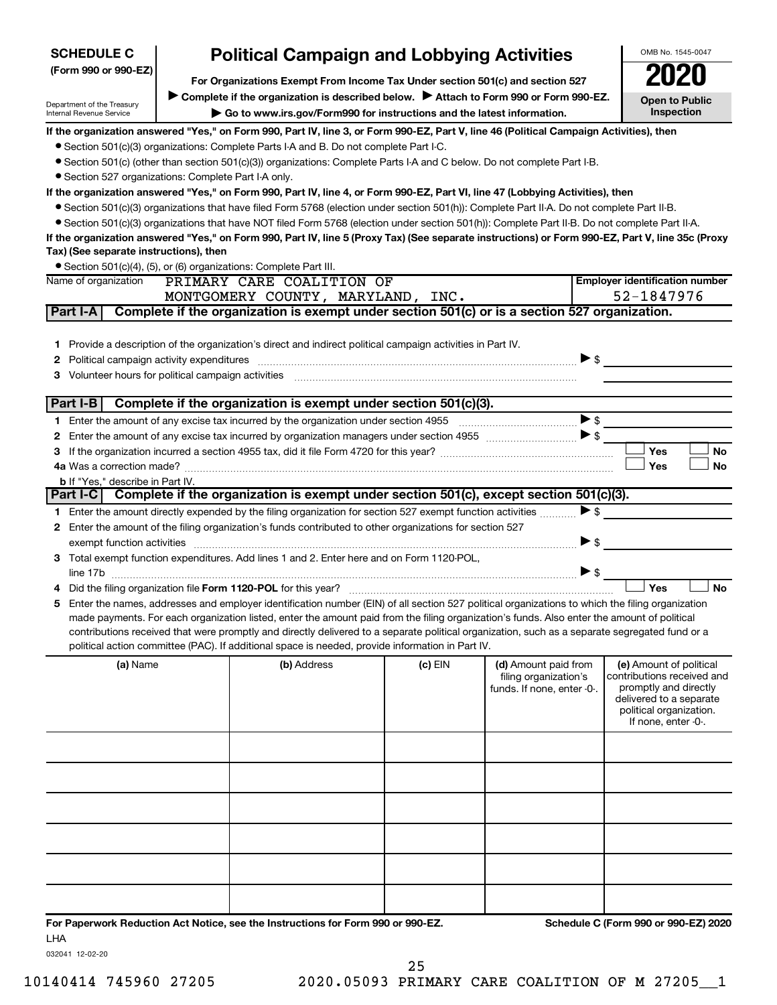| <b>Political Campaign and Lobbying Activities</b><br><b>SCHEDULE C</b> |  |                                                                                                                                                                                                                                                                                                  |         |                            | OMB No. 1545-0047        |                                                  |
|------------------------------------------------------------------------|--|--------------------------------------------------------------------------------------------------------------------------------------------------------------------------------------------------------------------------------------------------------------------------------------------------|---------|----------------------------|--------------------------|--------------------------------------------------|
| (Form 990 or 990-EZ)                                                   |  |                                                                                                                                                                                                                                                                                                  |         |                            |                          |                                                  |
|                                                                        |  | For Organizations Exempt From Income Tax Under section 501(c) and section 527                                                                                                                                                                                                                    |         |                            |                          |                                                  |
| Department of the Treasury                                             |  | Complete if the organization is described below. Attach to Form 990 or Form 990-EZ.<br>Go to www.irs.gov/Form990 for instructions and the latest information.                                                                                                                                    |         |                            |                          | <b>Open to Public</b><br>Inspection              |
| Internal Revenue Service                                               |  |                                                                                                                                                                                                                                                                                                  |         |                            |                          |                                                  |
|                                                                        |  | If the organization answered "Yes," on Form 990, Part IV, line 3, or Form 990-EZ, Part V, line 46 (Political Campaign Activities), then<br>• Section 501(c)(3) organizations: Complete Parts I-A and B. Do not complete Part I-C.                                                                |         |                            |                          |                                                  |
|                                                                        |  | • Section 501(c) (other than section 501(c)(3)) organizations: Complete Parts I-A and C below. Do not complete Part I-B.                                                                                                                                                                         |         |                            |                          |                                                  |
| • Section 527 organizations: Complete Part I-A only.                   |  |                                                                                                                                                                                                                                                                                                  |         |                            |                          |                                                  |
|                                                                        |  | If the organization answered "Yes," on Form 990, Part IV, line 4, or Form 990-EZ, Part VI, line 47 (Lobbying Activities), then                                                                                                                                                                   |         |                            |                          |                                                  |
|                                                                        |  | • Section 501(c)(3) organizations that have filed Form 5768 (election under section 501(h)): Complete Part II-A. Do not complete Part II-B.                                                                                                                                                      |         |                            |                          |                                                  |
|                                                                        |  | • Section 501(c)(3) organizations that have NOT filed Form 5768 (election under section 501(h)): Complete Part II-B. Do not complete Part II-A.                                                                                                                                                  |         |                            |                          |                                                  |
|                                                                        |  | If the organization answered "Yes," on Form 990, Part IV, line 5 (Proxy Tax) (See separate instructions) or Form 990-EZ, Part V, line 35c (Proxy                                                                                                                                                 |         |                            |                          |                                                  |
| Tax) (See separate instructions), then                                 |  |                                                                                                                                                                                                                                                                                                  |         |                            |                          |                                                  |
|                                                                        |  | • Section 501(c)(4), (5), or (6) organizations: Complete Part III.                                                                                                                                                                                                                               |         |                            |                          |                                                  |
| Name of organization                                                   |  | PRIMARY CARE COALITION OF                                                                                                                                                                                                                                                                        |         |                            |                          | <b>Employer identification number</b>            |
|                                                                        |  | MONTGOMERY COUNTY, MARYLAND, INC.                                                                                                                                                                                                                                                                |         |                            |                          | 52-1847976                                       |
| <b>Part I-A</b>                                                        |  | Complete if the organization is exempt under section 501(c) or is a section 527 organization.                                                                                                                                                                                                    |         |                            |                          |                                                  |
|                                                                        |  |                                                                                                                                                                                                                                                                                                  |         |                            |                          |                                                  |
|                                                                        |  | 1 Provide a description of the organization's direct and indirect political campaign activities in Part IV.                                                                                                                                                                                      |         |                            |                          |                                                  |
|                                                                        |  |                                                                                                                                                                                                                                                                                                  |         |                            | $\triangleright$ \$      |                                                  |
|                                                                        |  | 3 Volunteer hours for political campaign activities [11] [12] Content and Marian Marian Ann Marian Marian Mari                                                                                                                                                                                   |         |                            |                          |                                                  |
|                                                                        |  | $\vert$ Part I-B $\vert$ Complete if the organization is exempt under section 501(c)(3).                                                                                                                                                                                                         |         |                            |                          |                                                  |
|                                                                        |  |                                                                                                                                                                                                                                                                                                  |         |                            |                          | >                                                |
| 2                                                                      |  |                                                                                                                                                                                                                                                                                                  |         |                            |                          |                                                  |
|                                                                        |  |                                                                                                                                                                                                                                                                                                  |         |                            |                          | Yes<br><b>No</b>                                 |
|                                                                        |  |                                                                                                                                                                                                                                                                                                  |         |                            |                          | Yes<br>No                                        |
| <b>b</b> If "Yes," describe in Part IV.                                |  |                                                                                                                                                                                                                                                                                                  |         |                            |                          |                                                  |
|                                                                        |  | Part I-C Complete if the organization is exempt under section 501(c), except section 501(c)(3).                                                                                                                                                                                                  |         |                            |                          |                                                  |
|                                                                        |  | 1 Enter the amount directly expended by the filing organization for section 527 exempt function activities                                                                                                                                                                                       |         |                            | $\blacktriangleright$ \$ |                                                  |
|                                                                        |  | 2 Enter the amount of the filing organization's funds contributed to other organizations for section 527                                                                                                                                                                                         |         |                            |                          |                                                  |
|                                                                        |  | exempt function activities with an activities and activities are activities and activities are activities and activities and activities are activities and activities and activities are activities and activities and activit                                                                   |         |                            | ▶ \$                     |                                                  |
|                                                                        |  | 3 Total exempt function expenditures. Add lines 1 and 2. Enter here and on Form 1120-POL,                                                                                                                                                                                                        |         |                            |                          |                                                  |
|                                                                        |  |                                                                                                                                                                                                                                                                                                  |         |                            |                          |                                                  |
|                                                                        |  |                                                                                                                                                                                                                                                                                                  |         |                            |                          | Yes<br><b>No</b>                                 |
|                                                                        |  | 5 Enter the names, addresses and employer identification number (EIN) of all section 527 political organizations to which the filing organization<br>made payments. For each organization listed, enter the amount paid from the filing organization's funds. Also enter the amount of political |         |                            |                          |                                                  |
|                                                                        |  | contributions received that were promptly and directly delivered to a separate political organization, such as a separate segregated fund or a                                                                                                                                                   |         |                            |                          |                                                  |
|                                                                        |  | political action committee (PAC). If additional space is needed, provide information in Part IV.                                                                                                                                                                                                 |         |                            |                          |                                                  |
| (a) Name                                                               |  | (b) Address                                                                                                                                                                                                                                                                                      | (c) EIN | (d) Amount paid from       |                          | (e) Amount of political                          |
|                                                                        |  |                                                                                                                                                                                                                                                                                                  |         | filing organization's      |                          | contributions received and                       |
|                                                                        |  |                                                                                                                                                                                                                                                                                                  |         | funds. If none, enter -0-. |                          | promptly and directly<br>delivered to a separate |
|                                                                        |  |                                                                                                                                                                                                                                                                                                  |         |                            |                          | political organization.                          |
|                                                                        |  |                                                                                                                                                                                                                                                                                                  |         |                            |                          | If none, enter -0-.                              |
|                                                                        |  |                                                                                                                                                                                                                                                                                                  |         |                            |                          |                                                  |
|                                                                        |  |                                                                                                                                                                                                                                                                                                  |         |                            |                          |                                                  |
|                                                                        |  |                                                                                                                                                                                                                                                                                                  |         |                            |                          |                                                  |
|                                                                        |  |                                                                                                                                                                                                                                                                                                  |         |                            |                          |                                                  |
|                                                                        |  |                                                                                                                                                                                                                                                                                                  |         |                            |                          |                                                  |
|                                                                        |  |                                                                                                                                                                                                                                                                                                  |         |                            |                          |                                                  |
|                                                                        |  |                                                                                                                                                                                                                                                                                                  |         |                            |                          |                                                  |
|                                                                        |  |                                                                                                                                                                                                                                                                                                  |         |                            |                          |                                                  |
|                                                                        |  |                                                                                                                                                                                                                                                                                                  |         |                            |                          |                                                  |
|                                                                        |  |                                                                                                                                                                                                                                                                                                  |         |                            |                          |                                                  |
|                                                                        |  |                                                                                                                                                                                                                                                                                                  |         |                            |                          |                                                  |
|                                                                        |  | For Paperwork Reduction Act Notice, see the Instructions for Form 990 or 990-EZ.                                                                                                                                                                                                                 |         |                            |                          | Schedule C (Form 990 or 990-EZ) 2020             |
| LHA                                                                    |  |                                                                                                                                                                                                                                                                                                  |         |                            |                          |                                                  |

032041 12-02-20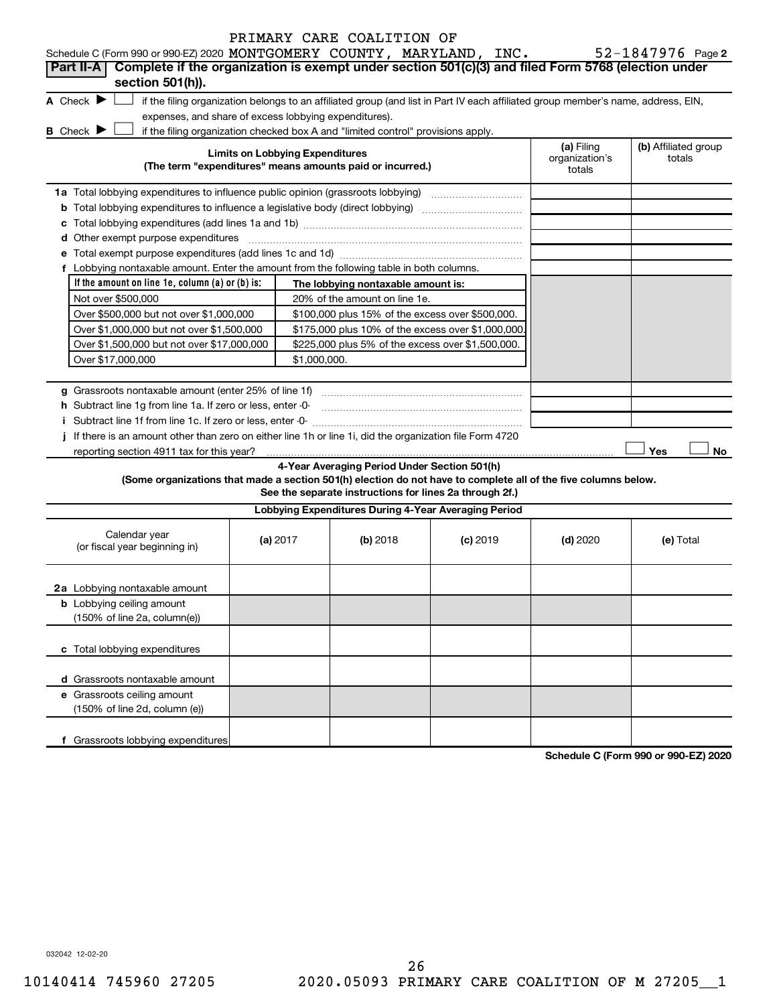| Schedule C (Form 990 or 990-EZ) 2020 MONTGOMERY COUNTY, MARYLAND, INC.                                          |                                                                                                                                                                                       | PRIMARY CARE COALITION OF                                                        |                                                                                                                                   |                          | 52-1847976 Page 2    |  |  |
|-----------------------------------------------------------------------------------------------------------------|---------------------------------------------------------------------------------------------------------------------------------------------------------------------------------------|----------------------------------------------------------------------------------|-----------------------------------------------------------------------------------------------------------------------------------|--------------------------|----------------------|--|--|
| Complete if the organization is exempt under section 501(c)(3) and filed Form 5768 (election under<br>Part II-A |                                                                                                                                                                                       |                                                                                  |                                                                                                                                   |                          |                      |  |  |
| section 501(h)).                                                                                                |                                                                                                                                                                                       |                                                                                  |                                                                                                                                   |                          |                      |  |  |
| A Check $\blacktriangleright$                                                                                   |                                                                                                                                                                                       |                                                                                  | if the filing organization belongs to an affiliated group (and list in Part IV each affiliated group member's name, address, EIN, |                          |                      |  |  |
| expenses, and share of excess lobbying expenditures).                                                           |                                                                                                                                                                                       |                                                                                  |                                                                                                                                   |                          |                      |  |  |
| <b>B</b> Check ▶                                                                                                |                                                                                                                                                                                       | if the filing organization checked box A and "limited control" provisions apply. |                                                                                                                                   | (a) Filing               | (b) Affiliated group |  |  |
|                                                                                                                 | <b>Limits on Lobbying Expenditures</b>                                                                                                                                                | (The term "expenditures" means amounts paid or incurred.)                        |                                                                                                                                   | organization's<br>totals | totals               |  |  |
| 1a Total lobbying expenditures to influence public opinion (grassroots lobbying) [                              |                                                                                                                                                                                       |                                                                                  |                                                                                                                                   |                          |                      |  |  |
| <b>b</b> Total lobbying expenditures to influence a legislative body (direct lobbying) <i>manumumumum</i>       |                                                                                                                                                                                       |                                                                                  |                                                                                                                                   |                          |                      |  |  |
|                                                                                                                 | с                                                                                                                                                                                     |                                                                                  |                                                                                                                                   |                          |                      |  |  |
| <b>d</b> Other exempt purpose expenditures                                                                      |                                                                                                                                                                                       |                                                                                  |                                                                                                                                   |                          |                      |  |  |
|                                                                                                                 |                                                                                                                                                                                       |                                                                                  |                                                                                                                                   |                          |                      |  |  |
|                                                                                                                 | f Lobbying nontaxable amount. Enter the amount from the following table in both columns.<br>If the amount on line 1e, column $(a)$ or $(b)$ is:<br>The lobbying nontaxable amount is: |                                                                                  |                                                                                                                                   |                          |                      |  |  |
| Not over \$500,000                                                                                              | 20% of the amount on line 1e.                                                                                                                                                         |                                                                                  |                                                                                                                                   |                          |                      |  |  |
|                                                                                                                 | Over \$500,000 but not over \$1,000,000<br>\$100,000 plus 15% of the excess over \$500,000.                                                                                           |                                                                                  |                                                                                                                                   |                          |                      |  |  |
| Over \$1,000,000 but not over \$1,500,000                                                                       |                                                                                                                                                                                       | \$175,000 plus 10% of the excess over \$1,000,000                                |                                                                                                                                   |                          |                      |  |  |
| Over \$1,500,000 but not over \$17,000,000                                                                      |                                                                                                                                                                                       | \$225,000 plus 5% of the excess over \$1,500,000.                                |                                                                                                                                   |                          |                      |  |  |
| Over \$17,000,000                                                                                               | \$1,000,000.                                                                                                                                                                          |                                                                                  |                                                                                                                                   |                          |                      |  |  |
|                                                                                                                 |                                                                                                                                                                                       |                                                                                  |                                                                                                                                   |                          |                      |  |  |
| g Grassroots nontaxable amount (enter 25% of line 1f)                                                           |                                                                                                                                                                                       |                                                                                  |                                                                                                                                   |                          |                      |  |  |
| h Subtract line 1g from line 1a. If zero or less, enter -0-                                                     |                                                                                                                                                                                       |                                                                                  |                                                                                                                                   |                          |                      |  |  |
| If there is an amount other than zero on either line 1h or line 1i, did the organization file Form 4720         |                                                                                                                                                                                       |                                                                                  |                                                                                                                                   |                          |                      |  |  |
| reporting section 4911 tax for this year?                                                                       |                                                                                                                                                                                       |                                                                                  |                                                                                                                                   |                          | Yes<br>No            |  |  |
|                                                                                                                 |                                                                                                                                                                                       | 4-Year Averaging Period Under Section 501(h)                                     |                                                                                                                                   |                          |                      |  |  |
| (Some organizations that made a section 501(h) election do not have to complete all of the five columns below.  |                                                                                                                                                                                       | See the separate instructions for lines 2a through 2f.)                          |                                                                                                                                   |                          |                      |  |  |
|                                                                                                                 |                                                                                                                                                                                       | Lobbying Expenditures During 4-Year Averaging Period                             |                                                                                                                                   |                          |                      |  |  |
| Calendar year<br>(or fiscal year beginning in)                                                                  | (a) $2017$                                                                                                                                                                            | (b) 2018                                                                         | $(c)$ 2019                                                                                                                        | $(d)$ 2020               | (e) Total            |  |  |
| <b>2a</b> Lobbying nontaxable amount                                                                            |                                                                                                                                                                                       |                                                                                  |                                                                                                                                   |                          |                      |  |  |
| <b>b</b> Lobbying ceiling amount                                                                                |                                                                                                                                                                                       |                                                                                  |                                                                                                                                   |                          |                      |  |  |
| (150% of line 2a, column(e))                                                                                    |                                                                                                                                                                                       |                                                                                  |                                                                                                                                   |                          |                      |  |  |
| c Total lobbying expenditures                                                                                   |                                                                                                                                                                                       |                                                                                  |                                                                                                                                   |                          |                      |  |  |
| d Grassroots nontaxable amount                                                                                  |                                                                                                                                                                                       |                                                                                  |                                                                                                                                   |                          |                      |  |  |
| e Grassroots ceiling amount                                                                                     |                                                                                                                                                                                       |                                                                                  |                                                                                                                                   |                          |                      |  |  |
| (150% of line 2d, column (e))                                                                                   |                                                                                                                                                                                       |                                                                                  |                                                                                                                                   |                          |                      |  |  |
| f Grassroots lobbying expenditures                                                                              |                                                                                                                                                                                       |                                                                                  |                                                                                                                                   |                          |                      |  |  |

**Schedule C (Form 990 or 990-EZ) 2020**

032042 12-02-20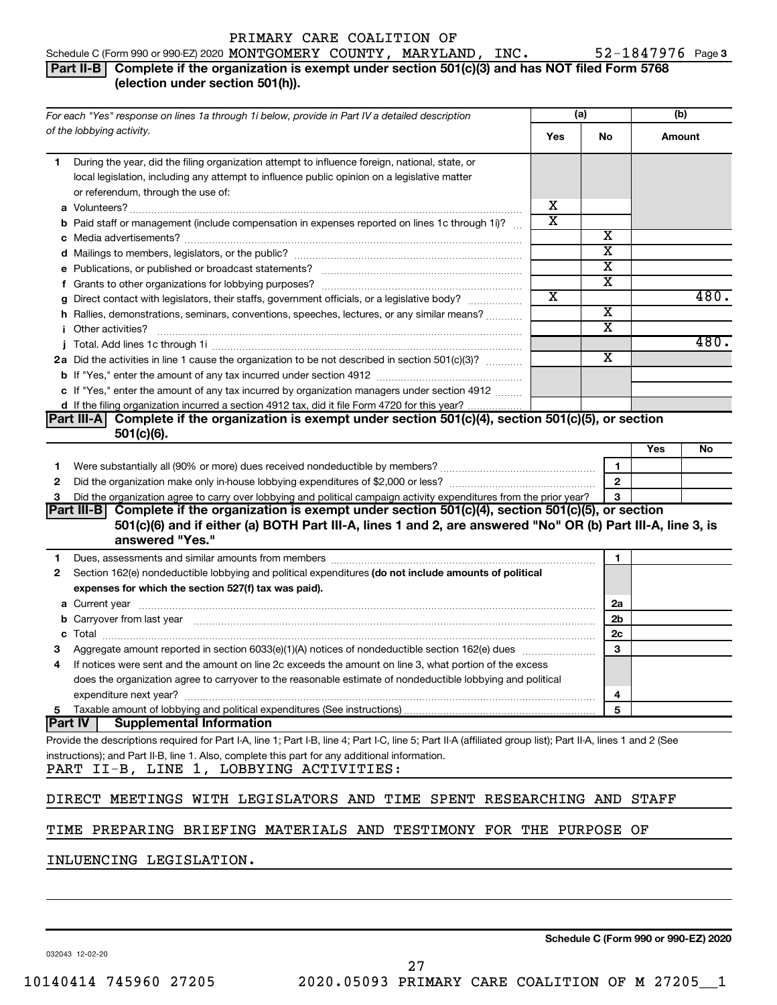### Schedule C (Form 990 or 990-EZ) 2020 Page MONTGOMERY COUNTY, MARYLAND, INC. 52-1847976 **Part II-B Complete if the organization is exempt under section 501(c)(3) and has NOT filed Form 5768 (election under section 501(h)).**

|                | For each "Yes" response on lines 1a through 1i below, provide in Part IV a detailed description                                                                                                                                           | (a)                   |                         | (b)       |
|----------------|-------------------------------------------------------------------------------------------------------------------------------------------------------------------------------------------------------------------------------------------|-----------------------|-------------------------|-----------|
|                | of the lobbying activity.                                                                                                                                                                                                                 | Yes                   | No                      | Amount    |
| 1              | During the year, did the filing organization attempt to influence foreign, national, state, or<br>local legislation, including any attempt to influence public opinion on a legislative matter<br>or referendum, through the use of:      |                       |                         |           |
|                |                                                                                                                                                                                                                                           | x                     |                         |           |
|                | <b>b</b> Paid staff or management (include compensation in expenses reported on lines 1c through 1i)?                                                                                                                                     | $\overline{\text{x}}$ |                         |           |
|                |                                                                                                                                                                                                                                           |                       | х                       |           |
|                |                                                                                                                                                                                                                                           |                       | X                       |           |
|                |                                                                                                                                                                                                                                           |                       | $\overline{\textbf{x}}$ |           |
|                |                                                                                                                                                                                                                                           |                       | $\overline{\text{x}}$   |           |
|                |                                                                                                                                                                                                                                           | $\overline{\text{x}}$ |                         | 480.      |
|                | g Direct contact with legislators, their staffs, government officials, or a legislative body?                                                                                                                                             |                       | $\overline{\text{x}}$   |           |
|                | h Rallies, demonstrations, seminars, conventions, speeches, lectures, or any similar means?                                                                                                                                               |                       | $\overline{\text{x}}$   |           |
|                | <i>i</i> Other activities?                                                                                                                                                                                                                |                       |                         | 480.      |
|                |                                                                                                                                                                                                                                           |                       | X                       |           |
|                | 2a Did the activities in line 1 cause the organization to be not described in section 501(c)(3)?                                                                                                                                          |                       |                         |           |
|                |                                                                                                                                                                                                                                           |                       |                         |           |
|                | c If "Yes," enter the amount of any tax incurred by organization managers under section 4912                                                                                                                                              |                       |                         |           |
|                | d If the filing organization incurred a section 4912 tax, did it file Form 4720 for this year?                                                                                                                                            |                       |                         |           |
|                | Part III-A Complete if the organization is exempt under section 501(c)(4), section 501(c)(5), or section                                                                                                                                  |                       |                         |           |
|                | $501(c)(6)$ .                                                                                                                                                                                                                             |                       |                         |           |
|                |                                                                                                                                                                                                                                           |                       |                         | Yes<br>No |
| 1              |                                                                                                                                                                                                                                           |                       | $\mathbf{1}$            |           |
| 2              |                                                                                                                                                                                                                                           |                       | $\overline{2}$          |           |
| 3              | Did the organization agree to carry over lobbying and political campaign activity expenditures from the prior year?                                                                                                                       |                       | 3                       |           |
|                | Part III-B Complete if the organization is exempt under section 501(c)(4), section 501(c)(5), or section                                                                                                                                  |                       |                         |           |
|                | 501(c)(6) and if either (a) BOTH Part III-A, lines 1 and 2, are answered "No" OR (b) Part III-A, line 3, is<br>answered "Yes."                                                                                                            |                       |                         |           |
| 1              |                                                                                                                                                                                                                                           |                       | $\mathbf 1$             |           |
| 2              | Section 162(e) nondeductible lobbying and political expenditures (do not include amounts of political<br>expenses for which the section 527(f) tax was paid).                                                                             |                       |                         |           |
|                |                                                                                                                                                                                                                                           |                       | 2a                      |           |
|                | <b>b</b> Carryover from last year <u>measured in the contract of the contract of the contract of the contract of the contract of the contract of the contract of contract of contract of contract of contract of contract of contract</u> |                       | 2b                      |           |
|                |                                                                                                                                                                                                                                           |                       | 2с                      |           |
| з              |                                                                                                                                                                                                                                           |                       | 3                       |           |
| 4              | If notices were sent and the amount on line 2c exceeds the amount on line 3, what portion of the excess                                                                                                                                   |                       |                         |           |
|                | does the organization agree to carryover to the reasonable estimate of nondeductible lobbying and political                                                                                                                               |                       |                         |           |
|                | expenditure next year?                                                                                                                                                                                                                    |                       | 4                       |           |
| 5.             |                                                                                                                                                                                                                                           |                       | 5                       |           |
| <b>Part IV</b> | <b>Supplemental Information</b>                                                                                                                                                                                                           |                       |                         |           |
|                | Provide the descriptions required for Part I-A, line 1; Part I-B, line 4; Part I-C, line 5; Part II-A (affiliated group list); Part II-A, lines 1 and 2 (See                                                                              |                       |                         |           |
|                | instructions); and Part II-B, line 1. Also, complete this part for any additional information.                                                                                                                                            |                       |                         |           |
|                | PART II-B, LINE 1, LOBBYING ACTIVITIES:                                                                                                                                                                                                   |                       |                         |           |
|                | DIRECT MEETINGS WITH LEGISLATORS AND TIME SPENT RESEARCHING AND STAFF                                                                                                                                                                     |                       |                         |           |
|                | TIME PREPARING BRIEFING MATERIALS AND TESTIMONY FOR THE PURPOSE OF                                                                                                                                                                        |                       |                         |           |
|                | INLUENCING LEGISLATION.                                                                                                                                                                                                                   |                       |                         |           |

032043 12-02-20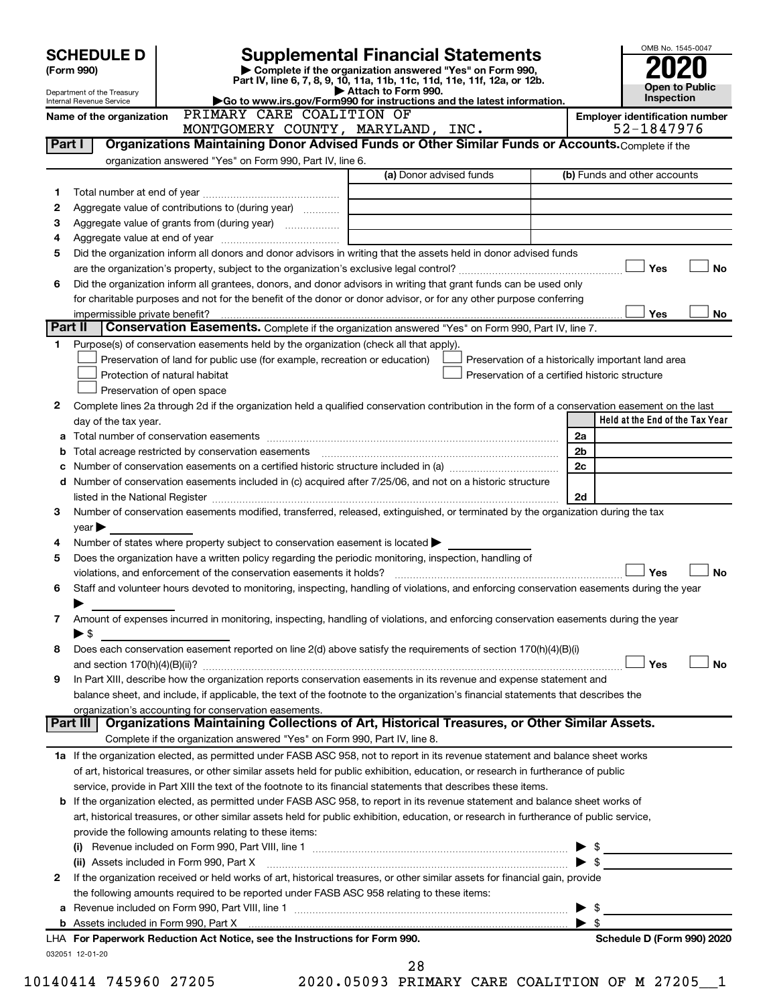|        | <b>SCHEDULE D</b>                                    |                                                                                                                                                                                                                                                     | <b>Supplemental Financial Statements</b>                                                                                             |  |                                                    | OMB No. 1545-0047                     |           |
|--------|------------------------------------------------------|-----------------------------------------------------------------------------------------------------------------------------------------------------------------------------------------------------------------------------------------------------|--------------------------------------------------------------------------------------------------------------------------------------|--|----------------------------------------------------|---------------------------------------|-----------|
|        | (Form 990)                                           |                                                                                                                                                                                                                                                     | Complete if the organization answered "Yes" on Form 990,<br>Part IV, line 6, 7, 8, 9, 10, 11a, 11b, 11c, 11d, 11e, 11f, 12a, or 12b. |  |                                                    |                                       |           |
|        | Department of the Treasury                           |                                                                                                                                                                                                                                                     | Attach to Form 990.                                                                                                                  |  | <b>Open to Public</b><br>Inspection                |                                       |           |
|        | Internal Revenue Service<br>Name of the organization | PRIMARY CARE COALITION OF                                                                                                                                                                                                                           | Go to www.irs.gov/Form990 for instructions and the latest information.                                                               |  |                                                    | <b>Employer identification number</b> |           |
|        |                                                      | MONTGOMERY COUNTY, MARYLAND, INC.                                                                                                                                                                                                                   |                                                                                                                                      |  |                                                    | 52-1847976                            |           |
| Part I |                                                      | Organizations Maintaining Donor Advised Funds or Other Similar Funds or Accounts. Complete if the                                                                                                                                                   |                                                                                                                                      |  |                                                    |                                       |           |
|        |                                                      | organization answered "Yes" on Form 990, Part IV, line 6.                                                                                                                                                                                           |                                                                                                                                      |  |                                                    |                                       |           |
|        |                                                      |                                                                                                                                                                                                                                                     | (a) Donor advised funds                                                                                                              |  |                                                    | (b) Funds and other accounts          |           |
| 1      |                                                      |                                                                                                                                                                                                                                                     |                                                                                                                                      |  |                                                    |                                       |           |
| 2      |                                                      | Aggregate value of contributions to (during year)                                                                                                                                                                                                   |                                                                                                                                      |  |                                                    |                                       |           |
| З      |                                                      | Aggregate value of grants from (during year)                                                                                                                                                                                                        |                                                                                                                                      |  |                                                    |                                       |           |
| 4      |                                                      |                                                                                                                                                                                                                                                     |                                                                                                                                      |  |                                                    |                                       |           |
| 5      |                                                      | Did the organization inform all donors and donor advisors in writing that the assets held in donor advised funds                                                                                                                                    |                                                                                                                                      |  |                                                    | Yes                                   | <b>No</b> |
| 6      |                                                      | Did the organization inform all grantees, donors, and donor advisors in writing that grant funds can be used only                                                                                                                                   |                                                                                                                                      |  |                                                    |                                       |           |
|        |                                                      | for charitable purposes and not for the benefit of the donor or donor advisor, or for any other purpose conferring                                                                                                                                  |                                                                                                                                      |  |                                                    |                                       |           |
|        | impermissible private benefit?                       |                                                                                                                                                                                                                                                     |                                                                                                                                      |  |                                                    | Yes                                   | No.       |
|        | Part II                                              | Conservation Easements. Complete if the organization answered "Yes" on Form 990, Part IV, line 7.                                                                                                                                                   |                                                                                                                                      |  |                                                    |                                       |           |
| 1.     |                                                      | Purpose(s) of conservation easements held by the organization (check all that apply).                                                                                                                                                               |                                                                                                                                      |  |                                                    |                                       |           |
|        |                                                      | Preservation of land for public use (for example, recreation or education)                                                                                                                                                                          |                                                                                                                                      |  | Preservation of a historically important land area |                                       |           |
|        |                                                      | Protection of natural habitat                                                                                                                                                                                                                       |                                                                                                                                      |  | Preservation of a certified historic structure     |                                       |           |
|        |                                                      | Preservation of open space                                                                                                                                                                                                                          |                                                                                                                                      |  |                                                    |                                       |           |
| 2      |                                                      | Complete lines 2a through 2d if the organization held a qualified conservation contribution in the form of a conservation easement on the last                                                                                                      |                                                                                                                                      |  |                                                    |                                       |           |
|        | day of the tax year.                                 |                                                                                                                                                                                                                                                     |                                                                                                                                      |  |                                                    | Held at the End of the Tax Year       |           |
| а<br>b |                                                      |                                                                                                                                                                                                                                                     |                                                                                                                                      |  | 2a<br>2b                                           |                                       |           |
| с      |                                                      |                                                                                                                                                                                                                                                     |                                                                                                                                      |  | 2c                                                 |                                       |           |
| d      |                                                      | Number of conservation easements included in (c) acquired after 7/25/06, and not on a historic structure                                                                                                                                            |                                                                                                                                      |  |                                                    |                                       |           |
|        |                                                      |                                                                                                                                                                                                                                                     |                                                                                                                                      |  | 2d                                                 |                                       |           |
| 3      |                                                      | Number of conservation easements modified, transferred, released, extinguished, or terminated by the organization during the tax                                                                                                                    |                                                                                                                                      |  |                                                    |                                       |           |
|        | $\vee$ ear $\blacktriangleright$                     |                                                                                                                                                                                                                                                     |                                                                                                                                      |  |                                                    |                                       |           |
| 4      |                                                      | Number of states where property subject to conservation easement is located $\blacktriangleright$                                                                                                                                                   |                                                                                                                                      |  |                                                    |                                       |           |
| 5      |                                                      | Does the organization have a written policy regarding the periodic monitoring, inspection, handling of                                                                                                                                              |                                                                                                                                      |  |                                                    |                                       |           |
|        |                                                      | violations, and enforcement of the conservation easements it holds?                                                                                                                                                                                 |                                                                                                                                      |  |                                                    | Yes                                   | <b>No</b> |
| 6      |                                                      | Staff and volunteer hours devoted to monitoring, inspecting, handling of violations, and enforcing conservation easements during the year                                                                                                           |                                                                                                                                      |  |                                                    |                                       |           |
| 7      |                                                      | Amount of expenses incurred in monitoring, inspecting, handling of violations, and enforcing conservation easements during the year                                                                                                                 |                                                                                                                                      |  |                                                    |                                       |           |
|        | $\blacktriangleright$ \$                             |                                                                                                                                                                                                                                                     |                                                                                                                                      |  |                                                    |                                       |           |
| 8      |                                                      | Does each conservation easement reported on line 2(d) above satisfy the requirements of section 170(h)(4)(B)(i)                                                                                                                                     |                                                                                                                                      |  |                                                    |                                       |           |
|        |                                                      |                                                                                                                                                                                                                                                     |                                                                                                                                      |  |                                                    | Yes                                   | <b>No</b> |
| 9      |                                                      | In Part XIII, describe how the organization reports conservation easements in its revenue and expense statement and                                                                                                                                 |                                                                                                                                      |  |                                                    |                                       |           |
|        |                                                      | balance sheet, and include, if applicable, the text of the footnote to the organization's financial statements that describes the                                                                                                                   |                                                                                                                                      |  |                                                    |                                       |           |
|        |                                                      | organization's accounting for conservation easements.                                                                                                                                                                                               |                                                                                                                                      |  |                                                    |                                       |           |
|        | Part III                                             | Organizations Maintaining Collections of Art, Historical Treasures, or Other Similar Assets.                                                                                                                                                        |                                                                                                                                      |  |                                                    |                                       |           |
|        |                                                      | Complete if the organization answered "Yes" on Form 990, Part IV, line 8.                                                                                                                                                                           |                                                                                                                                      |  |                                                    |                                       |           |
|        |                                                      | 1a If the organization elected, as permitted under FASB ASC 958, not to report in its revenue statement and balance sheet works                                                                                                                     |                                                                                                                                      |  |                                                    |                                       |           |
|        |                                                      | of art, historical treasures, or other similar assets held for public exhibition, education, or research in furtherance of public<br>service, provide in Part XIII the text of the footnote to its financial statements that describes these items. |                                                                                                                                      |  |                                                    |                                       |           |
| b      |                                                      | If the organization elected, as permitted under FASB ASC 958, to report in its revenue statement and balance sheet works of                                                                                                                         |                                                                                                                                      |  |                                                    |                                       |           |
|        |                                                      | art, historical treasures, or other similar assets held for public exhibition, education, or research in furtherance of public service,                                                                                                             |                                                                                                                                      |  |                                                    |                                       |           |
|        |                                                      | provide the following amounts relating to these items:                                                                                                                                                                                              |                                                                                                                                      |  |                                                    |                                       |           |
|        |                                                      |                                                                                                                                                                                                                                                     |                                                                                                                                      |  |                                                    | $\frac{1}{2}$                         |           |
|        |                                                      | (ii) Assets included in Form 990, Part X                                                                                                                                                                                                            |                                                                                                                                      |  |                                                    | $\frac{1}{2}$                         |           |
| 2      |                                                      | If the organization received or held works of art, historical treasures, or other similar assets for financial gain, provide                                                                                                                        |                                                                                                                                      |  |                                                    |                                       |           |
|        |                                                      | the following amounts required to be reported under FASB ASC 958 relating to these items:                                                                                                                                                           |                                                                                                                                      |  |                                                    |                                       |           |
| a      |                                                      |                                                                                                                                                                                                                                                     |                                                                                                                                      |  | \$<br>▶                                            |                                       |           |
|        |                                                      |                                                                                                                                                                                                                                                     |                                                                                                                                      |  | $\blacktriangleright$ \$                           |                                       |           |
|        |                                                      | LHA For Paperwork Reduction Act Notice, see the Instructions for Form 990.                                                                                                                                                                          |                                                                                                                                      |  |                                                    | Schedule D (Form 990) 2020            |           |
|        | 032051 12-01-20                                      |                                                                                                                                                                                                                                                     | 28                                                                                                                                   |  |                                                    |                                       |           |
|        |                                                      |                                                                                                                                                                                                                                                     |                                                                                                                                      |  |                                                    |                                       |           |

10140414 745960 27205 2020.05093 PRIMARY CARE COALITION OF M 27205\_\_1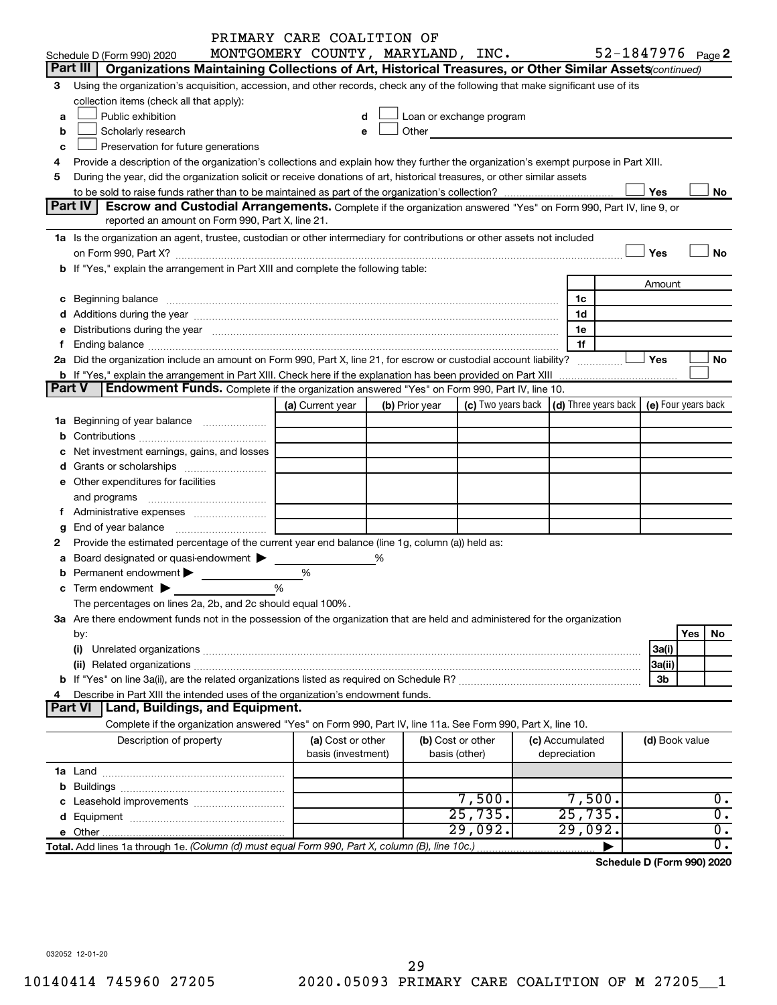| 52-1847976 Page 2<br>MONTGOMERY COUNTY, MARYLAND, INC.<br>Schedule D (Form 990) 2020<br>Part III<br>Organizations Maintaining Collections of Art, Historical Treasures, or Other Similar Assets (continued)<br>Using the organization's acquisition, accession, and other records, check any of the following that make significant use of its<br>3<br>collection items (check all that apply):<br>Public exhibition<br>Loan or exchange program<br>a<br>d<br>Other and the contract of the contract of the contract of the contract of the contract of the contract of the contract of the contract of the contract of the contract of the contract of the contract of the contract of the<br>Scholarly research<br>b<br>e<br>Preservation for future generations<br>c<br>Provide a description of the organization's collections and explain how they further the organization's exempt purpose in Part XIII.<br>4<br>During the year, did the organization solicit or receive donations of art, historical treasures, or other similar assets<br>5<br>Yes<br>No<br>Part IV<br><b>Escrow and Custodial Arrangements.</b> Complete if the organization answered "Yes" on Form 990, Part IV, line 9, or<br>reported an amount on Form 990, Part X, line 21.<br>1a Is the organization an agent, trustee, custodian or other intermediary for contributions or other assets not included<br>Yes<br>No<br>on Form 990, Part X? [11] matter contracts and contracts and contracts are contracted as a function of the set of the set of the set of the set of the set of the set of the set of the set of the set of the set of the set o<br>b If "Yes," explain the arrangement in Part XIII and complete the following table:<br>Amount<br>1c<br>1d<br>e Distributions during the year manufactured and an account of the year manufactured and account of the year manufactured and account of the USA of the Distributions during the year<br>1е<br>1f<br>Yes<br>2a Did the organization include an amount on Form 990, Part X, line 21, for escrow or custodial account liability?<br>No<br>Part V<br><b>Endowment Funds.</b> Complete if the organization answered "Yes" on Form 990, Part IV, line 10.<br>(c) Two years back $\vert$ (d) Three years back $\vert$ (e) Four years back<br>(a) Current year<br>(b) Prior year<br>1a Beginning of year balance<br>b<br>Net investment earnings, gains, and losses<br>e Other expenditures for facilities<br>and programs<br>f.<br>End of year balance<br>g<br>Provide the estimated percentage of the current year end balance (line 1g, column (a)) held as:<br>2<br>Board designated or quasi-endowment ><br>℅<br>а<br>Permanent endowment ><br>%<br>b<br>%<br>Term endowment $\blacktriangleright$<br>The percentages on lines 2a, 2b, and 2c should equal 100%.<br>3a Are there endowment funds not in the possession of the organization that are held and administered for the organization<br>Yes<br>No<br>by:<br>Unrelated organizations [111] March 1999, March 1999, March 1999, March 1999, March 1999, March 1999, March 19<br>3a(i)<br>(i)<br>3a(ii)<br>3 <sub>b</sub><br>Describe in Part XIII the intended uses of the organization's endowment funds.<br>4<br>Part VI<br>Land, Buildings, and Equipment.<br>Complete if the organization answered "Yes" on Form 990, Part IV, line 11a. See Form 990, Part X, line 10.<br>Description of property<br>(a) Cost or other<br>(b) Cost or other<br>(c) Accumulated<br>(d) Book value<br>basis (investment)<br>basis (other)<br>depreciation<br>7,500.<br>7,500.<br>$\overline{0}$ .<br>25,735.<br>25,735.<br>$\overline{0}$ .<br>29,092.<br>29,092.<br>$\overline{0}$ .<br>$\overline{0}$ .<br>▶ |  | PRIMARY CARE COALITION OF |  |  |  |  |
|---------------------------------------------------------------------------------------------------------------------------------------------------------------------------------------------------------------------------------------------------------------------------------------------------------------------------------------------------------------------------------------------------------------------------------------------------------------------------------------------------------------------------------------------------------------------------------------------------------------------------------------------------------------------------------------------------------------------------------------------------------------------------------------------------------------------------------------------------------------------------------------------------------------------------------------------------------------------------------------------------------------------------------------------------------------------------------------------------------------------------------------------------------------------------------------------------------------------------------------------------------------------------------------------------------------------------------------------------------------------------------------------------------------------------------------------------------------------------------------------------------------------------------------------------------------------------------------------------------------------------------------------------------------------------------------------------------------------------------------------------------------------------------------------------------------------------------------------------------------------------------------------------------------------------------------------------------------------------------------------------------------------------------------------------------------------------------------------------------------------------------------------------------------------------------------------------------------------------------------------------------------------------------------------------------------------------------------------------------------------------------------------------------------------------------------------------------------------------------------------------------------------------------------------------------------------------------------------------------------------------------------------------------------------------------------------------------------------------------------------------------------------------------------------------------------------------------------------------------------------------------------------------------------------------------------------------------------------------------------------------------------------------------------------------------------------------------------------------------------------------------------------------------------------------------------------------------------------------------------------------------------------------------------------------------------------------------------------------------------------------------------------------------------------------------------------------------------------------------------------------------------------------------------------------------------------------------------------------------------------------------------------------------------------------------------------------------------|--|---------------------------|--|--|--|--|
|                                                                                                                                                                                                                                                                                                                                                                                                                                                                                                                                                                                                                                                                                                                                                                                                                                                                                                                                                                                                                                                                                                                                                                                                                                                                                                                                                                                                                                                                                                                                                                                                                                                                                                                                                                                                                                                                                                                                                                                                                                                                                                                                                                                                                                                                                                                                                                                                                                                                                                                                                                                                                                                                                                                                                                                                                                                                                                                                                                                                                                                                                                                                                                                                                                                                                                                                                                                                                                                                                                                                                                                                                                                                                                               |  |                           |  |  |  |  |
|                                                                                                                                                                                                                                                                                                                                                                                                                                                                                                                                                                                                                                                                                                                                                                                                                                                                                                                                                                                                                                                                                                                                                                                                                                                                                                                                                                                                                                                                                                                                                                                                                                                                                                                                                                                                                                                                                                                                                                                                                                                                                                                                                                                                                                                                                                                                                                                                                                                                                                                                                                                                                                                                                                                                                                                                                                                                                                                                                                                                                                                                                                                                                                                                                                                                                                                                                                                                                                                                                                                                                                                                                                                                                                               |  |                           |  |  |  |  |
|                                                                                                                                                                                                                                                                                                                                                                                                                                                                                                                                                                                                                                                                                                                                                                                                                                                                                                                                                                                                                                                                                                                                                                                                                                                                                                                                                                                                                                                                                                                                                                                                                                                                                                                                                                                                                                                                                                                                                                                                                                                                                                                                                                                                                                                                                                                                                                                                                                                                                                                                                                                                                                                                                                                                                                                                                                                                                                                                                                                                                                                                                                                                                                                                                                                                                                                                                                                                                                                                                                                                                                                                                                                                                                               |  |                           |  |  |  |  |
|                                                                                                                                                                                                                                                                                                                                                                                                                                                                                                                                                                                                                                                                                                                                                                                                                                                                                                                                                                                                                                                                                                                                                                                                                                                                                                                                                                                                                                                                                                                                                                                                                                                                                                                                                                                                                                                                                                                                                                                                                                                                                                                                                                                                                                                                                                                                                                                                                                                                                                                                                                                                                                                                                                                                                                                                                                                                                                                                                                                                                                                                                                                                                                                                                                                                                                                                                                                                                                                                                                                                                                                                                                                                                                               |  |                           |  |  |  |  |
|                                                                                                                                                                                                                                                                                                                                                                                                                                                                                                                                                                                                                                                                                                                                                                                                                                                                                                                                                                                                                                                                                                                                                                                                                                                                                                                                                                                                                                                                                                                                                                                                                                                                                                                                                                                                                                                                                                                                                                                                                                                                                                                                                                                                                                                                                                                                                                                                                                                                                                                                                                                                                                                                                                                                                                                                                                                                                                                                                                                                                                                                                                                                                                                                                                                                                                                                                                                                                                                                                                                                                                                                                                                                                                               |  |                           |  |  |  |  |
|                                                                                                                                                                                                                                                                                                                                                                                                                                                                                                                                                                                                                                                                                                                                                                                                                                                                                                                                                                                                                                                                                                                                                                                                                                                                                                                                                                                                                                                                                                                                                                                                                                                                                                                                                                                                                                                                                                                                                                                                                                                                                                                                                                                                                                                                                                                                                                                                                                                                                                                                                                                                                                                                                                                                                                                                                                                                                                                                                                                                                                                                                                                                                                                                                                                                                                                                                                                                                                                                                                                                                                                                                                                                                                               |  |                           |  |  |  |  |
|                                                                                                                                                                                                                                                                                                                                                                                                                                                                                                                                                                                                                                                                                                                                                                                                                                                                                                                                                                                                                                                                                                                                                                                                                                                                                                                                                                                                                                                                                                                                                                                                                                                                                                                                                                                                                                                                                                                                                                                                                                                                                                                                                                                                                                                                                                                                                                                                                                                                                                                                                                                                                                                                                                                                                                                                                                                                                                                                                                                                                                                                                                                                                                                                                                                                                                                                                                                                                                                                                                                                                                                                                                                                                                               |  |                           |  |  |  |  |
|                                                                                                                                                                                                                                                                                                                                                                                                                                                                                                                                                                                                                                                                                                                                                                                                                                                                                                                                                                                                                                                                                                                                                                                                                                                                                                                                                                                                                                                                                                                                                                                                                                                                                                                                                                                                                                                                                                                                                                                                                                                                                                                                                                                                                                                                                                                                                                                                                                                                                                                                                                                                                                                                                                                                                                                                                                                                                                                                                                                                                                                                                                                                                                                                                                                                                                                                                                                                                                                                                                                                                                                                                                                                                                               |  |                           |  |  |  |  |
|                                                                                                                                                                                                                                                                                                                                                                                                                                                                                                                                                                                                                                                                                                                                                                                                                                                                                                                                                                                                                                                                                                                                                                                                                                                                                                                                                                                                                                                                                                                                                                                                                                                                                                                                                                                                                                                                                                                                                                                                                                                                                                                                                                                                                                                                                                                                                                                                                                                                                                                                                                                                                                                                                                                                                                                                                                                                                                                                                                                                                                                                                                                                                                                                                                                                                                                                                                                                                                                                                                                                                                                                                                                                                                               |  |                           |  |  |  |  |
|                                                                                                                                                                                                                                                                                                                                                                                                                                                                                                                                                                                                                                                                                                                                                                                                                                                                                                                                                                                                                                                                                                                                                                                                                                                                                                                                                                                                                                                                                                                                                                                                                                                                                                                                                                                                                                                                                                                                                                                                                                                                                                                                                                                                                                                                                                                                                                                                                                                                                                                                                                                                                                                                                                                                                                                                                                                                                                                                                                                                                                                                                                                                                                                                                                                                                                                                                                                                                                                                                                                                                                                                                                                                                                               |  |                           |  |  |  |  |
|                                                                                                                                                                                                                                                                                                                                                                                                                                                                                                                                                                                                                                                                                                                                                                                                                                                                                                                                                                                                                                                                                                                                                                                                                                                                                                                                                                                                                                                                                                                                                                                                                                                                                                                                                                                                                                                                                                                                                                                                                                                                                                                                                                                                                                                                                                                                                                                                                                                                                                                                                                                                                                                                                                                                                                                                                                                                                                                                                                                                                                                                                                                                                                                                                                                                                                                                                                                                                                                                                                                                                                                                                                                                                                               |  |                           |  |  |  |  |
|                                                                                                                                                                                                                                                                                                                                                                                                                                                                                                                                                                                                                                                                                                                                                                                                                                                                                                                                                                                                                                                                                                                                                                                                                                                                                                                                                                                                                                                                                                                                                                                                                                                                                                                                                                                                                                                                                                                                                                                                                                                                                                                                                                                                                                                                                                                                                                                                                                                                                                                                                                                                                                                                                                                                                                                                                                                                                                                                                                                                                                                                                                                                                                                                                                                                                                                                                                                                                                                                                                                                                                                                                                                                                                               |  |                           |  |  |  |  |
|                                                                                                                                                                                                                                                                                                                                                                                                                                                                                                                                                                                                                                                                                                                                                                                                                                                                                                                                                                                                                                                                                                                                                                                                                                                                                                                                                                                                                                                                                                                                                                                                                                                                                                                                                                                                                                                                                                                                                                                                                                                                                                                                                                                                                                                                                                                                                                                                                                                                                                                                                                                                                                                                                                                                                                                                                                                                                                                                                                                                                                                                                                                                                                                                                                                                                                                                                                                                                                                                                                                                                                                                                                                                                                               |  |                           |  |  |  |  |
|                                                                                                                                                                                                                                                                                                                                                                                                                                                                                                                                                                                                                                                                                                                                                                                                                                                                                                                                                                                                                                                                                                                                                                                                                                                                                                                                                                                                                                                                                                                                                                                                                                                                                                                                                                                                                                                                                                                                                                                                                                                                                                                                                                                                                                                                                                                                                                                                                                                                                                                                                                                                                                                                                                                                                                                                                                                                                                                                                                                                                                                                                                                                                                                                                                                                                                                                                                                                                                                                                                                                                                                                                                                                                                               |  |                           |  |  |  |  |
|                                                                                                                                                                                                                                                                                                                                                                                                                                                                                                                                                                                                                                                                                                                                                                                                                                                                                                                                                                                                                                                                                                                                                                                                                                                                                                                                                                                                                                                                                                                                                                                                                                                                                                                                                                                                                                                                                                                                                                                                                                                                                                                                                                                                                                                                                                                                                                                                                                                                                                                                                                                                                                                                                                                                                                                                                                                                                                                                                                                                                                                                                                                                                                                                                                                                                                                                                                                                                                                                                                                                                                                                                                                                                                               |  |                           |  |  |  |  |
|                                                                                                                                                                                                                                                                                                                                                                                                                                                                                                                                                                                                                                                                                                                                                                                                                                                                                                                                                                                                                                                                                                                                                                                                                                                                                                                                                                                                                                                                                                                                                                                                                                                                                                                                                                                                                                                                                                                                                                                                                                                                                                                                                                                                                                                                                                                                                                                                                                                                                                                                                                                                                                                                                                                                                                                                                                                                                                                                                                                                                                                                                                                                                                                                                                                                                                                                                                                                                                                                                                                                                                                                                                                                                                               |  |                           |  |  |  |  |
|                                                                                                                                                                                                                                                                                                                                                                                                                                                                                                                                                                                                                                                                                                                                                                                                                                                                                                                                                                                                                                                                                                                                                                                                                                                                                                                                                                                                                                                                                                                                                                                                                                                                                                                                                                                                                                                                                                                                                                                                                                                                                                                                                                                                                                                                                                                                                                                                                                                                                                                                                                                                                                                                                                                                                                                                                                                                                                                                                                                                                                                                                                                                                                                                                                                                                                                                                                                                                                                                                                                                                                                                                                                                                                               |  |                           |  |  |  |  |
|                                                                                                                                                                                                                                                                                                                                                                                                                                                                                                                                                                                                                                                                                                                                                                                                                                                                                                                                                                                                                                                                                                                                                                                                                                                                                                                                                                                                                                                                                                                                                                                                                                                                                                                                                                                                                                                                                                                                                                                                                                                                                                                                                                                                                                                                                                                                                                                                                                                                                                                                                                                                                                                                                                                                                                                                                                                                                                                                                                                                                                                                                                                                                                                                                                                                                                                                                                                                                                                                                                                                                                                                                                                                                                               |  |                           |  |  |  |  |
|                                                                                                                                                                                                                                                                                                                                                                                                                                                                                                                                                                                                                                                                                                                                                                                                                                                                                                                                                                                                                                                                                                                                                                                                                                                                                                                                                                                                                                                                                                                                                                                                                                                                                                                                                                                                                                                                                                                                                                                                                                                                                                                                                                                                                                                                                                                                                                                                                                                                                                                                                                                                                                                                                                                                                                                                                                                                                                                                                                                                                                                                                                                                                                                                                                                                                                                                                                                                                                                                                                                                                                                                                                                                                                               |  |                           |  |  |  |  |
|                                                                                                                                                                                                                                                                                                                                                                                                                                                                                                                                                                                                                                                                                                                                                                                                                                                                                                                                                                                                                                                                                                                                                                                                                                                                                                                                                                                                                                                                                                                                                                                                                                                                                                                                                                                                                                                                                                                                                                                                                                                                                                                                                                                                                                                                                                                                                                                                                                                                                                                                                                                                                                                                                                                                                                                                                                                                                                                                                                                                                                                                                                                                                                                                                                                                                                                                                                                                                                                                                                                                                                                                                                                                                                               |  |                           |  |  |  |  |
|                                                                                                                                                                                                                                                                                                                                                                                                                                                                                                                                                                                                                                                                                                                                                                                                                                                                                                                                                                                                                                                                                                                                                                                                                                                                                                                                                                                                                                                                                                                                                                                                                                                                                                                                                                                                                                                                                                                                                                                                                                                                                                                                                                                                                                                                                                                                                                                                                                                                                                                                                                                                                                                                                                                                                                                                                                                                                                                                                                                                                                                                                                                                                                                                                                                                                                                                                                                                                                                                                                                                                                                                                                                                                                               |  |                           |  |  |  |  |
|                                                                                                                                                                                                                                                                                                                                                                                                                                                                                                                                                                                                                                                                                                                                                                                                                                                                                                                                                                                                                                                                                                                                                                                                                                                                                                                                                                                                                                                                                                                                                                                                                                                                                                                                                                                                                                                                                                                                                                                                                                                                                                                                                                                                                                                                                                                                                                                                                                                                                                                                                                                                                                                                                                                                                                                                                                                                                                                                                                                                                                                                                                                                                                                                                                                                                                                                                                                                                                                                                                                                                                                                                                                                                                               |  |                           |  |  |  |  |
|                                                                                                                                                                                                                                                                                                                                                                                                                                                                                                                                                                                                                                                                                                                                                                                                                                                                                                                                                                                                                                                                                                                                                                                                                                                                                                                                                                                                                                                                                                                                                                                                                                                                                                                                                                                                                                                                                                                                                                                                                                                                                                                                                                                                                                                                                                                                                                                                                                                                                                                                                                                                                                                                                                                                                                                                                                                                                                                                                                                                                                                                                                                                                                                                                                                                                                                                                                                                                                                                                                                                                                                                                                                                                                               |  |                           |  |  |  |  |
|                                                                                                                                                                                                                                                                                                                                                                                                                                                                                                                                                                                                                                                                                                                                                                                                                                                                                                                                                                                                                                                                                                                                                                                                                                                                                                                                                                                                                                                                                                                                                                                                                                                                                                                                                                                                                                                                                                                                                                                                                                                                                                                                                                                                                                                                                                                                                                                                                                                                                                                                                                                                                                                                                                                                                                                                                                                                                                                                                                                                                                                                                                                                                                                                                                                                                                                                                                                                                                                                                                                                                                                                                                                                                                               |  |                           |  |  |  |  |
|                                                                                                                                                                                                                                                                                                                                                                                                                                                                                                                                                                                                                                                                                                                                                                                                                                                                                                                                                                                                                                                                                                                                                                                                                                                                                                                                                                                                                                                                                                                                                                                                                                                                                                                                                                                                                                                                                                                                                                                                                                                                                                                                                                                                                                                                                                                                                                                                                                                                                                                                                                                                                                                                                                                                                                                                                                                                                                                                                                                                                                                                                                                                                                                                                                                                                                                                                                                                                                                                                                                                                                                                                                                                                                               |  |                           |  |  |  |  |
|                                                                                                                                                                                                                                                                                                                                                                                                                                                                                                                                                                                                                                                                                                                                                                                                                                                                                                                                                                                                                                                                                                                                                                                                                                                                                                                                                                                                                                                                                                                                                                                                                                                                                                                                                                                                                                                                                                                                                                                                                                                                                                                                                                                                                                                                                                                                                                                                                                                                                                                                                                                                                                                                                                                                                                                                                                                                                                                                                                                                                                                                                                                                                                                                                                                                                                                                                                                                                                                                                                                                                                                                                                                                                                               |  |                           |  |  |  |  |
|                                                                                                                                                                                                                                                                                                                                                                                                                                                                                                                                                                                                                                                                                                                                                                                                                                                                                                                                                                                                                                                                                                                                                                                                                                                                                                                                                                                                                                                                                                                                                                                                                                                                                                                                                                                                                                                                                                                                                                                                                                                                                                                                                                                                                                                                                                                                                                                                                                                                                                                                                                                                                                                                                                                                                                                                                                                                                                                                                                                                                                                                                                                                                                                                                                                                                                                                                                                                                                                                                                                                                                                                                                                                                                               |  |                           |  |  |  |  |
|                                                                                                                                                                                                                                                                                                                                                                                                                                                                                                                                                                                                                                                                                                                                                                                                                                                                                                                                                                                                                                                                                                                                                                                                                                                                                                                                                                                                                                                                                                                                                                                                                                                                                                                                                                                                                                                                                                                                                                                                                                                                                                                                                                                                                                                                                                                                                                                                                                                                                                                                                                                                                                                                                                                                                                                                                                                                                                                                                                                                                                                                                                                                                                                                                                                                                                                                                                                                                                                                                                                                                                                                                                                                                                               |  |                           |  |  |  |  |
|                                                                                                                                                                                                                                                                                                                                                                                                                                                                                                                                                                                                                                                                                                                                                                                                                                                                                                                                                                                                                                                                                                                                                                                                                                                                                                                                                                                                                                                                                                                                                                                                                                                                                                                                                                                                                                                                                                                                                                                                                                                                                                                                                                                                                                                                                                                                                                                                                                                                                                                                                                                                                                                                                                                                                                                                                                                                                                                                                                                                                                                                                                                                                                                                                                                                                                                                                                                                                                                                                                                                                                                                                                                                                                               |  |                           |  |  |  |  |
|                                                                                                                                                                                                                                                                                                                                                                                                                                                                                                                                                                                                                                                                                                                                                                                                                                                                                                                                                                                                                                                                                                                                                                                                                                                                                                                                                                                                                                                                                                                                                                                                                                                                                                                                                                                                                                                                                                                                                                                                                                                                                                                                                                                                                                                                                                                                                                                                                                                                                                                                                                                                                                                                                                                                                                                                                                                                                                                                                                                                                                                                                                                                                                                                                                                                                                                                                                                                                                                                                                                                                                                                                                                                                                               |  |                           |  |  |  |  |
|                                                                                                                                                                                                                                                                                                                                                                                                                                                                                                                                                                                                                                                                                                                                                                                                                                                                                                                                                                                                                                                                                                                                                                                                                                                                                                                                                                                                                                                                                                                                                                                                                                                                                                                                                                                                                                                                                                                                                                                                                                                                                                                                                                                                                                                                                                                                                                                                                                                                                                                                                                                                                                                                                                                                                                                                                                                                                                                                                                                                                                                                                                                                                                                                                                                                                                                                                                                                                                                                                                                                                                                                                                                                                                               |  |                           |  |  |  |  |
|                                                                                                                                                                                                                                                                                                                                                                                                                                                                                                                                                                                                                                                                                                                                                                                                                                                                                                                                                                                                                                                                                                                                                                                                                                                                                                                                                                                                                                                                                                                                                                                                                                                                                                                                                                                                                                                                                                                                                                                                                                                                                                                                                                                                                                                                                                                                                                                                                                                                                                                                                                                                                                                                                                                                                                                                                                                                                                                                                                                                                                                                                                                                                                                                                                                                                                                                                                                                                                                                                                                                                                                                                                                                                                               |  |                           |  |  |  |  |
|                                                                                                                                                                                                                                                                                                                                                                                                                                                                                                                                                                                                                                                                                                                                                                                                                                                                                                                                                                                                                                                                                                                                                                                                                                                                                                                                                                                                                                                                                                                                                                                                                                                                                                                                                                                                                                                                                                                                                                                                                                                                                                                                                                                                                                                                                                                                                                                                                                                                                                                                                                                                                                                                                                                                                                                                                                                                                                                                                                                                                                                                                                                                                                                                                                                                                                                                                                                                                                                                                                                                                                                                                                                                                                               |  |                           |  |  |  |  |
|                                                                                                                                                                                                                                                                                                                                                                                                                                                                                                                                                                                                                                                                                                                                                                                                                                                                                                                                                                                                                                                                                                                                                                                                                                                                                                                                                                                                                                                                                                                                                                                                                                                                                                                                                                                                                                                                                                                                                                                                                                                                                                                                                                                                                                                                                                                                                                                                                                                                                                                                                                                                                                                                                                                                                                                                                                                                                                                                                                                                                                                                                                                                                                                                                                                                                                                                                                                                                                                                                                                                                                                                                                                                                                               |  |                           |  |  |  |  |
|                                                                                                                                                                                                                                                                                                                                                                                                                                                                                                                                                                                                                                                                                                                                                                                                                                                                                                                                                                                                                                                                                                                                                                                                                                                                                                                                                                                                                                                                                                                                                                                                                                                                                                                                                                                                                                                                                                                                                                                                                                                                                                                                                                                                                                                                                                                                                                                                                                                                                                                                                                                                                                                                                                                                                                                                                                                                                                                                                                                                                                                                                                                                                                                                                                                                                                                                                                                                                                                                                                                                                                                                                                                                                                               |  |                           |  |  |  |  |
|                                                                                                                                                                                                                                                                                                                                                                                                                                                                                                                                                                                                                                                                                                                                                                                                                                                                                                                                                                                                                                                                                                                                                                                                                                                                                                                                                                                                                                                                                                                                                                                                                                                                                                                                                                                                                                                                                                                                                                                                                                                                                                                                                                                                                                                                                                                                                                                                                                                                                                                                                                                                                                                                                                                                                                                                                                                                                                                                                                                                                                                                                                                                                                                                                                                                                                                                                                                                                                                                                                                                                                                                                                                                                                               |  |                           |  |  |  |  |
|                                                                                                                                                                                                                                                                                                                                                                                                                                                                                                                                                                                                                                                                                                                                                                                                                                                                                                                                                                                                                                                                                                                                                                                                                                                                                                                                                                                                                                                                                                                                                                                                                                                                                                                                                                                                                                                                                                                                                                                                                                                                                                                                                                                                                                                                                                                                                                                                                                                                                                                                                                                                                                                                                                                                                                                                                                                                                                                                                                                                                                                                                                                                                                                                                                                                                                                                                                                                                                                                                                                                                                                                                                                                                                               |  |                           |  |  |  |  |
|                                                                                                                                                                                                                                                                                                                                                                                                                                                                                                                                                                                                                                                                                                                                                                                                                                                                                                                                                                                                                                                                                                                                                                                                                                                                                                                                                                                                                                                                                                                                                                                                                                                                                                                                                                                                                                                                                                                                                                                                                                                                                                                                                                                                                                                                                                                                                                                                                                                                                                                                                                                                                                                                                                                                                                                                                                                                                                                                                                                                                                                                                                                                                                                                                                                                                                                                                                                                                                                                                                                                                                                                                                                                                                               |  |                           |  |  |  |  |
|                                                                                                                                                                                                                                                                                                                                                                                                                                                                                                                                                                                                                                                                                                                                                                                                                                                                                                                                                                                                                                                                                                                                                                                                                                                                                                                                                                                                                                                                                                                                                                                                                                                                                                                                                                                                                                                                                                                                                                                                                                                                                                                                                                                                                                                                                                                                                                                                                                                                                                                                                                                                                                                                                                                                                                                                                                                                                                                                                                                                                                                                                                                                                                                                                                                                                                                                                                                                                                                                                                                                                                                                                                                                                                               |  |                           |  |  |  |  |
|                                                                                                                                                                                                                                                                                                                                                                                                                                                                                                                                                                                                                                                                                                                                                                                                                                                                                                                                                                                                                                                                                                                                                                                                                                                                                                                                                                                                                                                                                                                                                                                                                                                                                                                                                                                                                                                                                                                                                                                                                                                                                                                                                                                                                                                                                                                                                                                                                                                                                                                                                                                                                                                                                                                                                                                                                                                                                                                                                                                                                                                                                                                                                                                                                                                                                                                                                                                                                                                                                                                                                                                                                                                                                                               |  |                           |  |  |  |  |
|                                                                                                                                                                                                                                                                                                                                                                                                                                                                                                                                                                                                                                                                                                                                                                                                                                                                                                                                                                                                                                                                                                                                                                                                                                                                                                                                                                                                                                                                                                                                                                                                                                                                                                                                                                                                                                                                                                                                                                                                                                                                                                                                                                                                                                                                                                                                                                                                                                                                                                                                                                                                                                                                                                                                                                                                                                                                                                                                                                                                                                                                                                                                                                                                                                                                                                                                                                                                                                                                                                                                                                                                                                                                                                               |  |                           |  |  |  |  |
|                                                                                                                                                                                                                                                                                                                                                                                                                                                                                                                                                                                                                                                                                                                                                                                                                                                                                                                                                                                                                                                                                                                                                                                                                                                                                                                                                                                                                                                                                                                                                                                                                                                                                                                                                                                                                                                                                                                                                                                                                                                                                                                                                                                                                                                                                                                                                                                                                                                                                                                                                                                                                                                                                                                                                                                                                                                                                                                                                                                                                                                                                                                                                                                                                                                                                                                                                                                                                                                                                                                                                                                                                                                                                                               |  |                           |  |  |  |  |
|                                                                                                                                                                                                                                                                                                                                                                                                                                                                                                                                                                                                                                                                                                                                                                                                                                                                                                                                                                                                                                                                                                                                                                                                                                                                                                                                                                                                                                                                                                                                                                                                                                                                                                                                                                                                                                                                                                                                                                                                                                                                                                                                                                                                                                                                                                                                                                                                                                                                                                                                                                                                                                                                                                                                                                                                                                                                                                                                                                                                                                                                                                                                                                                                                                                                                                                                                                                                                                                                                                                                                                                                                                                                                                               |  |                           |  |  |  |  |
|                                                                                                                                                                                                                                                                                                                                                                                                                                                                                                                                                                                                                                                                                                                                                                                                                                                                                                                                                                                                                                                                                                                                                                                                                                                                                                                                                                                                                                                                                                                                                                                                                                                                                                                                                                                                                                                                                                                                                                                                                                                                                                                                                                                                                                                                                                                                                                                                                                                                                                                                                                                                                                                                                                                                                                                                                                                                                                                                                                                                                                                                                                                                                                                                                                                                                                                                                                                                                                                                                                                                                                                                                                                                                                               |  |                           |  |  |  |  |
|                                                                                                                                                                                                                                                                                                                                                                                                                                                                                                                                                                                                                                                                                                                                                                                                                                                                                                                                                                                                                                                                                                                                                                                                                                                                                                                                                                                                                                                                                                                                                                                                                                                                                                                                                                                                                                                                                                                                                                                                                                                                                                                                                                                                                                                                                                                                                                                                                                                                                                                                                                                                                                                                                                                                                                                                                                                                                                                                                                                                                                                                                                                                                                                                                                                                                                                                                                                                                                                                                                                                                                                                                                                                                                               |  |                           |  |  |  |  |
|                                                                                                                                                                                                                                                                                                                                                                                                                                                                                                                                                                                                                                                                                                                                                                                                                                                                                                                                                                                                                                                                                                                                                                                                                                                                                                                                                                                                                                                                                                                                                                                                                                                                                                                                                                                                                                                                                                                                                                                                                                                                                                                                                                                                                                                                                                                                                                                                                                                                                                                                                                                                                                                                                                                                                                                                                                                                                                                                                                                                                                                                                                                                                                                                                                                                                                                                                                                                                                                                                                                                                                                                                                                                                                               |  |                           |  |  |  |  |
|                                                                                                                                                                                                                                                                                                                                                                                                                                                                                                                                                                                                                                                                                                                                                                                                                                                                                                                                                                                                                                                                                                                                                                                                                                                                                                                                                                                                                                                                                                                                                                                                                                                                                                                                                                                                                                                                                                                                                                                                                                                                                                                                                                                                                                                                                                                                                                                                                                                                                                                                                                                                                                                                                                                                                                                                                                                                                                                                                                                                                                                                                                                                                                                                                                                                                                                                                                                                                                                                                                                                                                                                                                                                                                               |  |                           |  |  |  |  |
|                                                                                                                                                                                                                                                                                                                                                                                                                                                                                                                                                                                                                                                                                                                                                                                                                                                                                                                                                                                                                                                                                                                                                                                                                                                                                                                                                                                                                                                                                                                                                                                                                                                                                                                                                                                                                                                                                                                                                                                                                                                                                                                                                                                                                                                                                                                                                                                                                                                                                                                                                                                                                                                                                                                                                                                                                                                                                                                                                                                                                                                                                                                                                                                                                                                                                                                                                                                                                                                                                                                                                                                                                                                                                                               |  |                           |  |  |  |  |
|                                                                                                                                                                                                                                                                                                                                                                                                                                                                                                                                                                                                                                                                                                                                                                                                                                                                                                                                                                                                                                                                                                                                                                                                                                                                                                                                                                                                                                                                                                                                                                                                                                                                                                                                                                                                                                                                                                                                                                                                                                                                                                                                                                                                                                                                                                                                                                                                                                                                                                                                                                                                                                                                                                                                                                                                                                                                                                                                                                                                                                                                                                                                                                                                                                                                                                                                                                                                                                                                                                                                                                                                                                                                                                               |  |                           |  |  |  |  |
|                                                                                                                                                                                                                                                                                                                                                                                                                                                                                                                                                                                                                                                                                                                                                                                                                                                                                                                                                                                                                                                                                                                                                                                                                                                                                                                                                                                                                                                                                                                                                                                                                                                                                                                                                                                                                                                                                                                                                                                                                                                                                                                                                                                                                                                                                                                                                                                                                                                                                                                                                                                                                                                                                                                                                                                                                                                                                                                                                                                                                                                                                                                                                                                                                                                                                                                                                                                                                                                                                                                                                                                                                                                                                                               |  |                           |  |  |  |  |
|                                                                                                                                                                                                                                                                                                                                                                                                                                                                                                                                                                                                                                                                                                                                                                                                                                                                                                                                                                                                                                                                                                                                                                                                                                                                                                                                                                                                                                                                                                                                                                                                                                                                                                                                                                                                                                                                                                                                                                                                                                                                                                                                                                                                                                                                                                                                                                                                                                                                                                                                                                                                                                                                                                                                                                                                                                                                                                                                                                                                                                                                                                                                                                                                                                                                                                                                                                                                                                                                                                                                                                                                                                                                                                               |  |                           |  |  |  |  |
|                                                                                                                                                                                                                                                                                                                                                                                                                                                                                                                                                                                                                                                                                                                                                                                                                                                                                                                                                                                                                                                                                                                                                                                                                                                                                                                                                                                                                                                                                                                                                                                                                                                                                                                                                                                                                                                                                                                                                                                                                                                                                                                                                                                                                                                                                                                                                                                                                                                                                                                                                                                                                                                                                                                                                                                                                                                                                                                                                                                                                                                                                                                                                                                                                                                                                                                                                                                                                                                                                                                                                                                                                                                                                                               |  |                           |  |  |  |  |
|                                                                                                                                                                                                                                                                                                                                                                                                                                                                                                                                                                                                                                                                                                                                                                                                                                                                                                                                                                                                                                                                                                                                                                                                                                                                                                                                                                                                                                                                                                                                                                                                                                                                                                                                                                                                                                                                                                                                                                                                                                                                                                                                                                                                                                                                                                                                                                                                                                                                                                                                                                                                                                                                                                                                                                                                                                                                                                                                                                                                                                                                                                                                                                                                                                                                                                                                                                                                                                                                                                                                                                                                                                                                                                               |  |                           |  |  |  |  |

**Schedule D (Form 990) 2020**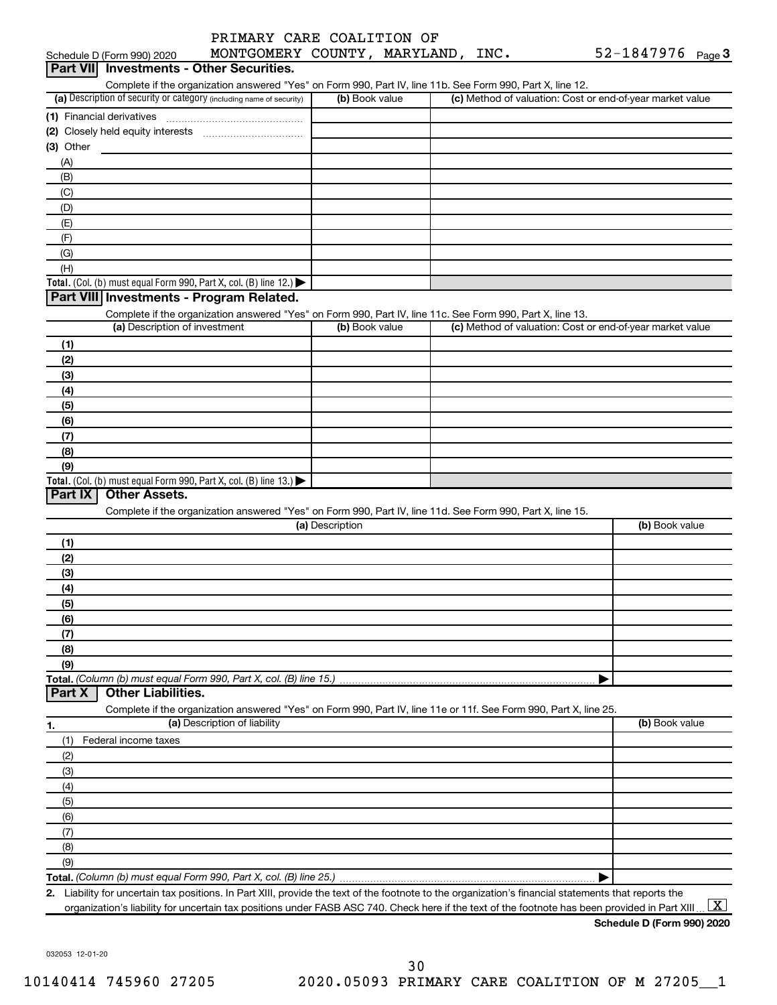| PRIMARY CARE COALITION OF               |  |        |  |
|-----------------------------------------|--|--------|--|
| $\lambda$ <i>icarmageredic corrents</i> |  | 113.73 |  |

|           | Schedule D (Form 990) 2020    | MONTGOMERY COUNTY, MARYLAND, INC.                                                                                                                    |                 |  |  | $52 - 1847976$ Page 3                                     |  |
|-----------|-------------------------------|------------------------------------------------------------------------------------------------------------------------------------------------------|-----------------|--|--|-----------------------------------------------------------|--|
|           |                               | Part VII Investments - Other Securities.                                                                                                             |                 |  |  |                                                           |  |
|           |                               | Complete if the organization answered "Yes" on Form 990, Part IV, line 11b. See Form 990, Part X, line 12.                                           |                 |  |  |                                                           |  |
|           |                               | (a) Description of security or category (including name of security)                                                                                 | (b) Book value  |  |  | (c) Method of valuation: Cost or end-of-year market value |  |
|           |                               |                                                                                                                                                      |                 |  |  |                                                           |  |
|           |                               |                                                                                                                                                      |                 |  |  |                                                           |  |
| (3) Other |                               |                                                                                                                                                      |                 |  |  |                                                           |  |
| (A)       |                               |                                                                                                                                                      |                 |  |  |                                                           |  |
| (B)       |                               |                                                                                                                                                      |                 |  |  |                                                           |  |
| (C)       |                               |                                                                                                                                                      |                 |  |  |                                                           |  |
| (D)       |                               |                                                                                                                                                      |                 |  |  |                                                           |  |
| (E)       |                               |                                                                                                                                                      |                 |  |  |                                                           |  |
| (F)       |                               |                                                                                                                                                      |                 |  |  |                                                           |  |
| (G)       |                               |                                                                                                                                                      |                 |  |  |                                                           |  |
| (H)       |                               |                                                                                                                                                      |                 |  |  |                                                           |  |
|           |                               | Total. (Col. (b) must equal Form 990, Part X, col. (B) line 12.)                                                                                     |                 |  |  |                                                           |  |
|           |                               | Part VIII Investments - Program Related.                                                                                                             |                 |  |  |                                                           |  |
|           |                               | Complete if the organization answered "Yes" on Form 990, Part IV, line 11c. See Form 990, Part X, line 13.                                           |                 |  |  |                                                           |  |
|           | (a) Description of investment |                                                                                                                                                      | (b) Book value  |  |  | (c) Method of valuation: Cost or end-of-year market value |  |
| (1)       |                               |                                                                                                                                                      |                 |  |  |                                                           |  |
| (2)       |                               |                                                                                                                                                      |                 |  |  |                                                           |  |
| (3)       |                               |                                                                                                                                                      |                 |  |  |                                                           |  |
| (4)       |                               |                                                                                                                                                      |                 |  |  |                                                           |  |
| (5)       |                               |                                                                                                                                                      |                 |  |  |                                                           |  |
| (6)       |                               |                                                                                                                                                      |                 |  |  |                                                           |  |
| (7)       |                               |                                                                                                                                                      |                 |  |  |                                                           |  |
| (8)       |                               |                                                                                                                                                      |                 |  |  |                                                           |  |
| (9)       |                               |                                                                                                                                                      |                 |  |  |                                                           |  |
|           |                               | Total. (Col. (b) must equal Form 990, Part X, col. (B) line 13.)                                                                                     |                 |  |  |                                                           |  |
| Part IX   | <b>Other Assets.</b>          |                                                                                                                                                      |                 |  |  |                                                           |  |
|           |                               | Complete if the organization answered "Yes" on Form 990, Part IV, line 11d. See Form 990, Part X, line 15.                                           |                 |  |  |                                                           |  |
|           |                               |                                                                                                                                                      | (a) Description |  |  | (b) Book value                                            |  |
| (1)       |                               |                                                                                                                                                      |                 |  |  |                                                           |  |
| (2)       |                               |                                                                                                                                                      |                 |  |  |                                                           |  |
| (3)       |                               |                                                                                                                                                      |                 |  |  |                                                           |  |
| (4)       |                               |                                                                                                                                                      |                 |  |  |                                                           |  |
| (5)       |                               |                                                                                                                                                      |                 |  |  |                                                           |  |
| (6)       |                               |                                                                                                                                                      |                 |  |  |                                                           |  |
| (7)       |                               |                                                                                                                                                      |                 |  |  |                                                           |  |
| (8)       |                               |                                                                                                                                                      |                 |  |  |                                                           |  |
| (9)       |                               |                                                                                                                                                      |                 |  |  |                                                           |  |
|           |                               | Total. (Column (b) must equal Form 990, Part X, col. (B) line 15.)                                                                                   |                 |  |  |                                                           |  |
| Part X    | <b>Other Liabilities.</b>     |                                                                                                                                                      |                 |  |  |                                                           |  |
|           |                               | Complete if the organization answered "Yes" on Form 990, Part IV, line 11e or 11f. See Form 990, Part X, line 25.                                    |                 |  |  |                                                           |  |
| 1.        |                               | (a) Description of liability                                                                                                                         |                 |  |  | (b) Book value                                            |  |
| (1)       | Federal income taxes          |                                                                                                                                                      |                 |  |  |                                                           |  |
| (2)       |                               |                                                                                                                                                      |                 |  |  |                                                           |  |
| (3)       |                               |                                                                                                                                                      |                 |  |  |                                                           |  |
| (4)       |                               |                                                                                                                                                      |                 |  |  |                                                           |  |
|           |                               |                                                                                                                                                      |                 |  |  |                                                           |  |
| (5)       |                               |                                                                                                                                                      |                 |  |  |                                                           |  |
| (6)       |                               |                                                                                                                                                      |                 |  |  |                                                           |  |
| (7)       |                               |                                                                                                                                                      |                 |  |  |                                                           |  |
| (8)       |                               |                                                                                                                                                      |                 |  |  |                                                           |  |
| (9)       |                               |                                                                                                                                                      |                 |  |  |                                                           |  |
|           |                               |                                                                                                                                                      |                 |  |  |                                                           |  |
|           |                               | 2. Liability for uncertain tax positions. In Part XIII, provide the text of the footnote to the organization's financial statements that reports the |                 |  |  |                                                           |  |

organization's liability for uncertain tax positions under FASB ASC 740. Check here if the text of the footnote has been provided in Part XIII ...  $\fbox{\bf X}$ 

**Schedule D (Form 990) 2020**

032053 12-01-20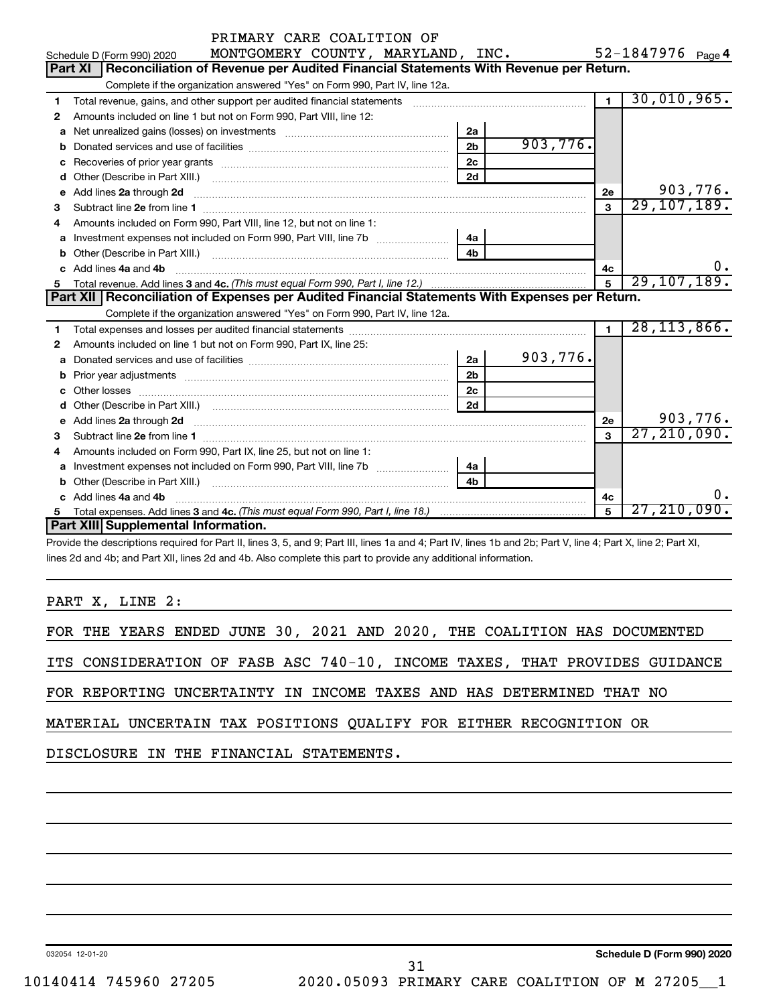|    | PRIMARY CARE COALITION OF                                                                                             |                |               |              |                |  |  |  |  |
|----|-----------------------------------------------------------------------------------------------------------------------|----------------|---------------|--------------|----------------|--|--|--|--|
|    | 52-1847976 Page 4<br>MONTGOMERY COUNTY, MARYLAND, INC.<br>Schedule D (Form 990) 2020                                  |                |               |              |                |  |  |  |  |
|    | Reconciliation of Revenue per Audited Financial Statements With Revenue per Return.<br><b>Part XI</b>                 |                |               |              |                |  |  |  |  |
|    | Complete if the organization answered "Yes" on Form 990, Part IV, line 12a.                                           |                |               |              |                |  |  |  |  |
| 1  | Total revenue, gains, and other support per audited financial statements [[[[[[[[[[[[[[[[[[[[[[[]]]]]]]]]]]]]         |                |               | $\mathbf{1}$ | 30,010,965.    |  |  |  |  |
| 2  | Amounts included on line 1 but not on Form 990, Part VIII, line 12:                                                   |                |               |              |                |  |  |  |  |
| a  | Net unrealized gains (losses) on investments [111] Net unrealized mains (losses) on investments [11] Metamanian       | 2a             |               |              |                |  |  |  |  |
| b  |                                                                                                                       | 2 <sub>b</sub> | 903,776.      |              |                |  |  |  |  |
| с  |                                                                                                                       | 2c             |               |              |                |  |  |  |  |
| d  |                                                                                                                       | 2d             |               |              |                |  |  |  |  |
| e  | Add lines 2a through 2d                                                                                               |                |               | 2е           | 903,776.       |  |  |  |  |
| З  |                                                                                                                       |                |               | $\mathbf{a}$ | 29, 107, 189.  |  |  |  |  |
| 4  | Amounts included on Form 990, Part VIII, line 12, but not on line 1:                                                  |                |               |              |                |  |  |  |  |
| a  |                                                                                                                       | 4a             |               |              |                |  |  |  |  |
| b  |                                                                                                                       | 4b             |               |              |                |  |  |  |  |
|    | Add lines 4a and 4b                                                                                                   | 4c             | $0$ .         |              |                |  |  |  |  |
| 5  |                                                                                                                       | 5              | 29, 107, 189. |              |                |  |  |  |  |
|    | Part XII   Reconciliation of Expenses per Audited Financial Statements With Expenses per Return.                      |                |               |              |                |  |  |  |  |
|    | Complete if the organization answered "Yes" on Form 990, Part IV, line 12a.                                           |                |               |              |                |  |  |  |  |
| 1  |                                                                                                                       |                |               | $\mathbf{1}$ | 28, 113, 866.  |  |  |  |  |
| 2  | Amounts included on line 1 but not on Form 990, Part IX, line 25:                                                     |                |               |              |                |  |  |  |  |
| a  |                                                                                                                       | 2a             | 903, 776.     |              |                |  |  |  |  |
| b  |                                                                                                                       | 2 <sub>b</sub> |               |              |                |  |  |  |  |
|    |                                                                                                                       | 2 <sub>c</sub> |               |              |                |  |  |  |  |
| d  |                                                                                                                       | 2d             |               |              |                |  |  |  |  |
| e  | Add lines 2a through 2d <b>contained a manufacture of the Contract Contract 2a</b> through 2d contained a manufacture |                |               | 2e           | 903,776.       |  |  |  |  |
| З  |                                                                                                                       |                |               | $\mathbf{a}$ | 27, 210, 090.  |  |  |  |  |
| 4  |                                                                                                                       |                |               |              |                |  |  |  |  |
|    | Amounts included on Form 990, Part IX, line 25, but not on line 1:                                                    |                |               |              |                |  |  |  |  |
| a  |                                                                                                                       | 4a             |               |              |                |  |  |  |  |
| b  |                                                                                                                       | 4h             |               |              |                |  |  |  |  |
| C. | Add lines 4a and 4b                                                                                                   |                |               | 4c           |                |  |  |  |  |
|    | Part XIII Supplemental Information.                                                                                   |                |               | 5            | $27,210,090$ . |  |  |  |  |

Provide the descriptions required for Part II, lines 3, 5, and 9; Part III, lines 1a and 4; Part IV, lines 1b and 2b; Part V, line 4; Part X, line 2; Part XI, lines 2d and 4b; and Part XII, lines 2d and 4b. Also complete this part to provide any additional information.

PART X, LINE 2:

|  |  |  |  |  |  |  |  |  |  |  |  | FOR THE YEARS ENDED JUNE 30, 2021 AND 2020, THE COALITION HAS DOCUMENTED |
|--|--|--|--|--|--|--|--|--|--|--|--|--------------------------------------------------------------------------|
|--|--|--|--|--|--|--|--|--|--|--|--|--------------------------------------------------------------------------|

ITS CONSIDERATION OF FASB ASC 740-10, INCOME TAXES, THAT PROVIDES GUIDANCE

FOR REPORTING UNCERTAINTY IN INCOME TAXES AND HAS DETERMINED THAT NO

MATERIAL UNCERTAIN TAX POSITIONS QUALIFY FOR EITHER RECOGNITION OR

DISCLOSURE IN THE FINANCIAL STATEMENTS.

032054 12-01-20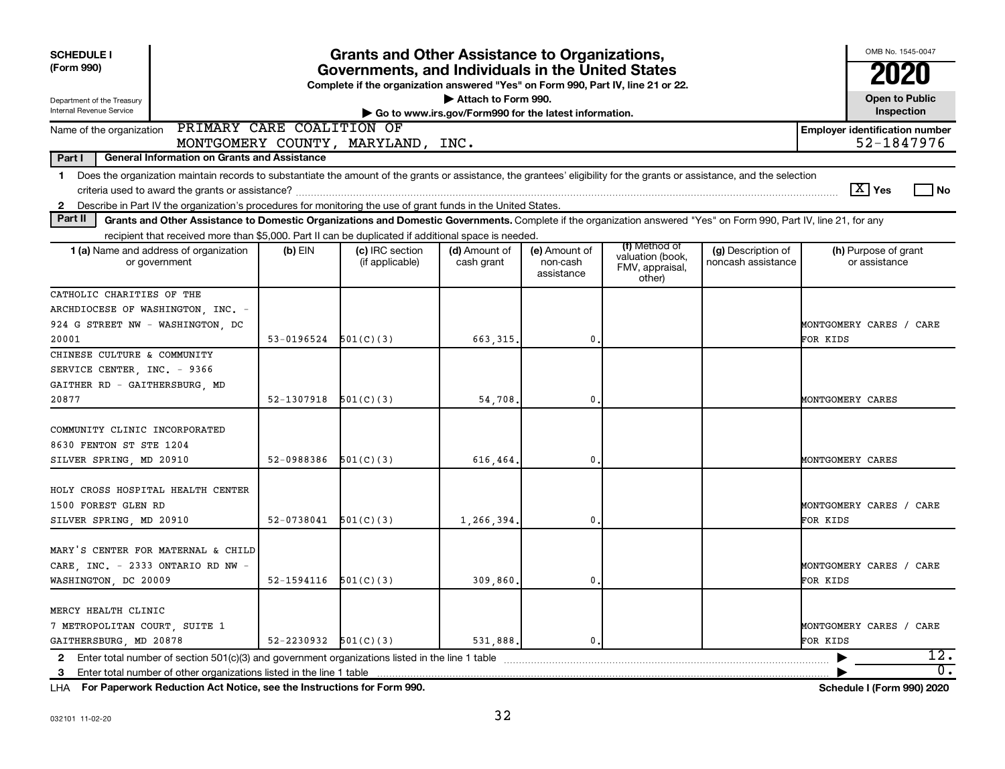| <b>SCHEDULE I</b>                                                                                                                                                                                                                                                                                              | <b>Grants and Other Assistance to Organizations,</b>                                                                                  |                                    |                             |                                         |                                                                |                                          |                                       |  |  |  |  |
|----------------------------------------------------------------------------------------------------------------------------------------------------------------------------------------------------------------------------------------------------------------------------------------------------------------|---------------------------------------------------------------------------------------------------------------------------------------|------------------------------------|-----------------------------|-----------------------------------------|----------------------------------------------------------------|------------------------------------------|---------------------------------------|--|--|--|--|
| (Form 990)                                                                                                                                                                                                                                                                                                     | Governments, and Individuals in the United States<br>Complete if the organization answered "Yes" on Form 990, Part IV, line 21 or 22. |                                    |                             |                                         |                                                                |                                          |                                       |  |  |  |  |
| Attach to Form 990.<br>Department of the Treasury<br>Internal Revenue Service<br>Go to www.irs.gov/Form990 for the latest information.                                                                                                                                                                         |                                                                                                                                       |                                    |                             |                                         |                                                                |                                          |                                       |  |  |  |  |
| PRIMARY CARE COALITION OF<br>Name of the organization<br><b>Employer identification number</b><br>52-1847976<br>MONTGOMERY COUNTY, MARYLAND, INC.                                                                                                                                                              |                                                                                                                                       |                                    |                             |                                         |                                                                |                                          |                                       |  |  |  |  |
| Part I<br><b>General Information on Grants and Assistance</b>                                                                                                                                                                                                                                                  |                                                                                                                                       |                                    |                             |                                         |                                                                |                                          |                                       |  |  |  |  |
| Does the organization maintain records to substantiate the amount of the grants or assistance, the grantees' eligibility for the grants or assistance, and the selection<br>1<br>Describe in Part IV the organization's procedures for monitoring the use of grant funds in the United States.<br>$\mathbf{2}$ |                                                                                                                                       |                                    |                             |                                         |                                                                |                                          | $\boxed{\text{X}}$ Yes<br>  No        |  |  |  |  |
| Part II<br>Grants and Other Assistance to Domestic Organizations and Domestic Governments. Complete if the organization answered "Yes" on Form 990, Part IV, line 21, for any                                                                                                                                  |                                                                                                                                       |                                    |                             |                                         |                                                                |                                          |                                       |  |  |  |  |
| recipient that received more than \$5,000. Part II can be duplicated if additional space is needed.                                                                                                                                                                                                            |                                                                                                                                       |                                    |                             |                                         |                                                                |                                          |                                       |  |  |  |  |
| 1 (a) Name and address of organization<br>or government                                                                                                                                                                                                                                                        | $(b)$ EIN                                                                                                                             | (c) IRC section<br>(if applicable) | (d) Amount of<br>cash grant | (e) Amount of<br>non-cash<br>assistance | (f) Method of<br>valuation (book,<br>FMV, appraisal,<br>other) | (g) Description of<br>noncash assistance | (h) Purpose of grant<br>or assistance |  |  |  |  |
| CATHOLIC CHARITIES OF THE                                                                                                                                                                                                                                                                                      |                                                                                                                                       |                                    |                             |                                         |                                                                |                                          |                                       |  |  |  |  |
| ARCHDIOCESE OF WASHINGTON, INC. -                                                                                                                                                                                                                                                                              |                                                                                                                                       |                                    |                             |                                         |                                                                |                                          |                                       |  |  |  |  |
| 924 G STREET NW - WASHINGTON, DC<br>20001                                                                                                                                                                                                                                                                      | 53-0196524                                                                                                                            |                                    |                             | 0.                                      |                                                                |                                          | MONTGOMERY CARES / CARE<br>FOR KIDS   |  |  |  |  |
| CHINESE CULTURE & COMMUNITY                                                                                                                                                                                                                                                                                    |                                                                                                                                       | 501(C)(3)                          | 663,315.                    |                                         |                                                                |                                          |                                       |  |  |  |  |
| SERVICE CENTER, INC. - 9366                                                                                                                                                                                                                                                                                    |                                                                                                                                       |                                    |                             |                                         |                                                                |                                          |                                       |  |  |  |  |
| GAITHER RD - GAITHERSBURG, MD                                                                                                                                                                                                                                                                                  |                                                                                                                                       |                                    |                             |                                         |                                                                |                                          |                                       |  |  |  |  |
| 20877                                                                                                                                                                                                                                                                                                          | $52-1307918$ $501(C)(3)$                                                                                                              |                                    | 54,708                      | 0.                                      |                                                                |                                          | MONTGOMERY CARES                      |  |  |  |  |
| COMMUNITY CLINIC INCORPORATED                                                                                                                                                                                                                                                                                  |                                                                                                                                       |                                    |                             |                                         |                                                                |                                          |                                       |  |  |  |  |
| 8630 FENTON ST STE 1204                                                                                                                                                                                                                                                                                        |                                                                                                                                       |                                    |                             |                                         |                                                                |                                          |                                       |  |  |  |  |
| SILVER SPRING, MD 20910                                                                                                                                                                                                                                                                                        | 52-0988386                                                                                                                            | 501(C)(3)                          | 616.464.                    | 0.                                      |                                                                |                                          | MONTGOMERY CARES                      |  |  |  |  |
| HOLY CROSS HOSPITAL HEALTH CENTER<br>1500 FOREST GLEN RD                                                                                                                                                                                                                                                       |                                                                                                                                       |                                    |                             |                                         |                                                                |                                          | MONTGOMERY CARES / CARE               |  |  |  |  |
| SILVER SPRING, MD 20910                                                                                                                                                                                                                                                                                        | 52-0738041                                                                                                                            | 501(C)(3)                          | 1,266,394.                  | $\mathbf{0}$ .                          |                                                                |                                          | FOR KIDS                              |  |  |  |  |
| MARY'S CENTER FOR MATERNAL & CHILD<br>CARE, INC. - 2333 ONTARIO RD NW -                                                                                                                                                                                                                                        |                                                                                                                                       |                                    |                             |                                         |                                                                |                                          | MONTGOMERY CARES / CARE               |  |  |  |  |
| WASHINGTON, DC 20009                                                                                                                                                                                                                                                                                           | 52-1594116                                                                                                                            | 501(C)(3)                          | 309,860                     | $\mathbf{0}$ .                          |                                                                |                                          | FOR KIDS                              |  |  |  |  |
| MERCY HEALTH CLINIC<br>7 METROPOLITAN COURT, SUITE 1<br>GAITHERSBURG, MD 20878                                                                                                                                                                                                                                 | 52-2230932                                                                                                                            | 501(C)(3)                          | 531,888.                    | 0.                                      |                                                                |                                          | MONTGOMERY CARES / CARE<br>FOR KIDS   |  |  |  |  |
| 2 Enter total number of section 501(c)(3) and government organizations listed in the line 1 table                                                                                                                                                                                                              |                                                                                                                                       |                                    |                             |                                         |                                                                |                                          | 12.                                   |  |  |  |  |
| 3 Enter total number of other organizations listed in the line 1 table                                                                                                                                                                                                                                         |                                                                                                                                       |                                    |                             |                                         |                                                                |                                          | $\overline{0}$ .                      |  |  |  |  |

**For Paperwork Reduction Act Notice, see the Instructions for Form 990. Schedule I (Form 990) 2020** LHA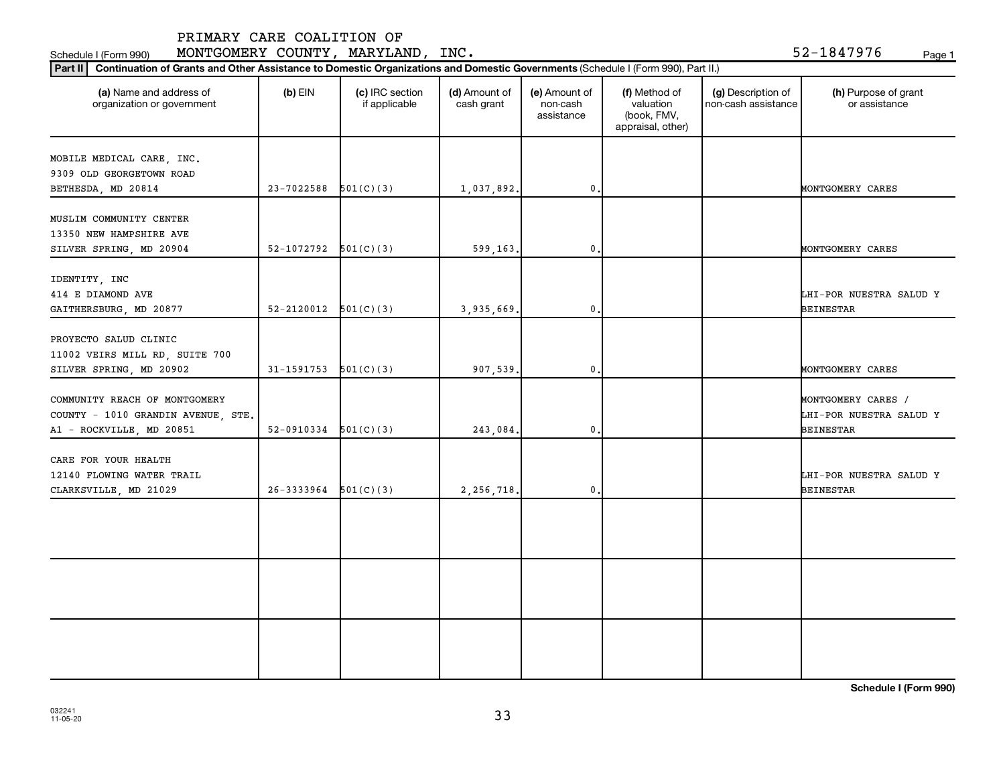Schedule I (Form 990) Page 1 MONTGOMERY COUNTY, MARYLAND, INC. 52-1847976

| Part II   Continuation of Grants and Other Assistance to Domestic Organizations and Domestic Governments (Schedule I (Form 990), Part II.) |            |                                  |                             |                                         |                                                                |                                           |                                       |
|--------------------------------------------------------------------------------------------------------------------------------------------|------------|----------------------------------|-----------------------------|-----------------------------------------|----------------------------------------------------------------|-------------------------------------------|---------------------------------------|
| (a) Name and address of<br>organization or government                                                                                      | $(b)$ EIN  | (c) IRC section<br>if applicable | (d) Amount of<br>cash grant | (e) Amount of<br>non-cash<br>assistance | (f) Method of<br>valuation<br>(book, FMV,<br>appraisal, other) | (g) Description of<br>non-cash assistance | (h) Purpose of grant<br>or assistance |
|                                                                                                                                            |            |                                  |                             |                                         |                                                                |                                           |                                       |
| MOBILE MEDICAL CARE, INC.<br>9309 OLD GEORGETOWN ROAD                                                                                      |            |                                  |                             |                                         |                                                                |                                           |                                       |
| BETHESDA, MD 20814                                                                                                                         | 23-7022588 | 501(C)(3)                        | 1,037,892.                  | $\mathbf 0$                             |                                                                |                                           | MONTGOMERY CARES                      |
|                                                                                                                                            |            |                                  |                             |                                         |                                                                |                                           |                                       |
| MUSLIM COMMUNITY CENTER                                                                                                                    |            |                                  |                             |                                         |                                                                |                                           |                                       |
| 13350 NEW HAMPSHIRE AVE                                                                                                                    |            |                                  |                             |                                         |                                                                |                                           |                                       |
| SILVER SPRING, MD 20904                                                                                                                    | 52-1072792 | 501(C)(3)                        | 599,163.                    | 0                                       |                                                                |                                           | MONTGOMERY CARES                      |
|                                                                                                                                            |            |                                  |                             |                                         |                                                                |                                           |                                       |
| IDENTITY, INC                                                                                                                              |            |                                  |                             |                                         |                                                                |                                           |                                       |
| 414 E DIAMOND AVE                                                                                                                          |            |                                  |                             |                                         |                                                                |                                           | LHI-POR NUESTRA SALUD Y               |
| GAITHERSBURG, MD 20877                                                                                                                     | 52-2120012 | 501(C)(3)                        | 3,935,669.                  | 0                                       |                                                                |                                           | <b>BEINESTAR</b>                      |
|                                                                                                                                            |            |                                  |                             |                                         |                                                                |                                           |                                       |
| PROYECTO SALUD CLINIC                                                                                                                      |            |                                  |                             |                                         |                                                                |                                           |                                       |
| 11002 VEIRS MILL RD, SUITE 700                                                                                                             |            |                                  |                             |                                         |                                                                |                                           |                                       |
| SILVER SPRING, MD 20902                                                                                                                    | 31-1591753 | 501(C)(3)                        | 907,539.                    | $\mathbf 0$                             |                                                                |                                           | MONTGOMERY CARES                      |
|                                                                                                                                            |            |                                  |                             |                                         |                                                                |                                           |                                       |
| COMMUNITY REACH OF MONTGOMERY                                                                                                              |            |                                  |                             |                                         |                                                                |                                           | MONTGOMERY CARES /                    |
| COUNTY - 1010 GRANDIN AVENUE, STE.                                                                                                         |            |                                  |                             |                                         |                                                                |                                           | LHI-POR NUESTRA SALUD Y               |
| A1 - ROCKVILLE, MD 20851                                                                                                                   | 52-0910334 | 501(C)(3)                        | 243,084.                    | 0                                       |                                                                |                                           | <b>BEINESTAR</b>                      |
| CARE FOR YOUR HEALTH                                                                                                                       |            |                                  |                             |                                         |                                                                |                                           |                                       |
| 12140 FLOWING WATER TRAIL                                                                                                                  |            |                                  |                             |                                         |                                                                |                                           | LHI-POR NUESTRA SALUD Y               |
| CLARKSVILLE, MD 21029                                                                                                                      | 26-3333964 | 501(C)(3)                        | 2,256,718.                  | 0                                       |                                                                |                                           | <b>BEINESTAR</b>                      |
|                                                                                                                                            |            |                                  |                             |                                         |                                                                |                                           |                                       |
|                                                                                                                                            |            |                                  |                             |                                         |                                                                |                                           |                                       |
|                                                                                                                                            |            |                                  |                             |                                         |                                                                |                                           |                                       |
|                                                                                                                                            |            |                                  |                             |                                         |                                                                |                                           |                                       |
|                                                                                                                                            |            |                                  |                             |                                         |                                                                |                                           |                                       |
|                                                                                                                                            |            |                                  |                             |                                         |                                                                |                                           |                                       |
|                                                                                                                                            |            |                                  |                             |                                         |                                                                |                                           |                                       |
|                                                                                                                                            |            |                                  |                             |                                         |                                                                |                                           |                                       |
|                                                                                                                                            |            |                                  |                             |                                         |                                                                |                                           |                                       |
|                                                                                                                                            |            |                                  |                             |                                         |                                                                |                                           |                                       |
|                                                                                                                                            |            |                                  |                             |                                         |                                                                |                                           |                                       |
|                                                                                                                                            |            |                                  |                             |                                         |                                                                |                                           |                                       |

**Schedule I (Form 990)**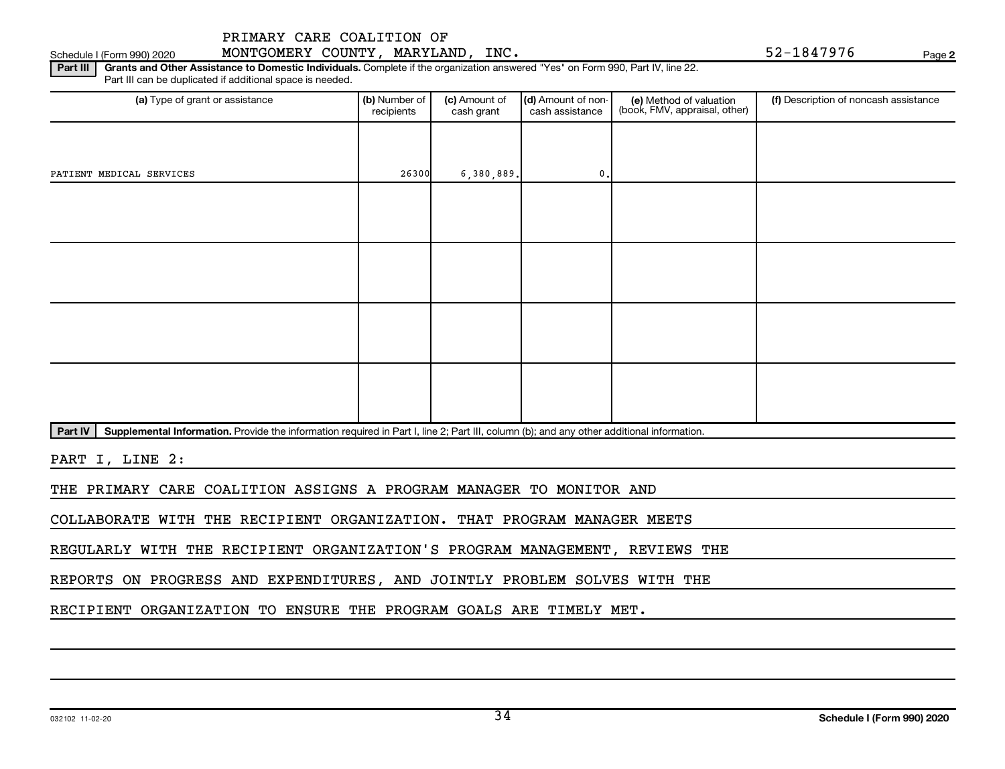### Schedule I (Form 990) 2020 MONTGOMERY COUNTY, MARYLAND, INC.  $52-1847976$  Page

**2**

Part III | Grants and Other Assistance to Domestic Individuals. Complete if the organization answered "Yes" on Form 990, Part IV, line 22. Part III can be duplicated if additional space is needed.

| (a) Type of grant or assistance | (b) Number of<br>recipients | (c) Amount of<br>cash grant | (d) Amount of non-<br>cash assistance | (e) Method of valuation<br>(book, FMV, appraisal, other) | (f) Description of noncash assistance |
|---------------------------------|-----------------------------|-----------------------------|---------------------------------------|----------------------------------------------------------|---------------------------------------|
|                                 |                             |                             |                                       |                                                          |                                       |
| PATIENT MEDICAL SERVICES        | 26300                       | 6,380,889.                  | $0$ .                                 |                                                          |                                       |
|                                 |                             |                             |                                       |                                                          |                                       |
|                                 |                             |                             |                                       |                                                          |                                       |
|                                 |                             |                             |                                       |                                                          |                                       |
|                                 |                             |                             |                                       |                                                          |                                       |
|                                 |                             |                             |                                       |                                                          |                                       |
|                                 |                             |                             |                                       |                                                          |                                       |
|                                 |                             |                             |                                       |                                                          |                                       |
|                                 |                             |                             |                                       |                                                          |                                       |

Part IV | Supplemental Information. Provide the information required in Part I, line 2; Part III, column (b); and any other additional information.

PART I, LINE 2:

THE PRIMARY CARE COALITION ASSIGNS A PROGRAM MANAGER TO MONITOR AND

COLLABORATE WITH THE RECIPIENT ORGANIZATION. THAT PROGRAM MANAGER MEETS

REGULARLY WITH THE RECIPIENT ORGANIZATION'S PROGRAM MANAGEMENT, REVIEWS THE

REPORTS ON PROGRESS AND EXPENDITURES, AND JOINTLY PROBLEM SOLVES WITH THE

RECIPIENT ORGANIZATION TO ENSURE THE PROGRAM GOALS ARE TIMELY MET.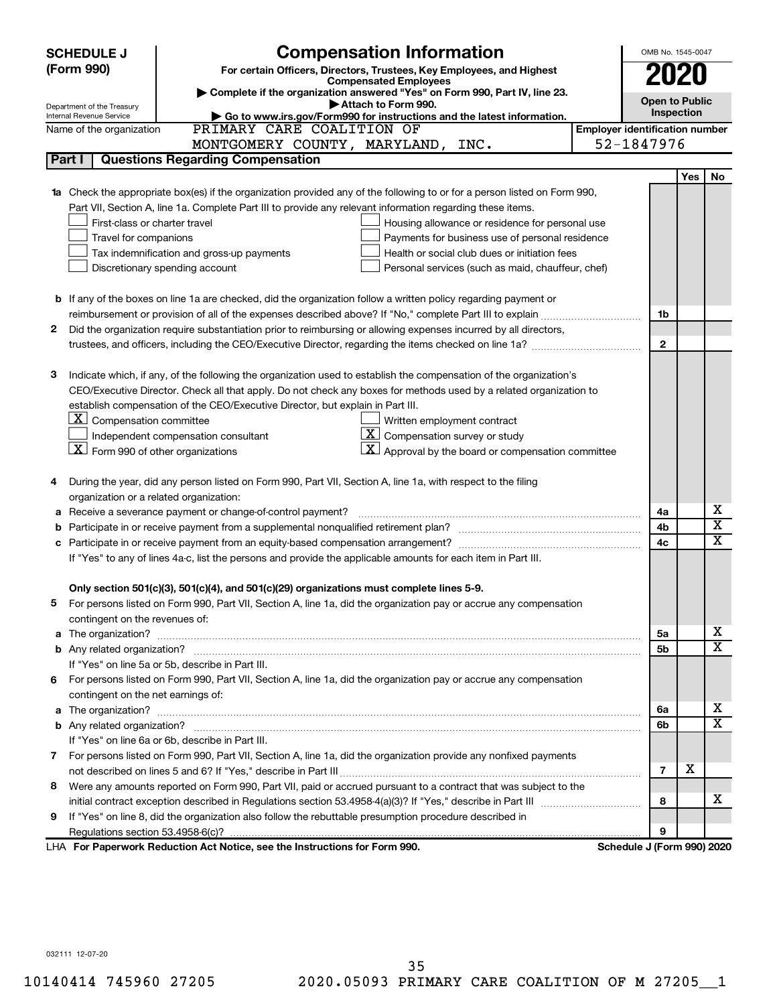|        | <b>SCHEDULE J</b>                                                                   | <b>Compensation Information</b>                                                                                        |  | OMB No. 1545-0047                     |                       |                             |  |
|--------|-------------------------------------------------------------------------------------|------------------------------------------------------------------------------------------------------------------------|--|---------------------------------------|-----------------------|-----------------------------|--|
|        | (Form 990)<br>For certain Officers, Directors, Trustees, Key Employees, and Highest |                                                                                                                        |  |                                       |                       |                             |  |
|        |                                                                                     | <b>Compensated Employees</b>                                                                                           |  |                                       |                       |                             |  |
|        |                                                                                     | Complete if the organization answered "Yes" on Form 990, Part IV, line 23.<br>Attach to Form 990.                      |  |                                       | <b>Open to Public</b> |                             |  |
|        | Department of the Treasury<br>Internal Revenue Service                              | Go to www.irs.gov/Form990 for instructions and the latest information.                                                 |  |                                       | Inspection            |                             |  |
|        | Name of the organization                                                            | PRIMARY CARE COALITION OF                                                                                              |  | <b>Employer identification number</b> |                       |                             |  |
|        |                                                                                     | MONTGOMERY COUNTY, MARYLAND, INC.                                                                                      |  | 52-1847976                            |                       |                             |  |
|        | Part I                                                                              | <b>Questions Regarding Compensation</b>                                                                                |  |                                       |                       |                             |  |
|        |                                                                                     |                                                                                                                        |  |                                       | <b>Yes</b>            | No                          |  |
|        |                                                                                     | Check the appropriate box(es) if the organization provided any of the following to or for a person listed on Form 990, |  |                                       |                       |                             |  |
|        |                                                                                     | Part VII, Section A, line 1a. Complete Part III to provide any relevant information regarding these items.             |  |                                       |                       |                             |  |
|        | First-class or charter travel                                                       | Housing allowance or residence for personal use                                                                        |  |                                       |                       |                             |  |
|        | Travel for companions                                                               | Payments for business use of personal residence                                                                        |  |                                       |                       |                             |  |
|        |                                                                                     | Tax indemnification and gross-up payments<br>Health or social club dues or initiation fees                             |  |                                       |                       |                             |  |
|        |                                                                                     | Discretionary spending account<br>Personal services (such as maid, chauffeur, chef)                                    |  |                                       |                       |                             |  |
|        |                                                                                     |                                                                                                                        |  |                                       |                       |                             |  |
|        |                                                                                     | <b>b</b> If any of the boxes on line 1a are checked, did the organization follow a written policy regarding payment or |  |                                       |                       |                             |  |
|        |                                                                                     |                                                                                                                        |  | 1b                                    |                       |                             |  |
| 2      |                                                                                     | Did the organization require substantiation prior to reimbursing or allowing expenses incurred by all directors,       |  |                                       |                       |                             |  |
|        |                                                                                     |                                                                                                                        |  | $\mathbf{2}$                          |                       |                             |  |
|        |                                                                                     |                                                                                                                        |  |                                       |                       |                             |  |
| з      |                                                                                     | Indicate which, if any, of the following the organization used to establish the compensation of the organization's     |  |                                       |                       |                             |  |
|        |                                                                                     | CEO/Executive Director. Check all that apply. Do not check any boxes for methods used by a related organization to     |  |                                       |                       |                             |  |
|        |                                                                                     | establish compensation of the CEO/Executive Director, but explain in Part III.                                         |  |                                       |                       |                             |  |
|        | $ \mathbf{X} $ Compensation committee                                               | Written employment contract                                                                                            |  |                                       |                       |                             |  |
|        |                                                                                     | $ \mathbf{X} $ Compensation survey or study<br>Independent compensation consultant                                     |  |                                       |                       |                             |  |
|        | $\lfloor \underline{X} \rfloor$ Form 990 of other organizations                     | Approval by the board or compensation committee                                                                        |  |                                       |                       |                             |  |
|        |                                                                                     |                                                                                                                        |  |                                       |                       |                             |  |
| 4      |                                                                                     | During the year, did any person listed on Form 990, Part VII, Section A, line 1a, with respect to the filing           |  |                                       |                       |                             |  |
|        | organization or a related organization:                                             | Receive a severance payment or change-of-control payment?                                                              |  |                                       |                       | х                           |  |
| а<br>b |                                                                                     |                                                                                                                        |  | 4a<br>4b                              |                       | $\overline{\text{x}}$       |  |
| с      |                                                                                     |                                                                                                                        |  | 4c                                    |                       | $\overline{\textnormal{x}}$ |  |
|        |                                                                                     | If "Yes" to any of lines 4a-c, list the persons and provide the applicable amounts for each item in Part III.          |  |                                       |                       |                             |  |
|        |                                                                                     |                                                                                                                        |  |                                       |                       |                             |  |
|        |                                                                                     | Only section 501(c)(3), 501(c)(4), and 501(c)(29) organizations must complete lines 5-9.                               |  |                                       |                       |                             |  |
|        |                                                                                     | For persons listed on Form 990, Part VII, Section A, line 1a, did the organization pay or accrue any compensation      |  |                                       |                       |                             |  |
|        | contingent on the revenues of:                                                      |                                                                                                                        |  |                                       |                       |                             |  |
| a      |                                                                                     |                                                                                                                        |  | 5a                                    |                       | х                           |  |
|        |                                                                                     |                                                                                                                        |  | 5b                                    |                       | $\overline{\mathbf{X}}$     |  |
|        |                                                                                     | If "Yes" on line 5a or 5b, describe in Part III.                                                                       |  |                                       |                       |                             |  |
| 6.     |                                                                                     | For persons listed on Form 990, Part VII, Section A, line 1a, did the organization pay or accrue any compensation      |  |                                       |                       |                             |  |
|        | contingent on the net earnings of:                                                  |                                                                                                                        |  |                                       |                       |                             |  |
| a      |                                                                                     |                                                                                                                        |  | 6а                                    |                       | х                           |  |
|        |                                                                                     |                                                                                                                        |  | 6b                                    |                       | $\overline{\mathbf{X}}$     |  |
|        |                                                                                     | If "Yes" on line 6a or 6b, describe in Part III.                                                                       |  |                                       |                       |                             |  |
|        |                                                                                     | 7 For persons listed on Form 990, Part VII, Section A, line 1a, did the organization provide any nonfixed payments     |  |                                       |                       |                             |  |
|        |                                                                                     |                                                                                                                        |  | 7                                     | х                     |                             |  |
| 8      |                                                                                     | Were any amounts reported on Form 990, Part VII, paid or accrued pursuant to a contract that was subject to the        |  |                                       |                       |                             |  |
|        |                                                                                     |                                                                                                                        |  | 8                                     |                       | х                           |  |
| 9      |                                                                                     | If "Yes" on line 8, did the organization also follow the rebuttable presumption procedure described in                 |  |                                       |                       |                             |  |
|        |                                                                                     |                                                                                                                        |  | 9                                     |                       |                             |  |
|        |                                                                                     | LHA For Paperwork Reduction Act Notice, see the Instructions for Form 990.                                             |  | Schedule J (Form 990) 2020            |                       |                             |  |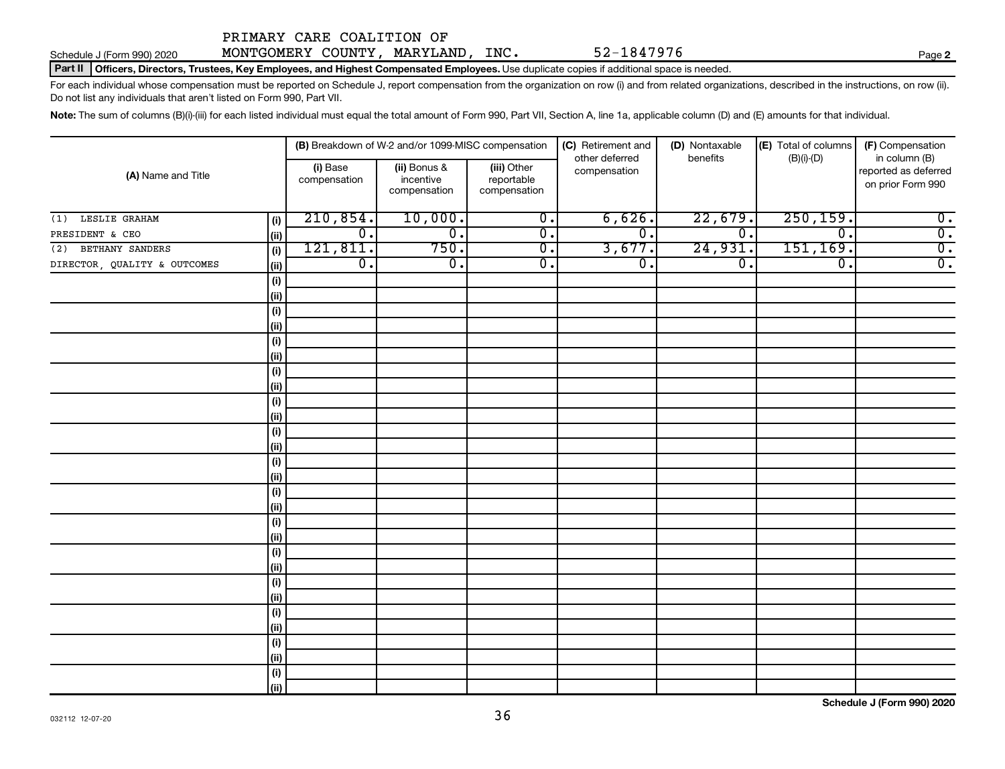### Schedule J (Form 990) 2020 MONTGOMERY COUNTY, MARYLAND, INC. 52-1847976 52-1847976

**2**

Part II | Officers, Directors, Trustees, Key Employees, and Highest Compensated Employees. Use duplicate copies if additional space is needed.

For each individual whose compensation must be reported on Schedule J, report compensation from the organization on row (i) and from related organizations, described in the instructions, on row (ii). Do not list any individuals that aren't listed on Form 990, Part VII.

Note: The sum of columns (B)(i)-(iii) for each listed individual must equal the total amount of Form 990, Part VII, Section A, line 1a, applicable column (D) and (E) amounts for that individual.

| (A) Name and Title           |            |                          | (B) Breakdown of W-2 and/or 1099-MISC compensation |                                           | (C) Retirement and             | (D) Nontaxable              | (E) Total of columns | (F) Compensation                                           |
|------------------------------|------------|--------------------------|----------------------------------------------------|-------------------------------------------|--------------------------------|-----------------------------|----------------------|------------------------------------------------------------|
|                              |            | (i) Base<br>compensation | (ii) Bonus &<br>incentive<br>compensation          | (iii) Other<br>reportable<br>compensation | other deferred<br>compensation | benefits                    | $(B)(i)$ - $(D)$     | in column (B)<br>reported as deferred<br>on prior Form 990 |
| LESLIE GRAHAM<br>(1)         | (i)        | 210,854.                 | 10,000.                                            | $\overline{0}$ .                          | 6,626.                         | 22,679                      | 250, 159.            | $\overline{0}$ .                                           |
| PRESIDENT & CEO              | (ii)       | $\overline{0}$ .         | $\overline{0}$                                     | $\overline{0}$ .                          | $\overline{0}$ .               | $\overline{0}$ .            | $\overline{0}$ .     | $\overline{0}$ .                                           |
| BETHANY SANDERS<br>(2)       | (i)        | 121, 811.                | 750.                                               | $\overline{0}$ .                          | 3,677.                         | 24,931.                     | 151, 169.            | $\overline{0}$ .                                           |
| DIRECTOR, QUALITY & OUTCOMES | (ii)       | $\overline{0}$ .         | $\overline{0}$ .                                   | $\overline{0}$ .                          | $\overline{0}$ .               | $\overline{\mathfrak{o}}$ . | $\overline{0}$ .     | $\overline{0}$ .                                           |
|                              | $(\sf{i})$ |                          |                                                    |                                           |                                |                             |                      |                                                            |
|                              | (ii)       |                          |                                                    |                                           |                                |                             |                      |                                                            |
|                              | $(\sf{i})$ |                          |                                                    |                                           |                                |                             |                      |                                                            |
|                              | (ii)       |                          |                                                    |                                           |                                |                             |                      |                                                            |
|                              | $(\sf{i})$ |                          |                                                    |                                           |                                |                             |                      |                                                            |
|                              | (ii)       |                          |                                                    |                                           |                                |                             |                      |                                                            |
|                              | $(\sf{i})$ |                          |                                                    |                                           |                                |                             |                      |                                                            |
|                              | (ii)       |                          |                                                    |                                           |                                |                             |                      |                                                            |
|                              | $(\sf{i})$ |                          |                                                    |                                           |                                |                             |                      |                                                            |
|                              | (ii)       |                          |                                                    |                                           |                                |                             |                      |                                                            |
|                              | (i)        |                          |                                                    |                                           |                                |                             |                      |                                                            |
|                              | (ii)       |                          |                                                    |                                           |                                |                             |                      |                                                            |
|                              | (i)        |                          |                                                    |                                           |                                |                             |                      |                                                            |
|                              | (ii)       |                          |                                                    |                                           |                                |                             |                      |                                                            |
|                              | (i)        |                          |                                                    |                                           |                                |                             |                      |                                                            |
|                              | (ii)       |                          |                                                    |                                           |                                |                             |                      |                                                            |
|                              | (i)        |                          |                                                    |                                           |                                |                             |                      |                                                            |
|                              | (ii)       |                          |                                                    |                                           |                                |                             |                      |                                                            |
|                              | (i)        |                          |                                                    |                                           |                                |                             |                      |                                                            |
|                              | (ii)       |                          |                                                    |                                           |                                |                             |                      |                                                            |
|                              | (i)        |                          |                                                    |                                           |                                |                             |                      |                                                            |
|                              | (ii)       |                          |                                                    |                                           |                                |                             |                      |                                                            |
|                              | (i)        |                          |                                                    |                                           |                                |                             |                      |                                                            |
|                              | (ii)       |                          |                                                    |                                           |                                |                             |                      |                                                            |
|                              | (i)        |                          |                                                    |                                           |                                |                             |                      |                                                            |
|                              | (ii)       |                          |                                                    |                                           |                                |                             |                      |                                                            |
|                              | (i)        |                          |                                                    |                                           |                                |                             |                      |                                                            |
|                              | (ii)       |                          |                                                    |                                           |                                |                             |                      |                                                            |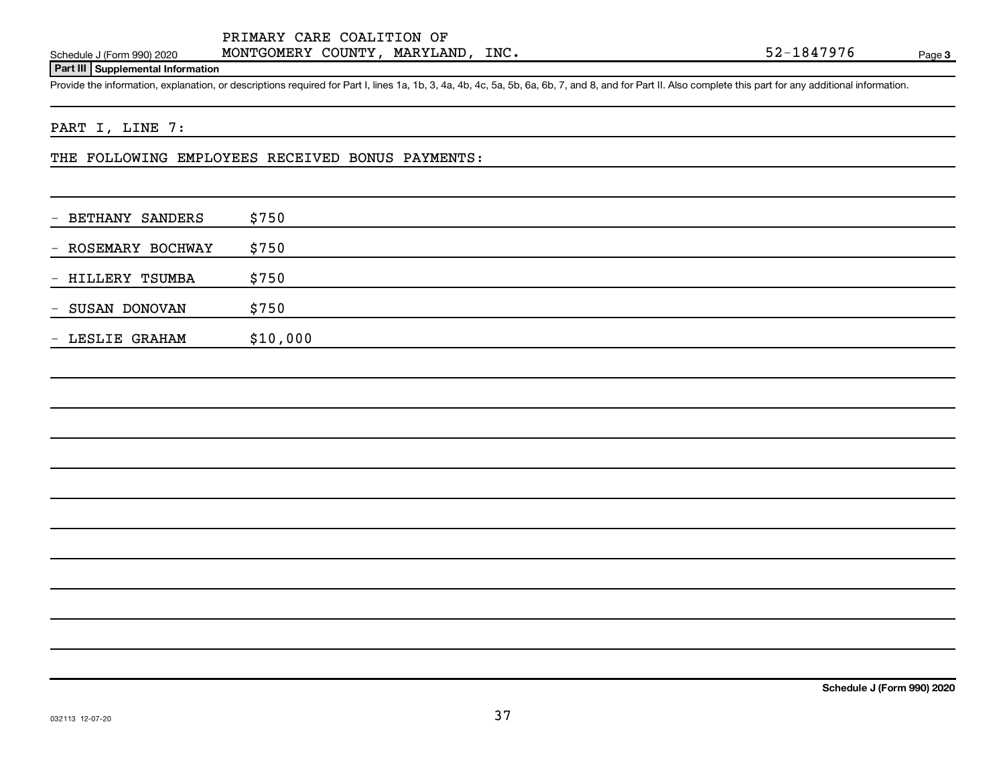### Schedule J (Form 990) 2020 MONTGOMERY COUNTY, MARYLAND, INC.  $52-1847976$  Page

### **Part III Supplemental Information**

Provide the information, explanation, or descriptions required for Part I, lines 1a, 1b, 3, 4a, 4b, 4c, 5a, 5b, 6a, 6b, 7, and 8, and for Part II. Also complete this part for any additional information.

### PART I, LINE 7:

### THE FOLLOWING EMPLOYEES RECEIVED BONUS PAYMENTS:

| - BETHANY SANDERS  | \$750    |
|--------------------|----------|
| - ROSEMARY BOCHWAY | \$750    |
| - HILLERY TSUMBA   | \$750    |
| - SUSAN DONOVAN    | \$750    |
| - LESLIE GRAHAM    | \$10,000 |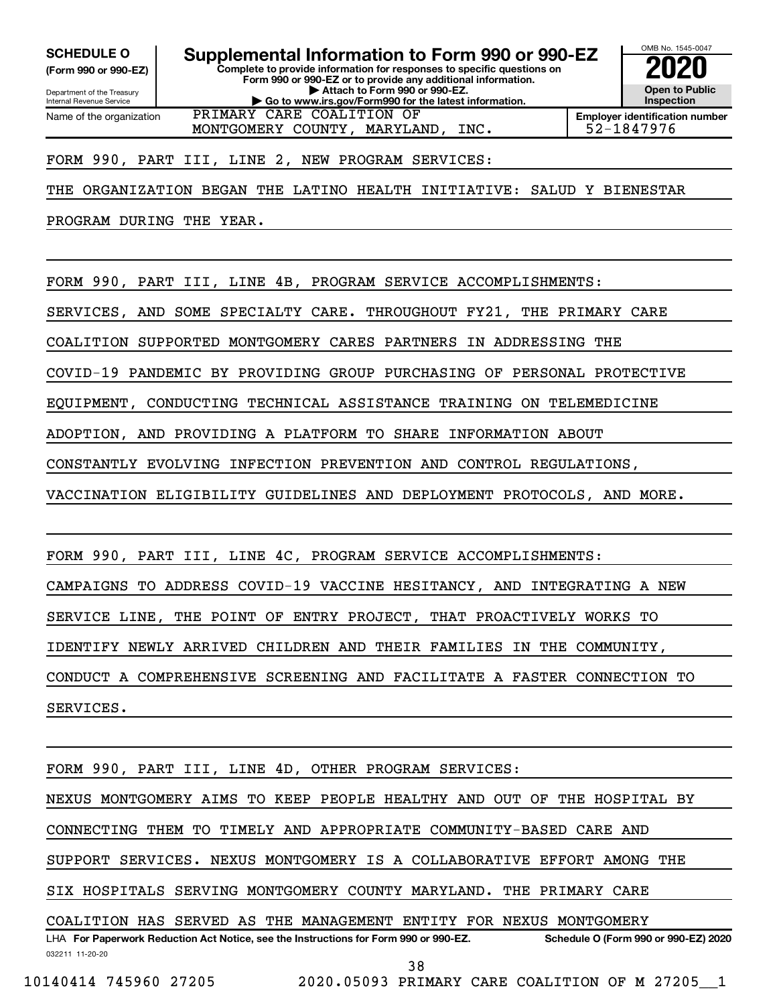**(Form 990 or 990-EZ)**

**Complete to provide information for responses to specific questions on SCHEDULE O Supplemental Information to Form 990 or 990-EZ 2020**<br>(Form 990 or 990-EZ) Complete to provide information for responses to specific questions on

**Form 990 or 990-EZ or to provide any additional information. | Attach to Form 990 or 990-EZ. | Go to www.irs.gov/Form990 for the latest information.**

PRIMARY CARE COALITION OF

Department of the Treasury Internal Revenue Service Name of the organization

**Employer identification number**



MONTGOMERY COUNTY, MARYLAND, INC. 52-1847976

FORM 990, PART III, LINE 2, NEW PROGRAM SERVICES:

THE ORGANIZATION BEGAN THE LATINO HEALTH INITIATIVE: SALUD Y BIENESTAR

PROGRAM DURING THE YEAR.

FORM 990, PART III, LINE 4B, PROGRAM SERVICE ACCOMPLISHMENTS:

SERVICES, AND SOME SPECIALTY CARE. THROUGHOUT FY21, THE PRIMARY CARE

COALITION SUPPORTED MONTGOMERY CARES PARTNERS IN ADDRESSING THE

COVID-19 PANDEMIC BY PROVIDING GROUP PURCHASING OF PERSONAL PROTECTIVE

EQUIPMENT, CONDUCTING TECHNICAL ASSISTANCE TRAINING ON TELEMEDICINE

ADOPTION, AND PROVIDING A PLATFORM TO SHARE INFORMATION ABOUT

CONSTANTLY EVOLVING INFECTION PREVENTION AND CONTROL REGULATIONS,

VACCINATION ELIGIBILITY GUIDELINES AND DEPLOYMENT PROTOCOLS, AND MORE.

FORM 990, PART III, LINE 4C, PROGRAM SERVICE ACCOMPLISHMENTS:

CAMPAIGNS TO ADDRESS COVID-19 VACCINE HESITANCY, AND INTEGRATING A NEW

SERVICE LINE, THE POINT OF ENTRY PROJECT, THAT PROACTIVELY WORKS TO

IDENTIFY NEWLY ARRIVED CHILDREN AND THEIR FAMILIES IN THE COMMUNITY,

CONDUCT A COMPREHENSIVE SCREENING AND FACILITATE A FASTER CONNECTION TO

SERVICES.

FORM 990, PART III, LINE 4D, OTHER PROGRAM SERVICES:

NEXUS MONTGOMERY AIMS TO KEEP PEOPLE HEALTHY AND OUT OF THE HOSPITAL BY

CONNECTING THEM TO TIMELY AND APPROPRIATE COMMUNITY-BASED CARE AND

SUPPORT SERVICES. NEXUS MONTGOMERY IS A COLLABORATIVE EFFORT AMONG THE

SIX HOSPITALS SERVING MONTGOMERY COUNTY MARYLAND. THE PRIMARY CARE

032211 11-20-20 **For Paperwork Reduction Act Notice, see the Instructions for Form 990 or 990-EZ. Schedule O (Form 990 or 990-EZ) 2020** LHA COALITION HAS SERVED AS THE MANAGEMENT ENTITY FOR NEXUS MONTGOMERY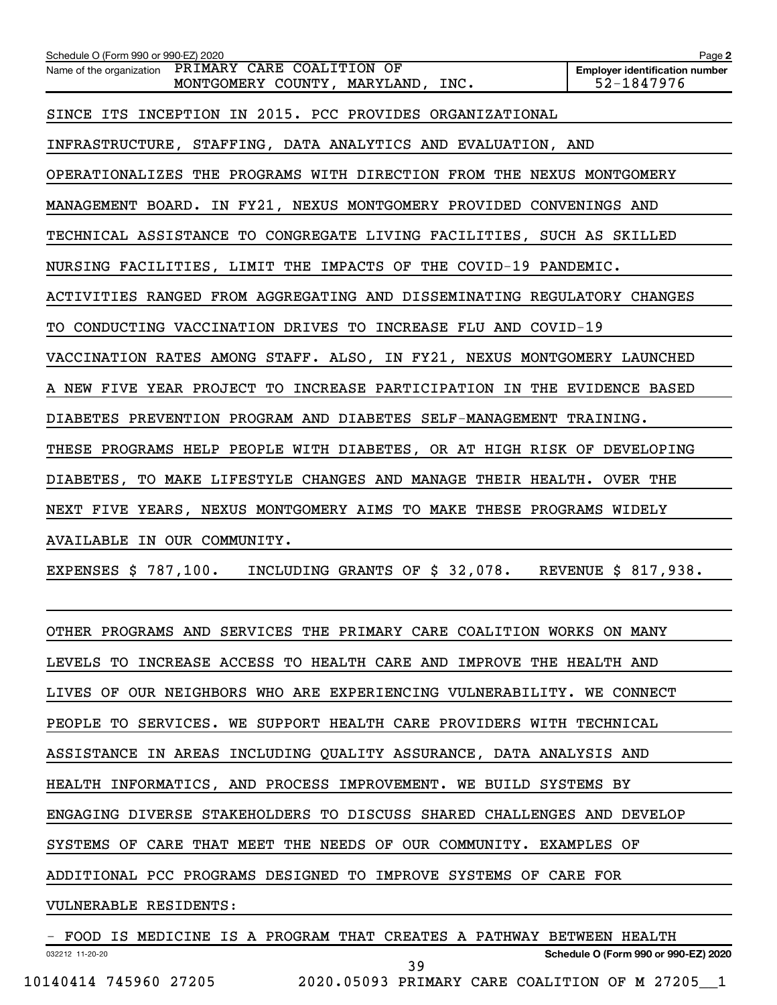| Schedule O (Form 990 or 990-EZ) 2020                                                    | Page 2                                              |
|-----------------------------------------------------------------------------------------|-----------------------------------------------------|
| Name of the organization PRIMARY CARE COALITION OF<br>MONTGOMERY COUNTY, MARYLAND, INC. | <b>Employer identification number</b><br>52-1847976 |
| SINCE ITS INCEPTION IN 2015. PCC PROVIDES ORGANIZATIONAL                                |                                                     |
| INFRASTRUCTURE, STAFFING, DATA ANALYTICS AND EVALUATION, AND                            |                                                     |
| OPERATIONALIZES THE PROGRAMS WITH DIRECTION FROM THE NEXUS MONTGOMERY                   |                                                     |
| MANAGEMENT BOARD. IN FY21, NEXUS MONTGOMERY PROVIDED CONVENINGS AND                     |                                                     |
| TECHNICAL ASSISTANCE TO CONGREGATE LIVING FACILITIES, SUCH AS SKILLED                   |                                                     |
| NURSING FACILITIES, LIMIT THE IMPACTS OF THE COVID-19 PANDEMIC.                         |                                                     |
| ACTIVITIES RANGED FROM AGGREGATING AND DISSEMINATING REGULATORY CHANGES                 |                                                     |
| TO CONDUCTING VACCINATION DRIVES TO INCREASE FLU AND COVID-19                           |                                                     |
| VACCINATION RATES AMONG STAFF. ALSO, IN FY21, NEXUS MONTGOMERY LAUNCHED                 |                                                     |
| A NEW FIVE YEAR PROJECT TO INCREASE PARTICIPATION IN THE EVIDENCE BASED                 |                                                     |
| DIABETES PREVENTION PROGRAM AND DIABETES SELF-MANAGEMENT TRAINING.                      |                                                     |
| THESE PROGRAMS HELP PEOPLE WITH DIABETES, OR AT HIGH RISK OF DEVELOPING                 |                                                     |
| DIABETES, TO MAKE LIFESTYLE CHANGES AND MANAGE THEIR HEALTH. OVER THE                   |                                                     |
| NEXT FIVE YEARS, NEXUS MONTGOMERY AIMS TO MAKE THESE PROGRAMS WIDELY                    |                                                     |
| AVAILABLE IN OUR COMMUNITY.                                                             |                                                     |
| EXPENSES \$ 787,100. INCLUDING GRANTS OF \$ 32,078. REVENUE \$ 817,938.                 |                                                     |

OTHER PROGRAMS AND SERVICES THE PRIMARY CARE COALITION WORKS ON MANY LEVELS TO INCREASE ACCESS TO HEALTH CARE AND IMPROVE THE HEALTH AND LIVES OF OUR NEIGHBORS WHO ARE EXPERIENCING VULNERABILITY. WE CONNECT PEOPLE TO SERVICES. WE SUPPORT HEALTH CARE PROVIDERS WITH TECHNICAL ASSISTANCE IN AREAS INCLUDING QUALITY ASSURANCE, DATA ANALYSIS AND HEALTH INFORMATICS, AND PROCESS IMPROVEMENT. WE BUILD SYSTEMS BY ENGAGING DIVERSE STAKEHOLDERS TO DISCUSS SHARED CHALLENGES AND DEVELOP SYSTEMS OF CARE THAT MEET THE NEEDS OF OUR COMMUNITY. EXAMPLES OF ADDITIONAL PCC PROGRAMS DESIGNED TO IMPROVE SYSTEMS OF CARE FOR VULNERABLE RESIDENTS: - FOOD IS MEDICINE IS A PROGRAM THAT CREATES A PATHWAY BETWEEN HEALTH

032212 11-20-20 **Schedule O (Form 990 or 990-EZ) 2020** 10140414 745960 27205 2020.05093 PRIMARY CARE COALITION OF M 27205\_\_1 39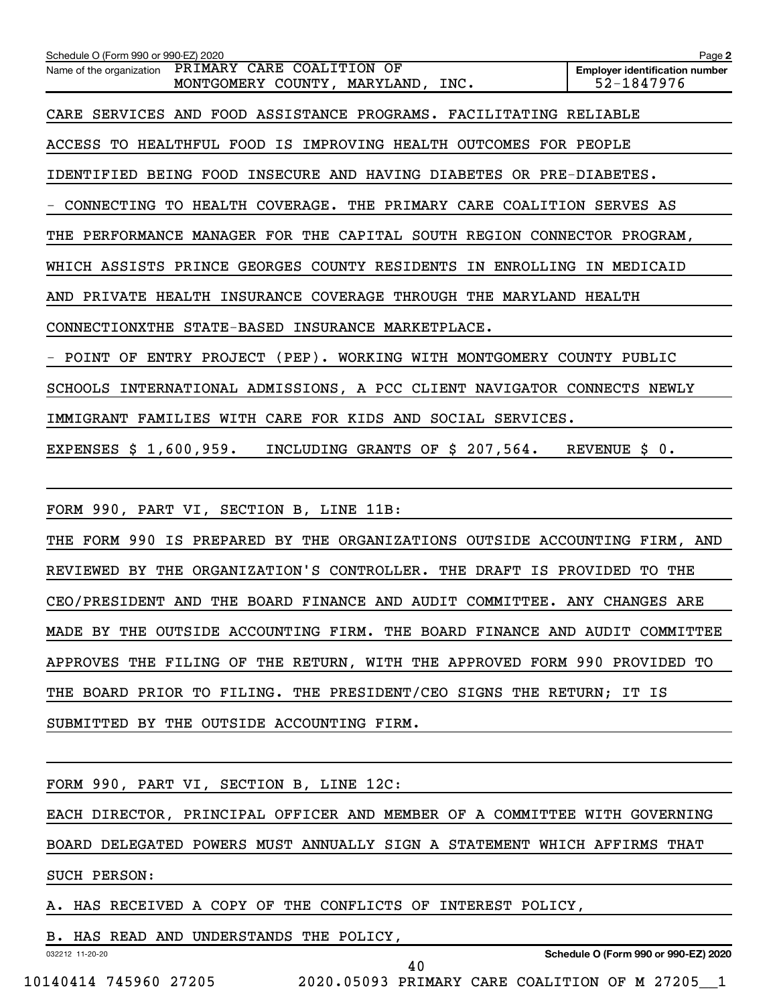| Schedule O (Form 990 or 990-EZ) 2020                                                       | Page 2                                              |
|--------------------------------------------------------------------------------------------|-----------------------------------------------------|
| PRIMARY CARE COALITION OF<br>Name of the organization<br>MONTGOMERY COUNTY, MARYLAND, INC. | <b>Employer identification number</b><br>52-1847976 |
| CARE SERVICES AND FOOD ASSISTANCE PROGRAMS. FACILITATING RELIABLE                          |                                                     |
| ACCESS TO HEALTHFUL FOOD IS IMPROVING HEALTH OUTCOMES FOR PEOPLE                           |                                                     |
| IDENTIFIED BEING FOOD INSECURE AND HAVING DIABETES OR PRE-DIABETES.                        |                                                     |
| - CONNECTING TO HEALTH COVERAGE. THE PRIMARY CARE COALITION SERVES AS                      |                                                     |
| THE PERFORMANCE MANAGER FOR THE CAPITAL SOUTH REGION CONNECTOR PROGRAM,                    |                                                     |
| WHICH ASSISTS PRINCE GEORGES COUNTY RESIDENTS IN ENROLLING IN MEDICAID                     |                                                     |
| AND PRIVATE HEALTH INSURANCE COVERAGE THROUGH THE MARYLAND HEALTH                          |                                                     |
| CONNECTIONXTHE STATE-BASED INSURANCE MARKETPLACE.                                          |                                                     |
| - POINT OF ENTRY PROJECT (PEP). WORKING WITH MONTGOMERY COUNTY PUBLIC                      |                                                     |
| SCHOOLS INTERNATIONAL ADMISSIONS, A PCC CLIENT NAVIGATOR CONNECTS NEWLY                    |                                                     |
| IMMIGRANT FAMILIES WITH CARE FOR KIDS AND SOCIAL SERVICES.                                 |                                                     |
| EXPENSES $$1,600,959$ .<br>INCLUDING GRANTS OF \$ 207,564.                                 | REVENUE \$ 0.                                       |
|                                                                                            |                                                     |
| FORM 990, PART VI, SECTION B, LINE 11B:                                                    |                                                     |
| THE FORM 990 IS PREPARED BY THE ORGANIZATIONS OUTSIDE ACCOUNTING FIRM, AND                 |                                                     |
| REVIEWED BY THE ORGANIZATION'S CONTROLLER. THE DRAFT IS PROVIDED TO THE                    |                                                     |
| CEO/PRESIDENT AND THE BOARD FINANCE AND AUDIT COMMITTEE. ANY CHANGES ARE                   |                                                     |
| MADE BY THE OUTSIDE ACCOUNTING FIRM. THE BOARD FINANCE AND AUDIT COMMITTEE                 |                                                     |
| APPROVES THE FILING OF THE RETURN, WITH THE APPROVED FORM 990 PROVIDED TO                  |                                                     |
| THE BOARD PRIOR TO FILING. THE PRESIDENT/CEO SIGNS THE RETURN; IT IS                       |                                                     |
| SUBMITTED BY THE OUTSIDE ACCOUNTING FIRM.                                                  |                                                     |

FORM 990, PART VI, SECTION B, LINE 12C:

EACH DIRECTOR, PRINCIPAL OFFICER AND MEMBER OF A COMMITTEE WITH GOVERNING

BOARD DELEGATED POWERS MUST ANNUALLY SIGN A STATEMENT WHICH AFFIRMS THAT

SUCH PERSON:

A. HAS RECEIVED A COPY OF THE CONFLICTS OF INTEREST POLICY,

|                                      | POLICY. | THE | UNDERSTANDS | AND | READ | HAS             |  |
|--------------------------------------|---------|-----|-------------|-----|------|-----------------|--|
| Schedule O (Form 990 or 990-EZ) 2020 |         |     |             |     |      | 032212 11-20-20 |  |
| 4 L                                  |         |     |             |     |      |                 |  |